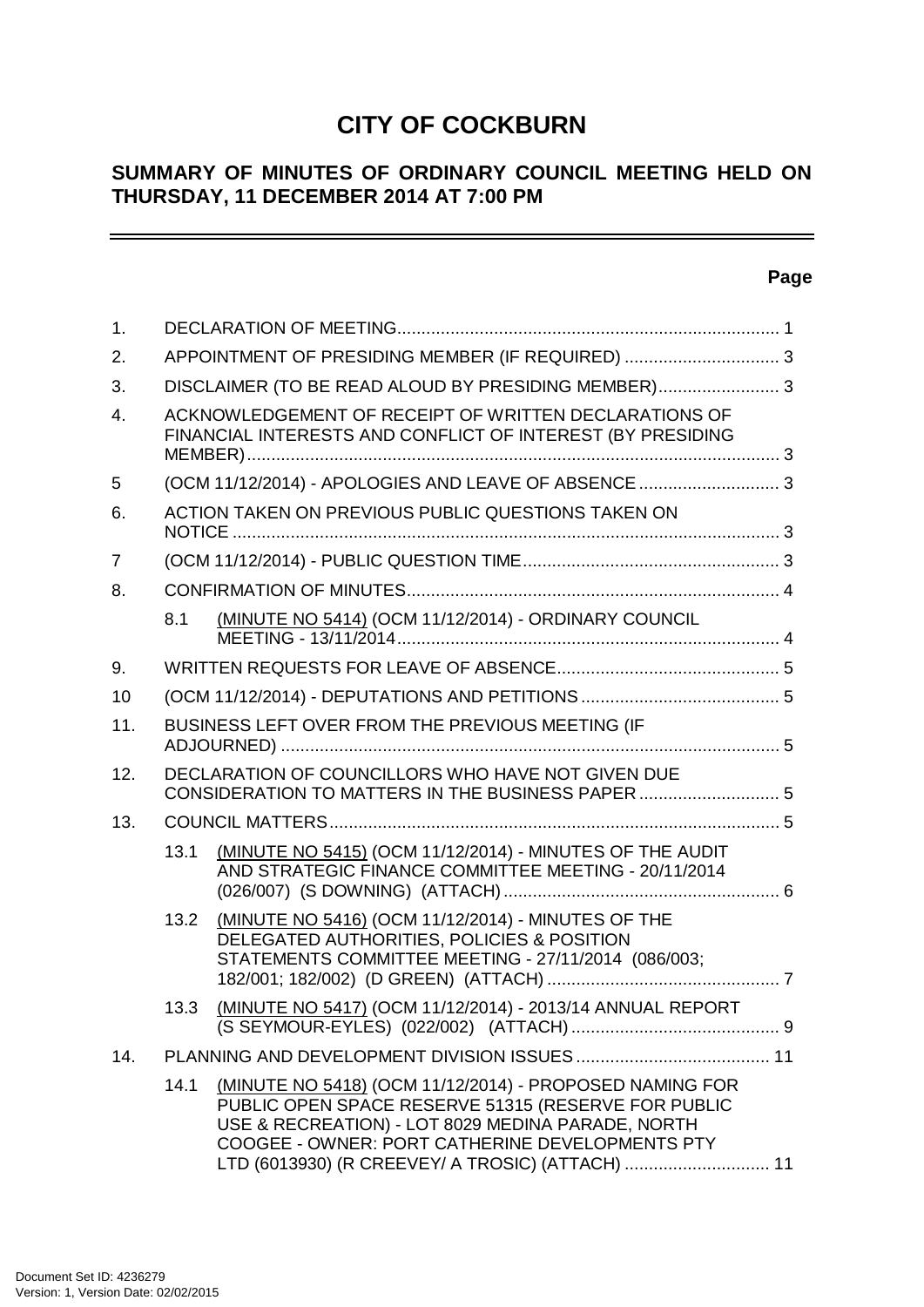# **CITY OF COCKBURN**

## **SUMMARY OF MINUTES OF ORDINARY COUNCIL MEETING HELD ON THURSDAY, 11 DECEMBER 2014 AT 7:00 PM**

## **Page**

 $\overline{\phantom{0}}$ 

| 1.               |                                                                                                                     |                                                                                                                                                                                                                                                                            |  |
|------------------|---------------------------------------------------------------------------------------------------------------------|----------------------------------------------------------------------------------------------------------------------------------------------------------------------------------------------------------------------------------------------------------------------------|--|
| 2.               | APPOINTMENT OF PRESIDING MEMBER (IF REQUIRED)  3                                                                    |                                                                                                                                                                                                                                                                            |  |
| 3.               | DISCLAIMER (TO BE READ ALOUD BY PRESIDING MEMBER) 3                                                                 |                                                                                                                                                                                                                                                                            |  |
| $\overline{4}$ . | ACKNOWLEDGEMENT OF RECEIPT OF WRITTEN DECLARATIONS OF<br>FINANCIAL INTERESTS AND CONFLICT OF INTEREST (BY PRESIDING |                                                                                                                                                                                                                                                                            |  |
| 5                |                                                                                                                     | (OCM 11/12/2014) - APOLOGIES AND LEAVE OF ABSENCE  3                                                                                                                                                                                                                       |  |
| 6.               |                                                                                                                     | ACTION TAKEN ON PREVIOUS PUBLIC QUESTIONS TAKEN ON                                                                                                                                                                                                                         |  |
| $\overline{7}$   |                                                                                                                     |                                                                                                                                                                                                                                                                            |  |
| 8.               |                                                                                                                     |                                                                                                                                                                                                                                                                            |  |
|                  | 8.1                                                                                                                 | (MINUTE NO 5414) (OCM 11/12/2014) - ORDINARY COUNCIL                                                                                                                                                                                                                       |  |
| 9.               |                                                                                                                     |                                                                                                                                                                                                                                                                            |  |
| 10               |                                                                                                                     |                                                                                                                                                                                                                                                                            |  |
| 11.              | BUSINESS LEFT OVER FROM THE PREVIOUS MEETING (IF                                                                    |                                                                                                                                                                                                                                                                            |  |
| 12.              |                                                                                                                     | DECLARATION OF COUNCILLORS WHO HAVE NOT GIVEN DUE<br>CONSIDERATION TO MATTERS IN THE BUSINESS PAPER  5                                                                                                                                                                     |  |
| 13.              |                                                                                                                     |                                                                                                                                                                                                                                                                            |  |
|                  | 13.1                                                                                                                | (MINUTE NO 5415) (OCM 11/12/2014) - MINUTES OF THE AUDIT<br>AND STRATEGIC FINANCE COMMITTEE MEETING - 20/11/2014                                                                                                                                                           |  |
|                  | 13.2                                                                                                                | (MINUTE NO 5416) (OCM 11/12/2014) - MINUTES OF THE<br>DELEGATED AUTHORITIES, POLICIES & POSITION<br>STATEMENTS COMMITTEE MEETING - 27/11/2014 (086/003;                                                                                                                    |  |
|                  |                                                                                                                     | 13.3 (MINUTE NO 5417) (OCM 11/12/2014) - 2013/14 ANNUAL REPORT                                                                                                                                                                                                             |  |
| 14.              |                                                                                                                     |                                                                                                                                                                                                                                                                            |  |
|                  | 14.1                                                                                                                | (MINUTE NO 5418) (OCM 11/12/2014) - PROPOSED NAMING FOR<br>PUBLIC OPEN SPACE RESERVE 51315 (RESERVE FOR PUBLIC<br>USE & RECREATION) - LOT 8029 MEDINA PARADE, NORTH<br>COOGEE - OWNER: PORT CATHERINE DEVELOPMENTS PTY<br>LTD (6013930) (R CREEVEY/ A TROSIC) (ATTACH)  11 |  |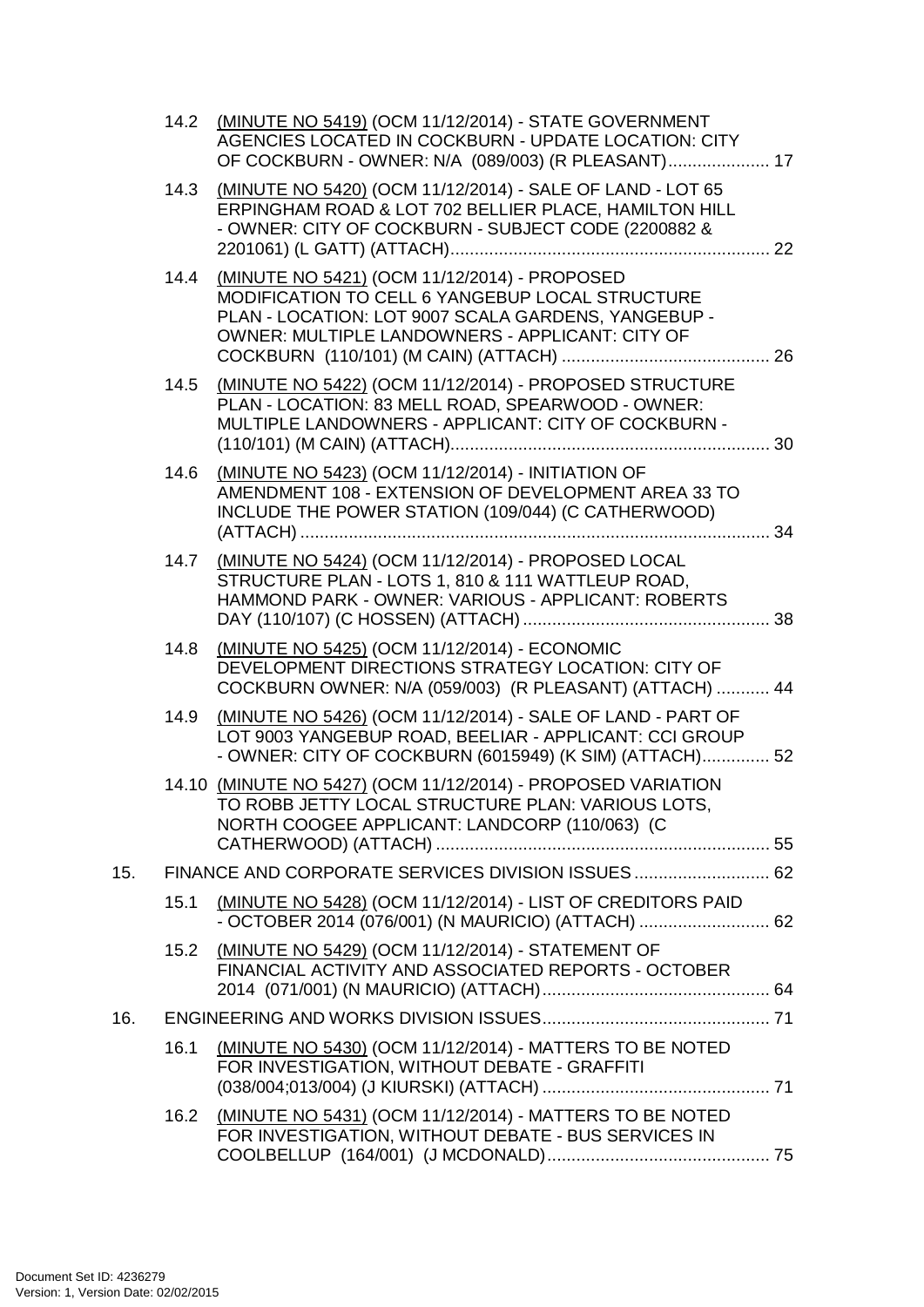|     |      | 14.2 (MINUTE NO 5419) (OCM 11/12/2014) - STATE GOVERNMENT<br>AGENCIES LOCATED IN COCKBURN - UPDATE LOCATION: CITY<br>OF COCKBURN - OWNER: N/A (089/003) (R PLEASANT) 17                                   |  |
|-----|------|-----------------------------------------------------------------------------------------------------------------------------------------------------------------------------------------------------------|--|
|     |      | 14.3 (MINUTE NO 5420) (OCM 11/12/2014) - SALE OF LAND - LOT 65<br>ERPINGHAM ROAD & LOT 702 BELLIER PLACE, HAMILTON HILL<br>- OWNER: CITY OF COCKBURN - SUBJECT CODE (2200882 &                            |  |
|     | 14.4 | (MINUTE NO 5421) (OCM 11/12/2014) - PROPOSED<br>MODIFICATION TO CELL 6 YANGEBUP LOCAL STRUCTURE<br>PLAN - LOCATION: LOT 9007 SCALA GARDENS, YANGEBUP -<br>OWNER: MULTIPLE LANDOWNERS - APPLICANT: CITY OF |  |
|     | 14.5 | (MINUTE NO 5422) (OCM 11/12/2014) - PROPOSED STRUCTURE<br>PLAN - LOCATION: 83 MELL ROAD, SPEARWOOD - OWNER:<br>MULTIPLE LANDOWNERS - APPLICANT: CITY OF COCKBURN -                                        |  |
|     | 14.6 | (MINUTE NO 5423) (OCM 11/12/2014) - INITIATION OF<br>AMENDMENT 108 - EXTENSION OF DEVELOPMENT AREA 33 TO<br>INCLUDE THE POWER STATION (109/044) (C CATHERWOOD)                                            |  |
|     | 14.7 | (MINUTE NO 5424) (OCM 11/12/2014) - PROPOSED LOCAL<br>STRUCTURE PLAN - LOTS 1, 810 & 111 WATTLEUP ROAD,<br>HAMMOND PARK - OWNER: VARIOUS - APPLICANT: ROBERTS                                             |  |
|     | 14.8 | (MINUTE NO 5425) (OCM 11/12/2014) - ECONOMIC<br>DEVELOPMENT DIRECTIONS STRATEGY LOCATION: CITY OF<br>COCKBURN OWNER: N/A (059/003) (R PLEASANT) (ATTACH)  44                                              |  |
|     | 14.9 | (MINUTE NO 5426) (OCM 11/12/2014) - SALE OF LAND - PART OF<br>LOT 9003 YANGEBUP ROAD, BEELIAR - APPLICANT: CCI GROUP<br>- OWNER: CITY OF COCKBURN (6015949) (K SIM) (ATTACH) 52                           |  |
|     |      | 14.10 (MINUTE NO 5427) (OCM 11/12/2014) - PROPOSED VARIATION<br>TO ROBB JETTY LOCAL STRUCTURE PLAN: VARIOUS LOTS,<br>NORTH COOGEE APPLICANT: LANDCORP (110/063) (C                                        |  |
| 15. |      | FINANCE AND CORPORATE SERVICES DIVISION ISSUES 62                                                                                                                                                         |  |
|     | 15.1 | (MINUTE NO 5428) (OCM 11/12/2014) - LIST OF CREDITORS PAID                                                                                                                                                |  |
|     |      | - OCTOBER 2014 (076/001) (N MAURICIO) (ATTACH)  62                                                                                                                                                        |  |
|     | 15.2 | (MINUTE NO 5429) (OCM 11/12/2014) - STATEMENT OF<br>FINANCIAL ACTIVITY AND ASSOCIATED REPORTS - OCTOBER                                                                                                   |  |
| 16. |      |                                                                                                                                                                                                           |  |
|     | 16.1 | (MINUTE NO 5430) (OCM 11/12/2014) - MATTERS TO BE NOTED<br>FOR INVESTIGATION, WITHOUT DEBATE - GRAFFITI                                                                                                   |  |
|     | 16.2 | (MINUTE NO 5431) (OCM 11/12/2014) - MATTERS TO BE NOTED<br>FOR INVESTIGATION, WITHOUT DEBATE - BUS SERVICES IN                                                                                            |  |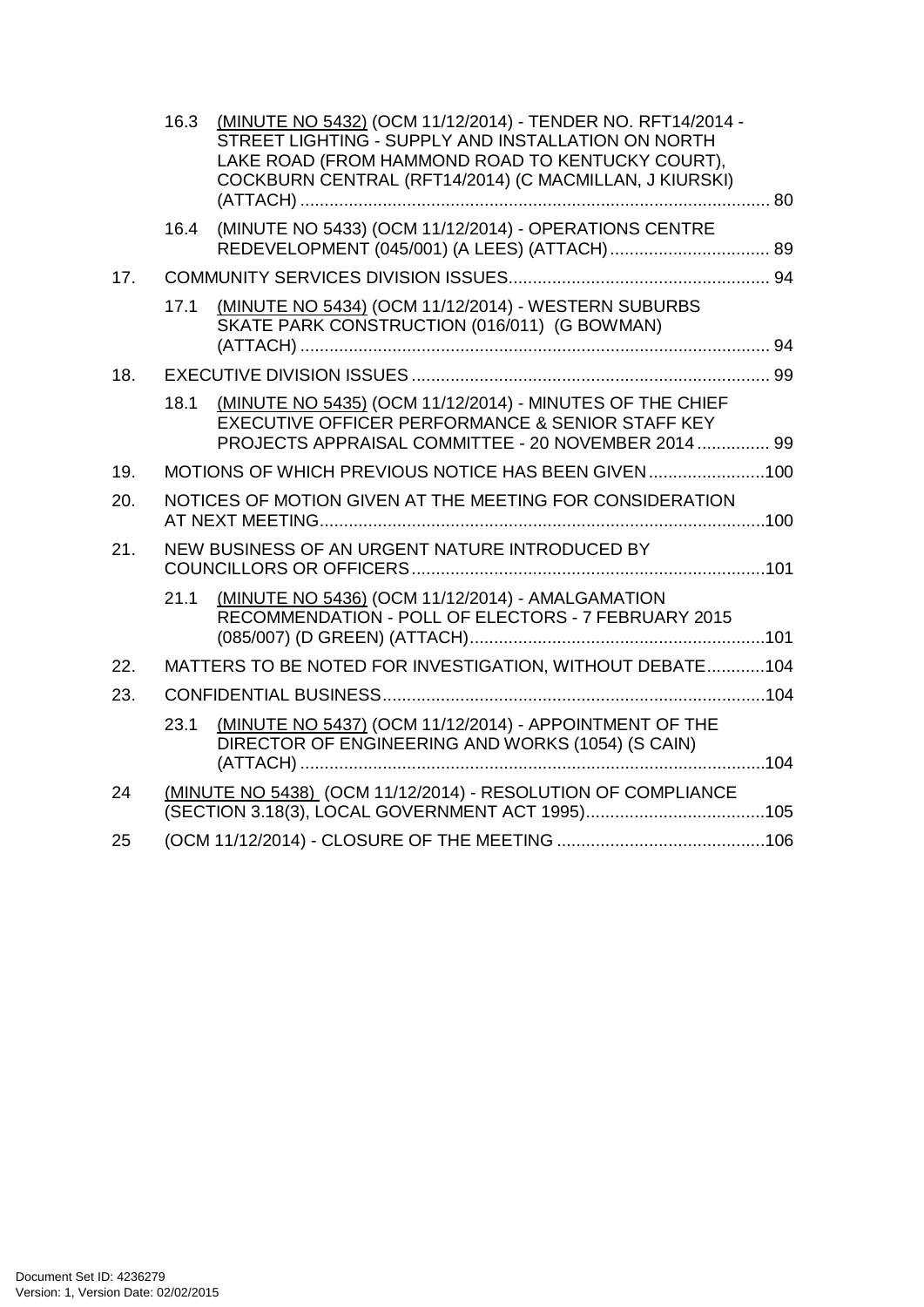|     | 16.3 | (MINUTE NO 5432) (OCM 11/12/2014) - TENDER NO. RFT14/2014 -<br>STREET LIGHTING - SUPPLY AND INSTALLATION ON NORTH<br>LAKE ROAD (FROM HAMMOND ROAD TO KENTUCKY COURT),<br>COCKBURN CENTRAL (RFT14/2014) (C MACMILLAN, J KIURSKI) |  |
|-----|------|---------------------------------------------------------------------------------------------------------------------------------------------------------------------------------------------------------------------------------|--|
|     | 16.4 | (MINUTE NO 5433) (OCM 11/12/2014) - OPERATIONS CENTRE                                                                                                                                                                           |  |
| 17. |      |                                                                                                                                                                                                                                 |  |
|     | 17.1 | (MINUTE NO 5434) (OCM 11/12/2014) - WESTERN SUBURBS<br>SKATE PARK CONSTRUCTION (016/011) (G BOWMAN)                                                                                                                             |  |
| 18. |      |                                                                                                                                                                                                                                 |  |
|     | 18.1 | (MINUTE NO 5435) (OCM 11/12/2014) - MINUTES OF THE CHIEF<br>EXECUTIVE OFFICER PERFORMANCE & SENIOR STAFF KEY<br>PROJECTS APPRAISAL COMMITTEE - 20 NOVEMBER 2014 99                                                              |  |
| 19. |      | MOTIONS OF WHICH PREVIOUS NOTICE HAS BEEN GIVEN 100                                                                                                                                                                             |  |
| 20. |      | NOTICES OF MOTION GIVEN AT THE MEETING FOR CONSIDERATION                                                                                                                                                                        |  |
| 21. |      | NEW BUSINESS OF AN URGENT NATURE INTRODUCED BY                                                                                                                                                                                  |  |
|     | 21.1 | (MINUTE NO 5436) (OCM 11/12/2014) - AMALGAMATION<br>RECOMMENDATION - POLL OF ELECTORS - 7 FEBRUARY 2015                                                                                                                         |  |
| 22. |      | MATTERS TO BE NOTED FOR INVESTIGATION, WITHOUT DEBATE104                                                                                                                                                                        |  |
| 23. |      |                                                                                                                                                                                                                                 |  |
|     | 23.1 | (MINUTE NO 5437) (OCM 11/12/2014) - APPOINTMENT OF THE<br>DIRECTOR OF ENGINEERING AND WORKS (1054) (S CAIN)                                                                                                                     |  |
| 24  |      | (MINUTE NO 5438) (OCM 11/12/2014) - RESOLUTION OF COMPLIANCE                                                                                                                                                                    |  |
| 25  |      |                                                                                                                                                                                                                                 |  |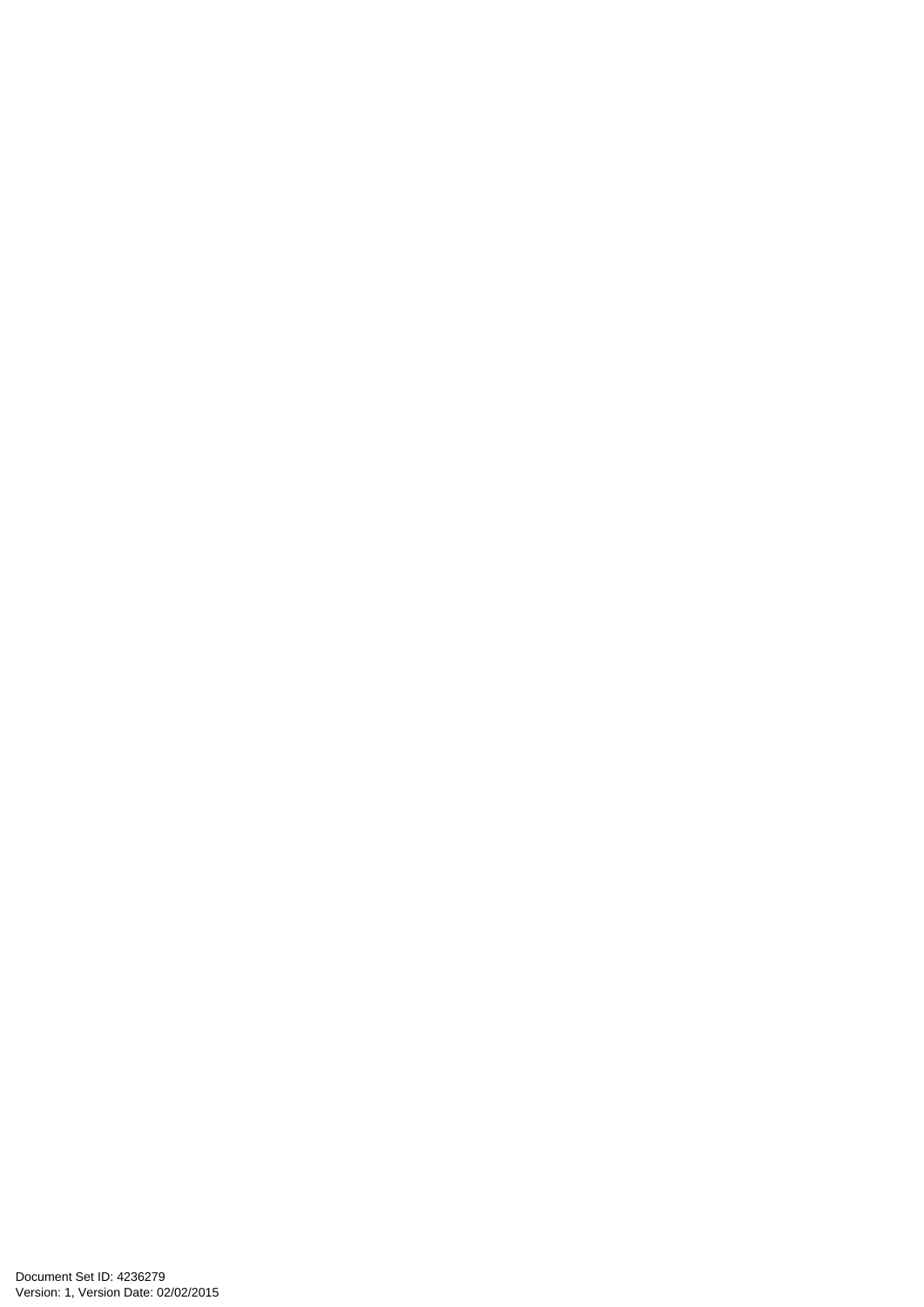Document Set ID: 4236279<br>Version: 1, Version Date: 02/02/2015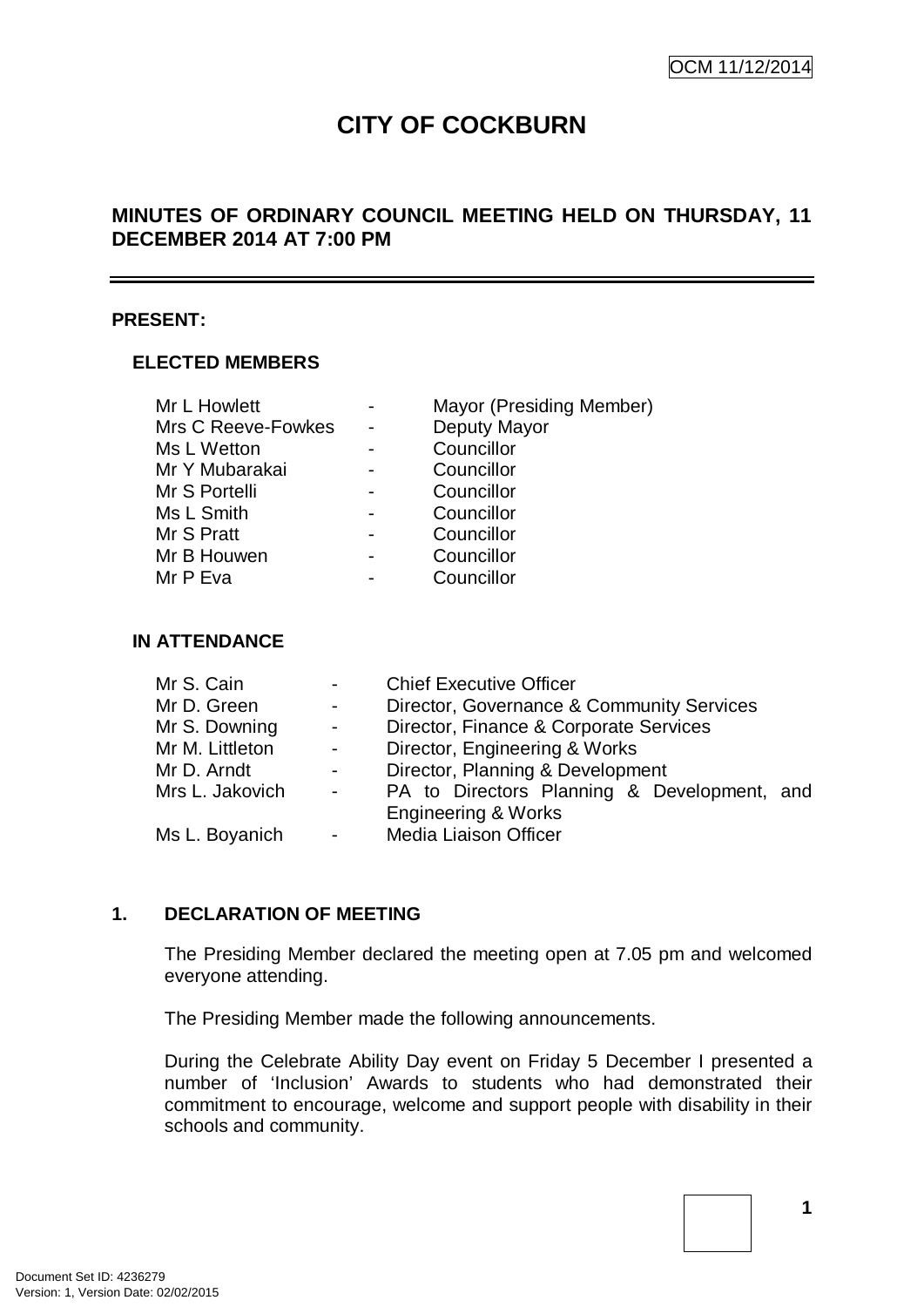# **CITY OF COCKBURN**

## **MINUTES OF ORDINARY COUNCIL MEETING HELD ON THURSDAY, 11 DECEMBER 2014 AT 7:00 PM**

#### **PRESENT:**

#### **ELECTED MEMBERS**

| Mr L Howlett       |   | Mayor (Presiding Member) |
|--------------------|---|--------------------------|
| Mrs C Reeve-Fowkes |   | Deputy Mayor             |
| Ms L Wetton        |   | Councillor               |
| Mr Y Mubarakai     |   | Councillor               |
| Mr S Portelli      |   | Councillor               |
| Ms L Smith         |   | Councillor               |
| Mr S Pratt         | - | Councillor               |
| Mr B Houwen        | - | Councillor               |
| Mr P Eva           |   | Councillor               |

#### **IN ATTENDANCE**

| <b>Chief Executive Officer</b>              |  |  |
|---------------------------------------------|--|--|
| Director, Governance & Community Services   |  |  |
| Director, Finance & Corporate Services      |  |  |
| Director, Engineering & Works               |  |  |
| Director, Planning & Development            |  |  |
| PA to Directors Planning & Development, and |  |  |
| <b>Engineering &amp; Works</b>              |  |  |
| Media Liaison Officer                       |  |  |
|                                             |  |  |

#### **1. DECLARATION OF MEETING**

The Presiding Member declared the meeting open at 7.05 pm and welcomed everyone attending.

The Presiding Member made the following announcements.

During the Celebrate Ability Day event on Friday 5 December I presented a number of 'Inclusion' Awards to students who had demonstrated their commitment to encourage, welcome and support people with disability in their schools and community.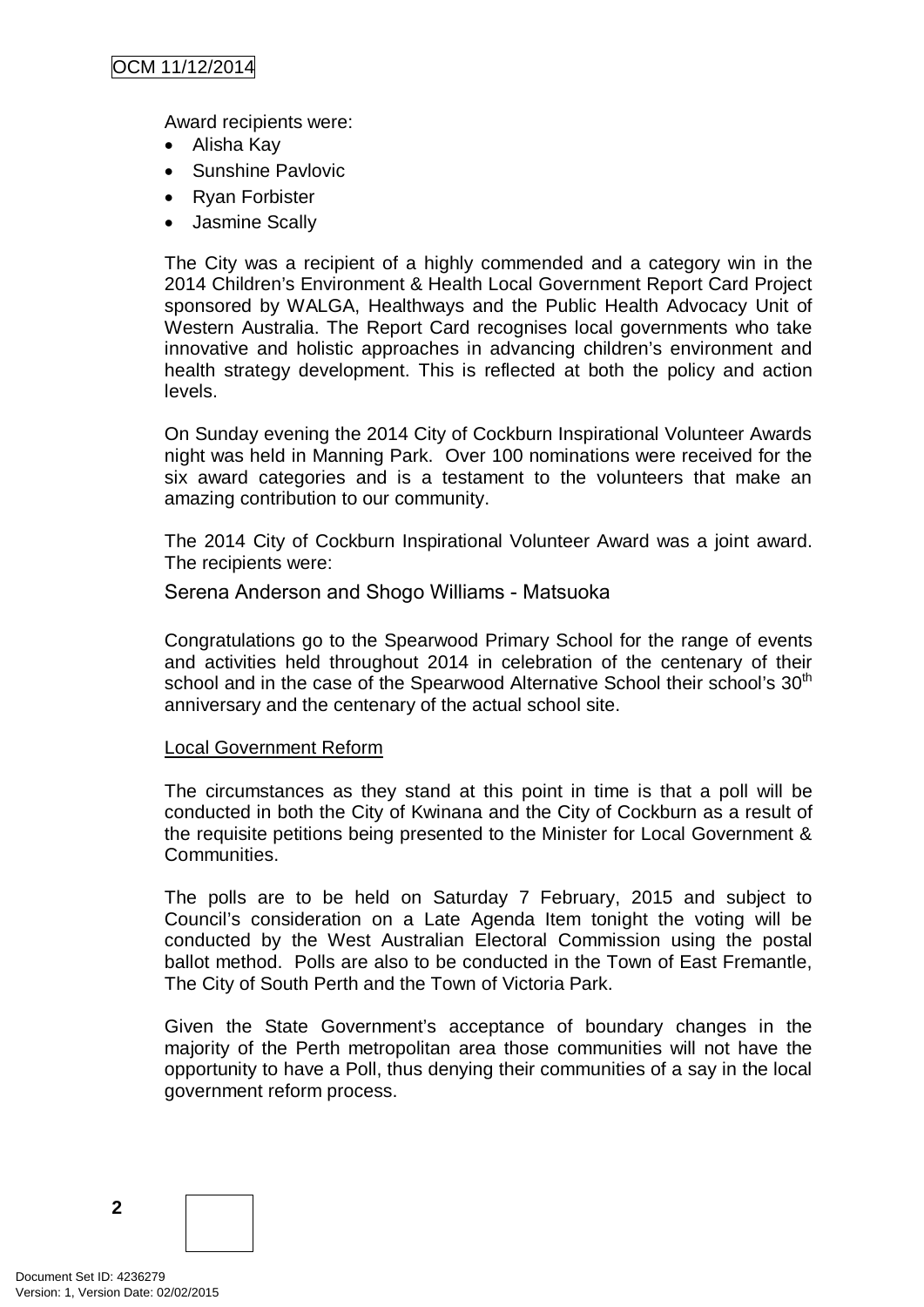### OCM 11/12/2014

Award recipients were:

- Alisha Kay
- Sunshine Pavlovic
- Ryan Forbister
- Jasmine Scally

The City was a recipient of a highly commended and a category win in the 2014 Children's Environment & Health Local Government Report Card Project sponsored by WALGA, Healthways and the Public Health Advocacy Unit of Western Australia. The Report Card recognises local governments who take innovative and holistic approaches in advancing children's environment and health strategy development. This is reflected at both the policy and action levels.

On Sunday evening the 2014 City of Cockburn Inspirational Volunteer Awards night was held in Manning Park. Over 100 nominations were received for the six award categories and is a testament to the volunteers that make an amazing contribution to our community.

The 2014 City of Cockburn Inspirational Volunteer Award was a joint award. The recipients were:

Serena Anderson and Shogo Williams - Matsuoka

Congratulations go to the Spearwood Primary School for the range of events and activities held throughout 2014 in celebration of the centenary of their school and in the case of the Spearwood Alternative School their school's  $30<sup>m</sup>$ anniversary and the centenary of the actual school site.

#### Local Government Reform

The circumstances as they stand at this point in time is that a poll will be conducted in both the City of Kwinana and the City of Cockburn as a result of the requisite petitions being presented to the Minister for Local Government & Communities.

The polls are to be held on Saturday 7 February, 2015 and subject to Council's consideration on a Late Agenda Item tonight the voting will be conducted by the West Australian Electoral Commission using the postal ballot method. Polls are also to be conducted in the Town of East Fremantle, The City of South Perth and the Town of Victoria Park.

Given the State Government's acceptance of boundary changes in the majority of the Perth metropolitan area those communities will not have the opportunity to have a Poll, thus denying their communities of a say in the local government reform process.

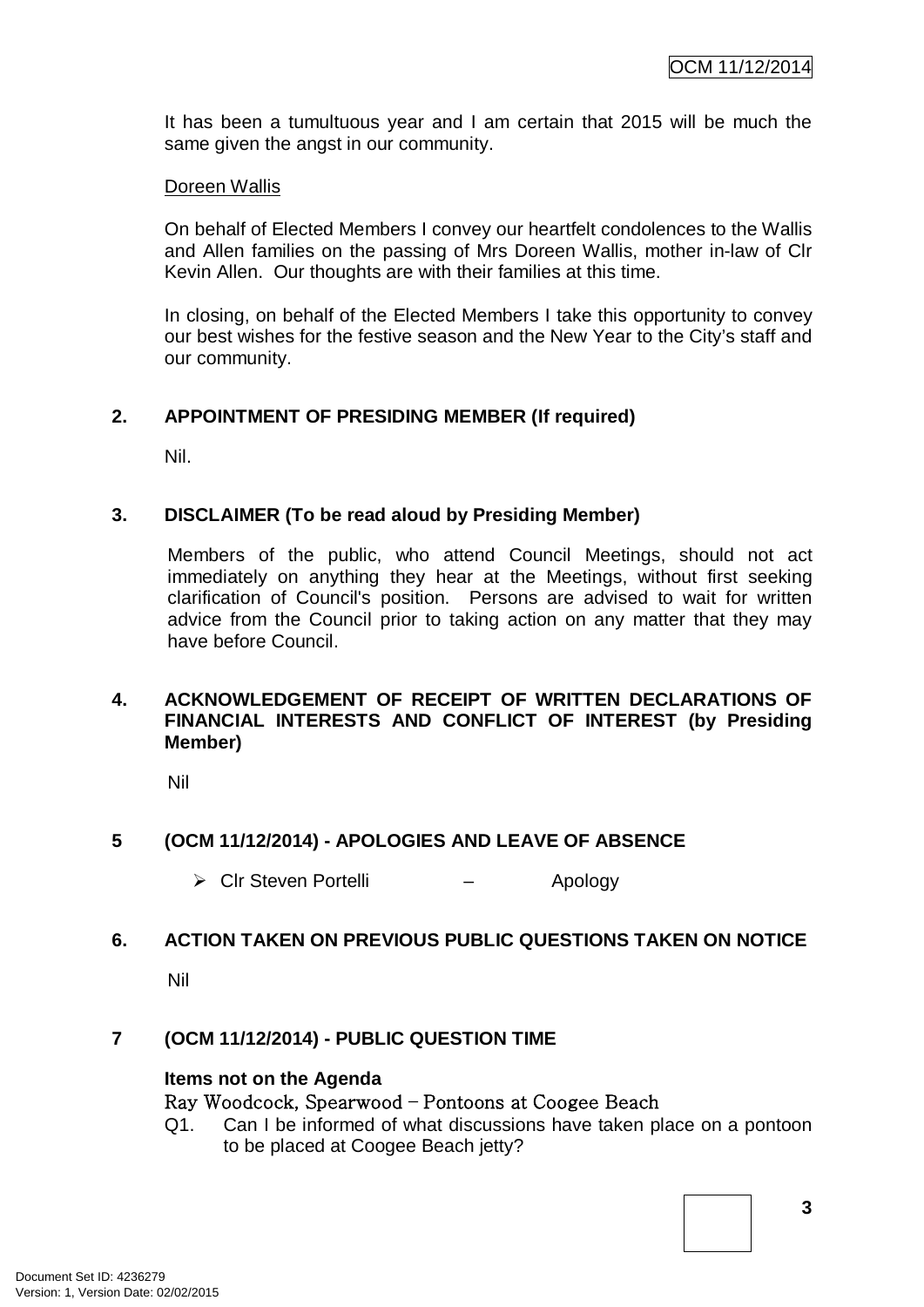It has been a tumultuous year and I am certain that 2015 will be much the same given the angst in our community.

#### Doreen Wallis

On behalf of Elected Members I convey our heartfelt condolences to the Wallis and Allen families on the passing of Mrs Doreen Wallis, mother in-law of Clr Kevin Allen. Our thoughts are with their families at this time.

In closing, on behalf of the Elected Members I take this opportunity to convey our best wishes for the festive season and the New Year to the City's staff and our community.

#### **2. APPOINTMENT OF PRESIDING MEMBER (If required)**

Nil.

#### **3. DISCLAIMER (To be read aloud by Presiding Member)**

Members of the public, who attend Council Meetings, should not act immediately on anything they hear at the Meetings, without first seeking clarification of Council's position. Persons are advised to wait for written advice from the Council prior to taking action on any matter that they may have before Council.

#### **4. ACKNOWLEDGEMENT OF RECEIPT OF WRITTEN DECLARATIONS OF FINANCIAL INTERESTS AND CONFLICT OF INTEREST (by Presiding Member)**

Nil

#### **5 (OCM 11/12/2014) - APOLOGIES AND LEAVE OF ABSENCE**

▶ Cir Steven Portelli – Apology

#### **6. ACTION TAKEN ON PREVIOUS PUBLIC QUESTIONS TAKEN ON NOTICE**

Nil

#### **7 (OCM 11/12/2014) - PUBLIC QUESTION TIME**

#### **Items not on the Agenda**

#### Ray Woodcock, Spearwood – Pontoons at Coogee Beach

Q1. Can I be informed of what discussions have taken place on a pontoon to be placed at Coogee Beach jetty?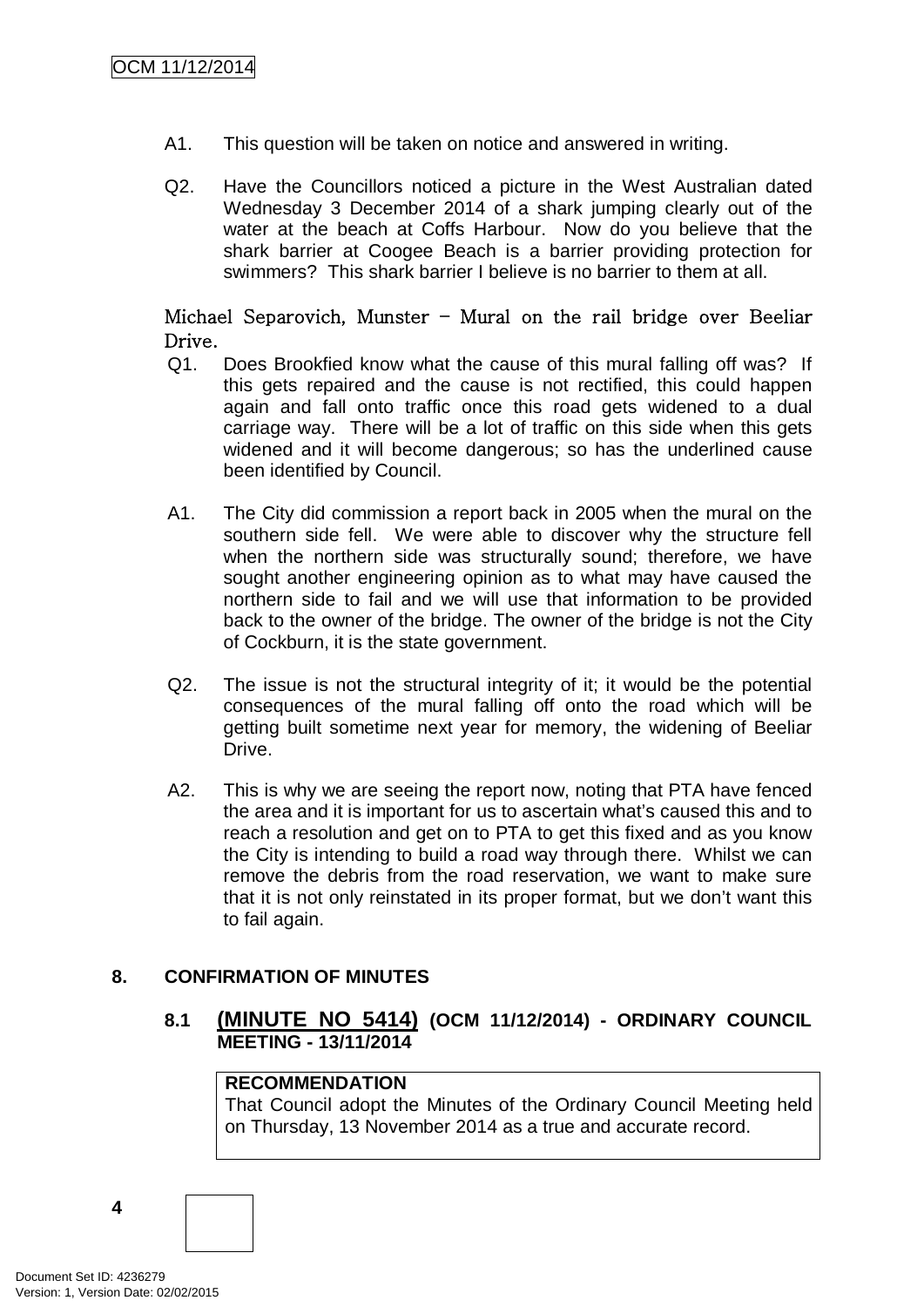- A1. This question will be taken on notice and answered in writing.
- Q2. Have the Councillors noticed a picture in the West Australian dated Wednesday 3 December 2014 of a shark jumping clearly out of the water at the beach at Coffs Harbour. Now do you believe that the shark barrier at Coogee Beach is a barrier providing protection for swimmers? This shark barrier I believe is no barrier to them at all.

### Michael Separovich, Munster – Mural on the rail bridge over Beeliar Drive.

- Q1. Does Brookfied know what the cause of this mural falling off was? If this gets repaired and the cause is not rectified, this could happen again and fall onto traffic once this road gets widened to a dual carriage way. There will be a lot of traffic on this side when this gets widened and it will become dangerous; so has the underlined cause been identified by Council.
- A1. The City did commission a report back in 2005 when the mural on the southern side fell. We were able to discover why the structure fell when the northern side was structurally sound; therefore, we have sought another engineering opinion as to what may have caused the northern side to fail and we will use that information to be provided back to the owner of the bridge. The owner of the bridge is not the City of Cockburn, it is the state government.
- Q2. The issue is not the structural integrity of it; it would be the potential consequences of the mural falling off onto the road which will be getting built sometime next year for memory, the widening of Beeliar Drive.
- A2. This is why we are seeing the report now, noting that PTA have fenced the area and it is important for us to ascertain what's caused this and to reach a resolution and get on to PTA to get this fixed and as you know the City is intending to build a road way through there. Whilst we can remove the debris from the road reservation, we want to make sure that it is not only reinstated in its proper format, but we don't want this to fail again.

## **8. CONFIRMATION OF MINUTES**

## **8.1 (MINUTE NO 5414) (OCM 11/12/2014) - ORDINARY COUNCIL MEETING - 13/11/2014**

## **RECOMMENDATION**

That Council adopt the Minutes of the Ordinary Council Meeting held on Thursday, 13 November 2014 as a true and accurate record.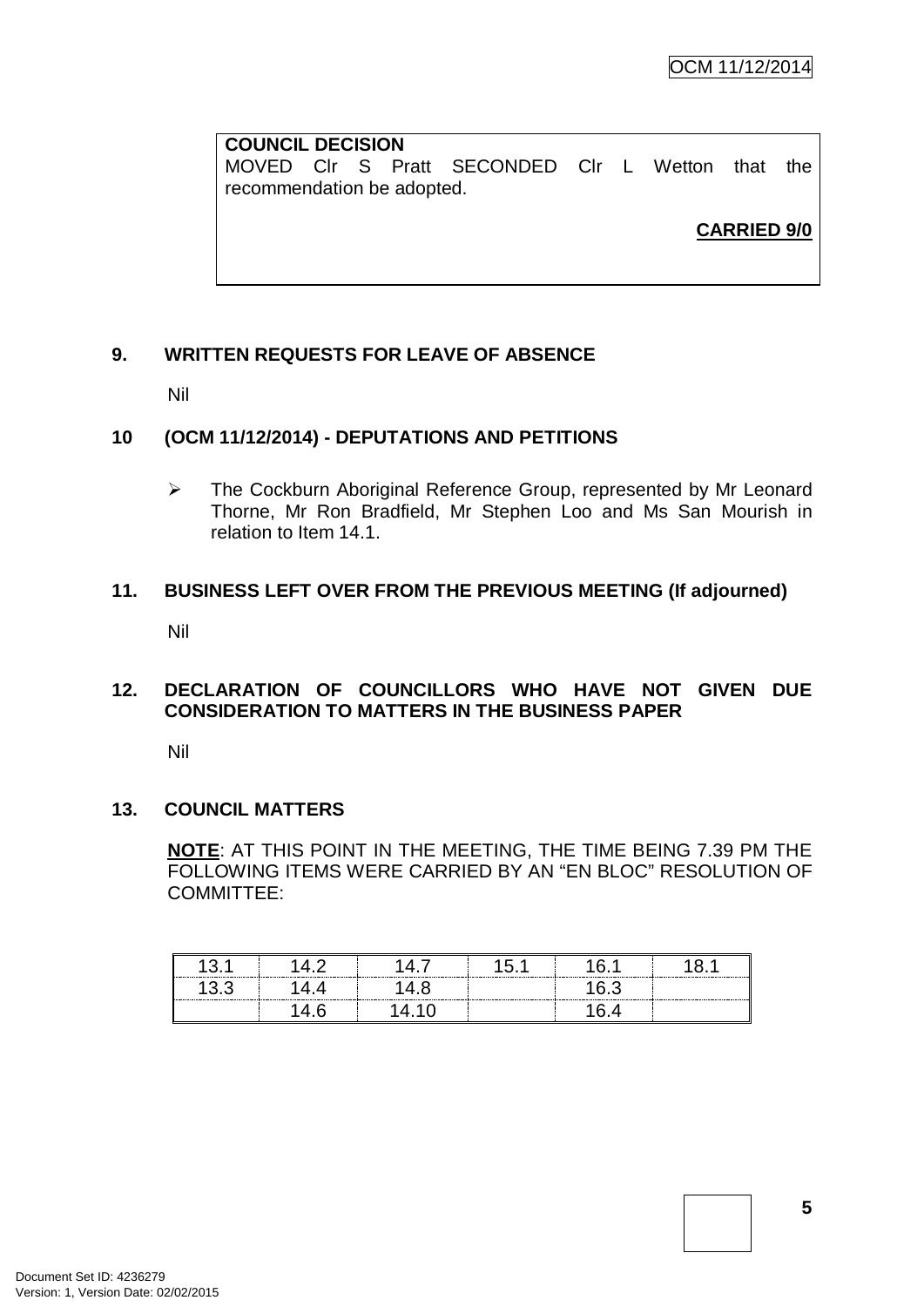## **COUNCIL DECISION** MOVED Clr S Pratt SECONDED Clr L Wetton that the recommendation be adopted.

## **CARRIED 9/0**

### **9. WRITTEN REQUESTS FOR LEAVE OF ABSENCE**

Nil

#### **10 (OCM 11/12/2014) - DEPUTATIONS AND PETITIONS**

 The Cockburn Aboriginal Reference Group, represented by Mr Leonard Thorne, Mr Ron Bradfield, Mr Stephen Loo and Ms San Mourish in relation to Item 14.1.

#### **11. BUSINESS LEFT OVER FROM THE PREVIOUS MEETING (If adjourned)**

Nil

### **12. DECLARATION OF COUNCILLORS WHO HAVE NOT GIVEN DUE CONSIDERATION TO MATTERS IN THE BUSINESS PAPER**

Nil

#### **13. COUNCIL MATTERS**

**NOTE**: AT THIS POINT IN THE MEETING, THE TIME BEING 7.39 PM THE FOLLOWING ITEMS WERE CARRIED BY AN "EN BLOC" RESOLUTION OF COMMITTEE: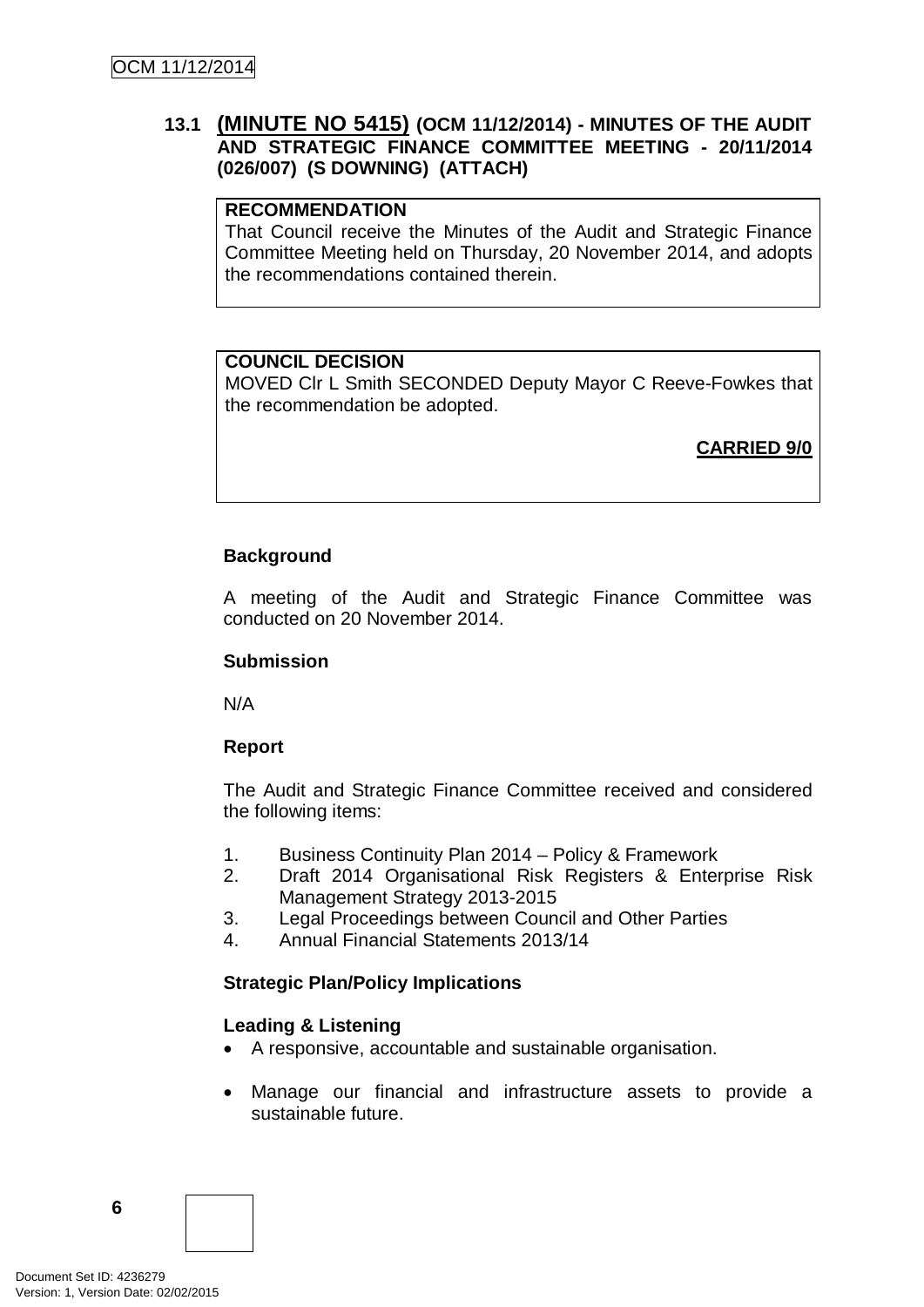### **13.1 (MINUTE NO 5415) (OCM 11/12/2014) - MINUTES OF THE AUDIT AND STRATEGIC FINANCE COMMITTEE MEETING - 20/11/2014 (026/007) (S DOWNING) (ATTACH)**

#### **RECOMMENDATION**

That Council receive the Minutes of the Audit and Strategic Finance Committee Meeting held on Thursday, 20 November 2014, and adopts the recommendations contained therein.

#### **COUNCIL DECISION**

MOVED Clr L Smith SECONDED Deputy Mayor C Reeve-Fowkes that the recommendation be adopted.

**CARRIED 9/0**

### **Background**

A meeting of the Audit and Strategic Finance Committee was conducted on 20 November 2014.

#### **Submission**

N/A

#### **Report**

The Audit and Strategic Finance Committee received and considered the following items:

- 1. Business Continuity Plan 2014 Policy & Framework
- 2. Draft 2014 Organisational Risk Registers & Enterprise Risk Management Strategy 2013-2015
- 3. Legal Proceedings between Council and Other Parties
- 4. Annual Financial Statements 2013/14

#### **Strategic Plan/Policy Implications**

#### **Leading & Listening**

- A responsive, accountable and sustainable organisation.
- Manage our financial and infrastructure assets to provide a sustainable future.

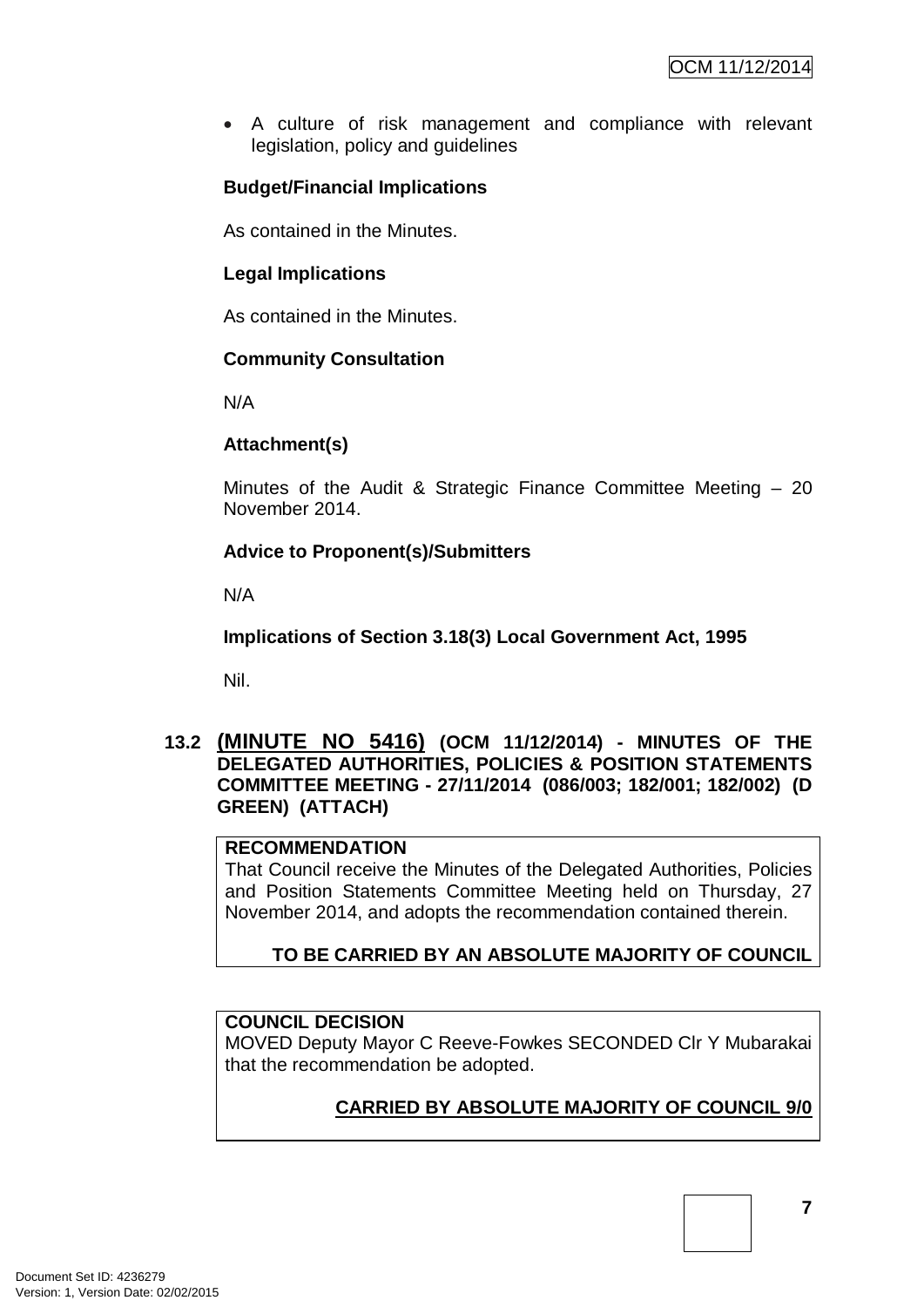• A culture of risk management and compliance with relevant legislation, policy and guidelines

### **Budget/Financial Implications**

As contained in the Minutes.

#### **Legal Implications**

As contained in the Minutes.

#### **Community Consultation**

N/A

### **Attachment(s)**

Minutes of the Audit & Strategic Finance Committee Meeting – 20 November 2014.

### **Advice to Proponent(s)/Submitters**

N/A

**Implications of Section 3.18(3) Local Government Act, 1995**

Nil.

### **13.2 (MINUTE NO 5416) (OCM 11/12/2014) - MINUTES OF THE DELEGATED AUTHORITIES, POLICIES & POSITION STATEMENTS COMMITTEE MEETING - 27/11/2014 (086/003; 182/001; 182/002) (D GREEN) (ATTACH)**

## **RECOMMENDATION**

That Council receive the Minutes of the Delegated Authorities, Policies and Position Statements Committee Meeting held on Thursday, 27 November 2014, and adopts the recommendation contained therein.

## **TO BE CARRIED BY AN ABSOLUTE MAJORITY OF COUNCIL**

#### **COUNCIL DECISION**

MOVED Deputy Mayor C Reeve-Fowkes SECONDED Clr Y Mubarakai that the recommendation be adopted.

## **CARRIED BY ABSOLUTE MAJORITY OF COUNCIL 9/0**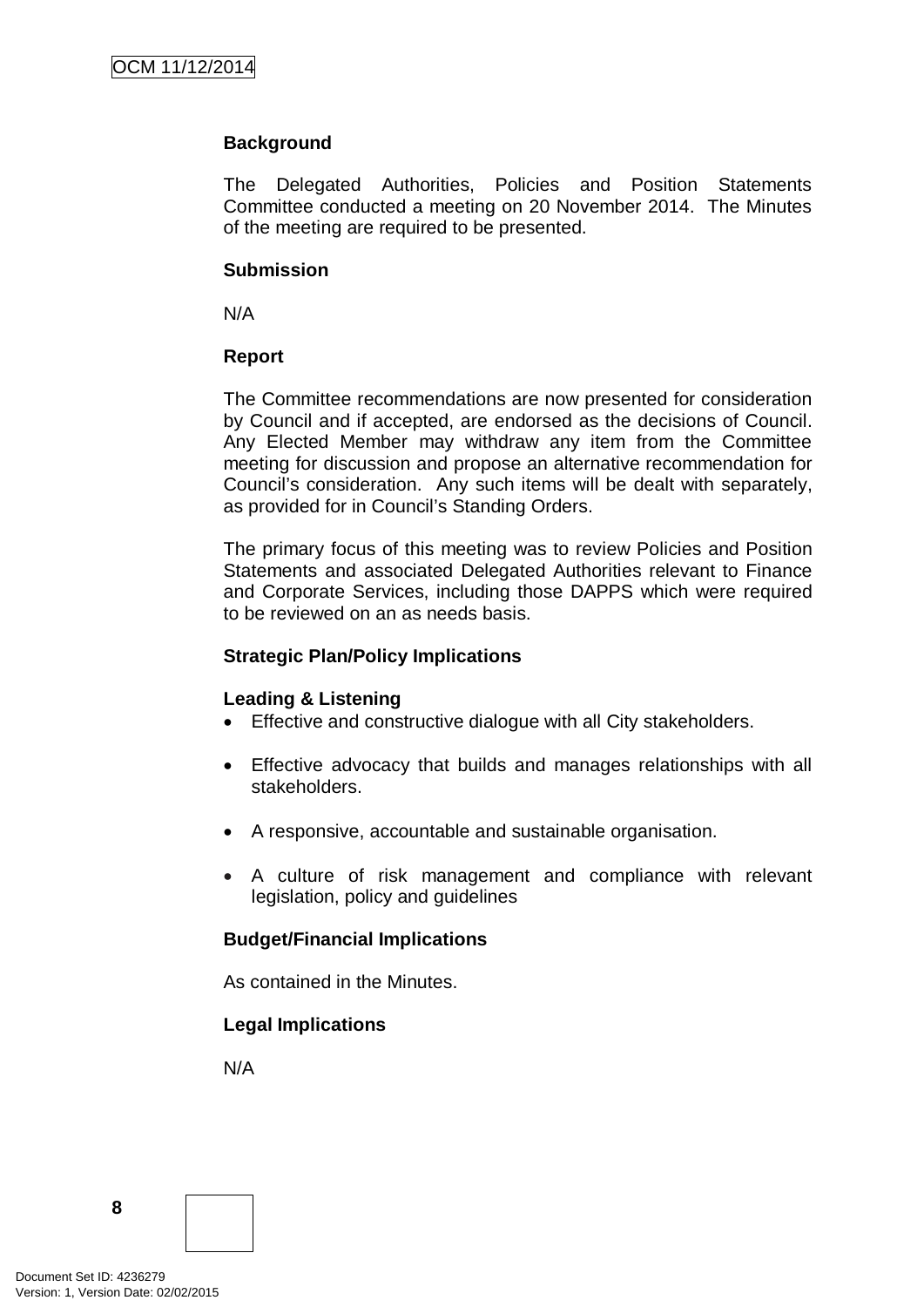### **Background**

The Delegated Authorities, Policies and Position Statements Committee conducted a meeting on 20 November 2014. The Minutes of the meeting are required to be presented.

#### **Submission**

N/A

#### **Report**

The Committee recommendations are now presented for consideration by Council and if accepted, are endorsed as the decisions of Council. Any Elected Member may withdraw any item from the Committee meeting for discussion and propose an alternative recommendation for Council's consideration. Any such items will be dealt with separately, as provided for in Council's Standing Orders.

The primary focus of this meeting was to review Policies and Position Statements and associated Delegated Authorities relevant to Finance and Corporate Services, including those DAPPS which were required to be reviewed on an as needs basis.

#### **Strategic Plan/Policy Implications**

#### **Leading & Listening**

- Effective and constructive dialogue with all City stakeholders.
- Effective advocacy that builds and manages relationships with all stakeholders.
- A responsive, accountable and sustainable organisation.
- A culture of risk management and compliance with relevant legislation, policy and guidelines

#### **Budget/Financial Implications**

As contained in the Minutes.

#### **Legal Implications**

N/A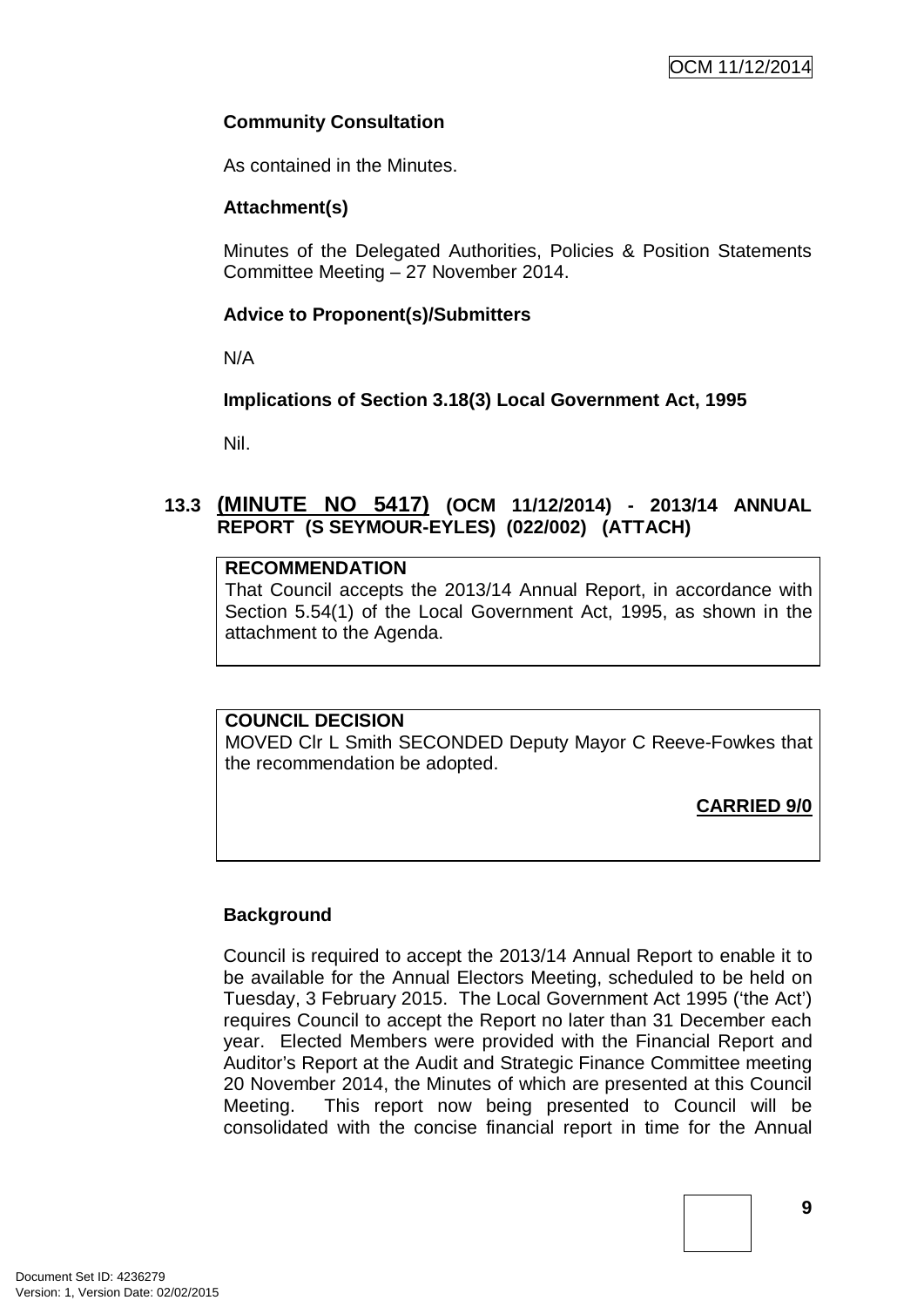### **Community Consultation**

As contained in the Minutes.

#### **Attachment(s)**

Minutes of the Delegated Authorities, Policies & Position Statements Committee Meeting – 27 November 2014.

### **Advice to Proponent(s)/Submitters**

N/A

**Implications of Section 3.18(3) Local Government Act, 1995**

Nil.

## **13.3 (MINUTE NO 5417) (OCM 11/12/2014) - 2013/14 ANNUAL REPORT (S SEYMOUR-EYLES) (022/002) (ATTACH)**

#### **RECOMMENDATION**

That Council accepts the 2013/14 Annual Report, in accordance with Section 5.54(1) of the Local Government Act, 1995, as shown in the attachment to the Agenda.

#### **COUNCIL DECISION**

MOVED Clr L Smith SECONDED Deputy Mayor C Reeve-Fowkes that the recommendation be adopted.

**CARRIED 9/0**

## **Background**

Council is required to accept the 2013/14 Annual Report to enable it to be available for the Annual Electors Meeting, scheduled to be held on Tuesday, 3 February 2015. The Local Government Act 1995 ('the Act') requires Council to accept the Report no later than 31 December each year. Elected Members were provided with the Financial Report and Auditor's Report at the Audit and Strategic Finance Committee meeting 20 November 2014, the Minutes of which are presented at this Council Meeting. This report now being presented to Council will be consolidated with the concise financial report in time for the Annual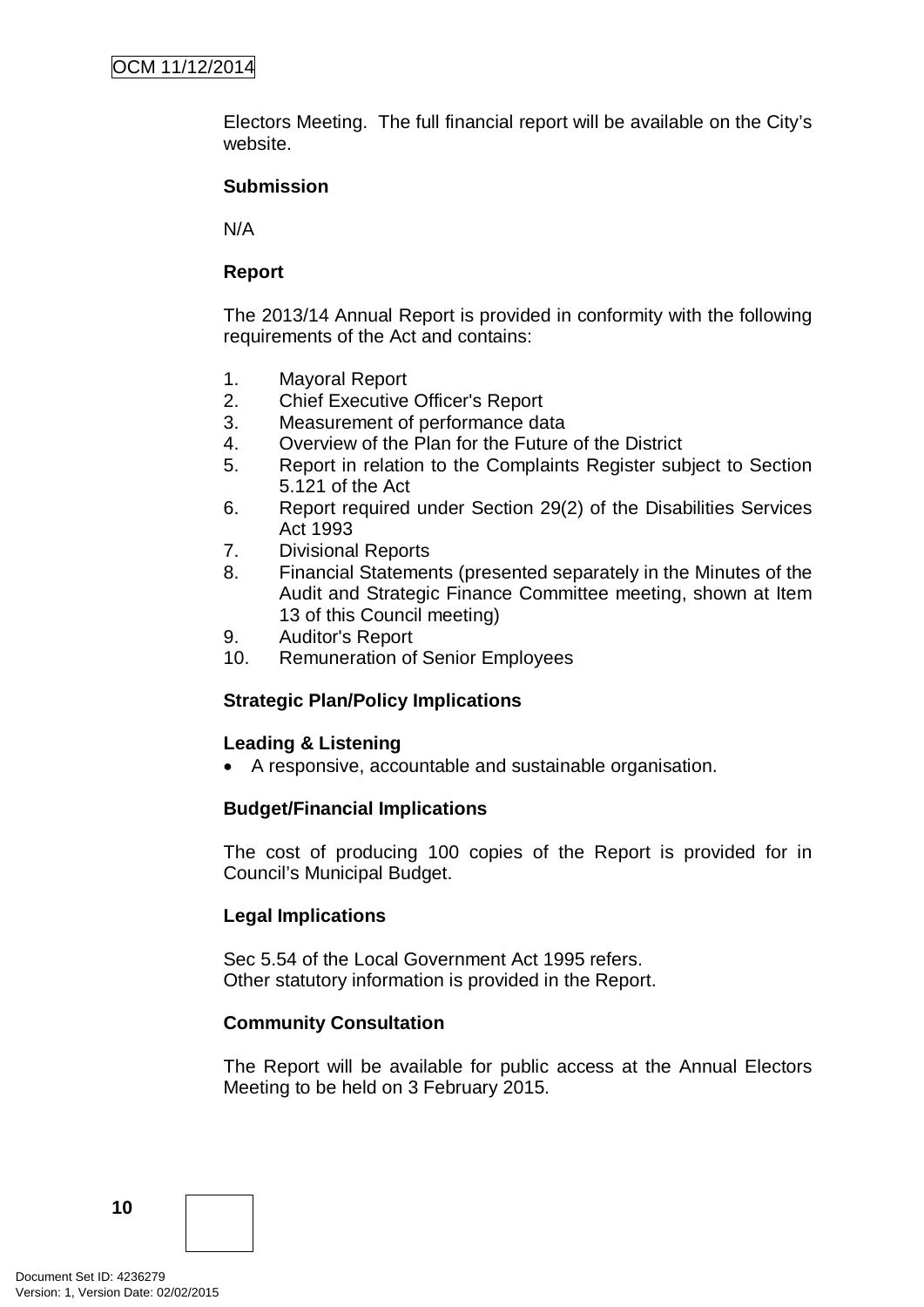Electors Meeting. The full financial report will be available on the City's website.

#### **Submission**

N/A

### **Report**

The 2013/14 Annual Report is provided in conformity with the following requirements of the Act and contains:

- 1. Mayoral Report
- 2. Chief Executive Officer's Report
- 3. Measurement of performance data
- 4. Overview of the Plan for the Future of the District
- 5. Report in relation to the Complaints Register subject to Section 5.121 of the Act
- 6. Report required under Section 29(2) of the Disabilities Services Act 1993
- 7. Divisional Reports
- 8. Financial Statements (presented separately in the Minutes of the Audit and Strategic Finance Committee meeting, shown at Item 13 of this Council meeting)
- 9. Auditor's Report
- 10. Remuneration of Senior Employees

#### **Strategic Plan/Policy Implications**

#### **Leading & Listening**

• A responsive, accountable and sustainable organisation.

#### **Budget/Financial Implications**

The cost of producing 100 copies of the Report is provided for in Council's Municipal Budget.

#### **Legal Implications**

Sec 5.54 of the Local Government Act 1995 refers. Other statutory information is provided in the Report.

#### **Community Consultation**

The Report will be available for public access at the Annual Electors Meeting to be held on 3 February 2015.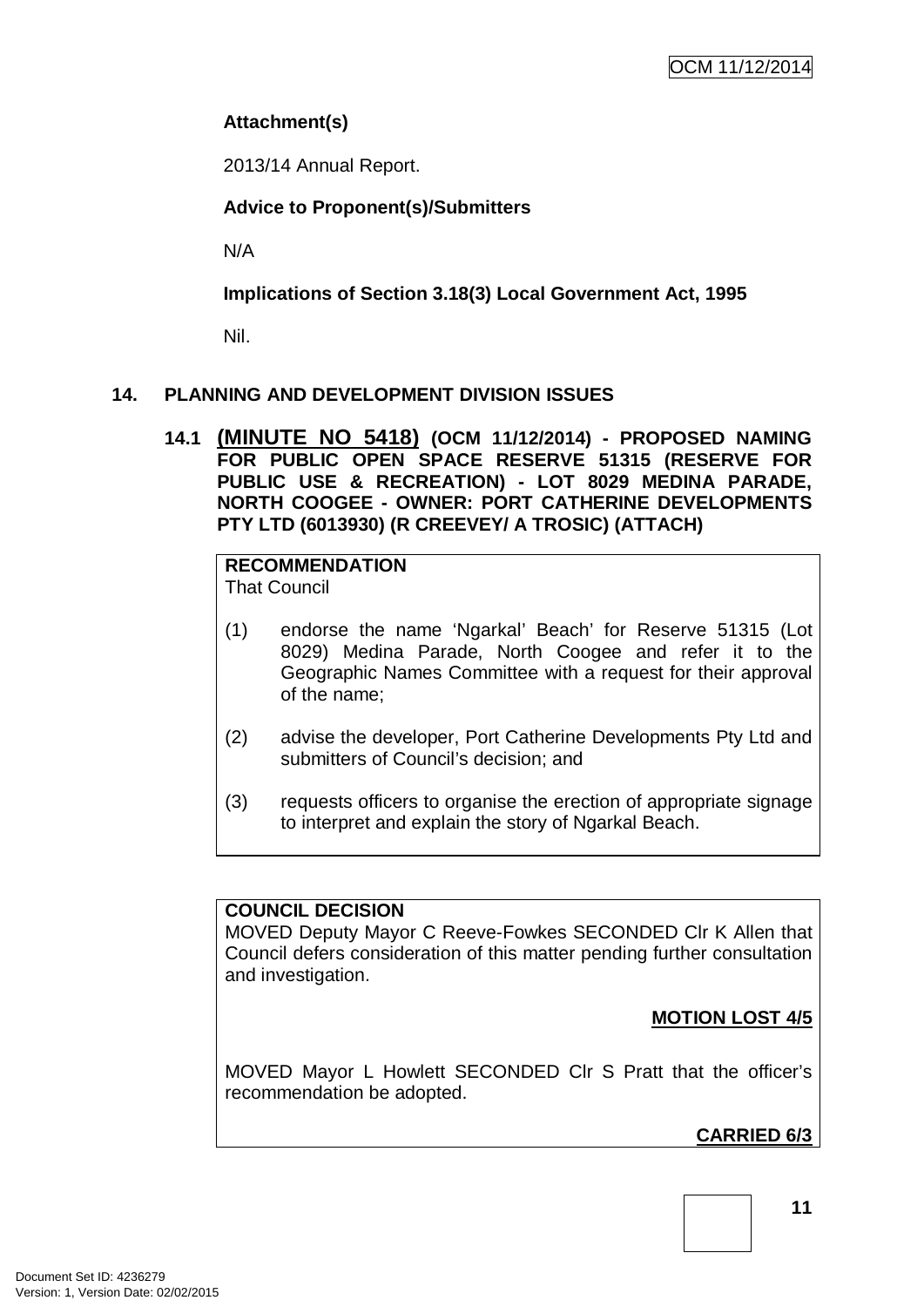## **Attachment(s)**

2013/14 Annual Report.

## **Advice to Proponent(s)/Submitters**

N/A

**Implications of Section 3.18(3) Local Government Act, 1995**

Nil.

## **14. PLANNING AND DEVELOPMENT DIVISION ISSUES**

**14.1 (MINUTE NO 5418) (OCM 11/12/2014) - PROPOSED NAMING FOR PUBLIC OPEN SPACE RESERVE 51315 (RESERVE FOR PUBLIC USE & RECREATION) - LOT 8029 MEDINA PARADE, NORTH COOGEE - OWNER: PORT CATHERINE DEVELOPMENTS PTY LTD (6013930) (R CREEVEY/ A TROSIC) (ATTACH)**

## **RECOMMENDATION**

That Council

- (1) endorse the name 'Ngarkal' Beach' for Reserve 51315 (Lot 8029) Medina Parade, North Coogee and refer it to the Geographic Names Committee with a request for their approval of the name;
- (2) advise the developer, Port Catherine Developments Pty Ltd and submitters of Council's decision; and
- (3) requests officers to organise the erection of appropriate signage to interpret and explain the story of Ngarkal Beach.

## **COUNCIL DECISION**

MOVED Deputy Mayor C Reeve-Fowkes SECONDED Clr K Allen that Council defers consideration of this matter pending further consultation and investigation.

## **MOTION LOST 4/5**

MOVED Mayor L Howlett SECONDED Clr S Pratt that the officer's recommendation be adopted.

## **CARRIED 6/3**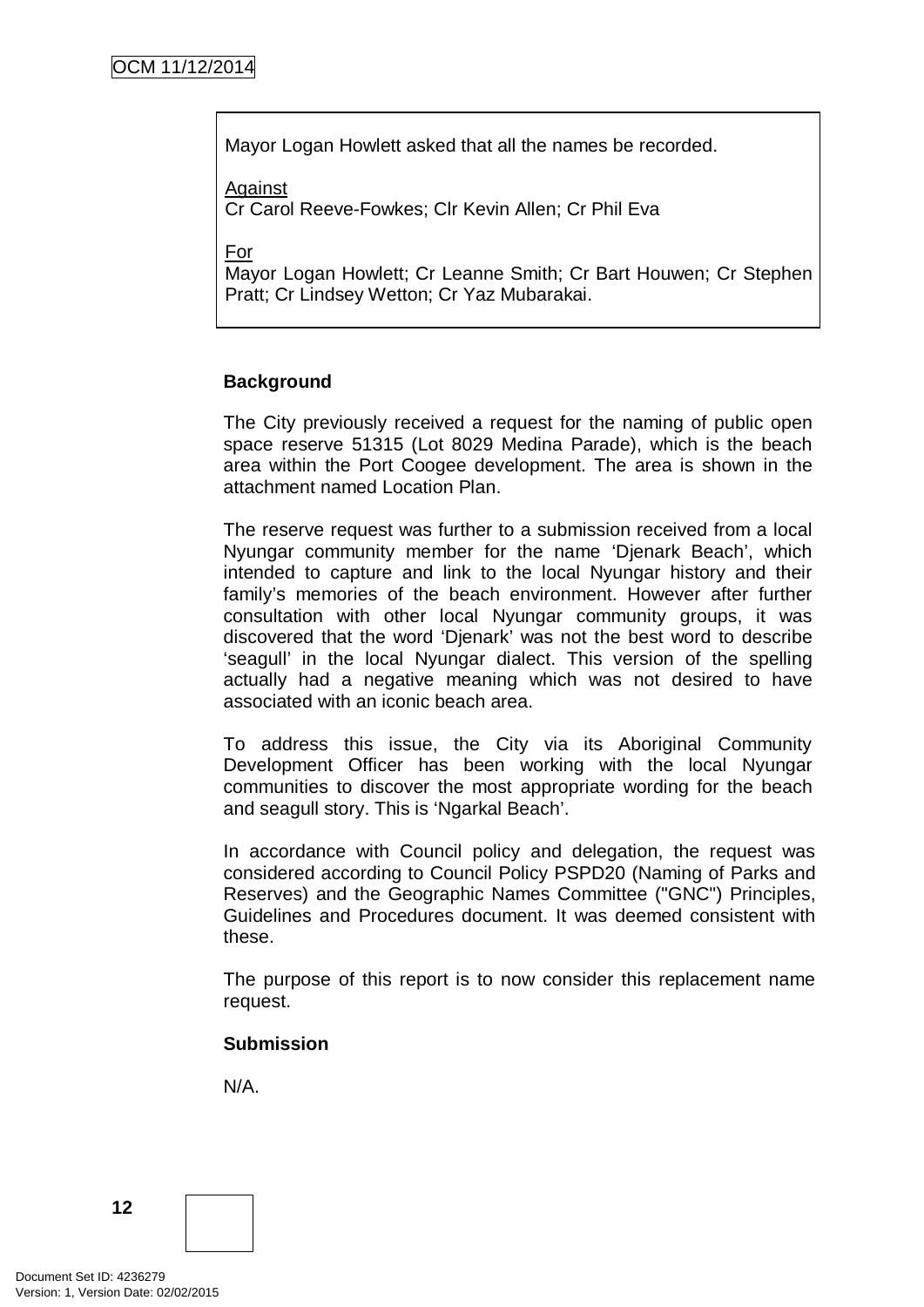Mayor Logan Howlett asked that all the names be recorded.

Against

Cr Carol Reeve-Fowkes; Clr Kevin Allen; Cr Phil Eva

For

Mayor Logan Howlett; Cr Leanne Smith; Cr Bart Houwen; Cr Stephen Pratt; Cr Lindsey Wetton; Cr Yaz Mubarakai.

### **Background**

The City previously received a request for the naming of public open space reserve 51315 (Lot 8029 Medina Parade), which is the beach area within the Port Coogee development. The area is shown in the attachment named Location Plan.

The reserve request was further to a submission received from a local Nyungar community member for the name 'Djenark Beach', which intended to capture and link to the local Nyungar history and their family's memories of the beach environment. However after further consultation with other local Nyungar community groups, it was discovered that the word 'Djenark' was not the best word to describe 'seagull' in the local Nyungar dialect. This version of the spelling actually had a negative meaning which was not desired to have associated with an iconic beach area.

To address this issue, the City via its Aboriginal Community Development Officer has been working with the local Nyungar communities to discover the most appropriate wording for the beach and seagull story. This is 'Ngarkal Beach'.

In accordance with Council policy and delegation, the request was considered according to Council Policy PSPD20 (Naming of Parks and Reserves) and the Geographic Names Committee ("GNC") Principles, Guidelines and Procedures document. It was deemed consistent with these.

The purpose of this report is to now consider this replacement name request.

#### **Submission**

N/A.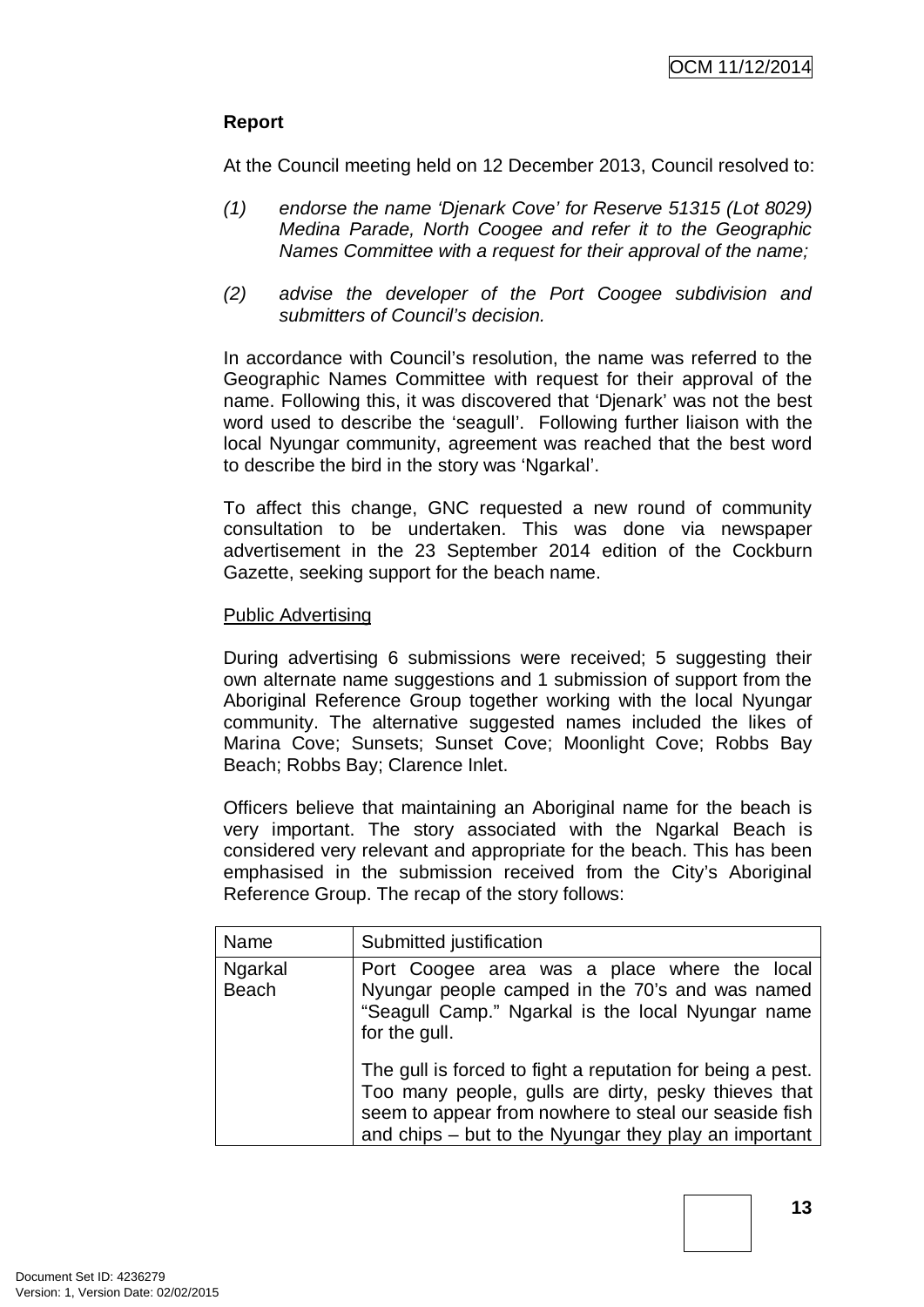### **Report**

At the Council meeting held on 12 December 2013, Council resolved to:

- *(1) endorse the name 'Djenark Cove' for Reserve 51315 (Lot 8029) Medina Parade, North Coogee and refer it to the Geographic Names Committee with a request for their approval of the name;*
- *(2) advise the developer of the Port Coogee subdivision and submitters of Council's decision.*

In accordance with Council's resolution, the name was referred to the Geographic Names Committee with request for their approval of the name. Following this, it was discovered that 'Djenark' was not the best word used to describe the 'seagull'. Following further liaison with the local Nyungar community, agreement was reached that the best word to describe the bird in the story was 'Ngarkal'.

To affect this change, GNC requested a new round of community consultation to be undertaken. This was done via newspaper advertisement in the 23 September 2014 edition of the Cockburn Gazette, seeking support for the beach name.

#### Public Advertising

During advertising 6 submissions were received; 5 suggesting their own alternate name suggestions and 1 submission of support from the Aboriginal Reference Group together working with the local Nyungar community. The alternative suggested names included the likes of Marina Cove; Sunsets; Sunset Cove; Moonlight Cove; Robbs Bay Beach; Robbs Bay; Clarence Inlet.

Officers believe that maintaining an Aboriginal name for the beach is very important. The story associated with the Ngarkal Beach is considered very relevant and appropriate for the beach. This has been emphasised in the submission received from the City's Aboriginal Reference Group. The recap of the story follows:

| Name                    | Submitted justification                                                                                                                                                                                                              |  |  |
|-------------------------|--------------------------------------------------------------------------------------------------------------------------------------------------------------------------------------------------------------------------------------|--|--|
| Ngarkal<br><b>Beach</b> | Port Coogee area was a place where the local<br>Nyungar people camped in the 70's and was named<br>"Seagull Camp." Ngarkal is the local Nyungar name<br>for the gull.                                                                |  |  |
|                         | The gull is forced to fight a reputation for being a pest.<br>Too many people, gulls are dirty, pesky thieves that<br>seem to appear from nowhere to steal our seaside fish<br>and chips – but to the Nyungar they play an important |  |  |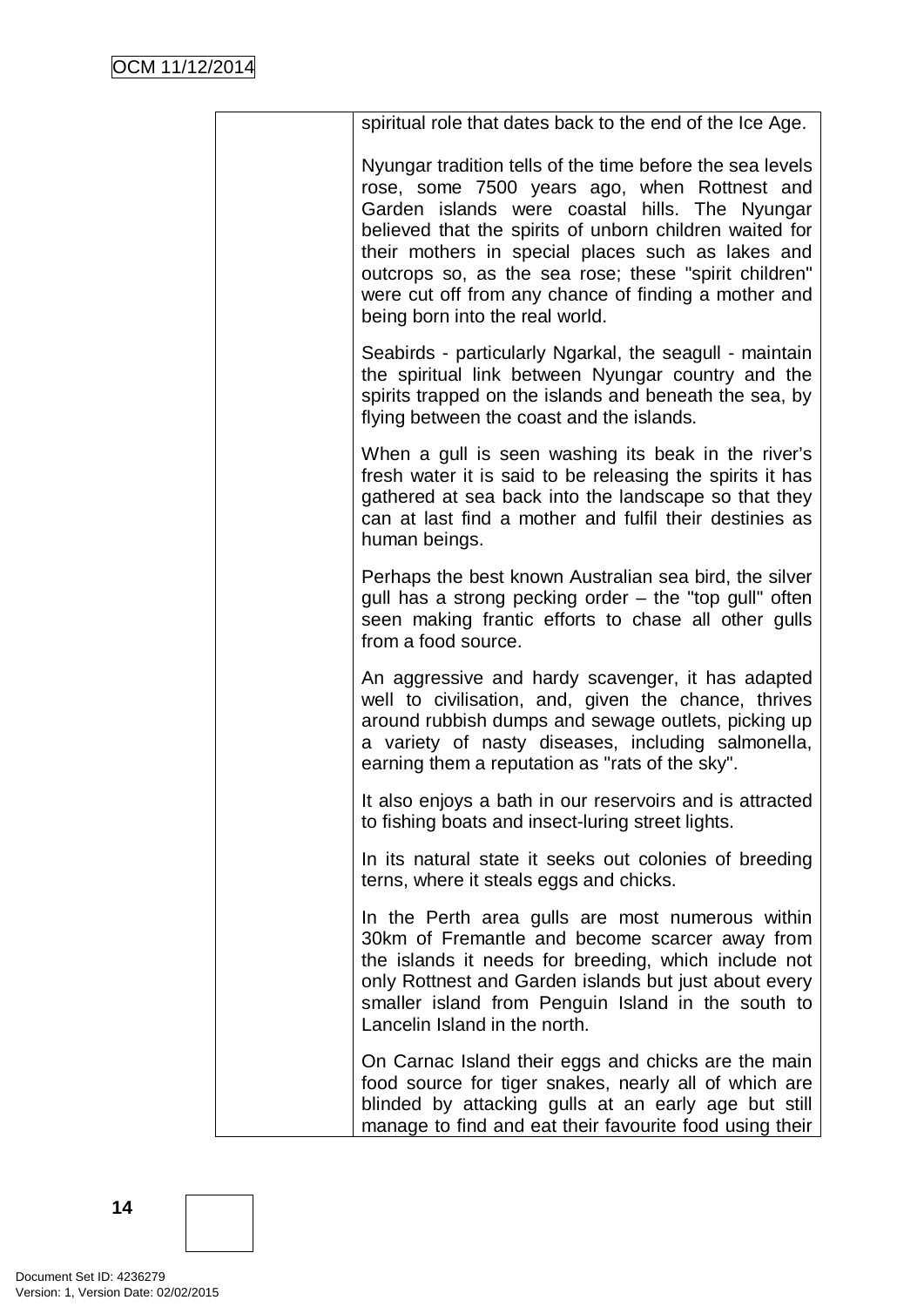| spiritual role that dates back to the end of the Ice Age.                                                                                                                                                                                                                                                                                                                                                                       |
|---------------------------------------------------------------------------------------------------------------------------------------------------------------------------------------------------------------------------------------------------------------------------------------------------------------------------------------------------------------------------------------------------------------------------------|
| Nyungar tradition tells of the time before the sea levels<br>rose, some 7500 years ago, when Rottnest and<br>Garden islands were coastal hills. The Nyungar<br>believed that the spirits of unborn children waited for<br>their mothers in special places such as lakes and<br>outcrops so, as the sea rose; these "spirit children"<br>were cut off from any chance of finding a mother and<br>being born into the real world. |
| Seabirds - particularly Ngarkal, the seagull - maintain<br>the spiritual link between Nyungar country and the<br>spirits trapped on the islands and beneath the sea, by<br>flying between the coast and the islands.                                                                                                                                                                                                            |
| When a gull is seen washing its beak in the river's<br>fresh water it is said to be releasing the spirits it has<br>gathered at sea back into the landscape so that they<br>can at last find a mother and fulfil their destinies as<br>human beings.                                                                                                                                                                            |
| Perhaps the best known Australian sea bird, the silver<br>gull has a strong pecking order – the "top gull" often<br>seen making frantic efforts to chase all other gulls<br>from a food source.                                                                                                                                                                                                                                 |
| An aggressive and hardy scavenger, it has adapted<br>well to civilisation, and, given the chance, thrives<br>around rubbish dumps and sewage outlets, picking up<br>a variety of nasty diseases, including salmonella,<br>earning them a reputation as "rats of the sky".                                                                                                                                                       |
| It also enjoys a bath in our reservoirs and is attracted<br>to fishing boats and insect-luring street lights.                                                                                                                                                                                                                                                                                                                   |
| In its natural state it seeks out colonies of breeding<br>terns, where it steals eggs and chicks.                                                                                                                                                                                                                                                                                                                               |
| In the Perth area gulls are most numerous within<br>30km of Fremantle and become scarcer away from<br>the islands it needs for breeding, which include not<br>only Rottnest and Garden islands but just about every<br>smaller island from Penguin Island in the south to<br>Lancelin Island in the north.                                                                                                                      |
| On Carnac Island their eggs and chicks are the main<br>food source for tiger snakes, nearly all of which are<br>blinded by attacking gulls at an early age but still<br>manage to find and eat their favourite food using their                                                                                                                                                                                                 |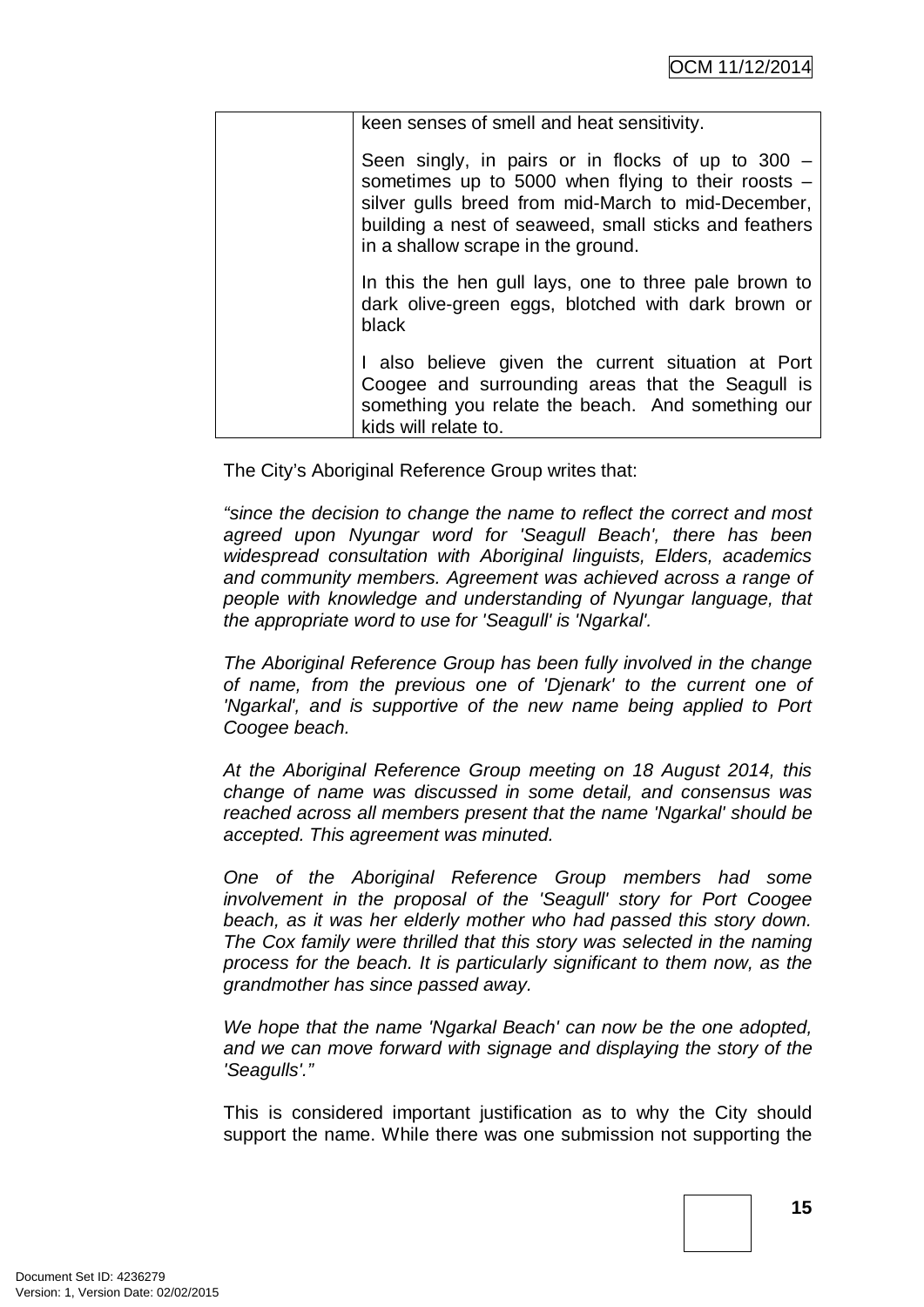| keen senses of smell and heat sensitivity.                                                                                                                                                                                                                       |
|------------------------------------------------------------------------------------------------------------------------------------------------------------------------------------------------------------------------------------------------------------------|
| Seen singly, in pairs or in flocks of up to $300 -$<br>sometimes up to 5000 when flying to their roosts $-$<br>silver gulls breed from mid-March to mid-December,<br>building a nest of seaweed, small sticks and feathers<br>in a shallow scrape in the ground. |
| In this the hen gull lays, one to three pale brown to<br>dark olive-green eggs, blotched with dark brown or<br>black                                                                                                                                             |
| I also believe given the current situation at Port<br>Coogee and surrounding areas that the Seagull is<br>something you relate the beach. And something our<br>kids will relate to.                                                                              |

The City's Aboriginal Reference Group writes that:

*"since the decision to change the name to reflect the correct and most agreed upon Nyungar word for 'Seagull Beach', there has been widespread consultation with Aboriginal linguists, Elders, academics and community members. Agreement was achieved across a range of people with knowledge and understanding of Nyungar language, that the appropriate word to use for 'Seagull' is 'Ngarkal'.*

*The Aboriginal Reference Group has been fully involved in the change of name, from the previous one of 'Djenark' to the current one of 'Ngarkal', and is supportive of the new name being applied to Port Coogee beach.*

*At the Aboriginal Reference Group meeting on 18 August 2014, this change of name was discussed in some detail, and consensus was reached across all members present that the name 'Ngarkal' should be accepted. This agreement was minuted.*

*One of the Aboriginal Reference Group members had some involvement in the proposal of the 'Seagull' story for Port Coogee beach, as it was her elderly mother who had passed this story down. The Cox family were thrilled that this story was selected in the naming process for the beach. It is particularly significant to them now, as the grandmother has since passed away.*

*We hope that the name 'Ngarkal Beach' can now be the one adopted, and we can move forward with signage and displaying the story of the 'Seagulls'."*

This is considered important justification as to why the City should support the name. While there was one submission not supporting the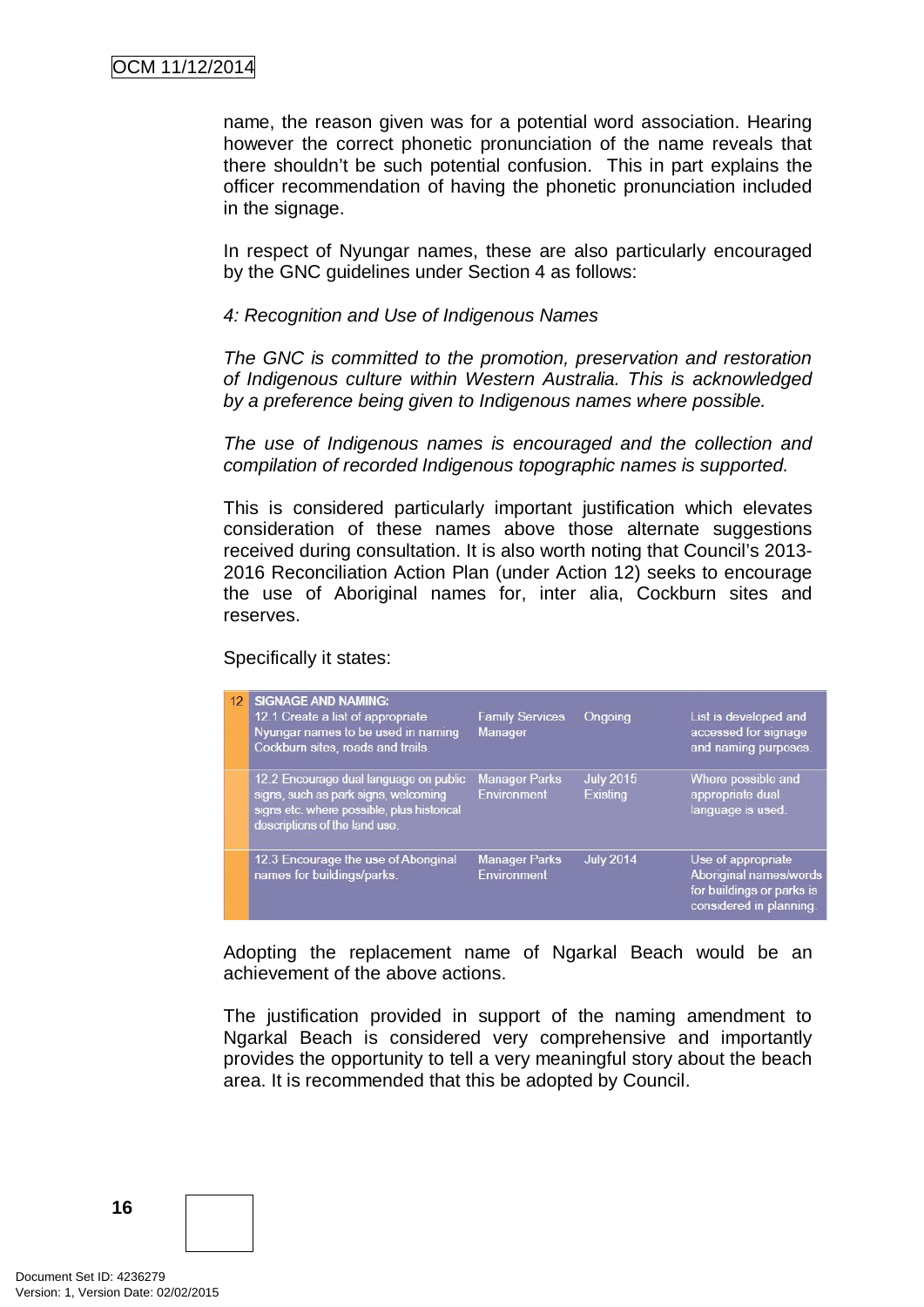name, the reason given was for a potential word association. Hearing however the correct phonetic pronunciation of the name reveals that there shouldn't be such potential confusion. This in part explains the officer recommendation of having the phonetic pronunciation included in the signage.

In respect of Nyungar names, these are also particularly encouraged by the GNC guidelines under Section 4 as follows:

#### *4: Recognition and Use of Indigenous Names*

*The GNC is committed to the promotion, preservation and restoration of Indigenous culture within Western Australia. This is acknowledged by a preference being given to Indigenous names where possible.* 

*The use of Indigenous names is encouraged and the collection and compilation of recorded Indigenous topographic names is supported.*

This is considered particularly important justification which elevates consideration of these names above those alternate suggestions received during consultation. It is also worth noting that Council's 2013- 2016 Reconciliation Action Plan (under Action 12) seeks to encourage the use of Aboriginal names for, inter alia, Cockburn sites and reserves.

Specifically it states:

| 12 | <b>SIGNAGE AND NAMING:</b><br>12.1 Create a list of appropriate<br>Nyungar names to be used in naming<br>Cockburn sites, roads and trails.                    | <b>Family Services</b><br>Manager   | Ongoing                      | List is developed and<br>accessed for signage<br>and naming purposes.                                |
|----|---------------------------------------------------------------------------------------------------------------------------------------------------------------|-------------------------------------|------------------------------|------------------------------------------------------------------------------------------------------|
|    | 12.2 Encourage dual language on public<br>signs, such as park signs, welcoming<br>signs etc. where possible, plus historical<br>descriptions of the land use. | <b>Manager Parks</b><br>Environment | <b>July 2015</b><br>Existing | Where possible and<br>appropriate dual<br>language is used.                                          |
|    | 12.3 Encourage the use of Aboriginal<br>names for buildings/parks.                                                                                            | <b>Manager Parks</b><br>Environment | <b>July 2014</b>             | Use of appropriate<br>Aboriginal names/words<br>for buildings or parks is<br>considered in planning. |

Adopting the replacement name of Ngarkal Beach would be an achievement of the above actions.

The justification provided in support of the naming amendment to Ngarkal Beach is considered very comprehensive and importantly provides the opportunity to tell a very meaningful story about the beach area. It is recommended that this be adopted by Council.

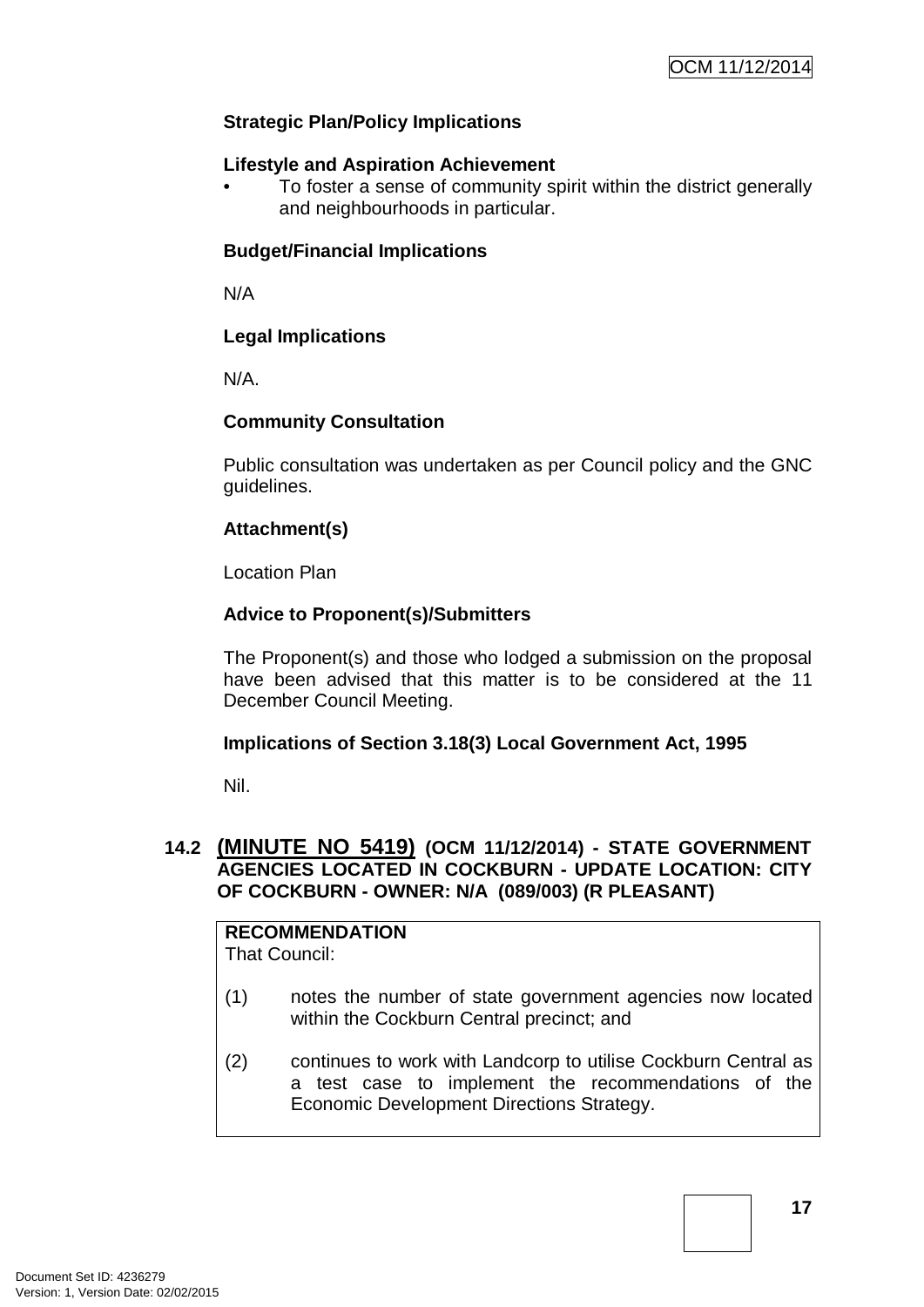### **Strategic Plan/Policy Implications**

#### **Lifestyle and Aspiration Achievement**

• To foster a sense of community spirit within the district generally and neighbourhoods in particular.

#### **Budget/Financial Implications**

N/A

#### **Legal Implications**

N/A.

### **Community Consultation**

Public consultation was undertaken as per Council policy and the GNC guidelines.

#### **Attachment(s)**

Location Plan

#### **Advice to Proponent(s)/Submitters**

The Proponent(s) and those who lodged a submission on the proposal have been advised that this matter is to be considered at the 11 December Council Meeting.

#### **Implications of Section 3.18(3) Local Government Act, 1995**

Nil.

#### **14.2 (MINUTE NO 5419) (OCM 11/12/2014) - STATE GOVERNMENT AGENCIES LOCATED IN COCKBURN - UPDATE LOCATION: CITY OF COCKBURN - OWNER: N/A (089/003) (R PLEASANT)**

# **RECOMMENDATION**

That Council:

- (1) notes the number of state government agencies now located within the Cockburn Central precinct; and
- (2) continues to work with Landcorp to utilise Cockburn Central as a test case to implement the recommendations of the Economic Development Directions Strategy.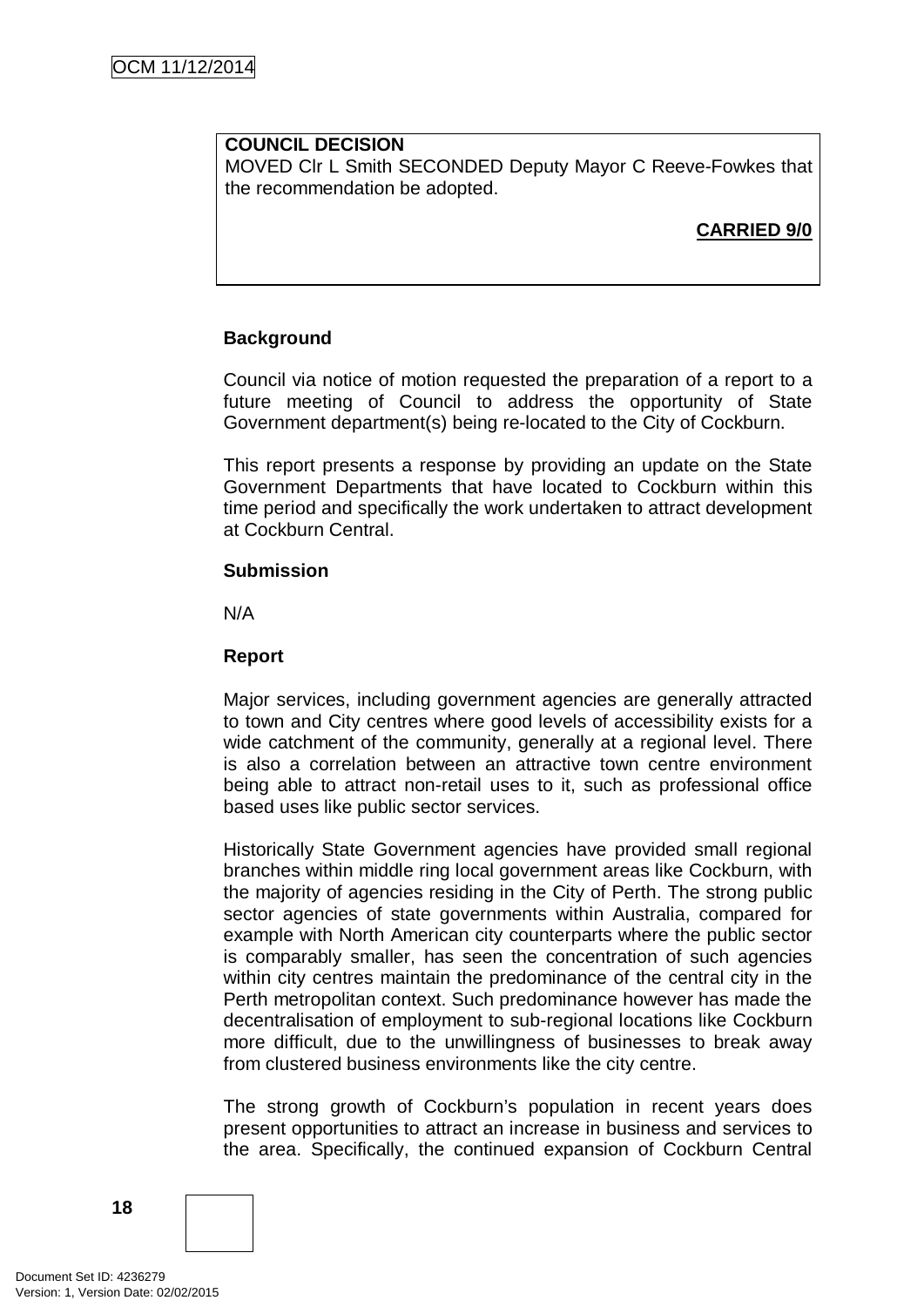#### **COUNCIL DECISION**

MOVED Clr L Smith SECONDED Deputy Mayor C Reeve-Fowkes that the recommendation be adopted.

## **CARRIED 9/0**

## **Background**

Council via notice of motion requested the preparation of a report to a future meeting of Council to address the opportunity of State Government department(s) being re-located to the City of Cockburn.

This report presents a response by providing an update on the State Government Departments that have located to Cockburn within this time period and specifically the work undertaken to attract development at Cockburn Central.

#### **Submission**

N/A

#### **Report**

Major services, including government agencies are generally attracted to town and City centres where good levels of accessibility exists for a wide catchment of the community, generally at a regional level. There is also a correlation between an attractive town centre environment being able to attract non-retail uses to it, such as professional office based uses like public sector services.

Historically State Government agencies have provided small regional branches within middle ring local government areas like Cockburn, with the majority of agencies residing in the City of Perth. The strong public sector agencies of state governments within Australia, compared for example with North American city counterparts where the public sector is comparably smaller, has seen the concentration of such agencies within city centres maintain the predominance of the central city in the Perth metropolitan context. Such predominance however has made the decentralisation of employment to sub-regional locations like Cockburn more difficult, due to the unwillingness of businesses to break away from clustered business environments like the city centre.

The strong growth of Cockburn's population in recent years does present opportunities to attract an increase in business and services to the area. Specifically, the continued expansion of Cockburn Central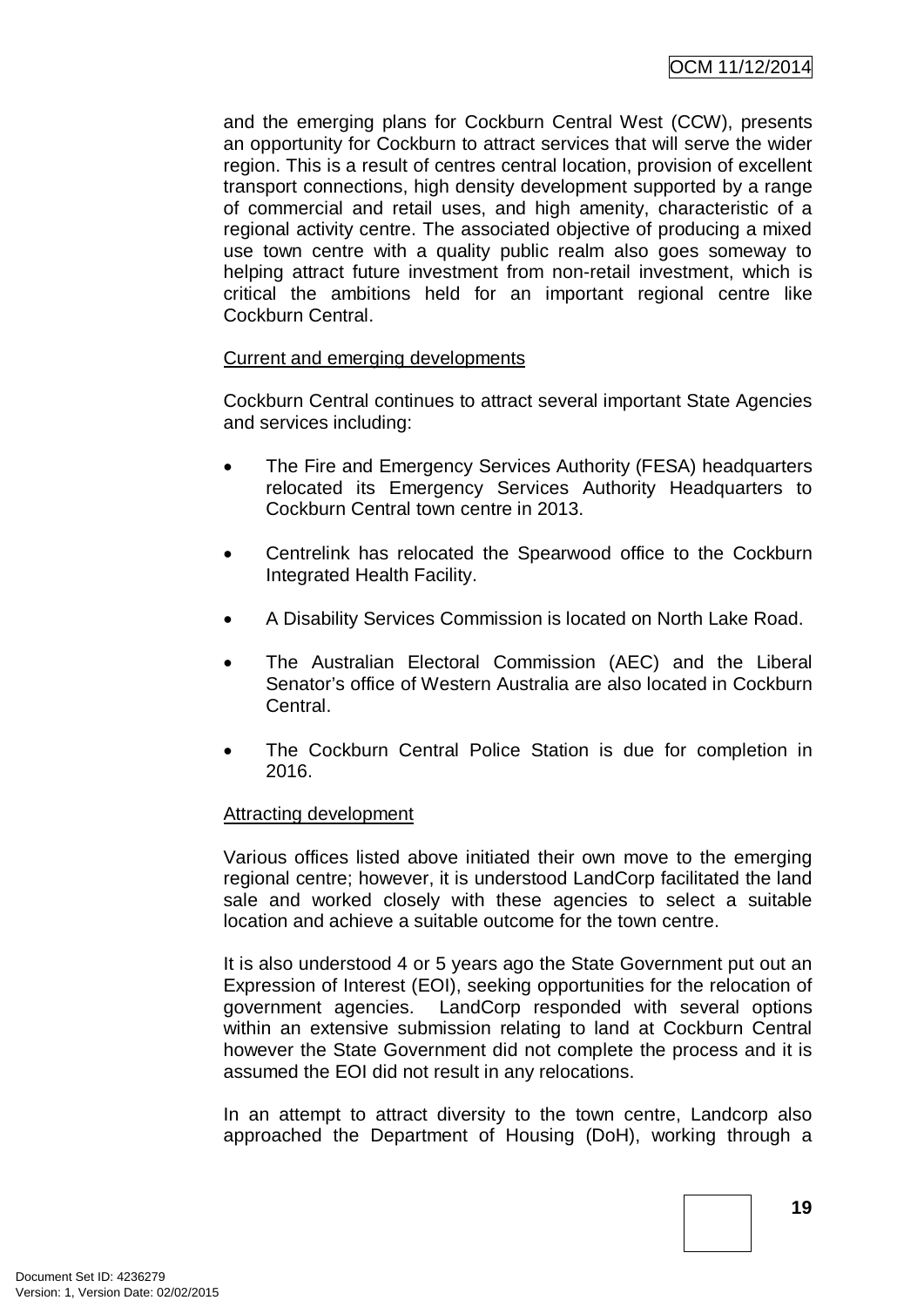and the emerging plans for Cockburn Central West (CCW), presents an opportunity for Cockburn to attract services that will serve the wider region. This is a result of centres central location, provision of excellent transport connections, high density development supported by a range of commercial and retail uses, and high amenity, characteristic of a regional activity centre. The associated objective of producing a mixed use town centre with a quality public realm also goes someway to helping attract future investment from non-retail investment, which is critical the ambitions held for an important regional centre like Cockburn Central.

#### Current and emerging developments

Cockburn Central continues to attract several important State Agencies and services including:

- The Fire and Emergency Services Authority (FESA) headquarters relocated its Emergency Services Authority Headquarters to Cockburn Central town centre in 2013.
- Centrelink has relocated the Spearwood office to the Cockburn Integrated Health Facility.
- A Disability Services Commission is located on North Lake Road.
- The Australian Electoral Commission (AEC) and the Liberal Senator's office of Western Australia are also located in Cockburn Central.
- The Cockburn Central Police Station is due for completion in 2016.

#### Attracting development

Various offices listed above initiated their own move to the emerging regional centre; however, it is understood LandCorp facilitated the land sale and worked closely with these agencies to select a suitable location and achieve a suitable outcome for the town centre.

It is also understood 4 or 5 years ago the State Government put out an Expression of Interest (EOI), seeking opportunities for the relocation of government agencies. LandCorp responded with several options within an extensive submission relating to land at Cockburn Central however the State Government did not complete the process and it is assumed the EOI did not result in any relocations.

In an attempt to attract diversity to the town centre, Landcorp also approached the Department of Housing (DoH), working through a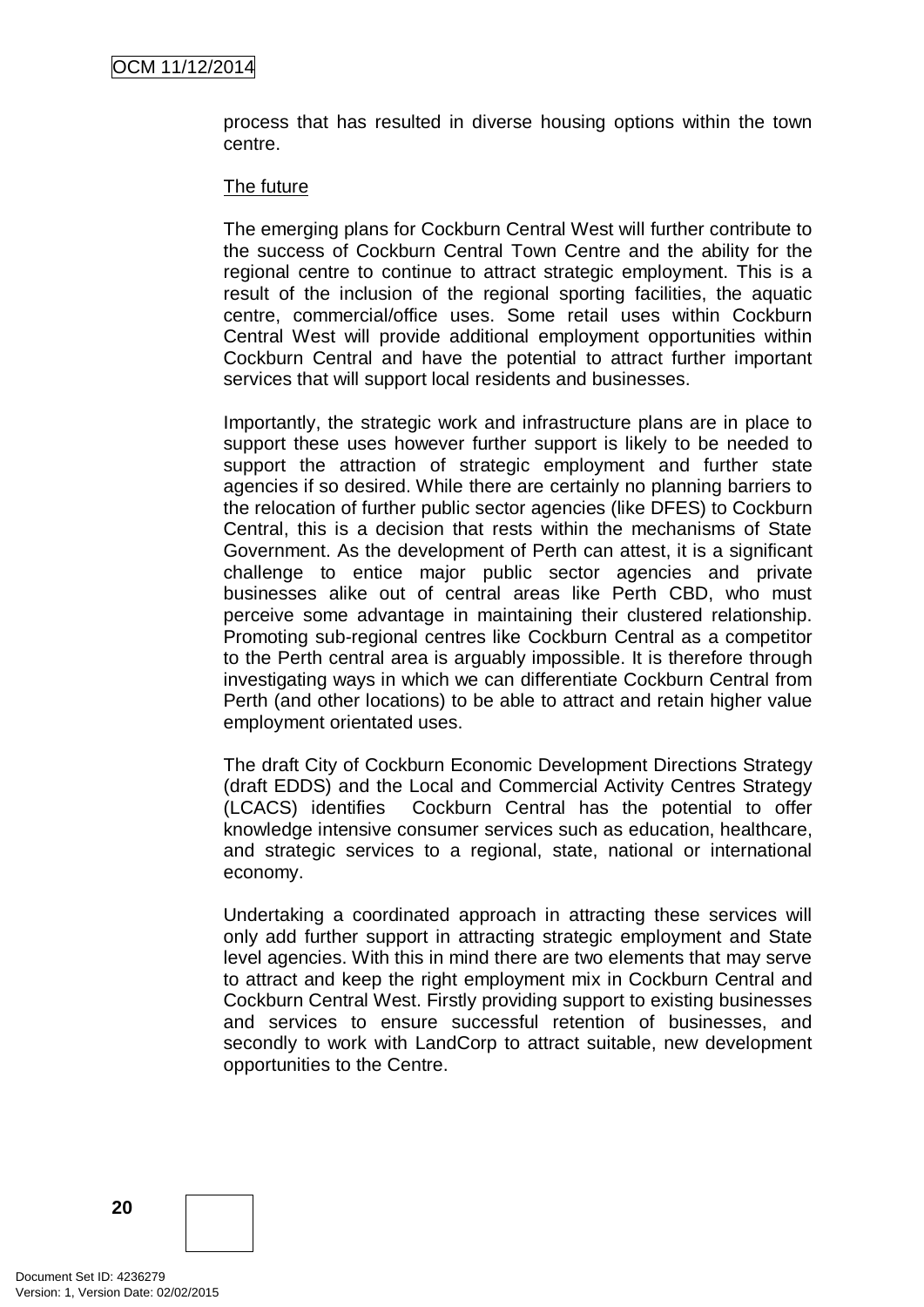process that has resulted in diverse housing options within the town centre.

#### The future

The emerging plans for Cockburn Central West will further contribute to the success of Cockburn Central Town Centre and the ability for the regional centre to continue to attract strategic employment. This is a result of the inclusion of the regional sporting facilities, the aquatic centre, commercial/office uses. Some retail uses within Cockburn Central West will provide additional employment opportunities within Cockburn Central and have the potential to attract further important services that will support local residents and businesses.

Importantly, the strategic work and infrastructure plans are in place to support these uses however further support is likely to be needed to support the attraction of strategic employment and further state agencies if so desired. While there are certainly no planning barriers to the relocation of further public sector agencies (like DFES) to Cockburn Central, this is a decision that rests within the mechanisms of State Government. As the development of Perth can attest, it is a significant challenge to entice major public sector agencies and private businesses alike out of central areas like Perth CBD, who must perceive some advantage in maintaining their clustered relationship. Promoting sub-regional centres like Cockburn Central as a competitor to the Perth central area is arguably impossible. It is therefore through investigating ways in which we can differentiate Cockburn Central from Perth (and other locations) to be able to attract and retain higher value employment orientated uses.

The draft City of Cockburn Economic Development Directions Strategy (draft EDDS) and the Local and Commercial Activity Centres Strategy (LCACS) identifies Cockburn Central has the potential to offer knowledge intensive consumer services such as education, healthcare, and strategic services to a regional, state, national or international economy.

Undertaking a coordinated approach in attracting these services will only add further support in attracting strategic employment and State level agencies. With this in mind there are two elements that may serve to attract and keep the right employment mix in Cockburn Central and Cockburn Central West. Firstly providing support to existing businesses and services to ensure successful retention of businesses, and secondly to work with LandCorp to attract suitable, new development opportunities to the Centre.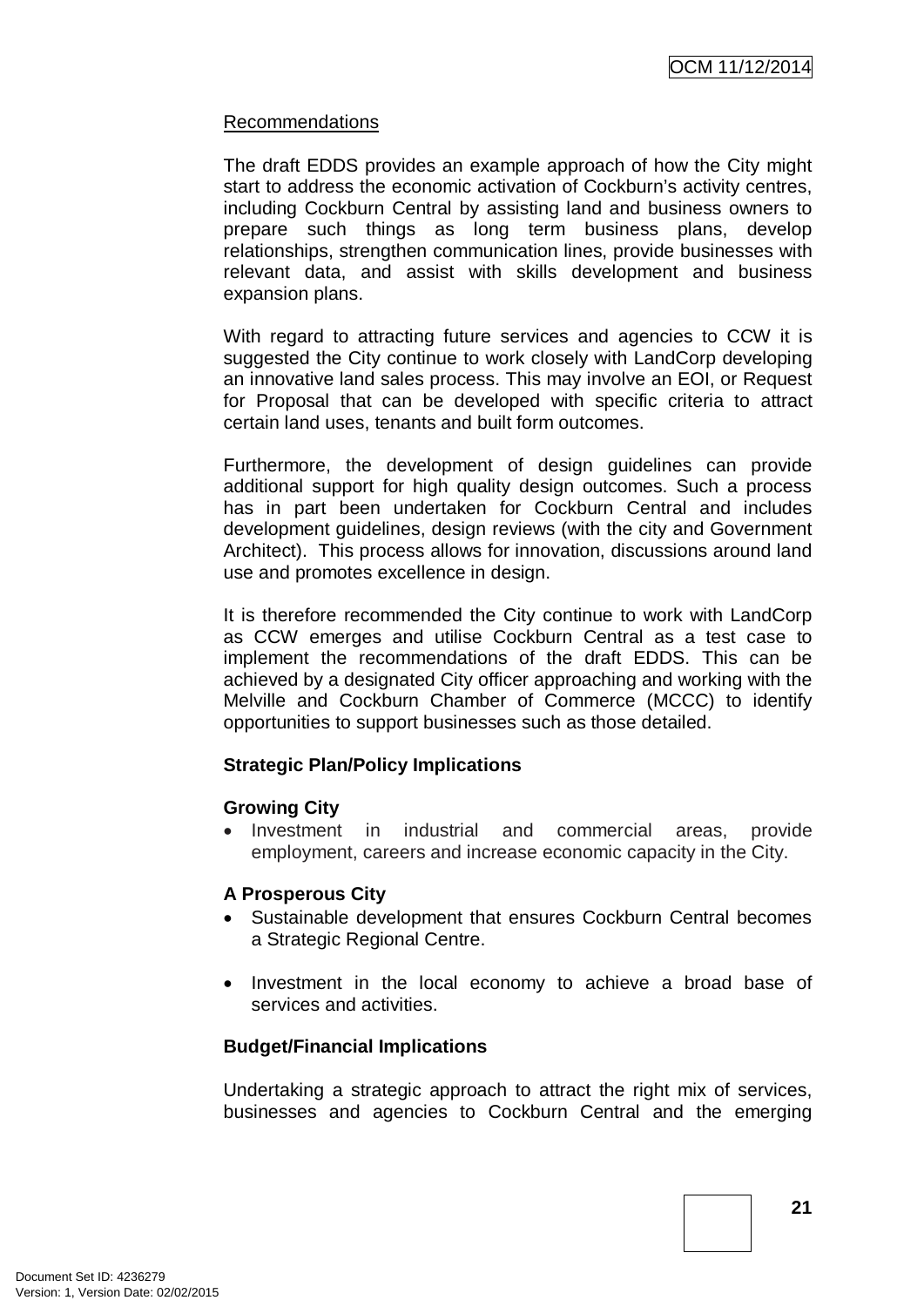#### Recommendations

The draft EDDS provides an example approach of how the City might start to address the economic activation of Cockburn's activity centres, including Cockburn Central by assisting land and business owners to prepare such things as long term business plans, develop relationships, strengthen communication lines, provide businesses with relevant data, and assist with skills development and business expansion plans.

With regard to attracting future services and agencies to CCW it is suggested the City continue to work closely with LandCorp developing an innovative land sales process. This may involve an EOI, or Request for Proposal that can be developed with specific criteria to attract certain land uses, tenants and built form outcomes.

Furthermore, the development of design guidelines can provide additional support for high quality design outcomes. Such a process has in part been undertaken for Cockburn Central and includes development guidelines, design reviews (with the city and Government Architect). This process allows for innovation, discussions around land use and promotes excellence in design.

It is therefore recommended the City continue to work with LandCorp as CCW emerges and utilise Cockburn Central as a test case to implement the recommendations of the draft EDDS. This can be achieved by a designated City officer approaching and working with the Melville and Cockburn Chamber of Commerce (MCCC) to identify opportunities to support businesses such as those detailed.

#### **Strategic Plan/Policy Implications**

#### **Growing City**

• Investment in industrial and commercial areas, provide employment, careers and increase economic capacity in the City.

#### **A Prosperous City**

- Sustainable development that ensures Cockburn Central becomes a Strategic Regional Centre.
- Investment in the local economy to achieve a broad base of services and activities.

#### **Budget/Financial Implications**

Undertaking a strategic approach to attract the right mix of services, businesses and agencies to Cockburn Central and the emerging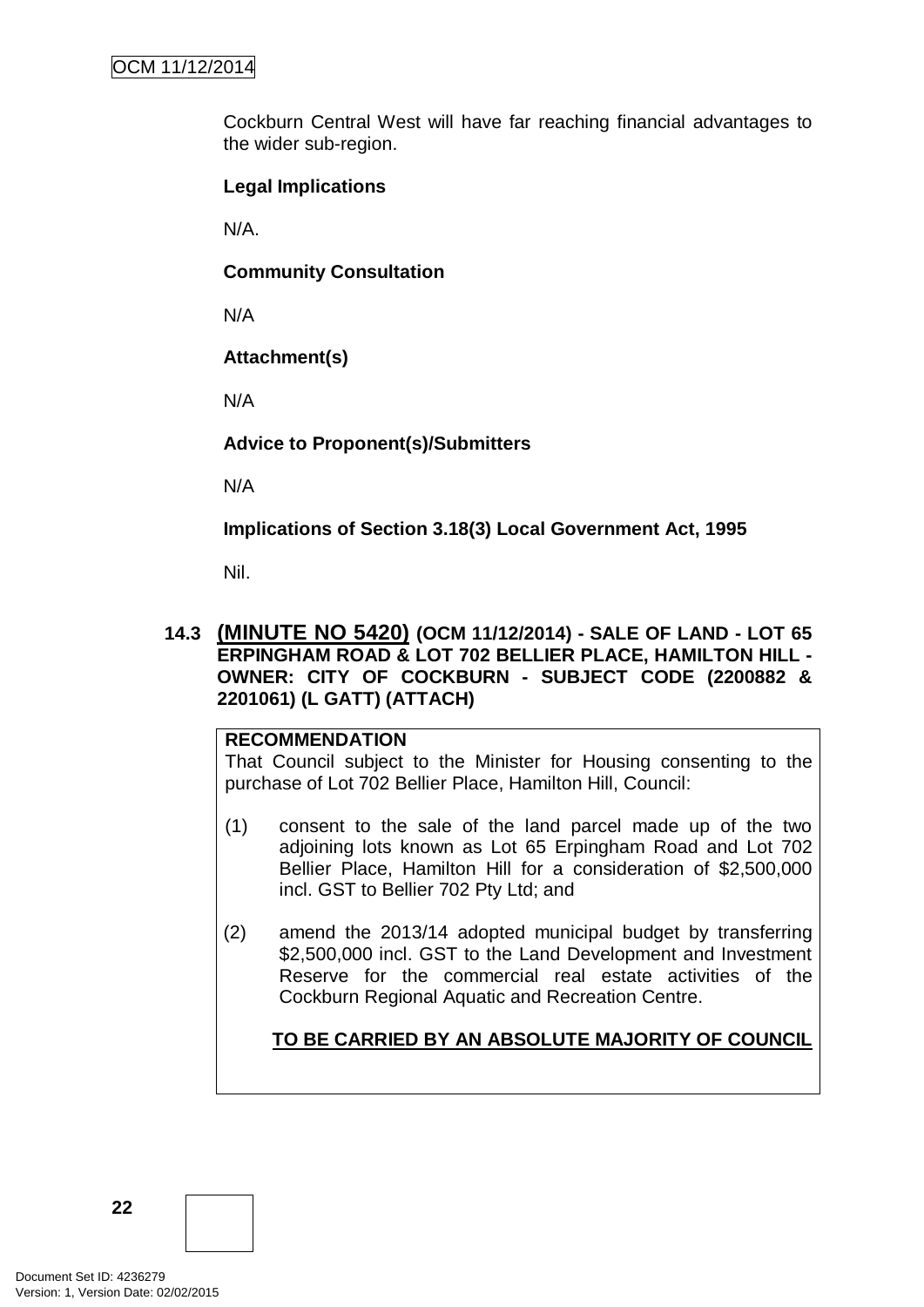Cockburn Central West will have far reaching financial advantages to the wider sub-region.

#### **Legal Implications**

N/A.

#### **Community Consultation**

N/A

#### **Attachment(s)**

N/A

### **Advice to Proponent(s)/Submitters**

N/A

**Implications of Section 3.18(3) Local Government Act, 1995**

Nil.

#### **14.3 (MINUTE NO 5420) (OCM 11/12/2014) - SALE OF LAND - LOT 65 ERPINGHAM ROAD & LOT 702 BELLIER PLACE, HAMILTON HILL - OWNER: CITY OF COCKBURN - SUBJECT CODE (2200882 & 2201061) (L GATT) (ATTACH)**

### **RECOMMENDATION**

That Council subject to the Minister for Housing consenting to the purchase of Lot 702 Bellier Place, Hamilton Hill, Council:

- (1) consent to the sale of the land parcel made up of the two adjoining lots known as Lot 65 Erpingham Road and Lot 702 Bellier Place, Hamilton Hill for a consideration of \$2,500,000 incl. GST to Bellier 702 Pty Ltd; and
- (2) amend the 2013/14 adopted municipal budget by transferring \$2,500,000 incl. GST to the Land Development and Investment Reserve for the commercial real estate activities of the Cockburn Regional Aquatic and Recreation Centre.

## **TO BE CARRIED BY AN ABSOLUTE MAJORITY OF COUNCIL**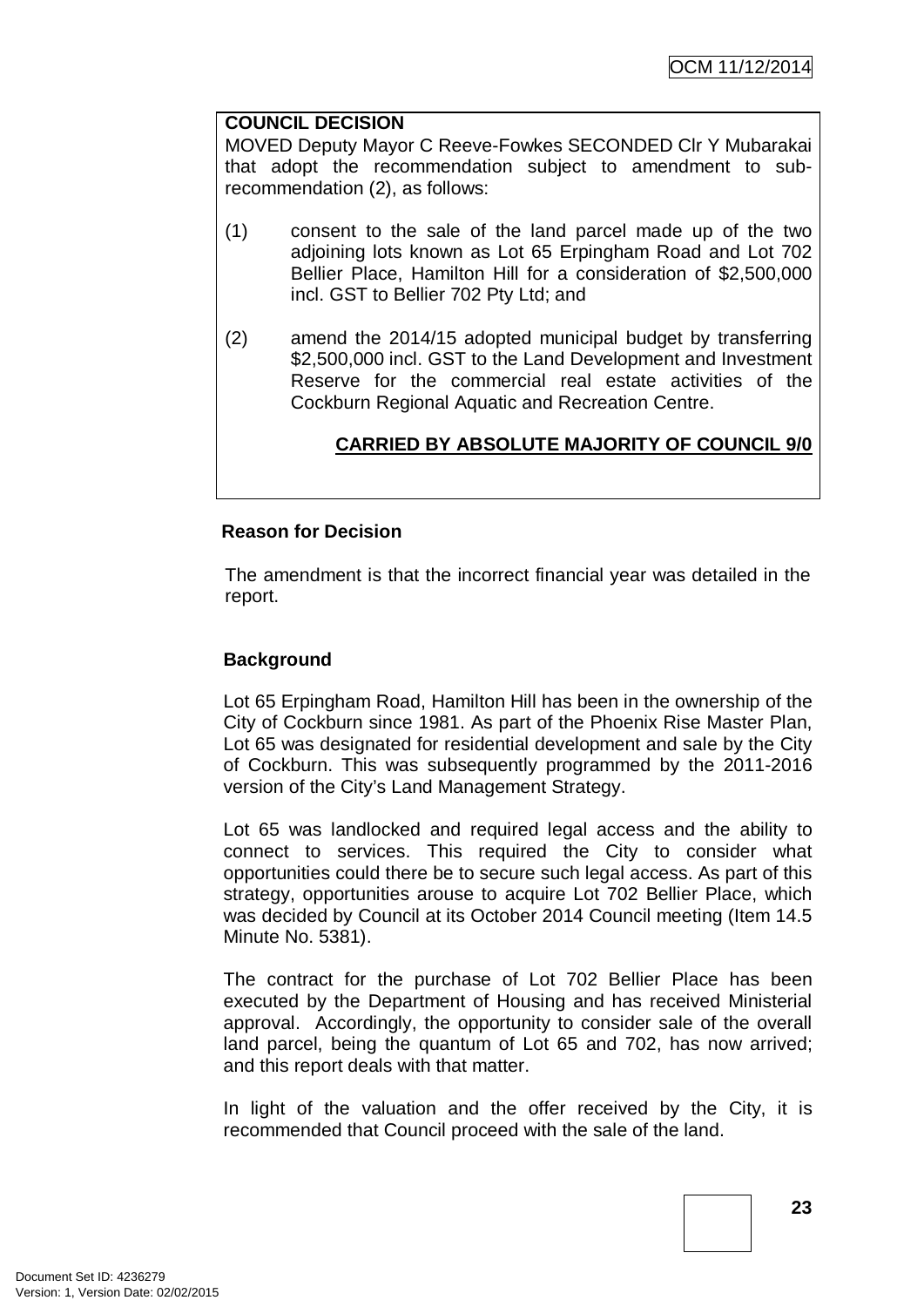#### **COUNCIL DECISION**

MOVED Deputy Mayor C Reeve-Fowkes SECONDED Clr Y Mubarakai that adopt the recommendation subject to amendment to subrecommendation (2), as follows:

- (1) consent to the sale of the land parcel made up of the two adjoining lots known as Lot 65 Erpingham Road and Lot 702 Bellier Place, Hamilton Hill for a consideration of \$2,500,000 incl. GST to Bellier 702 Pty Ltd; and
- (2) amend the 2014/15 adopted municipal budget by transferring \$2,500,000 incl. GST to the Land Development and Investment Reserve for the commercial real estate activities of the Cockburn Regional Aquatic and Recreation Centre.

## **CARRIED BY ABSOLUTE MAJORITY OF COUNCIL 9/0**

#### **Reason for Decision**

The amendment is that the incorrect financial year was detailed in the report.

#### **Background**

Lot 65 Erpingham Road, Hamilton Hill has been in the ownership of the City of Cockburn since 1981. As part of the Phoenix Rise Master Plan, Lot 65 was designated for residential development and sale by the City of Cockburn. This was subsequently programmed by the 2011-2016 version of the City's Land Management Strategy.

Lot 65 was landlocked and required legal access and the ability to connect to services. This required the City to consider what opportunities could there be to secure such legal access. As part of this strategy, opportunities arouse to acquire Lot 702 Bellier Place, which was decided by Council at its October 2014 Council meeting (Item 14.5 Minute No. 5381).

The contract for the purchase of Lot 702 Bellier Place has been executed by the Department of Housing and has received Ministerial approval. Accordingly, the opportunity to consider sale of the overall land parcel, being the quantum of Lot 65 and 702, has now arrived; and this report deals with that matter.

In light of the valuation and the offer received by the City, it is recommended that Council proceed with the sale of the land.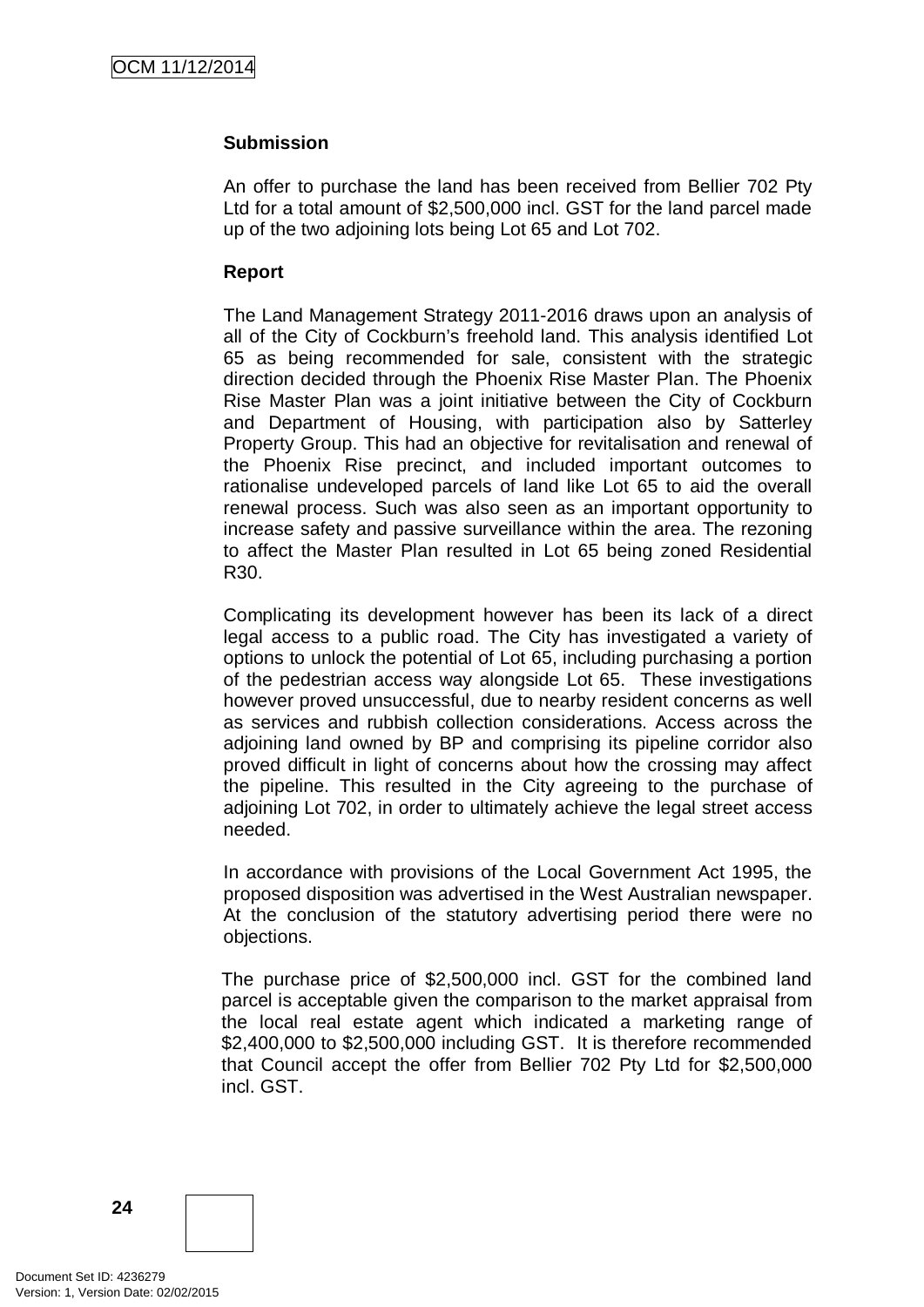#### **Submission**

An offer to purchase the land has been received from Bellier 702 Pty Ltd for a total amount of \$2,500,000 incl. GST for the land parcel made up of the two adjoining lots being Lot 65 and Lot 702.

### **Report**

The Land Management Strategy 2011-2016 draws upon an analysis of all of the City of Cockburn's freehold land. This analysis identified Lot 65 as being recommended for sale, consistent with the strategic direction decided through the Phoenix Rise Master Plan. The Phoenix Rise Master Plan was a joint initiative between the City of Cockburn and Department of Housing, with participation also by Satterley Property Group. This had an objective for revitalisation and renewal of the Phoenix Rise precinct, and included important outcomes to rationalise undeveloped parcels of land like Lot 65 to aid the overall renewal process. Such was also seen as an important opportunity to increase safety and passive surveillance within the area. The rezoning to affect the Master Plan resulted in Lot 65 being zoned Residential R30.

Complicating its development however has been its lack of a direct legal access to a public road. The City has investigated a variety of options to unlock the potential of Lot 65, including purchasing a portion of the pedestrian access way alongside Lot 65. These investigations however proved unsuccessful, due to nearby resident concerns as well as services and rubbish collection considerations. Access across the adjoining land owned by BP and comprising its pipeline corridor also proved difficult in light of concerns about how the crossing may affect the pipeline. This resulted in the City agreeing to the purchase of adjoining Lot 702, in order to ultimately achieve the legal street access needed.

In accordance with provisions of the Local Government Act 1995, the proposed disposition was advertised in the West Australian newspaper. At the conclusion of the statutory advertising period there were no objections.

The purchase price of \$2,500,000 incl. GST for the combined land parcel is acceptable given the comparison to the market appraisal from the local real estate agent which indicated a marketing range of \$2,400,000 to \$2,500,000 including GST. It is therefore recommended that Council accept the offer from Bellier 702 Pty Ltd for \$2,500,000 incl. GST.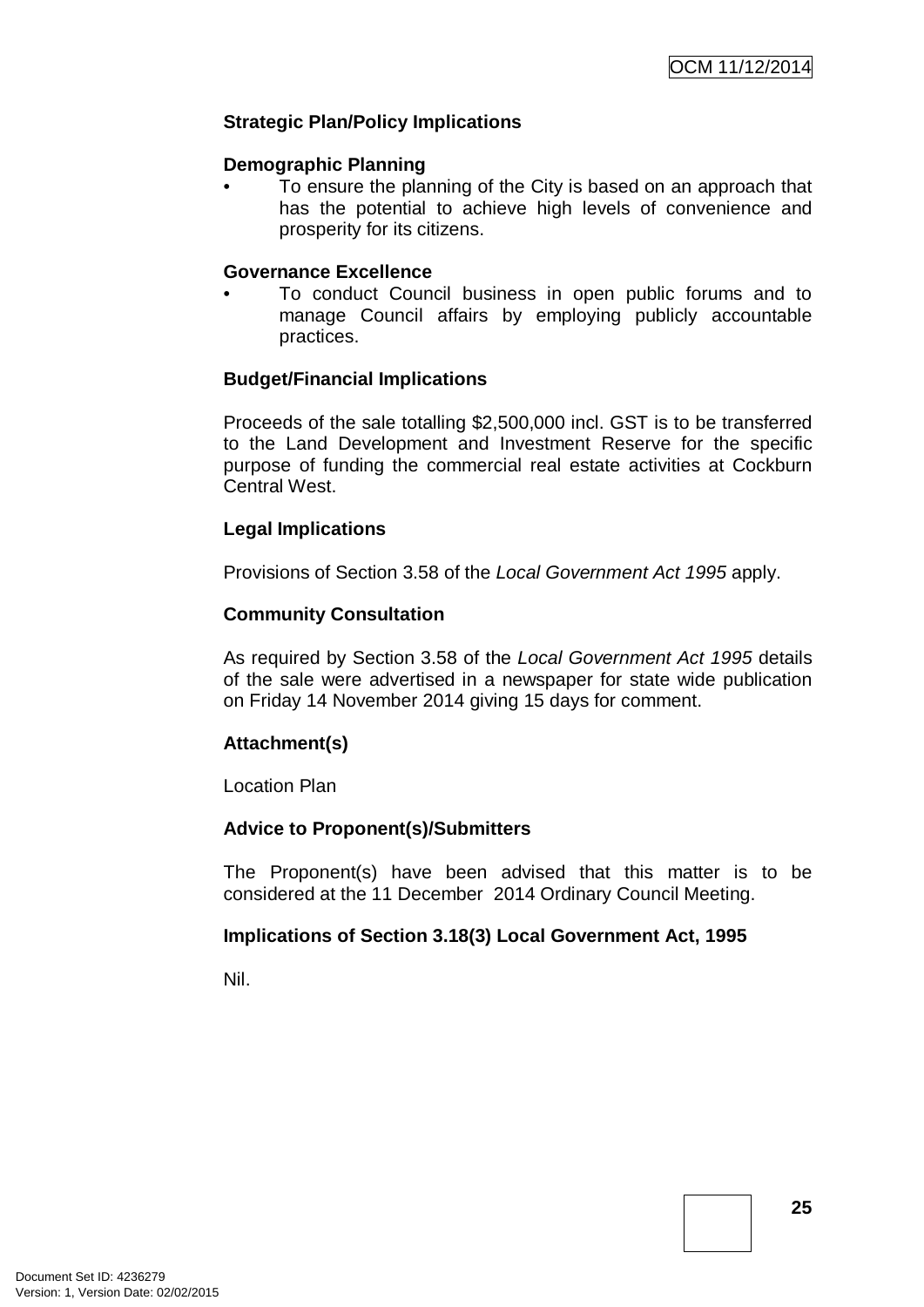#### **Strategic Plan/Policy Implications**

#### **Demographic Planning**

• To ensure the planning of the City is based on an approach that has the potential to achieve high levels of convenience and prosperity for its citizens.

#### **Governance Excellence**

• To conduct Council business in open public forums and to manage Council affairs by employing publicly accountable practices.

#### **Budget/Financial Implications**

Proceeds of the sale totalling \$2,500,000 incl. GST is to be transferred to the Land Development and Investment Reserve for the specific purpose of funding the commercial real estate activities at Cockburn Central West.

#### **Legal Implications**

Provisions of Section 3.58 of the *Local Government Act 1995* apply.

#### **Community Consultation**

As required by Section 3.58 of the *Local Government Act 1995* details of the sale were advertised in a newspaper for state wide publication on Friday 14 November 2014 giving 15 days for comment.

#### **Attachment(s)**

Location Plan

#### **Advice to Proponent(s)/Submitters**

The Proponent(s) have been advised that this matter is to be considered at the 11 December 2014 Ordinary Council Meeting.

#### **Implications of Section 3.18(3) Local Government Act, 1995**

Nil.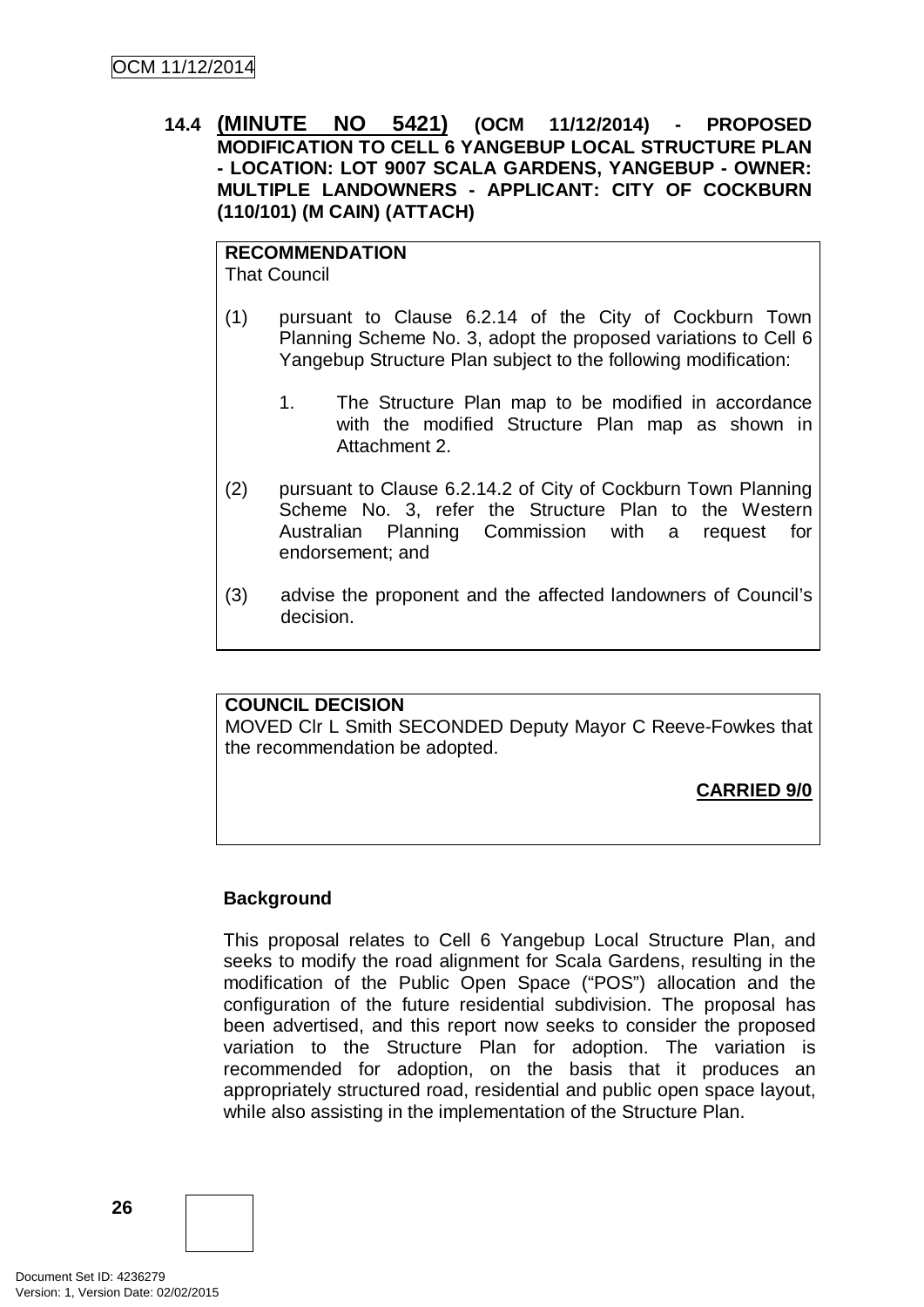**14.4 (MINUTE NO 5421) (OCM 11/12/2014) - PROPOSED MODIFICATION TO CELL 6 YANGEBUP LOCAL STRUCTURE PLAN - LOCATION: LOT 9007 SCALA GARDENS, YANGEBUP - OWNER: MULTIPLE LANDOWNERS - APPLICANT: CITY OF COCKBURN (110/101) (M CAIN) (ATTACH)**

#### **RECOMMENDATION** That Council

- (1) pursuant to Clause 6.2.14 of the City of Cockburn Town Planning Scheme No. 3, adopt the proposed variations to Cell 6 Yangebup Structure Plan subject to the following modification:
	- 1. The Structure Plan map to be modified in accordance with the modified Structure Plan map as shown in Attachment 2.
- (2) pursuant to Clause 6.2.14.2 of City of Cockburn Town Planning Scheme No. 3, refer the Structure Plan to the Western Australian Planning Commission with a request for endorsement; and
- (3) advise the proponent and the affected landowners of Council's decision.

## **COUNCIL DECISION**

MOVED Clr L Smith SECONDED Deputy Mayor C Reeve-Fowkes that the recommendation be adopted.

## **CARRIED 9/0**

## **Background**

This proposal relates to Cell 6 Yangebup Local Structure Plan, and seeks to modify the road alignment for Scala Gardens, resulting in the modification of the Public Open Space ("POS") allocation and the configuration of the future residential subdivision. The proposal has been advertised, and this report now seeks to consider the proposed variation to the Structure Plan for adoption. The variation is recommended for adoption, on the basis that it produces an appropriately structured road, residential and public open space layout, while also assisting in the implementation of the Structure Plan.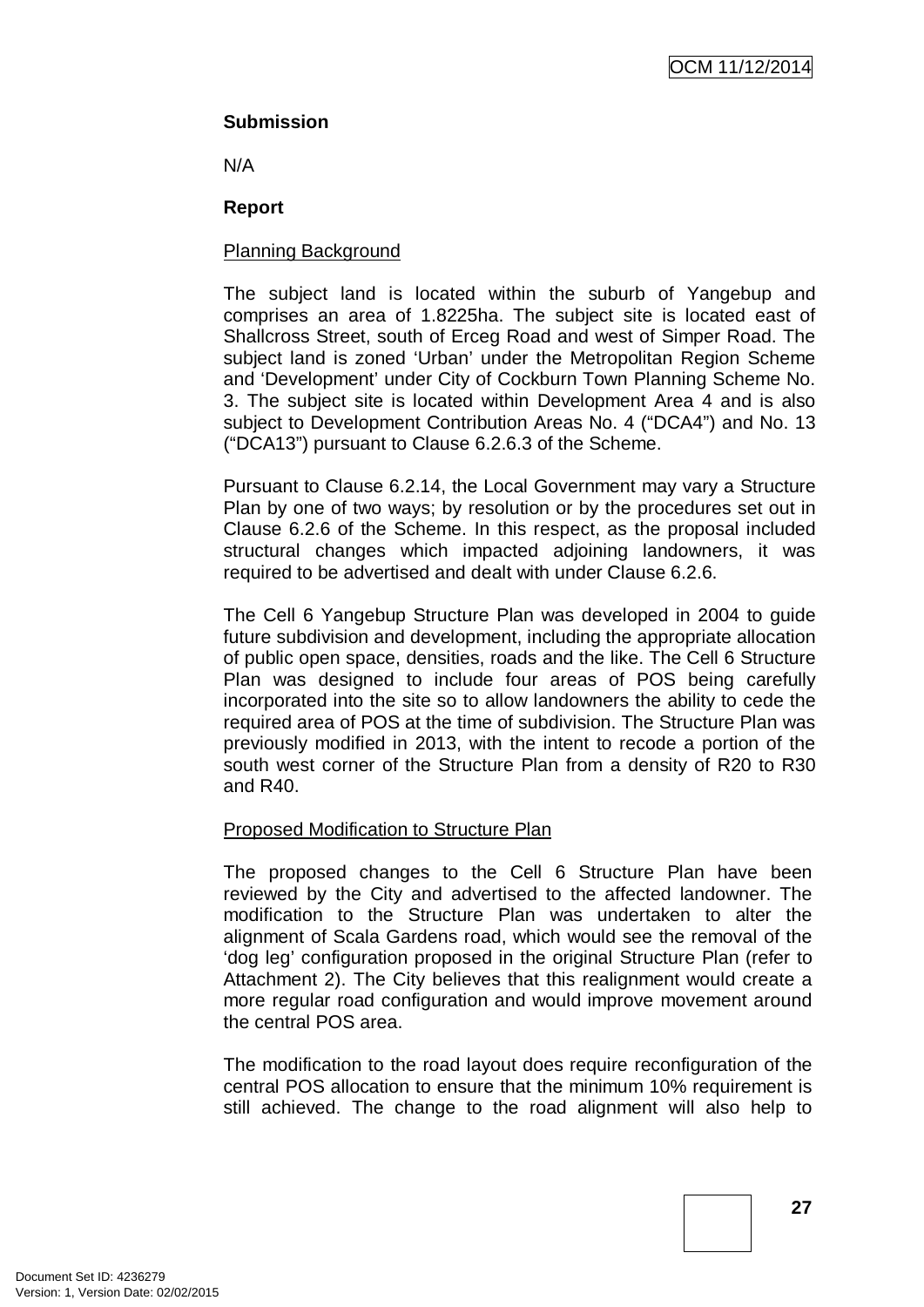#### **Submission**

N/A

#### **Report**

#### Planning Background

The subject land is located within the suburb of Yangebup and comprises an area of 1.8225ha. The subject site is located east of Shallcross Street, south of Erceg Road and west of Simper Road. The subject land is zoned 'Urban' under the Metropolitan Region Scheme and 'Development' under City of Cockburn Town Planning Scheme No. 3. The subject site is located within Development Area 4 and is also subject to Development Contribution Areas No. 4 ("DCA4") and No. 13 ("DCA13") pursuant to Clause 6.2.6.3 of the Scheme.

Pursuant to Clause 6.2.14, the Local Government may vary a Structure Plan by one of two ways; by resolution or by the procedures set out in Clause 6.2.6 of the Scheme. In this respect, as the proposal included structural changes which impacted adjoining landowners, it was required to be advertised and dealt with under Clause 6.2.6.

The Cell 6 Yangebup Structure Plan was developed in 2004 to guide future subdivision and development, including the appropriate allocation of public open space, densities, roads and the like. The Cell 6 Structure Plan was designed to include four areas of POS being carefully incorporated into the site so to allow landowners the ability to cede the required area of POS at the time of subdivision. The Structure Plan was previously modified in 2013, with the intent to recode a portion of the south west corner of the Structure Plan from a density of R20 to R30 and R40.

#### Proposed Modification to Structure Plan

The proposed changes to the Cell 6 Structure Plan have been reviewed by the City and advertised to the affected landowner. The modification to the Structure Plan was undertaken to alter the alignment of Scala Gardens road, which would see the removal of the 'dog leg' configuration proposed in the original Structure Plan (refer to Attachment 2). The City believes that this realignment would create a more regular road configuration and would improve movement around the central POS area.

The modification to the road layout does require reconfiguration of the central POS allocation to ensure that the minimum 10% requirement is still achieved. The change to the road alignment will also help to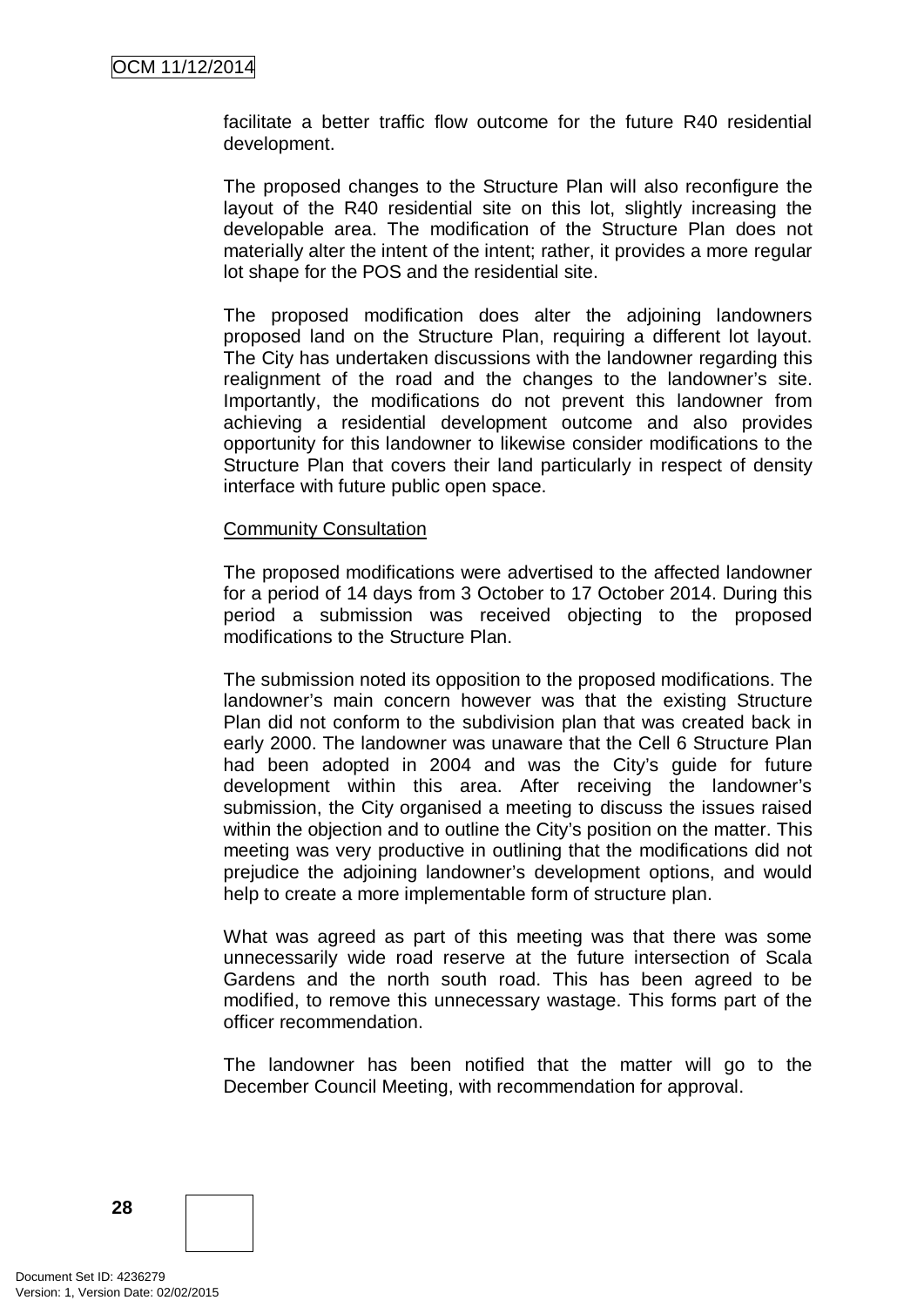facilitate a better traffic flow outcome for the future R40 residential development.

The proposed changes to the Structure Plan will also reconfigure the layout of the R40 residential site on this lot, slightly increasing the developable area. The modification of the Structure Plan does not materially alter the intent of the intent; rather, it provides a more regular lot shape for the POS and the residential site.

The proposed modification does alter the adjoining landowners proposed land on the Structure Plan, requiring a different lot layout. The City has undertaken discussions with the landowner regarding this realignment of the road and the changes to the landowner's site. Importantly, the modifications do not prevent this landowner from achieving a residential development outcome and also provides opportunity for this landowner to likewise consider modifications to the Structure Plan that covers their land particularly in respect of density interface with future public open space.

#### Community Consultation

The proposed modifications were advertised to the affected landowner for a period of 14 days from 3 October to 17 October 2014. During this period a submission was received objecting to the proposed modifications to the Structure Plan.

The submission noted its opposition to the proposed modifications. The landowner's main concern however was that the existing Structure Plan did not conform to the subdivision plan that was created back in early 2000. The landowner was unaware that the Cell 6 Structure Plan had been adopted in 2004 and was the City's guide for future development within this area. After receiving the landowner's submission, the City organised a meeting to discuss the issues raised within the objection and to outline the City's position on the matter. This meeting was very productive in outlining that the modifications did not prejudice the adjoining landowner's development options, and would help to create a more implementable form of structure plan.

What was agreed as part of this meeting was that there was some unnecessarily wide road reserve at the future intersection of Scala Gardens and the north south road. This has been agreed to be modified, to remove this unnecessary wastage. This forms part of the officer recommendation.

The landowner has been notified that the matter will go to the December Council Meeting, with recommendation for approval.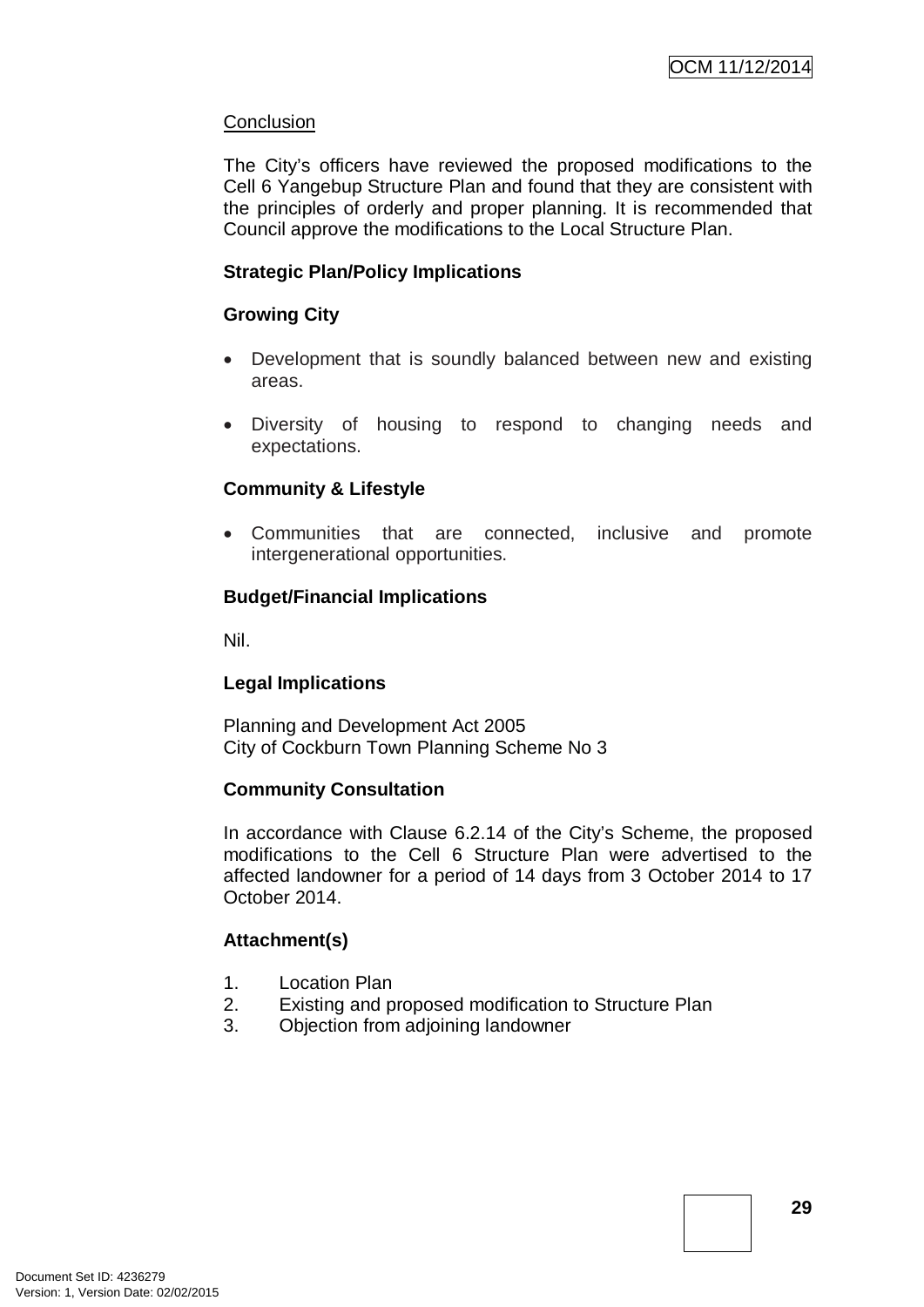#### **Conclusion**

The City's officers have reviewed the proposed modifications to the Cell 6 Yangebup Structure Plan and found that they are consistent with the principles of orderly and proper planning. It is recommended that Council approve the modifications to the Local Structure Plan.

#### **Strategic Plan/Policy Implications**

### **Growing City**

- Development that is soundly balanced between new and existing areas.
- Diversity of housing to respond to changing needs and expectations.

## **Community & Lifestyle**

• Communities that are connected, inclusive and promote intergenerational opportunities.

#### **Budget/Financial Implications**

Nil.

#### **Legal Implications**

Planning and Development Act 2005 City of Cockburn Town Planning Scheme No 3

#### **Community Consultation**

In accordance with Clause 6.2.14 of the City's Scheme, the proposed modifications to the Cell 6 Structure Plan were advertised to the affected landowner for a period of 14 days from 3 October 2014 to 17 October 2014.

#### **Attachment(s)**

- 1. Location Plan
- 2. Existing and proposed modification to Structure Plan
- 3. Objection from adjoining landowner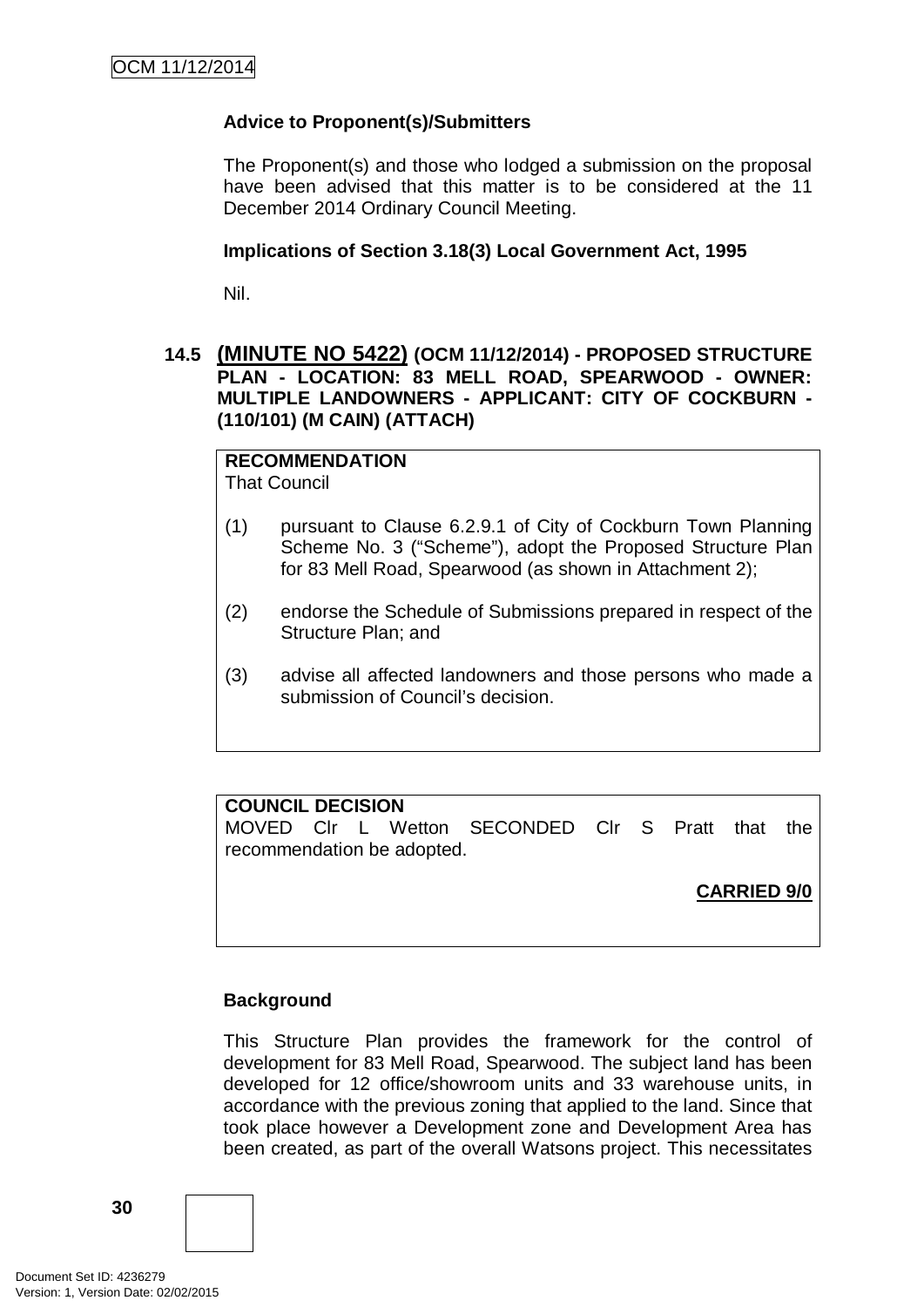### **Advice to Proponent(s)/Submitters**

The Proponent(s) and those who lodged a submission on the proposal have been advised that this matter is to be considered at the 11 December 2014 Ordinary Council Meeting.

#### **Implications of Section 3.18(3) Local Government Act, 1995**

Nil.

#### **14.5 (MINUTE NO 5422) (OCM 11/12/2014) - PROPOSED STRUCTURE PLAN - LOCATION: 83 MELL ROAD, SPEARWOOD - OWNER: MULTIPLE LANDOWNERS - APPLICANT: CITY OF COCKBURN - (110/101) (M CAIN) (ATTACH)**

#### **RECOMMENDATION** That Council

- (1) pursuant to Clause 6.2.9.1 of City of Cockburn Town Planning Scheme No. 3 ("Scheme"), adopt the Proposed Structure Plan for 83 Mell Road, Spearwood (as shown in Attachment 2);
- (2) endorse the Schedule of Submissions prepared in respect of the Structure Plan; and
- (3) advise all affected landowners and those persons who made a submission of Council's decision.

#### **COUNCIL DECISION**

MOVED Clr L Wetton SECONDED Clr S Pratt that the recommendation be adopted.

## **CARRIED 9/0**

## **Background**

This Structure Plan provides the framework for the control of development for 83 Mell Road, Spearwood. The subject land has been developed for 12 office/showroom units and 33 warehouse units, in accordance with the previous zoning that applied to the land. Since that took place however a Development zone and Development Area has been created, as part of the overall Watsons project. This necessitates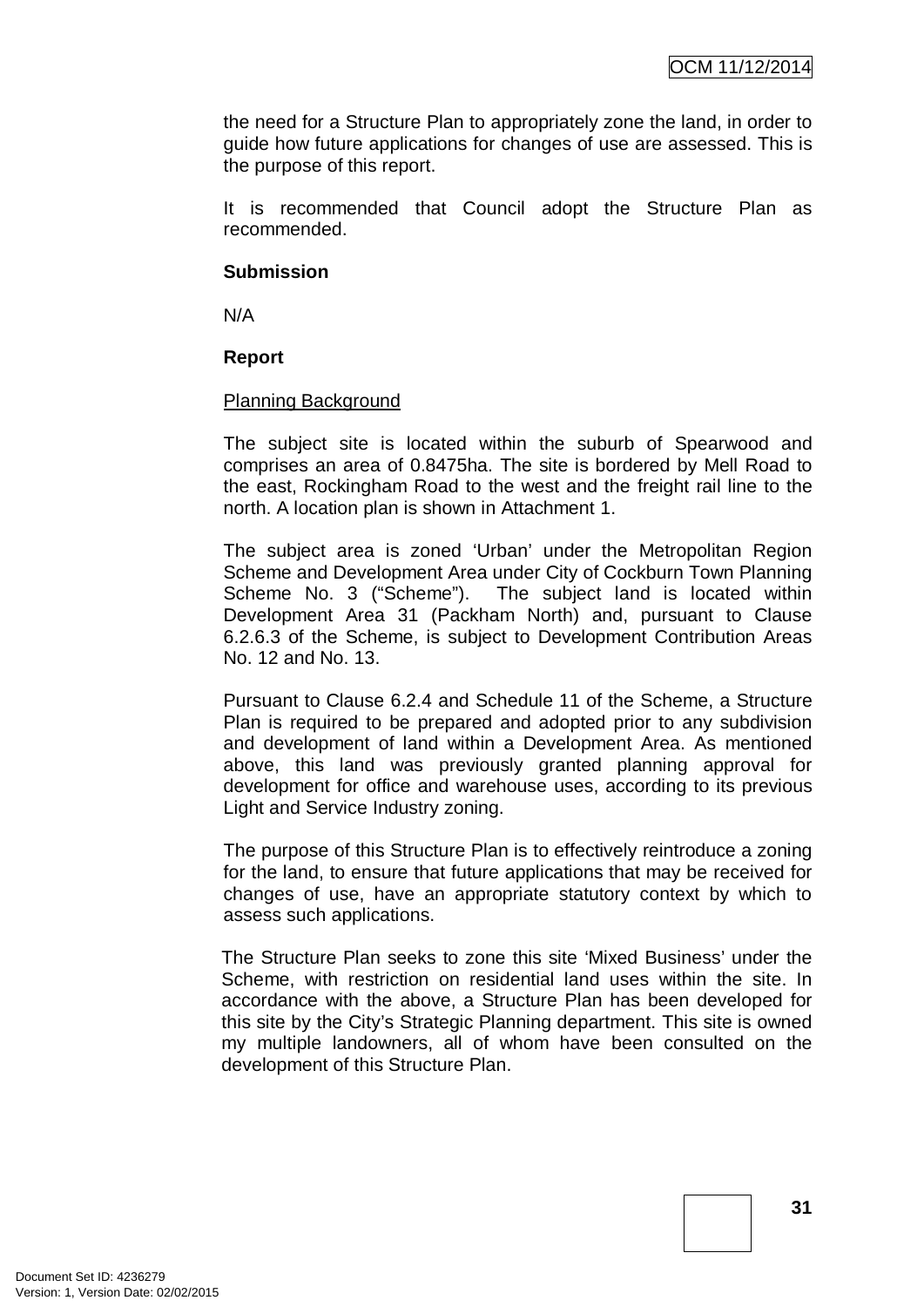the need for a Structure Plan to appropriately zone the land, in order to guide how future applications for changes of use are assessed. This is the purpose of this report.

It is recommended that Council adopt the Structure Plan as recommended.

#### **Submission**

N/A

#### **Report**

#### Planning Background

The subject site is located within the suburb of Spearwood and comprises an area of 0.8475ha. The site is bordered by Mell Road to the east, Rockingham Road to the west and the freight rail line to the north. A location plan is shown in Attachment 1.

The subject area is zoned 'Urban' under the Metropolitan Region Scheme and Development Area under City of Cockburn Town Planning Scheme No. 3 ("Scheme"). The subject land is located within Development Area 31 (Packham North) and, pursuant to Clause 6.2.6.3 of the Scheme, is subject to Development Contribution Areas No. 12 and No. 13.

Pursuant to Clause 6.2.4 and Schedule 11 of the Scheme, a Structure Plan is required to be prepared and adopted prior to any subdivision and development of land within a Development Area. As mentioned above, this land was previously granted planning approval for development for office and warehouse uses, according to its previous Light and Service Industry zoning.

The purpose of this Structure Plan is to effectively reintroduce a zoning for the land, to ensure that future applications that may be received for changes of use, have an appropriate statutory context by which to assess such applications.

The Structure Plan seeks to zone this site 'Mixed Business' under the Scheme, with restriction on residential land uses within the site. In accordance with the above, a Structure Plan has been developed for this site by the City's Strategic Planning department. This site is owned my multiple landowners, all of whom have been consulted on the development of this Structure Plan.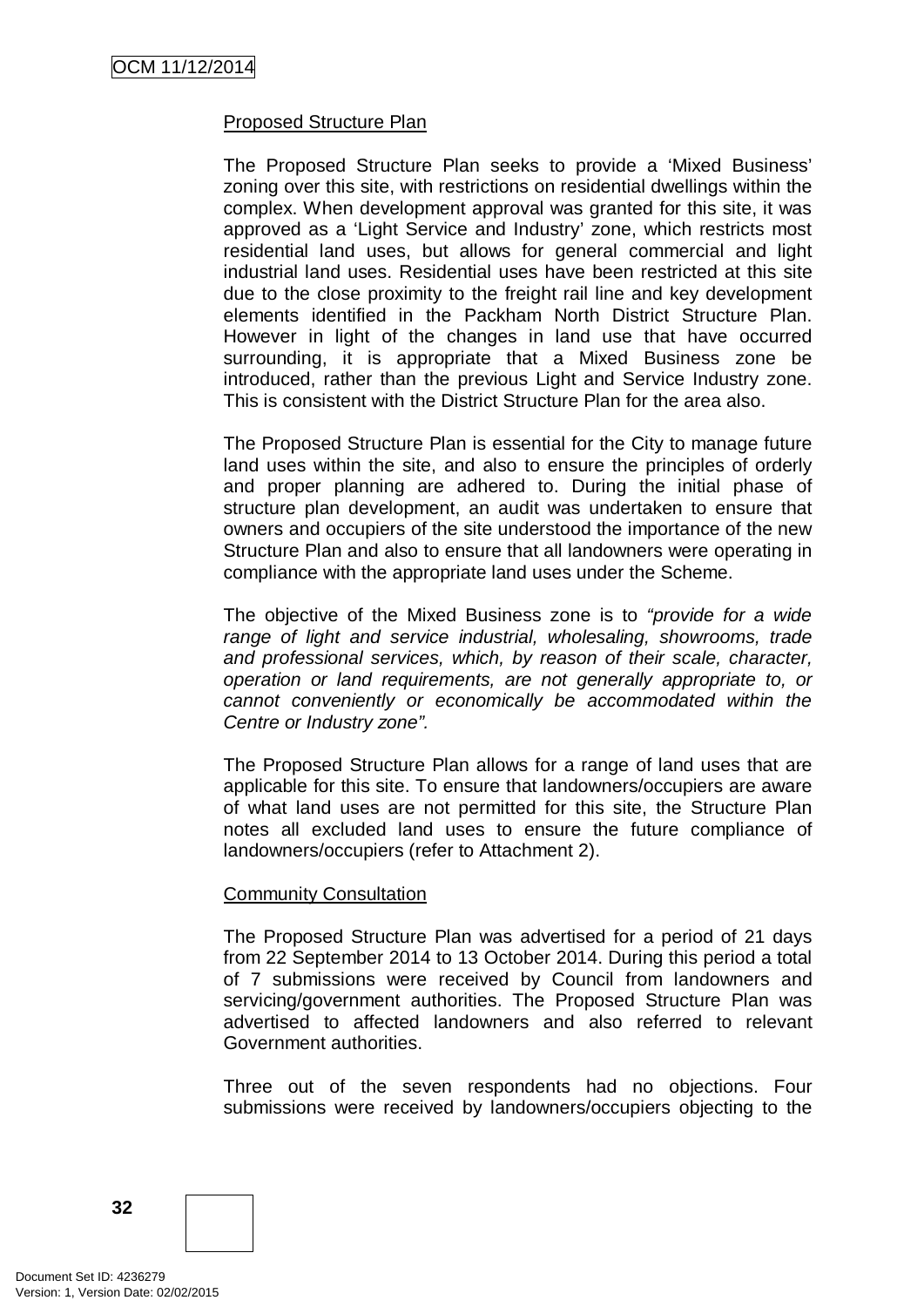#### Proposed Structure Plan

The Proposed Structure Plan seeks to provide a 'Mixed Business' zoning over this site, with restrictions on residential dwellings within the complex. When development approval was granted for this site, it was approved as a 'Light Service and Industry' zone, which restricts most residential land uses, but allows for general commercial and light industrial land uses. Residential uses have been restricted at this site due to the close proximity to the freight rail line and key development elements identified in the Packham North District Structure Plan. However in light of the changes in land use that have occurred surrounding, it is appropriate that a Mixed Business zone be introduced, rather than the previous Light and Service Industry zone. This is consistent with the District Structure Plan for the area also.

The Proposed Structure Plan is essential for the City to manage future land uses within the site, and also to ensure the principles of orderly and proper planning are adhered to. During the initial phase of structure plan development, an audit was undertaken to ensure that owners and occupiers of the site understood the importance of the new Structure Plan and also to ensure that all landowners were operating in compliance with the appropriate land uses under the Scheme.

The objective of the Mixed Business zone is to *"provide for a wide range of light and service industrial, wholesaling, showrooms, trade and professional services, which, by reason of their scale, character, operation or land requirements, are not generally appropriate to, or cannot conveniently or economically be accommodated within the Centre or Industry zone".*

The Proposed Structure Plan allows for a range of land uses that are applicable for this site. To ensure that landowners/occupiers are aware of what land uses are not permitted for this site, the Structure Plan notes all excluded land uses to ensure the future compliance of landowners/occupiers (refer to Attachment 2).

#### Community Consultation

The Proposed Structure Plan was advertised for a period of 21 days from 22 September 2014 to 13 October 2014. During this period a total of 7 submissions were received by Council from landowners and servicing/government authorities. The Proposed Structure Plan was advertised to affected landowners and also referred to relevant Government authorities.

Three out of the seven respondents had no objections. Four submissions were received by landowners/occupiers objecting to the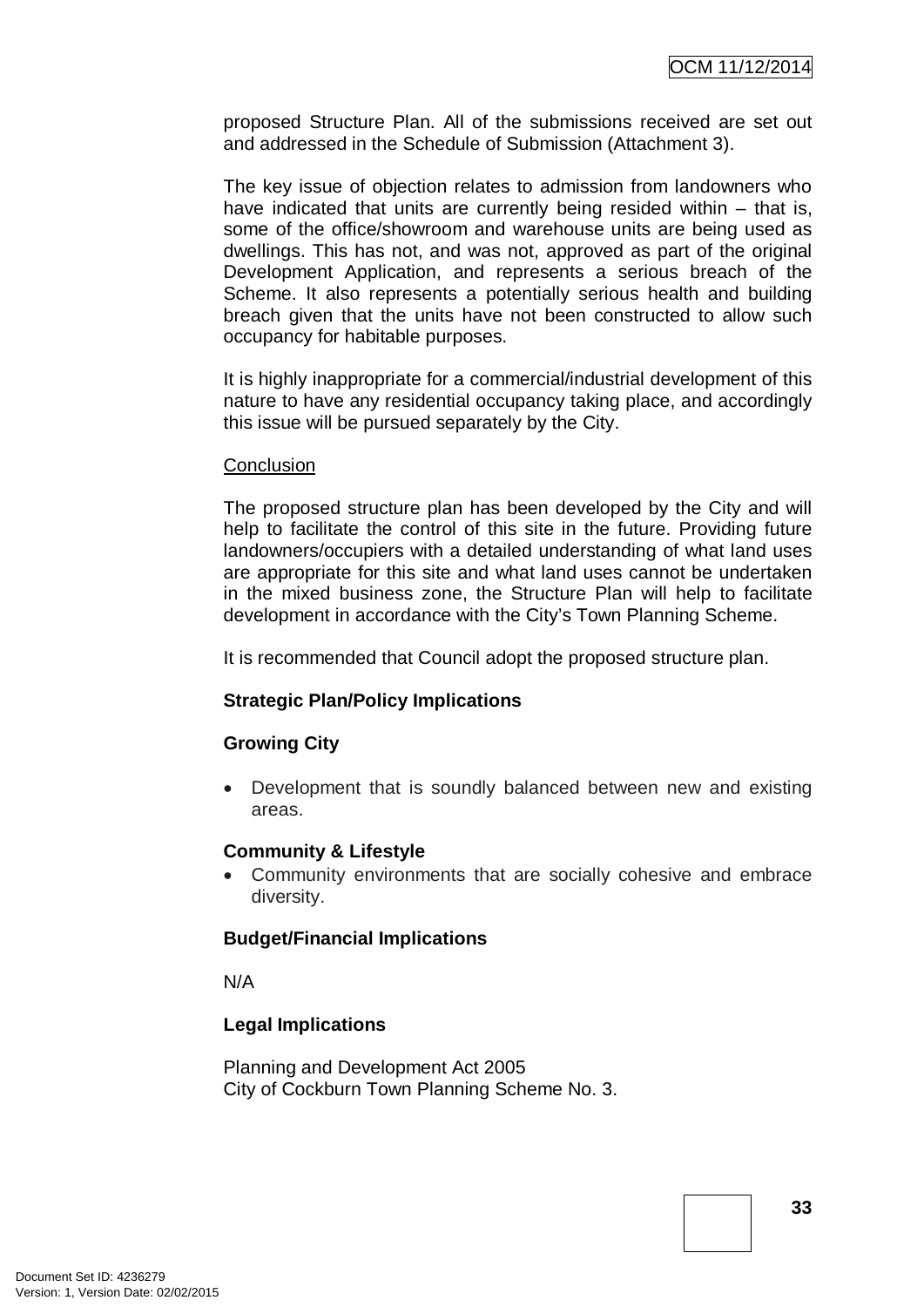proposed Structure Plan. All of the submissions received are set out and addressed in the Schedule of Submission (Attachment 3).

The key issue of objection relates to admission from landowners who have indicated that units are currently being resided within – that is, some of the office/showroom and warehouse units are being used as dwellings. This has not, and was not, approved as part of the original Development Application, and represents a serious breach of the Scheme. It also represents a potentially serious health and building breach given that the units have not been constructed to allow such occupancy for habitable purposes.

It is highly inappropriate for a commercial/industrial development of this nature to have any residential occupancy taking place, and accordingly this issue will be pursued separately by the City.

#### **Conclusion**

The proposed structure plan has been developed by the City and will help to facilitate the control of this site in the future. Providing future landowners/occupiers with a detailed understanding of what land uses are appropriate for this site and what land uses cannot be undertaken in the mixed business zone, the Structure Plan will help to facilitate development in accordance with the City's Town Planning Scheme.

It is recommended that Council adopt the proposed structure plan.

#### **Strategic Plan/Policy Implications**

#### **Growing City**

• Development that is soundly balanced between new and existing areas.

#### **Community & Lifestyle**

• Community environments that are socially cohesive and embrace diversity.

#### **Budget/Financial Implications**

N/A

#### **Legal Implications**

Planning and Development Act 2005 City of Cockburn Town Planning Scheme No. 3.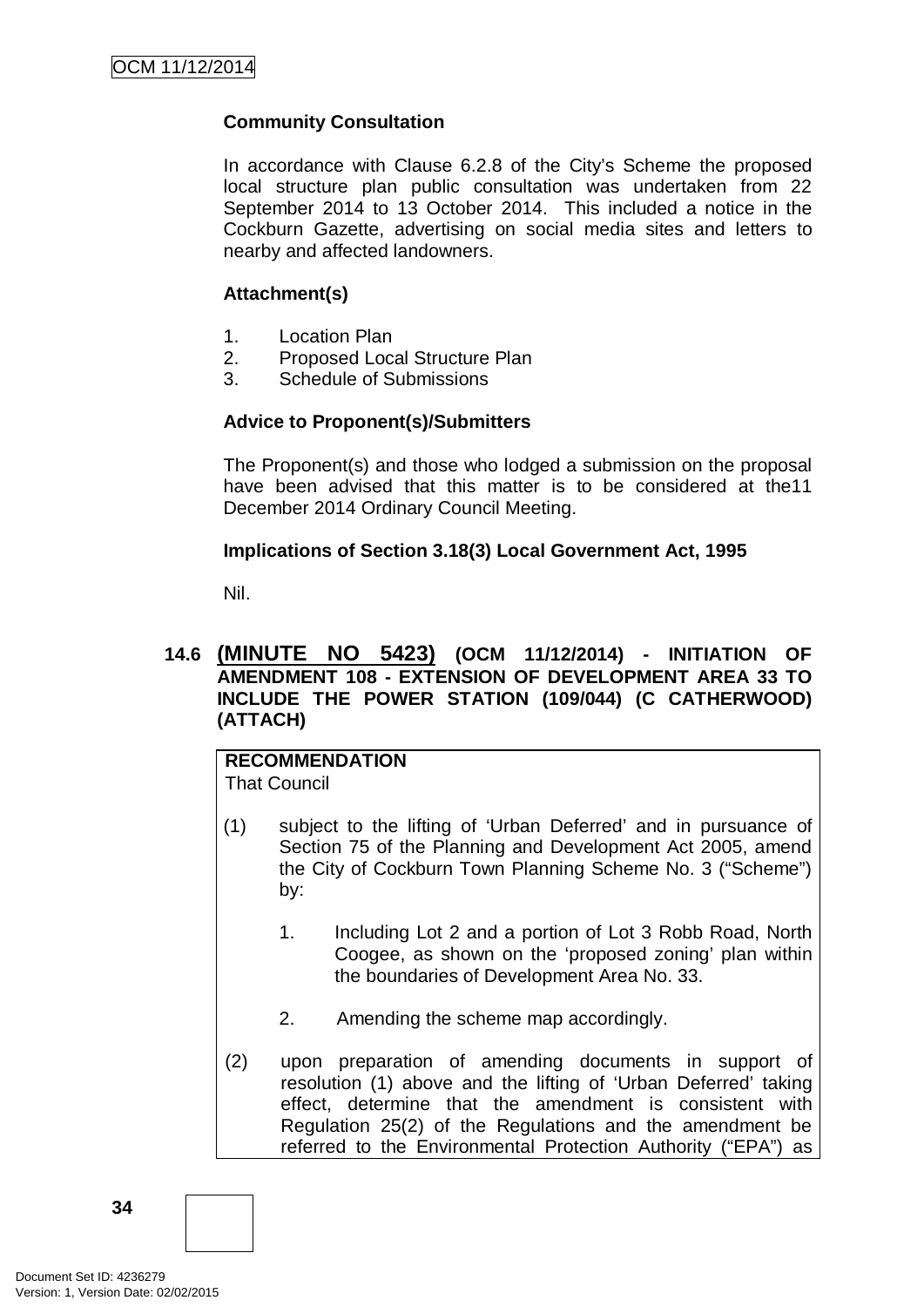# **Community Consultation**

In accordance with Clause 6.2.8 of the City's Scheme the proposed local structure plan public consultation was undertaken from 22 September 2014 to 13 October 2014. This included a notice in the Cockburn Gazette, advertising on social media sites and letters to nearby and affected landowners.

## **Attachment(s)**

- 1. Location Plan
- 2. Proposed Local Structure Plan
- 3. Schedule of Submissions

## **Advice to Proponent(s)/Submitters**

The Proponent(s) and those who lodged a submission on the proposal have been advised that this matter is to be considered at the11 December 2014 Ordinary Council Meeting.

## **Implications of Section 3.18(3) Local Government Act, 1995**

Nil.

## **14.6 (MINUTE NO 5423) (OCM 11/12/2014) - INITIATION OF AMENDMENT 108 - EXTENSION OF DEVELOPMENT AREA 33 TO INCLUDE THE POWER STATION (109/044) (C CATHERWOOD) (ATTACH)**

# **RECOMMENDATION**

That Council

- (1) subject to the lifting of 'Urban Deferred' and in pursuance of Section 75 of the Planning and Development Act 2005, amend the City of Cockburn Town Planning Scheme No. 3 ("Scheme") by:
	- 1. Including Lot 2 and a portion of Lot 3 Robb Road, North Coogee, as shown on the 'proposed zoning' plan within the boundaries of Development Area No. 33.
	- 2. Amending the scheme map accordingly.
- (2) upon preparation of amending documents in support of resolution (1) above and the lifting of 'Urban Deferred' taking effect, determine that the amendment is consistent with Regulation 25(2) of the Regulations and the amendment be referred to the Environmental Protection Authority ("EPA") as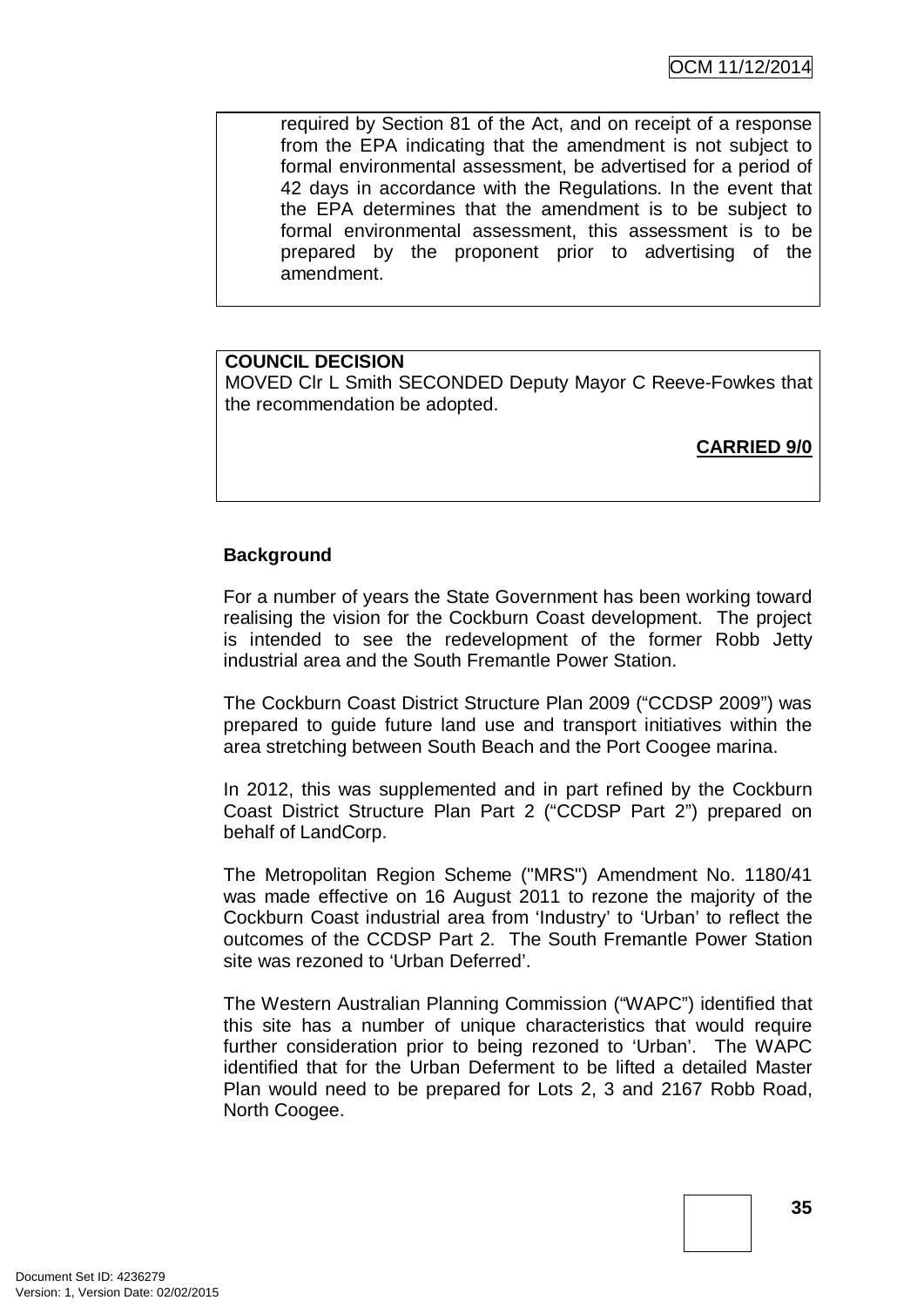required by Section 81 of the Act, and on receipt of a response from the EPA indicating that the amendment is not subject to formal environmental assessment, be advertised for a period of 42 days in accordance with the Regulations. In the event that the EPA determines that the amendment is to be subject to formal environmental assessment, this assessment is to be prepared by the proponent prior to advertising of the amendment.

#### **COUNCIL DECISION**

MOVED Clr L Smith SECONDED Deputy Mayor C Reeve-Fowkes that the recommendation be adopted.

**CARRIED 9/0**

## **Background**

For a number of years the State Government has been working toward realising the vision for the Cockburn Coast development. The project is intended to see the redevelopment of the former Robb Jetty industrial area and the South Fremantle Power Station.

The Cockburn Coast District Structure Plan 2009 ("CCDSP 2009") was prepared to guide future land use and transport initiatives within the area stretching between South Beach and the Port Coogee marina.

In 2012, this was supplemented and in part refined by the Cockburn Coast District Structure Plan Part 2 ("CCDSP Part 2") prepared on behalf of LandCorp.

The Metropolitan Region Scheme ("MRS") Amendment No. 1180/41 was made effective on 16 August 2011 to rezone the majority of the Cockburn Coast industrial area from 'Industry' to 'Urban' to reflect the outcomes of the CCDSP Part 2. The South Fremantle Power Station site was rezoned to 'Urban Deferred'.

The Western Australian Planning Commission ("WAPC") identified that this site has a number of unique characteristics that would require further consideration prior to being rezoned to 'Urban'. The WAPC identified that for the Urban Deferment to be lifted a detailed Master Plan would need to be prepared for Lots 2, 3 and 2167 Robb Road, North Coogee.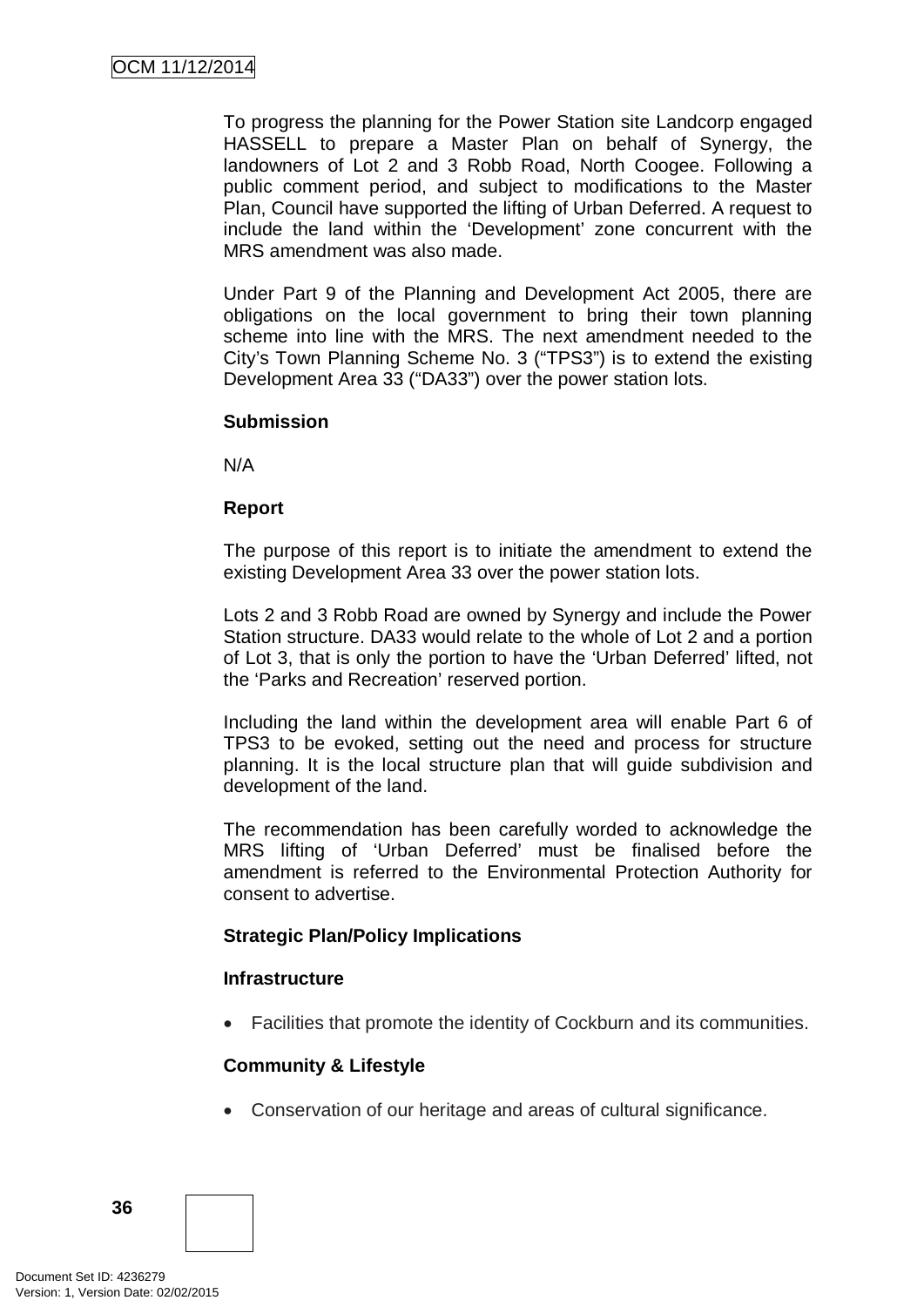To progress the planning for the Power Station site Landcorp engaged HASSELL to prepare a Master Plan on behalf of Synergy, the landowners of Lot 2 and 3 Robb Road, North Coogee. Following a public comment period, and subject to modifications to the Master Plan, Council have supported the lifting of Urban Deferred. A request to include the land within the 'Development' zone concurrent with the MRS amendment was also made.

Under Part 9 of the Planning and Development Act 2005, there are obligations on the local government to bring their town planning scheme into line with the MRS. The next amendment needed to the City's Town Planning Scheme No. 3 ("TPS3") is to extend the existing Development Area 33 ("DA33") over the power station lots.

## **Submission**

N/A

#### **Report**

The purpose of this report is to initiate the amendment to extend the existing Development Area 33 over the power station lots.

Lots 2 and 3 Robb Road are owned by Synergy and include the Power Station structure. DA33 would relate to the whole of Lot 2 and a portion of Lot 3, that is only the portion to have the 'Urban Deferred' lifted, not the 'Parks and Recreation' reserved portion.

Including the land within the development area will enable Part 6 of TPS3 to be evoked, setting out the need and process for structure planning. It is the local structure plan that will guide subdivision and development of the land.

The recommendation has been carefully worded to acknowledge the MRS lifting of 'Urban Deferred' must be finalised before the amendment is referred to the Environmental Protection Authority for consent to advertise.

#### **Strategic Plan/Policy Implications**

#### **Infrastructure**

• Facilities that promote the identity of Cockburn and its communities.

# **Community & Lifestyle**

• Conservation of our heritage and areas of cultural significance.

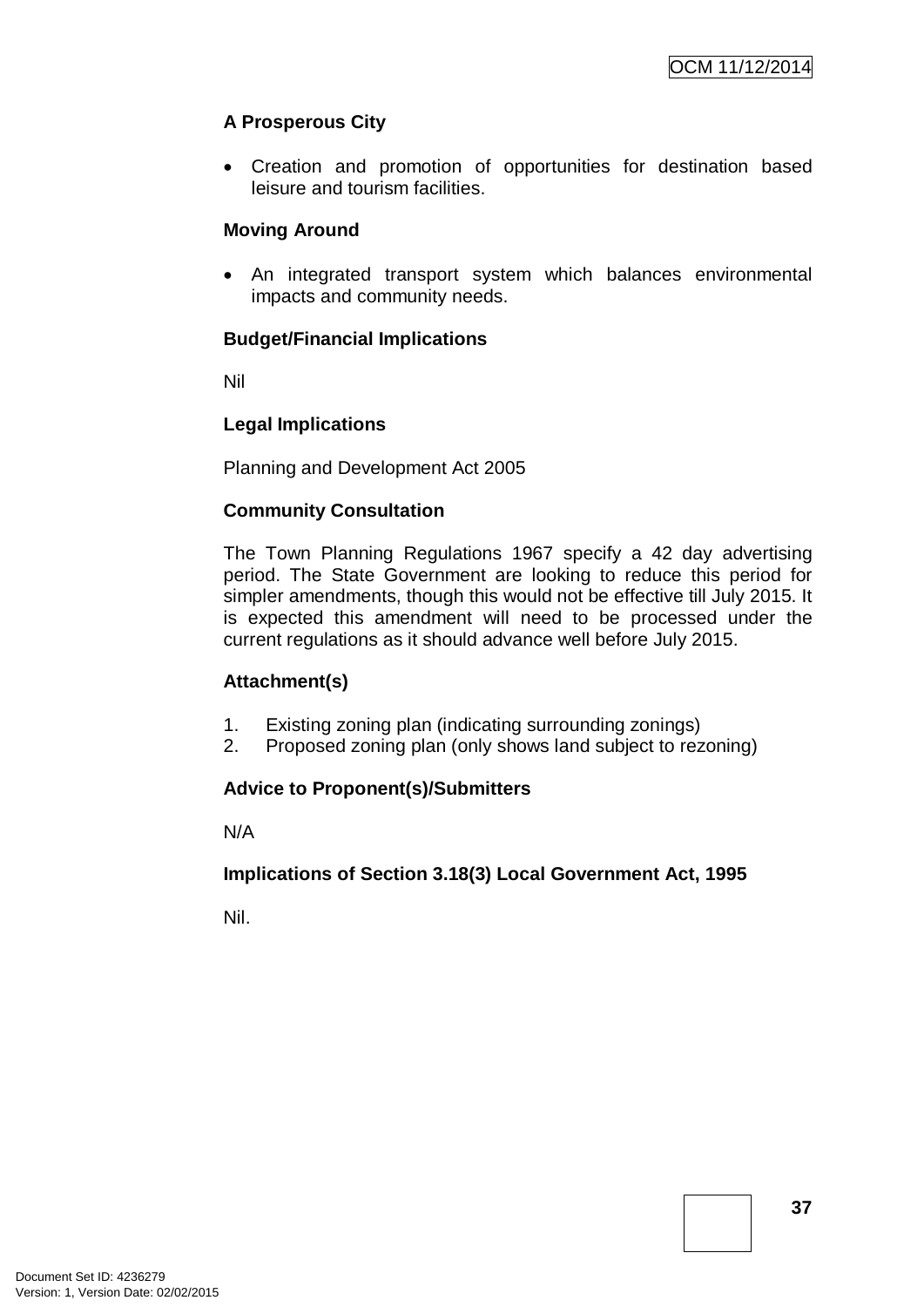# **A Prosperous City**

• Creation and promotion of opportunities for destination based leisure and tourism facilities.

# **Moving Around**

• An integrated transport system which balances environmental impacts and community needs.

## **Budget/Financial Implications**

Nil

## **Legal Implications**

Planning and Development Act 2005

## **Community Consultation**

The Town Planning Regulations 1967 specify a 42 day advertising period. The State Government are looking to reduce this period for simpler amendments, though this would not be effective till July 2015. It is expected this amendment will need to be processed under the current regulations as it should advance well before July 2015.

#### **Attachment(s)**

- 1. Existing zoning plan (indicating surrounding zonings)
- 2. Proposed zoning plan (only shows land subject to rezoning)

#### **Advice to Proponent(s)/Submitters**

N/A

**Implications of Section 3.18(3) Local Government Act, 1995**

Nil.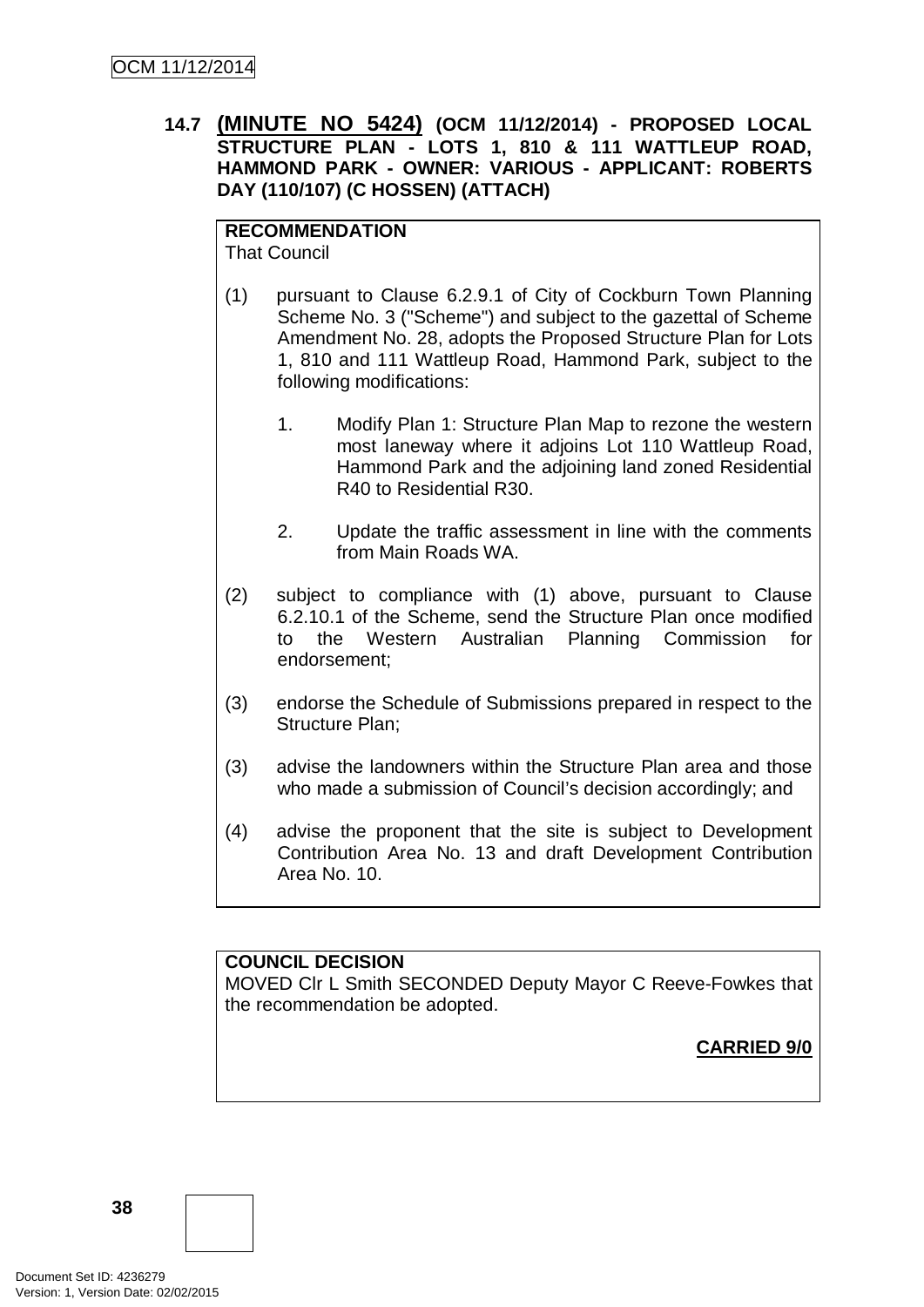**14.7 (MINUTE NO 5424) (OCM 11/12/2014) - PROPOSED LOCAL STRUCTURE PLAN - LOTS 1, 810 & 111 WATTLEUP ROAD, HAMMOND PARK - OWNER: VARIOUS - APPLICANT: ROBERTS DAY (110/107) (C HOSSEN) (ATTACH)**

# **RECOMMENDATION**

That Council

- (1) pursuant to Clause 6.2.9.1 of City of Cockburn Town Planning Scheme No. 3 ("Scheme") and subject to the gazettal of Scheme Amendment No. 28, adopts the Proposed Structure Plan for Lots 1, 810 and 111 Wattleup Road, Hammond Park, subject to the following modifications:
	- 1. Modify Plan 1: Structure Plan Map to rezone the western most laneway where it adjoins Lot 110 Wattleup Road, Hammond Park and the adjoining land zoned Residential R40 to Residential R30.
	- 2. Update the traffic assessment in line with the comments from Main Roads WA.
- (2) subject to compliance with (1) above, pursuant to Clause 6.2.10.1 of the Scheme, send the Structure Plan once modified to the Western Australian Planning Commission for endorsement;
- (3) endorse the Schedule of Submissions prepared in respect to the Structure Plan;
- (3) advise the landowners within the Structure Plan area and those who made a submission of Council's decision accordingly; and
- (4) advise the proponent that the site is subject to Development Contribution Area No. 13 and draft Development Contribution Area No. 10.

#### **COUNCIL DECISION**

MOVED Clr L Smith SECONDED Deputy Mayor C Reeve-Fowkes that the recommendation be adopted.

**CARRIED 9/0**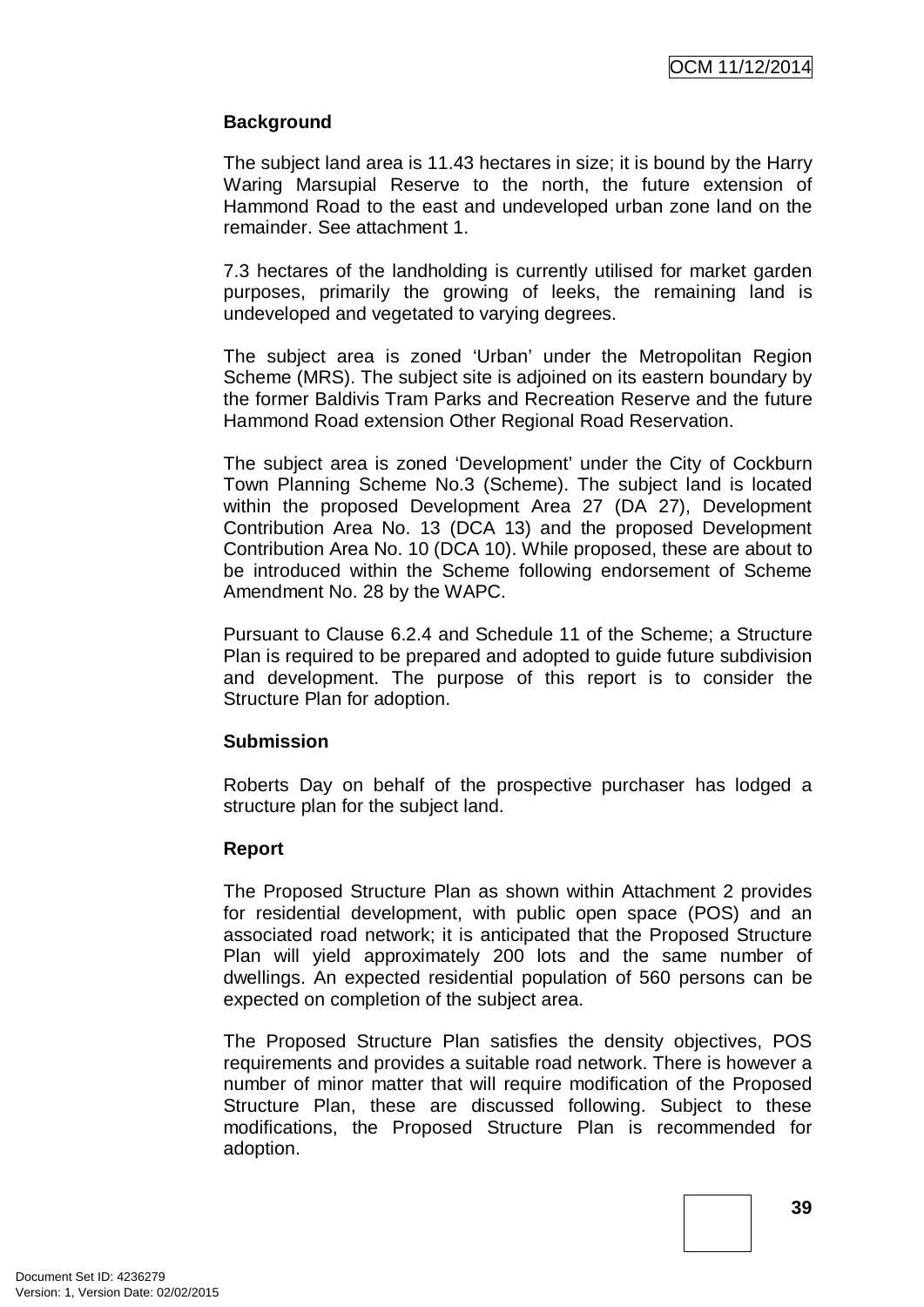# **Background**

The subject land area is 11.43 hectares in size; it is bound by the Harry Waring Marsupial Reserve to the north, the future extension of Hammond Road to the east and undeveloped urban zone land on the remainder. See attachment 1.

7.3 hectares of the landholding is currently utilised for market garden purposes, primarily the growing of leeks, the remaining land is undeveloped and vegetated to varying degrees.

The subject area is zoned 'Urban' under the Metropolitan Region Scheme (MRS). The subject site is adjoined on its eastern boundary by the former Baldivis Tram Parks and Recreation Reserve and the future Hammond Road extension Other Regional Road Reservation.

The subject area is zoned 'Development' under the City of Cockburn Town Planning Scheme No.3 (Scheme). The subject land is located within the proposed Development Area 27 (DA 27), Development Contribution Area No. 13 (DCA 13) and the proposed Development Contribution Area No. 10 (DCA 10). While proposed, these are about to be introduced within the Scheme following endorsement of Scheme Amendment No. 28 by the WAPC.

Pursuant to Clause 6.2.4 and Schedule 11 of the Scheme; a Structure Plan is required to be prepared and adopted to guide future subdivision and development. The purpose of this report is to consider the Structure Plan for adoption.

#### **Submission**

Roberts Day on behalf of the prospective purchaser has lodged a structure plan for the subject land.

#### **Report**

The Proposed Structure Plan as shown within Attachment 2 provides for residential development, with public open space (POS) and an associated road network; it is anticipated that the Proposed Structure Plan will yield approximately 200 lots and the same number of dwellings. An expected residential population of 560 persons can be expected on completion of the subject area.

The Proposed Structure Plan satisfies the density objectives, POS requirements and provides a suitable road network. There is however a number of minor matter that will require modification of the Proposed Structure Plan, these are discussed following. Subject to these modifications, the Proposed Structure Plan is recommended for adoption.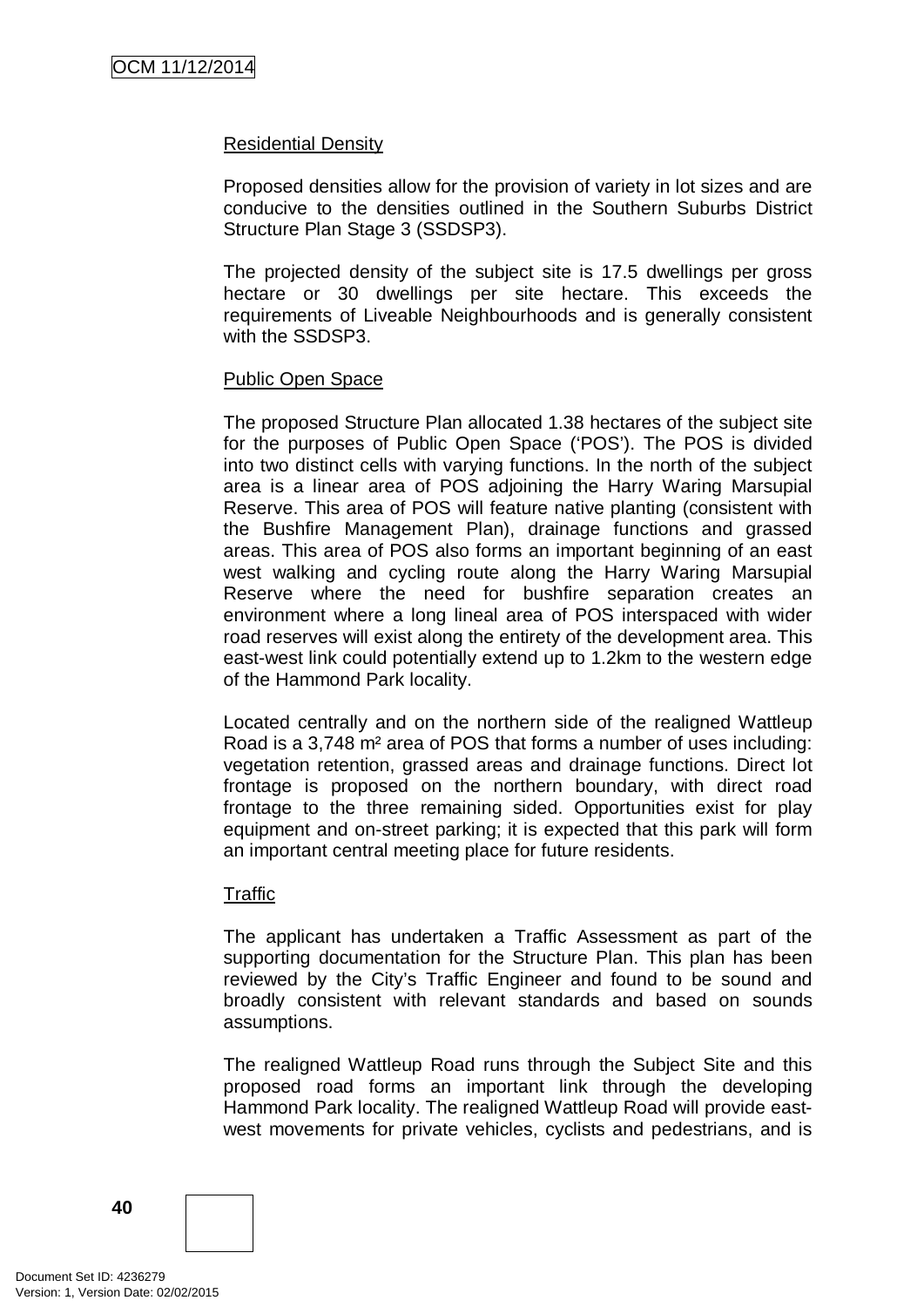#### Residential Density

Proposed densities allow for the provision of variety in lot sizes and are conducive to the densities outlined in the Southern Suburbs District Structure Plan Stage 3 (SSDSP3).

The projected density of the subject site is 17.5 dwellings per gross hectare or 30 dwellings per site hectare. This exceeds the requirements of Liveable Neighbourhoods and is generally consistent with the SSDSP3.

#### Public Open Space

The proposed Structure Plan allocated 1.38 hectares of the subject site for the purposes of Public Open Space ('POS'). The POS is divided into two distinct cells with varying functions. In the north of the subject area is a linear area of POS adjoining the Harry Waring Marsupial Reserve. This area of POS will feature native planting (consistent with the Bushfire Management Plan), drainage functions and grassed areas. This area of POS also forms an important beginning of an east west walking and cycling route along the Harry Waring Marsupial Reserve where the need for bushfire separation creates an environment where a long lineal area of POS interspaced with wider road reserves will exist along the entirety of the development area. This east-west link could potentially extend up to 1.2km to the western edge of the Hammond Park locality.

Located centrally and on the northern side of the realigned Wattleup Road is a 3,748 m² area of POS that forms a number of uses including: vegetation retention, grassed areas and drainage functions. Direct lot frontage is proposed on the northern boundary, with direct road frontage to the three remaining sided. Opportunities exist for play equipment and on-street parking; it is expected that this park will form an important central meeting place for future residents.

#### **Traffic**

The applicant has undertaken a Traffic Assessment as part of the supporting documentation for the Structure Plan. This plan has been reviewed by the City's Traffic Engineer and found to be sound and broadly consistent with relevant standards and based on sounds assumptions.

The realigned Wattleup Road runs through the Subject Site and this proposed road forms an important link through the developing Hammond Park locality. The realigned Wattleup Road will provide eastwest movements for private vehicles, cyclists and pedestrians, and is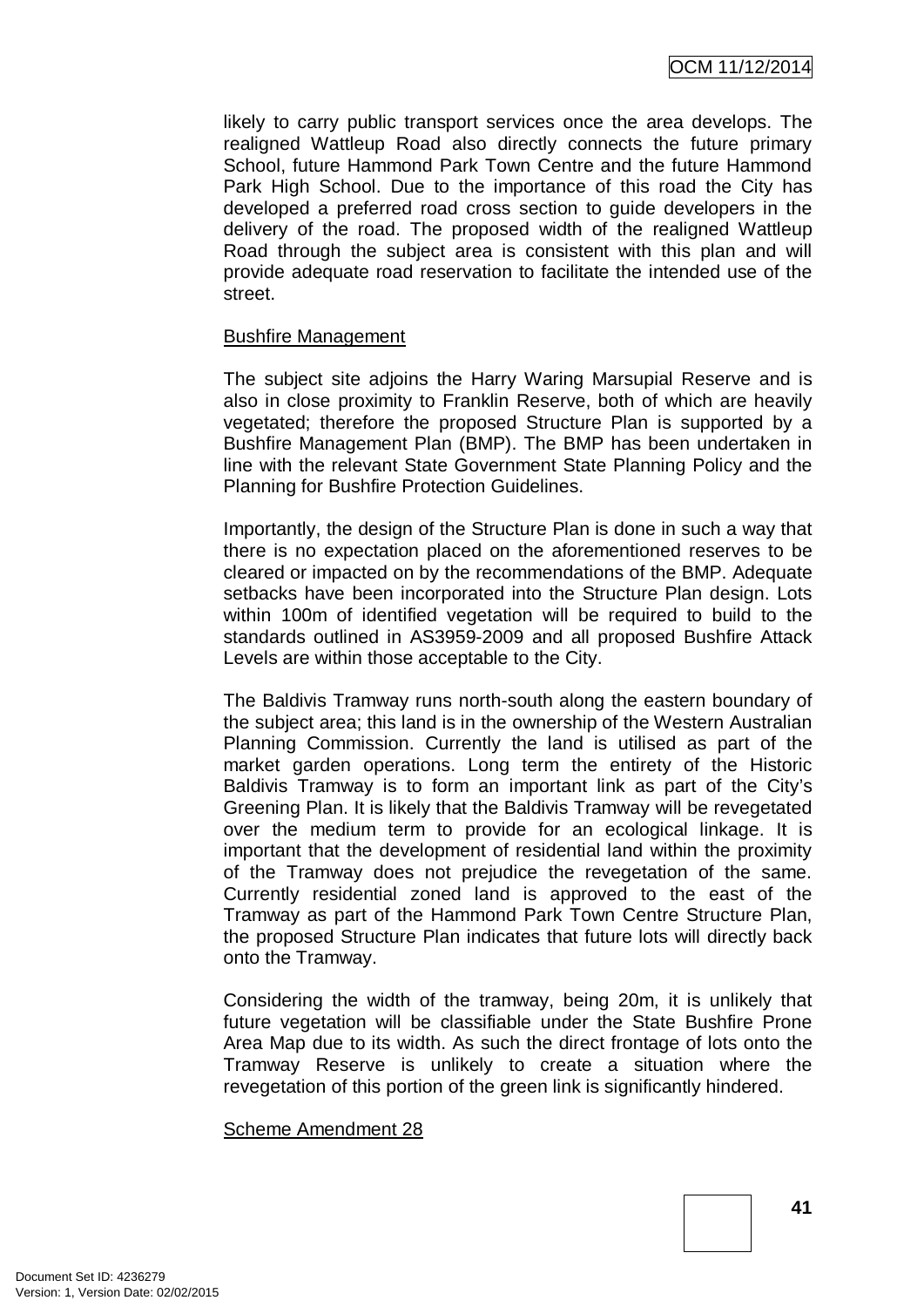likely to carry public transport services once the area develops. The realigned Wattleup Road also directly connects the future primary School, future Hammond Park Town Centre and the future Hammond Park High School. Due to the importance of this road the City has developed a preferred road cross section to guide developers in the delivery of the road. The proposed width of the realigned Wattleup Road through the subject area is consistent with this plan and will provide adequate road reservation to facilitate the intended use of the street.

#### Bushfire Management

The subject site adjoins the Harry Waring Marsupial Reserve and is also in close proximity to Franklin Reserve, both of which are heavily vegetated; therefore the proposed Structure Plan is supported by a Bushfire Management Plan (BMP). The BMP has been undertaken in line with the relevant State Government State Planning Policy and the Planning for Bushfire Protection Guidelines.

Importantly, the design of the Structure Plan is done in such a way that there is no expectation placed on the aforementioned reserves to be cleared or impacted on by the recommendations of the BMP. Adequate setbacks have been incorporated into the Structure Plan design. Lots within 100m of identified vegetation will be required to build to the standards outlined in AS3959-2009 and all proposed Bushfire Attack Levels are within those acceptable to the City.

The Baldivis Tramway runs north-south along the eastern boundary of the subject area; this land is in the ownership of the Western Australian Planning Commission. Currently the land is utilised as part of the market garden operations. Long term the entirety of the Historic Baldivis Tramway is to form an important link as part of the City's Greening Plan. It is likely that the Baldivis Tramway will be revegetated over the medium term to provide for an ecological linkage. It is important that the development of residential land within the proximity of the Tramway does not prejudice the revegetation of the same. Currently residential zoned land is approved to the east of the Tramway as part of the Hammond Park Town Centre Structure Plan, the proposed Structure Plan indicates that future lots will directly back onto the Tramway.

Considering the width of the tramway, being 20m, it is unlikely that future vegetation will be classifiable under the State Bushfire Prone Area Map due to its width. As such the direct frontage of lots onto the Tramway Reserve is unlikely to create a situation where the revegetation of this portion of the green link is significantly hindered.

Scheme Amendment 28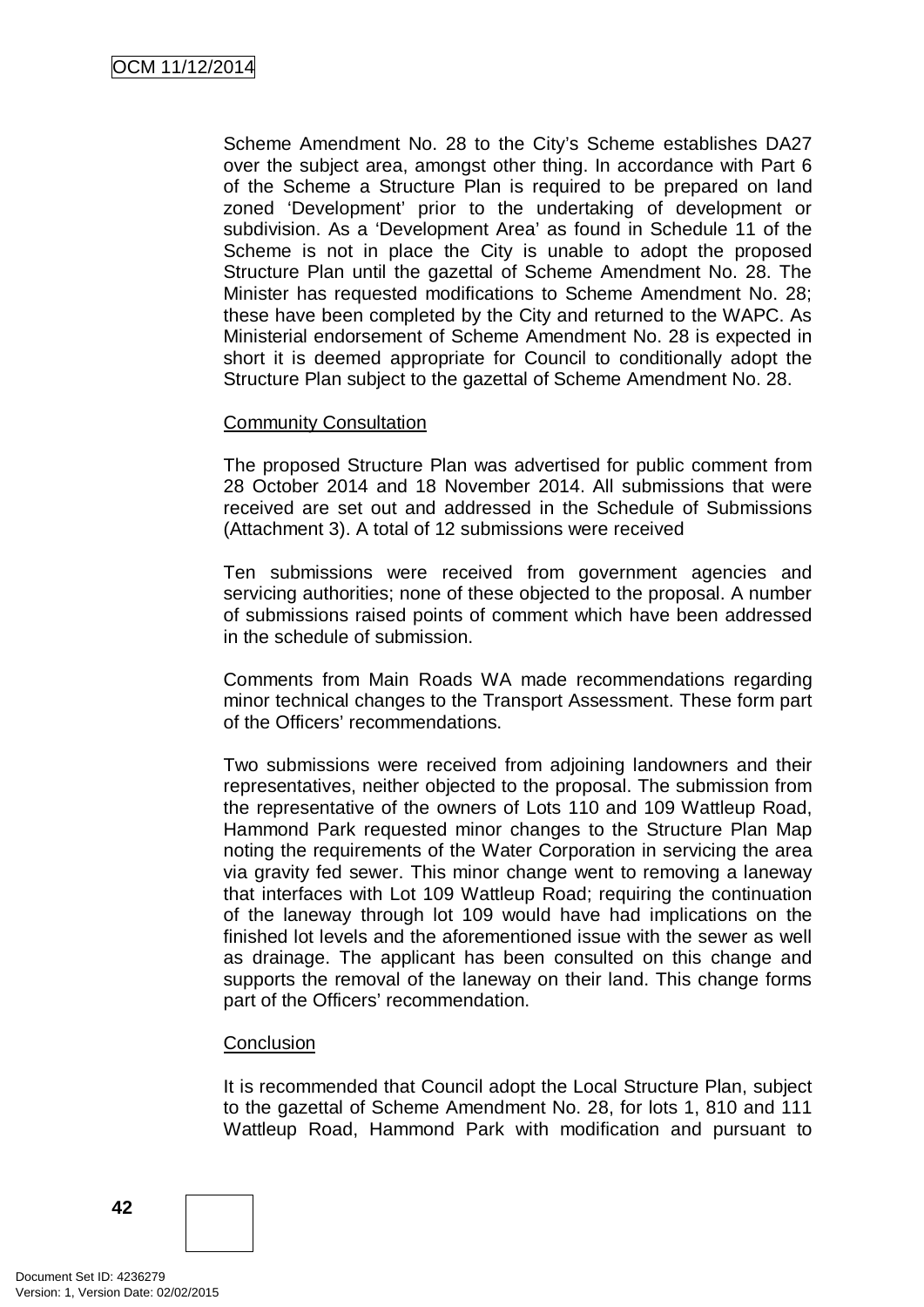Scheme Amendment No. 28 to the City's Scheme establishes DA27 over the subject area, amongst other thing. In accordance with Part 6 of the Scheme a Structure Plan is required to be prepared on land zoned 'Development' prior to the undertaking of development or subdivision. As a 'Development Area' as found in Schedule 11 of the Scheme is not in place the City is unable to adopt the proposed Structure Plan until the gazettal of Scheme Amendment No. 28. The Minister has requested modifications to Scheme Amendment No. 28; these have been completed by the City and returned to the WAPC. As Ministerial endorsement of Scheme Amendment No. 28 is expected in short it is deemed appropriate for Council to conditionally adopt the Structure Plan subject to the gazettal of Scheme Amendment No. 28.

#### Community Consultation

The proposed Structure Plan was advertised for public comment from 28 October 2014 and 18 November 2014. All submissions that were received are set out and addressed in the Schedule of Submissions (Attachment 3). A total of 12 submissions were received

Ten submissions were received from government agencies and servicing authorities; none of these objected to the proposal. A number of submissions raised points of comment which have been addressed in the schedule of submission.

Comments from Main Roads WA made recommendations regarding minor technical changes to the Transport Assessment. These form part of the Officers' recommendations.

Two submissions were received from adjoining landowners and their representatives, neither objected to the proposal. The submission from the representative of the owners of Lots 110 and 109 Wattleup Road, Hammond Park requested minor changes to the Structure Plan Map noting the requirements of the Water Corporation in servicing the area via gravity fed sewer. This minor change went to removing a laneway that interfaces with Lot 109 Wattleup Road; requiring the continuation of the laneway through lot 109 would have had implications on the finished lot levels and the aforementioned issue with the sewer as well as drainage. The applicant has been consulted on this change and supports the removal of the laneway on their land. This change forms part of the Officers' recommendation.

#### **Conclusion**

It is recommended that Council adopt the Local Structure Plan, subject to the gazettal of Scheme Amendment No. 28, for lots 1, 810 and 111 Wattleup Road, Hammond Park with modification and pursuant to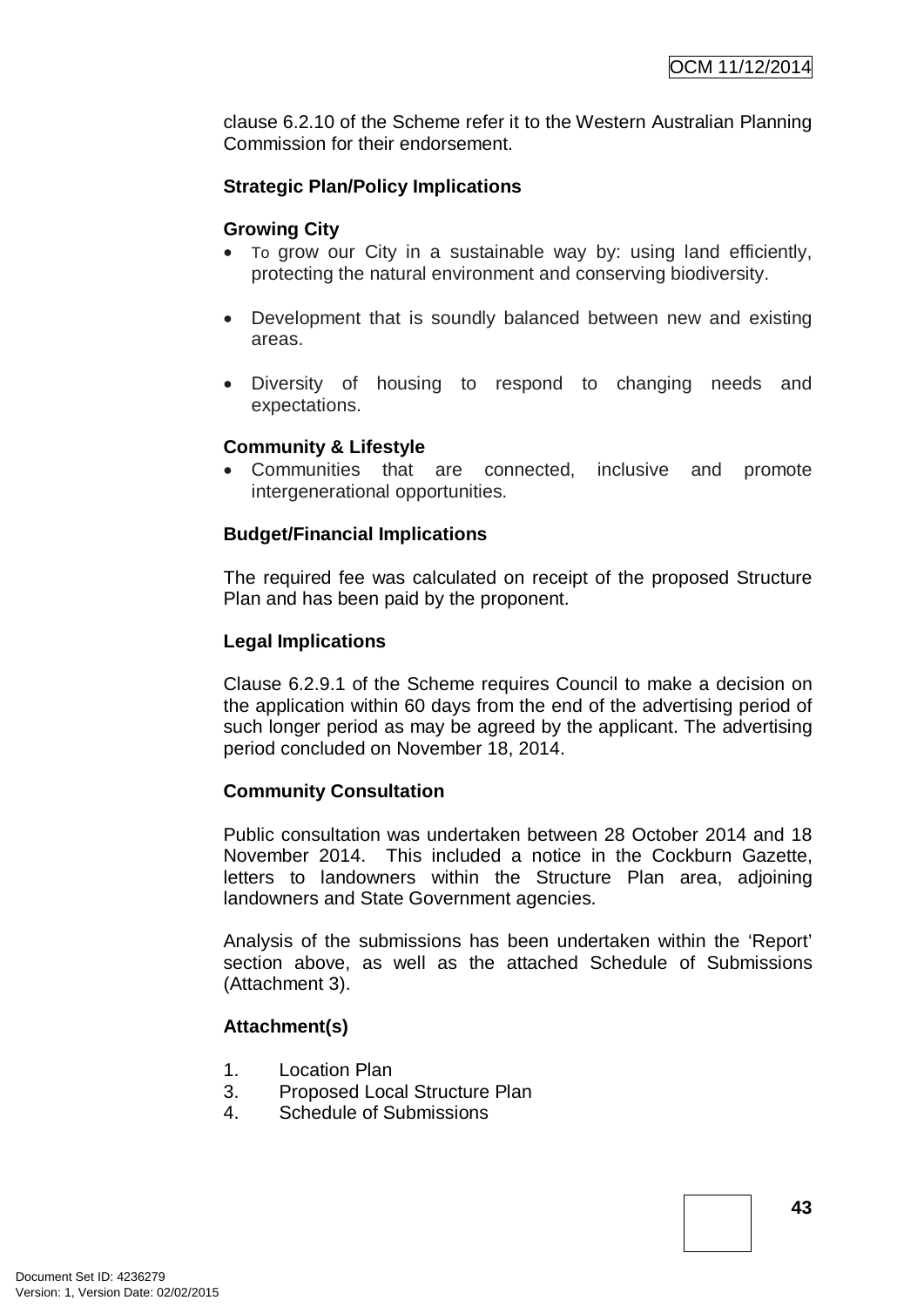clause 6.2.10 of the Scheme refer it to the Western Australian Planning Commission for their endorsement.

# **Strategic Plan/Policy Implications**

#### **Growing City**

- To grow our City in a sustainable way by: using land efficiently, protecting the natural environment and conserving biodiversity.
- Development that is soundly balanced between new and existing areas.
- Diversity of housing to respond to changing needs and expectations.

#### **Community & Lifestyle**

• Communities that are connected, inclusive and promote intergenerational opportunities.

#### **Budget/Financial Implications**

The required fee was calculated on receipt of the proposed Structure Plan and has been paid by the proponent.

#### **Legal Implications**

Clause 6.2.9.1 of the Scheme requires Council to make a decision on the application within 60 days from the end of the advertising period of such longer period as may be agreed by the applicant. The advertising period concluded on November 18, 2014.

#### **Community Consultation**

Public consultation was undertaken between 28 October 2014 and 18 November 2014. This included a notice in the Cockburn Gazette, letters to landowners within the Structure Plan area, adjoining landowners and State Government agencies.

Analysis of the submissions has been undertaken within the 'Report' section above, as well as the attached Schedule of Submissions (Attachment 3).

#### **Attachment(s)**

- 1. Location Plan
- 3. Proposed Local Structure Plan
- 4. Schedule of Submissions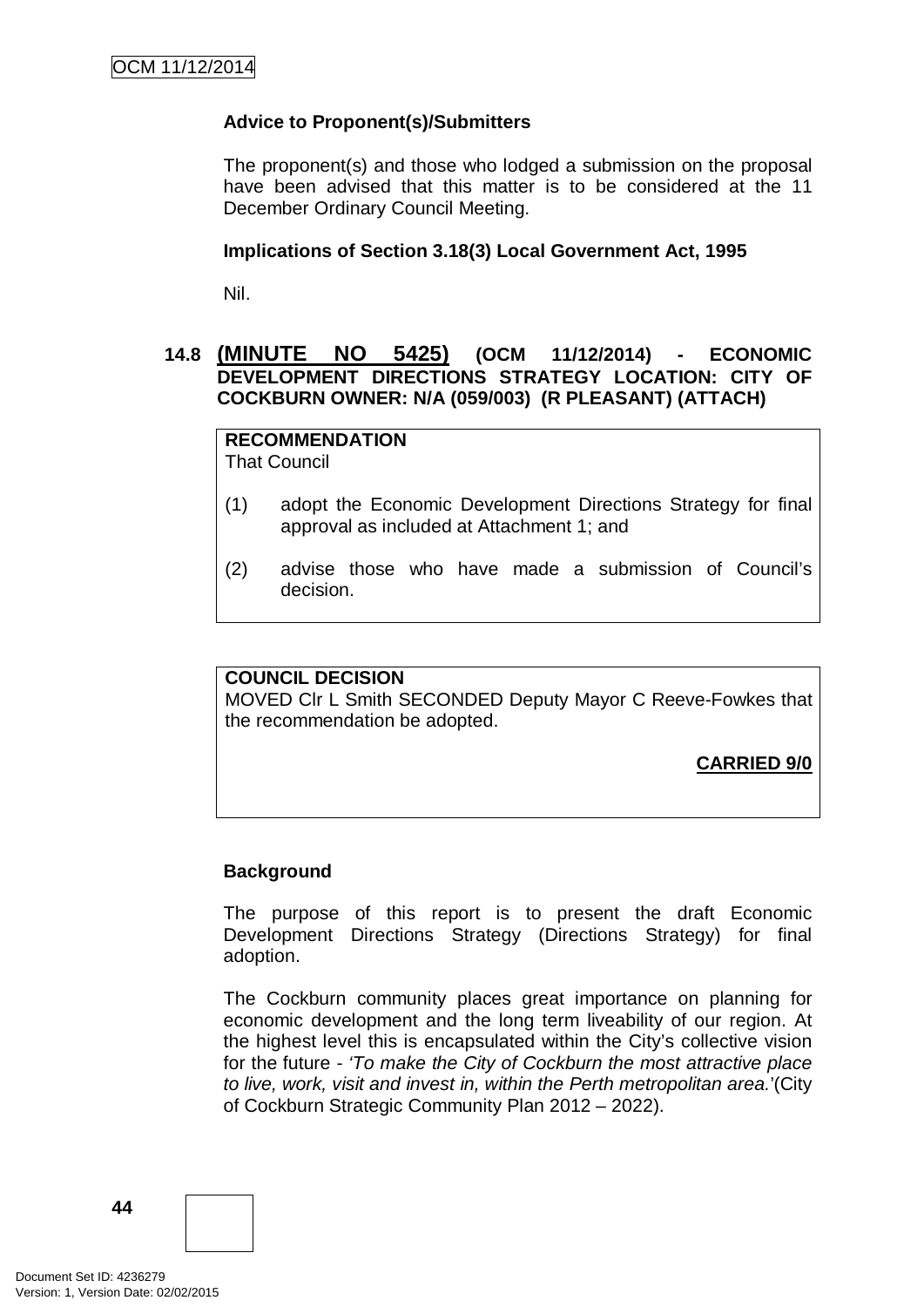## **Advice to Proponent(s)/Submitters**

The proponent(s) and those who lodged a submission on the proposal have been advised that this matter is to be considered at the 11 December Ordinary Council Meeting.

#### **Implications of Section 3.18(3) Local Government Act, 1995**

Nil.

# **14.8 (MINUTE NO 5425) (OCM 11/12/2014) - ECONOMIC DEVELOPMENT DIRECTIONS STRATEGY LOCATION: CITY OF COCKBURN OWNER: N/A (059/003) (R PLEASANT) (ATTACH)**

# **RECOMMENDATION**

That Council

- (1) adopt the Economic Development Directions Strategy for final approval as included at Attachment 1; and
- (2) advise those who have made a submission of Council's decision.

#### **COUNCIL DECISION**

MOVED Clr L Smith SECONDED Deputy Mayor C Reeve-Fowkes that the recommendation be adopted.

#### **CARRIED 9/0**

#### **Background**

The purpose of this report is to present the draft Economic Development Directions Strategy (Directions Strategy) for final adoption.

The Cockburn community places great importance on planning for economic development and the long term liveability of our region. At the highest level this is encapsulated within the City's collective vision for the future - *'To make the City of Cockburn the most attractive place to live, work, visit and invest in, within the Perth metropolitan area.*'(City of Cockburn Strategic Community Plan 2012 – 2022).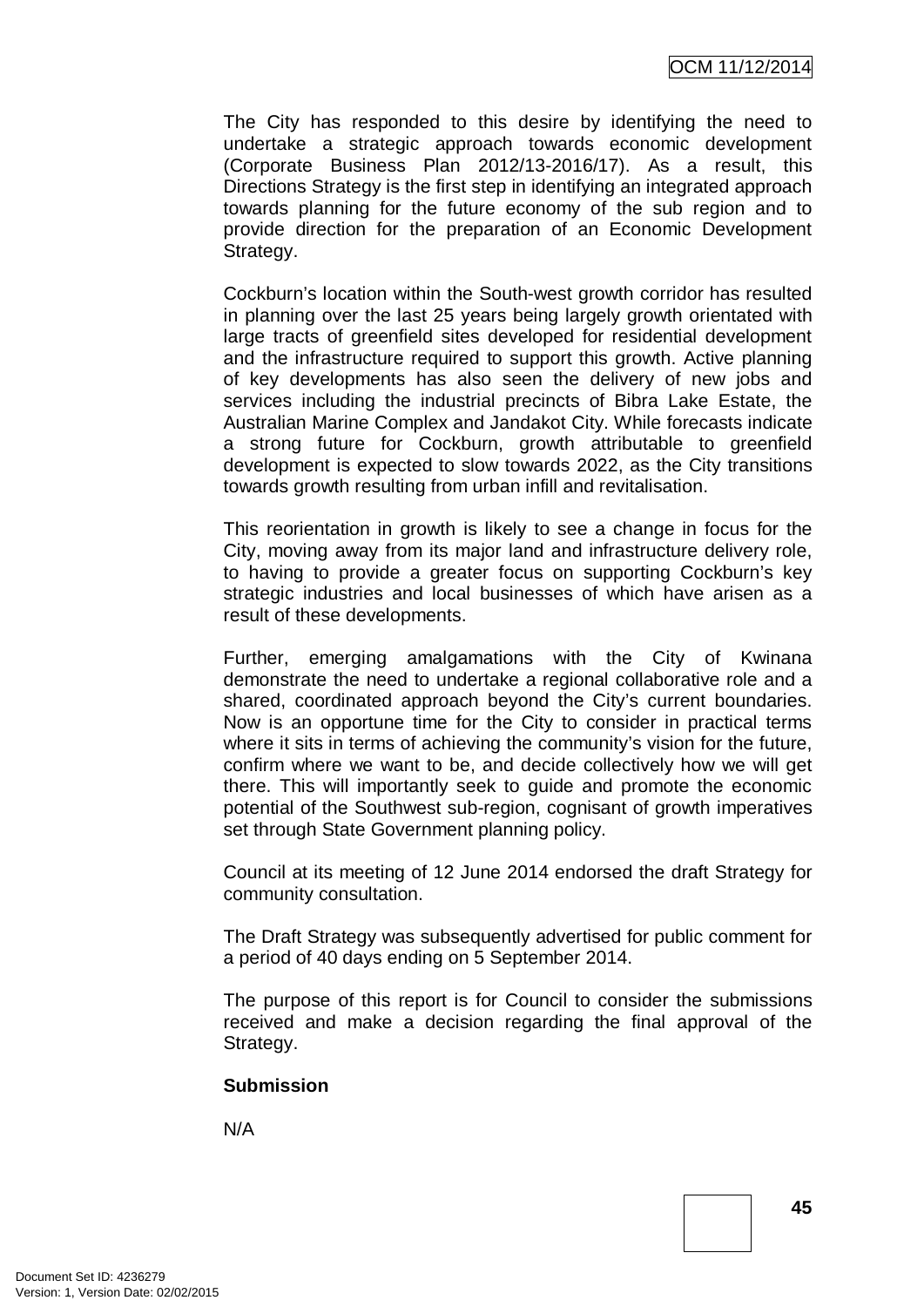The City has responded to this desire by identifying the need to undertake a strategic approach towards economic development (Corporate Business Plan 2012/13-2016/17). As a result, this Directions Strategy is the first step in identifying an integrated approach towards planning for the future economy of the sub region and to provide direction for the preparation of an Economic Development Strategy.

Cockburn's location within the South-west growth corridor has resulted in planning over the last 25 years being largely growth orientated with large tracts of greenfield sites developed for residential development and the infrastructure required to support this growth. Active planning of key developments has also seen the delivery of new jobs and services including the industrial precincts of Bibra Lake Estate, the Australian Marine Complex and Jandakot City. While forecasts indicate a strong future for Cockburn, growth attributable to greenfield development is expected to slow towards 2022, as the City transitions towards growth resulting from urban infill and revitalisation.

This reorientation in growth is likely to see a change in focus for the City, moving away from its major land and infrastructure delivery role, to having to provide a greater focus on supporting Cockburn's key strategic industries and local businesses of which have arisen as a result of these developments.

Further, emerging amalgamations with the City of Kwinana demonstrate the need to undertake a regional collaborative role and a shared, coordinated approach beyond the City's current boundaries. Now is an opportune time for the City to consider in practical terms where it sits in terms of achieving the community's vision for the future, confirm where we want to be, and decide collectively how we will get there. This will importantly seek to guide and promote the economic potential of the Southwest sub-region, cognisant of growth imperatives set through State Government planning policy.

Council at its meeting of 12 June 2014 endorsed the draft Strategy for community consultation.

The Draft Strategy was subsequently advertised for public comment for a period of 40 days ending on 5 September 2014.

The purpose of this report is for Council to consider the submissions received and make a decision regarding the final approval of the Strategy.

#### **Submission**

N/A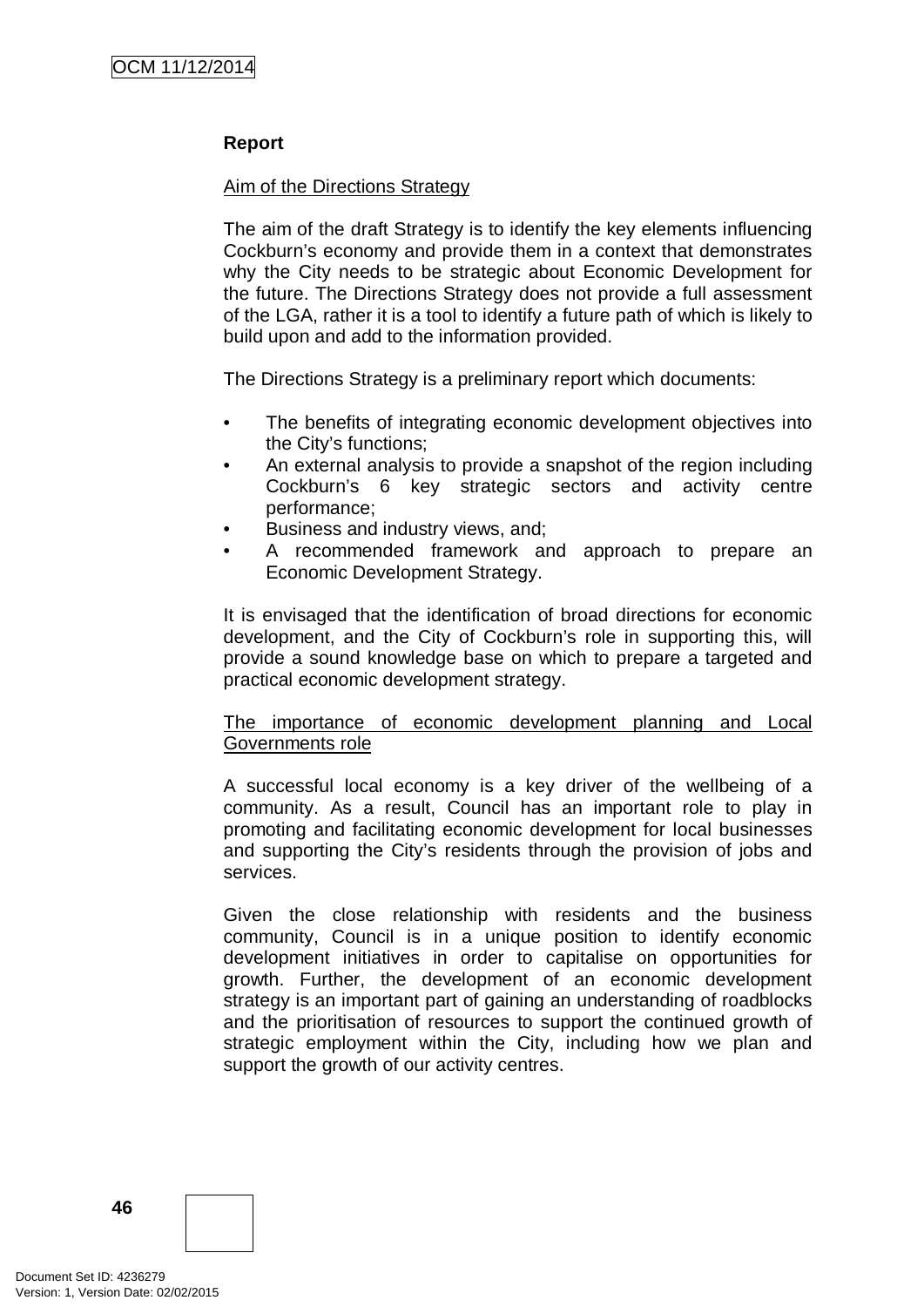#### **Report**

#### Aim of the Directions Strategy

The aim of the draft Strategy is to identify the key elements influencing Cockburn's economy and provide them in a context that demonstrates why the City needs to be strategic about Economic Development for the future. The Directions Strategy does not provide a full assessment of the LGA, rather it is a tool to identify a future path of which is likely to build upon and add to the information provided.

The Directions Strategy is a preliminary report which documents:

- The benefits of integrating economic development objectives into the City's functions;
- An external analysis to provide a snapshot of the region including Cockburn's 6 key strategic sectors and activity centre performance;
- Business and industry views, and;
- A recommended framework and approach to prepare an Economic Development Strategy.

It is envisaged that the identification of broad directions for economic development, and the City of Cockburn's role in supporting this, will provide a sound knowledge base on which to prepare a targeted and practical economic development strategy.

#### The importance of economic development planning and Local Governments role

A successful local economy is a key driver of the wellbeing of a community. As a result, Council has an important role to play in promoting and facilitating economic development for local businesses and supporting the City's residents through the provision of jobs and services.

Given the close relationship with residents and the business community, Council is in a unique position to identify economic development initiatives in order to capitalise on opportunities for growth. Further, the development of an economic development strategy is an important part of gaining an understanding of roadblocks and the prioritisation of resources to support the continued growth of strategic employment within the City, including how we plan and support the growth of our activity centres.

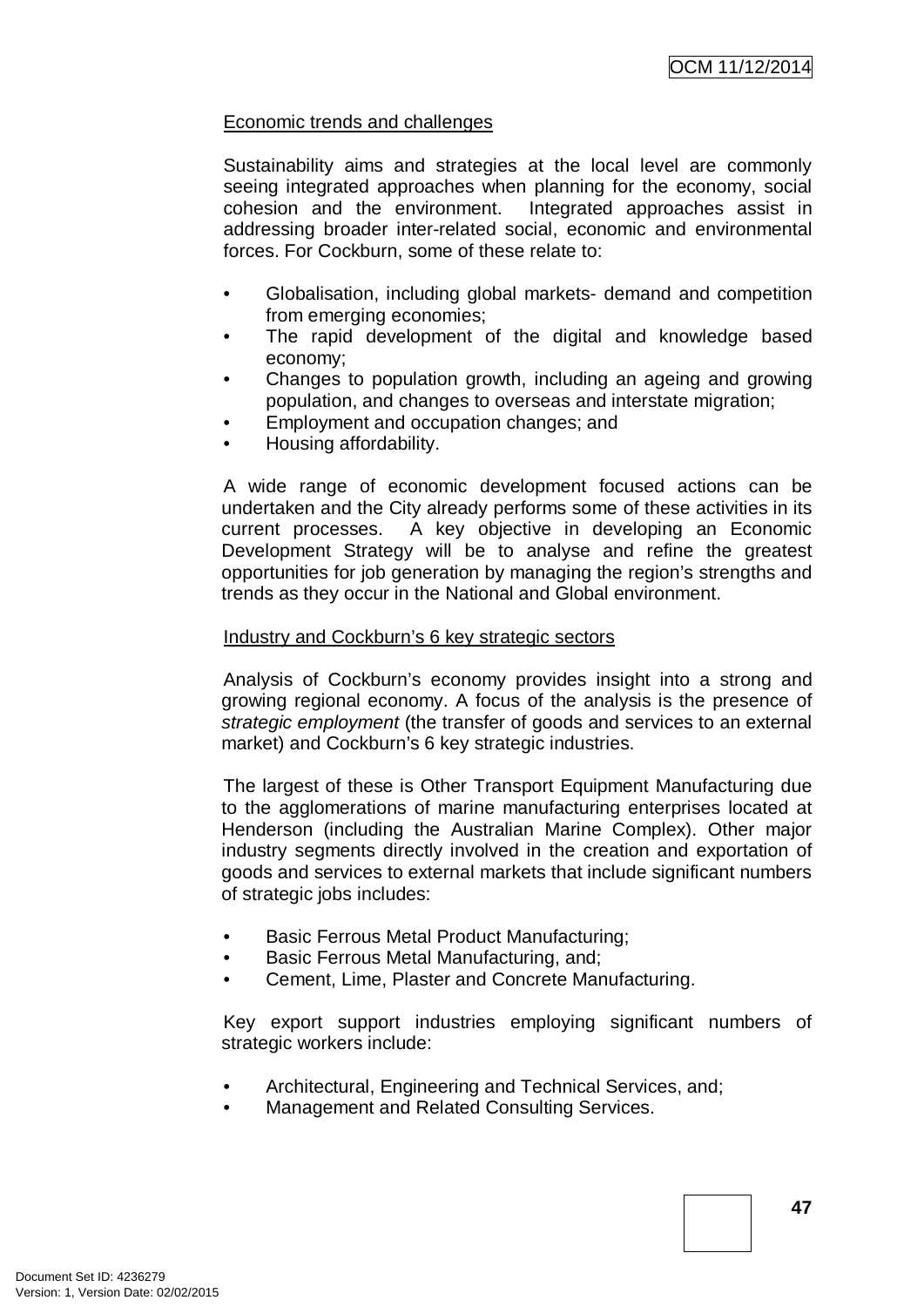### Economic trends and challenges

Sustainability aims and strategies at the local level are commonly seeing integrated approaches when planning for the economy, social cohesion and the environment. Integrated approaches assist in addressing broader inter-related social, economic and environmental forces. For Cockburn, some of these relate to:

- Globalisation, including global markets- demand and competition from emerging economies;
- The rapid development of the digital and knowledge based economy;
- Changes to population growth, including an ageing and growing population, and changes to overseas and interstate migration;
- Employment and occupation changes; and
- Housing affordability.

A wide range of economic development focused actions can be undertaken and the City already performs some of these activities in its current processes. A key objective in developing an Economic Development Strategy will be to analyse and refine the greatest opportunities for job generation by managing the region's strengths and trends as they occur in the National and Global environment.

#### Industry and Cockburn's 6 key strategic sectors

Analysis of Cockburn's economy provides insight into a strong and growing regional economy. A focus of the analysis is the presence of *strategic employment* (the transfer of goods and services to an external market) and Cockburn's 6 key strategic industries.

The largest of these is Other Transport Equipment Manufacturing due to the agglomerations of marine manufacturing enterprises located at Henderson (including the Australian Marine Complex). Other major industry segments directly involved in the creation and exportation of goods and services to external markets that include significant numbers of strategic jobs includes:

- Basic Ferrous Metal Product Manufacturing;
- Basic Ferrous Metal Manufacturing, and;
- Cement, Lime, Plaster and Concrete Manufacturing.

Key export support industries employing significant numbers of strategic workers include:

- Architectural, Engineering and Technical Services, and;
- Management and Related Consulting Services.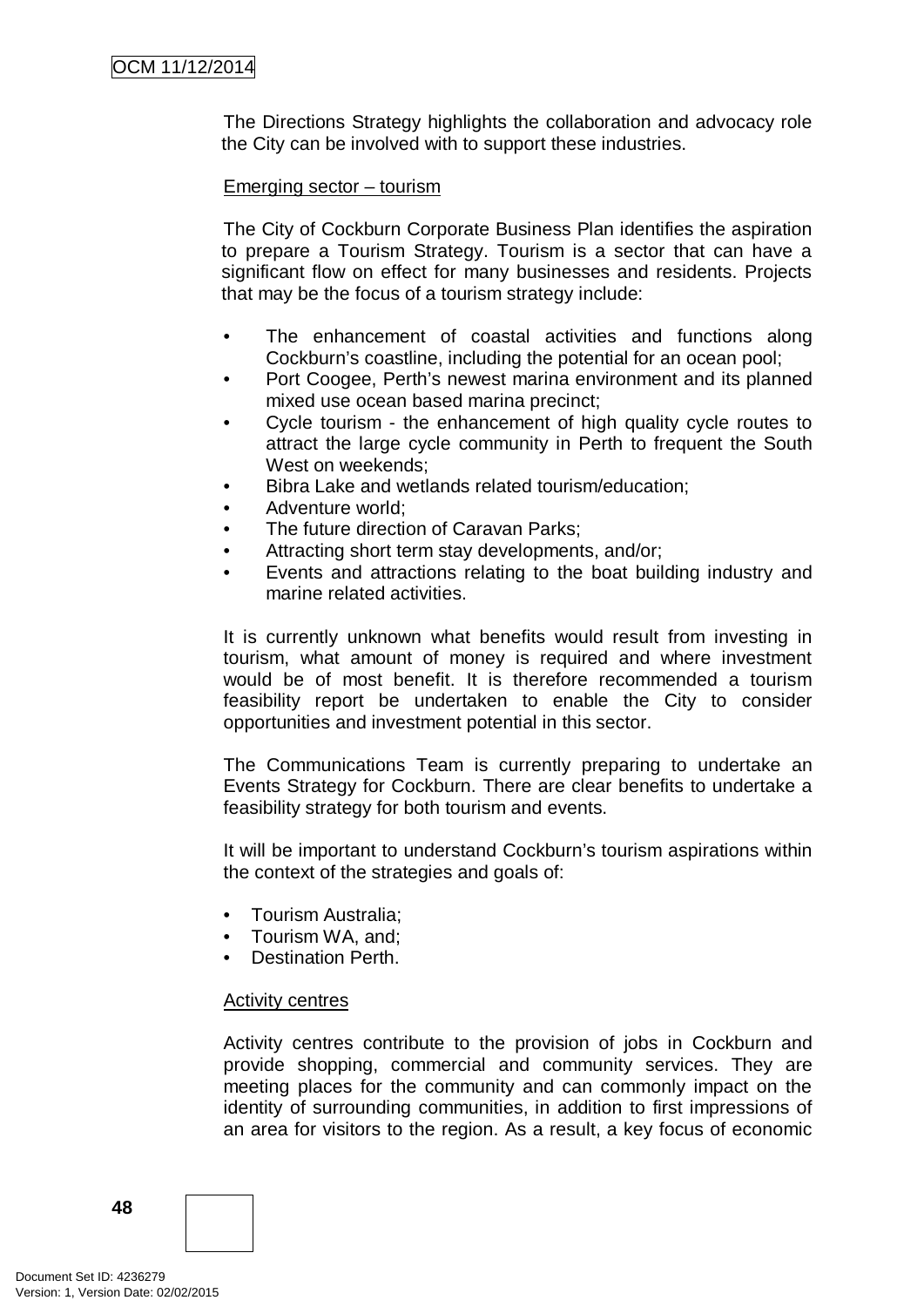The Directions Strategy highlights the collaboration and advocacy role the City can be involved with to support these industries.

#### Emerging sector – tourism

The City of Cockburn Corporate Business Plan identifies the aspiration to prepare a Tourism Strategy. Tourism is a sector that can have a significant flow on effect for many businesses and residents. Projects that may be the focus of a tourism strategy include:

- The enhancement of coastal activities and functions along Cockburn's coastline, including the potential for an ocean pool;
- Port Coogee, Perth's newest marina environment and its planned mixed use ocean based marina precinct;
- Cycle tourism the enhancement of high quality cycle routes to attract the large cycle community in Perth to frequent the South West on weekends:
- Bibra Lake and wetlands related tourism/education;
- Adventure world;
- The future direction of Caravan Parks;
- Attracting short term stay developments, and/or;
- Events and attractions relating to the boat building industry and marine related activities.

It is currently unknown what benefits would result from investing in tourism, what amount of money is required and where investment would be of most benefit. It is therefore recommended a tourism feasibility report be undertaken to enable the City to consider opportunities and investment potential in this sector.

The Communications Team is currently preparing to undertake an Events Strategy for Cockburn. There are clear benefits to undertake a feasibility strategy for both tourism and events.

It will be important to understand Cockburn's tourism aspirations within the context of the strategies and goals of:

- Tourism Australia;
- Tourism WA, and;
- Destination Perth.

#### Activity centres

Activity centres contribute to the provision of jobs in Cockburn and provide shopping, commercial and community services. They are meeting places for the community and can commonly impact on the identity of surrounding communities, in addition to first impressions of an area for visitors to the region. As a result, a key focus of economic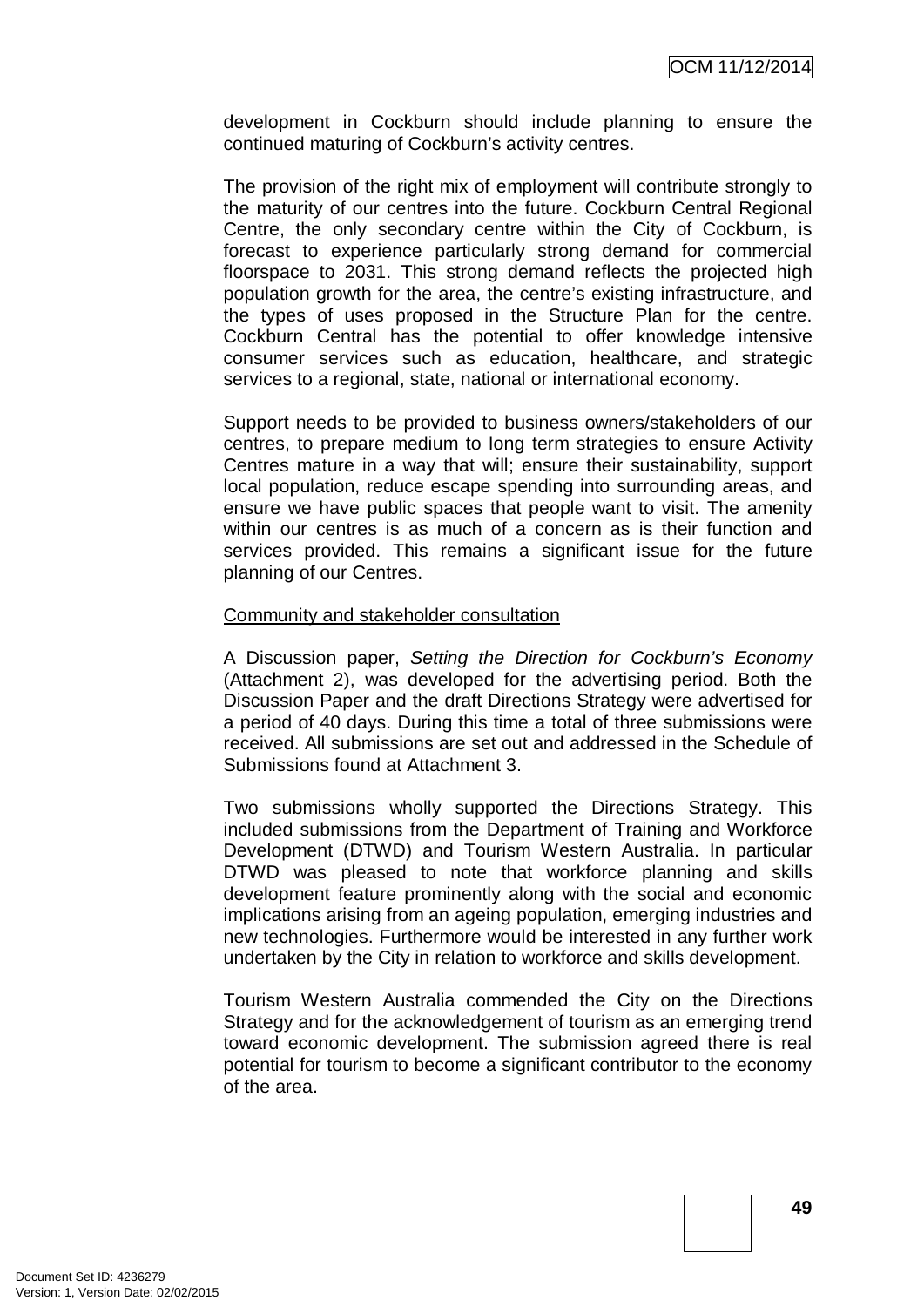development in Cockburn should include planning to ensure the continued maturing of Cockburn's activity centres.

The provision of the right mix of employment will contribute strongly to the maturity of our centres into the future. Cockburn Central Regional Centre, the only secondary centre within the City of Cockburn, is forecast to experience particularly strong demand for commercial floorspace to 2031. This strong demand reflects the projected high population growth for the area, the centre's existing infrastructure, and the types of uses proposed in the Structure Plan for the centre. Cockburn Central has the potential to offer knowledge intensive consumer services such as education, healthcare, and strategic services to a regional, state, national or international economy.

Support needs to be provided to business owners/stakeholders of our centres, to prepare medium to long term strategies to ensure Activity Centres mature in a way that will; ensure their sustainability, support local population, reduce escape spending into surrounding areas, and ensure we have public spaces that people want to visit. The amenity within our centres is as much of a concern as is their function and services provided. This remains a significant issue for the future planning of our Centres.

#### Community and stakeholder consultation

A Discussion paper, *Setting the Direction for Cockburn's Economy* (Attachment 2), was developed for the advertising period. Both the Discussion Paper and the draft Directions Strategy were advertised for a period of 40 days. During this time a total of three submissions were received. All submissions are set out and addressed in the Schedule of Submissions found at Attachment 3.

Two submissions wholly supported the Directions Strategy. This included submissions from the Department of Training and Workforce Development (DTWD) and Tourism Western Australia. In particular DTWD was pleased to note that workforce planning and skills development feature prominently along with the social and economic implications arising from an ageing population, emerging industries and new technologies. Furthermore would be interested in any further work undertaken by the City in relation to workforce and skills development.

Tourism Western Australia commended the City on the Directions Strategy and for the acknowledgement of tourism as an emerging trend toward economic development. The submission agreed there is real potential for tourism to become a significant contributor to the economy of the area.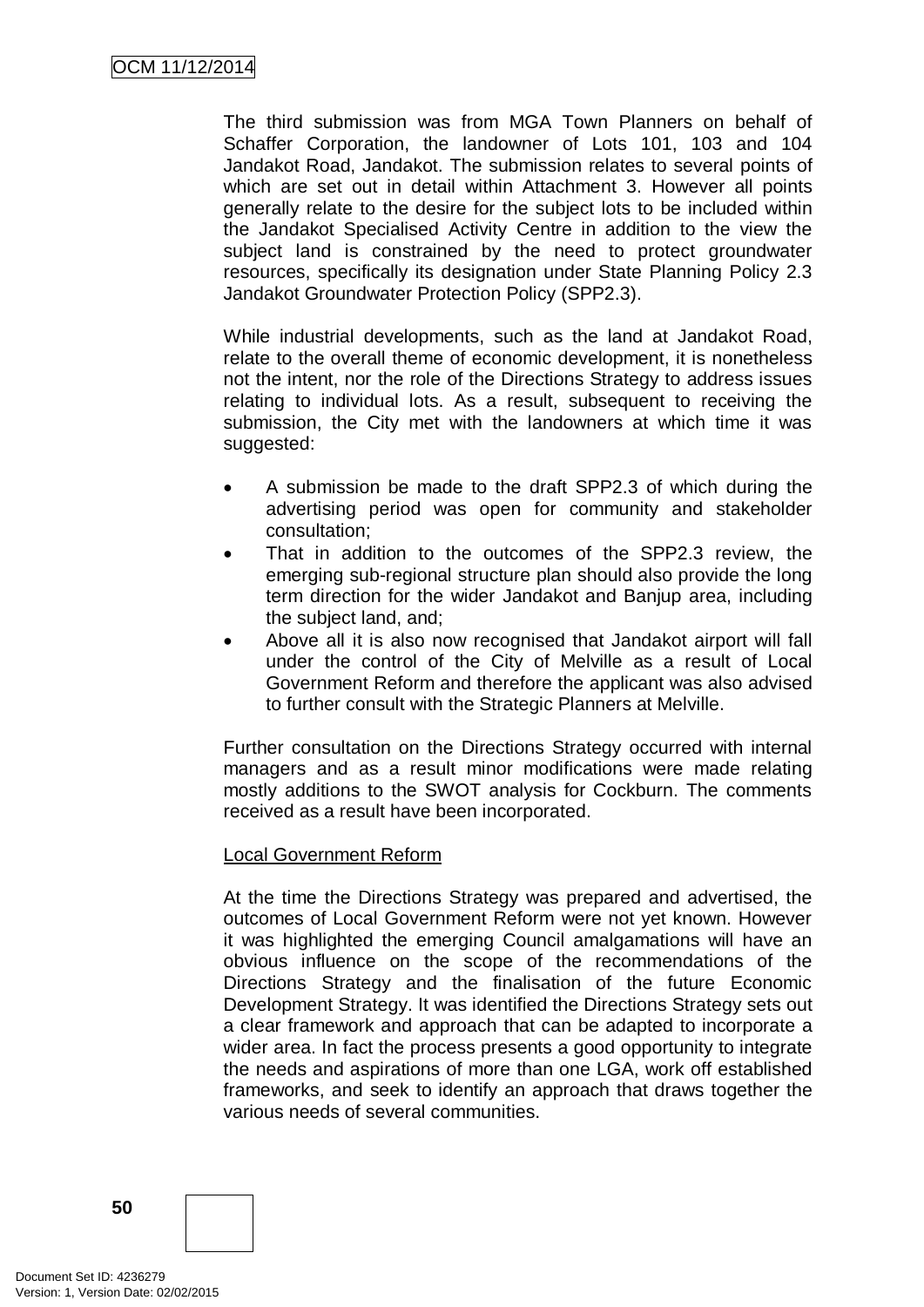The third submission was from MGA Town Planners on behalf of Schaffer Corporation, the landowner of Lots 101, 103 and 104 Jandakot Road, Jandakot. The submission relates to several points of which are set out in detail within Attachment 3. However all points generally relate to the desire for the subject lots to be included within the Jandakot Specialised Activity Centre in addition to the view the subject land is constrained by the need to protect groundwater resources, specifically its designation under State Planning Policy 2.3 Jandakot Groundwater Protection Policy (SPP2.3).

While industrial developments, such as the land at Jandakot Road, relate to the overall theme of economic development, it is nonetheless not the intent, nor the role of the Directions Strategy to address issues relating to individual lots. As a result, subsequent to receiving the submission, the City met with the landowners at which time it was suggested:

- A submission be made to the draft SPP2.3 of which during the advertising period was open for community and stakeholder consultation;
- That in addition to the outcomes of the SPP2.3 review, the emerging sub-regional structure plan should also provide the long term direction for the wider Jandakot and Banjup area, including the subject land, and;
- Above all it is also now recognised that Jandakot airport will fall under the control of the City of Melville as a result of Local Government Reform and therefore the applicant was also advised to further consult with the Strategic Planners at Melville.

Further consultation on the Directions Strategy occurred with internal managers and as a result minor modifications were made relating mostly additions to the SWOT analysis for Cockburn. The comments received as a result have been incorporated.

#### Local Government Reform

At the time the Directions Strategy was prepared and advertised, the outcomes of Local Government Reform were not yet known. However it was highlighted the emerging Council amalgamations will have an obvious influence on the scope of the recommendations of the Directions Strategy and the finalisation of the future Economic Development Strategy. It was identified the Directions Strategy sets out a clear framework and approach that can be adapted to incorporate a wider area. In fact the process presents a good opportunity to integrate the needs and aspirations of more than one LGA, work off established frameworks, and seek to identify an approach that draws together the various needs of several communities.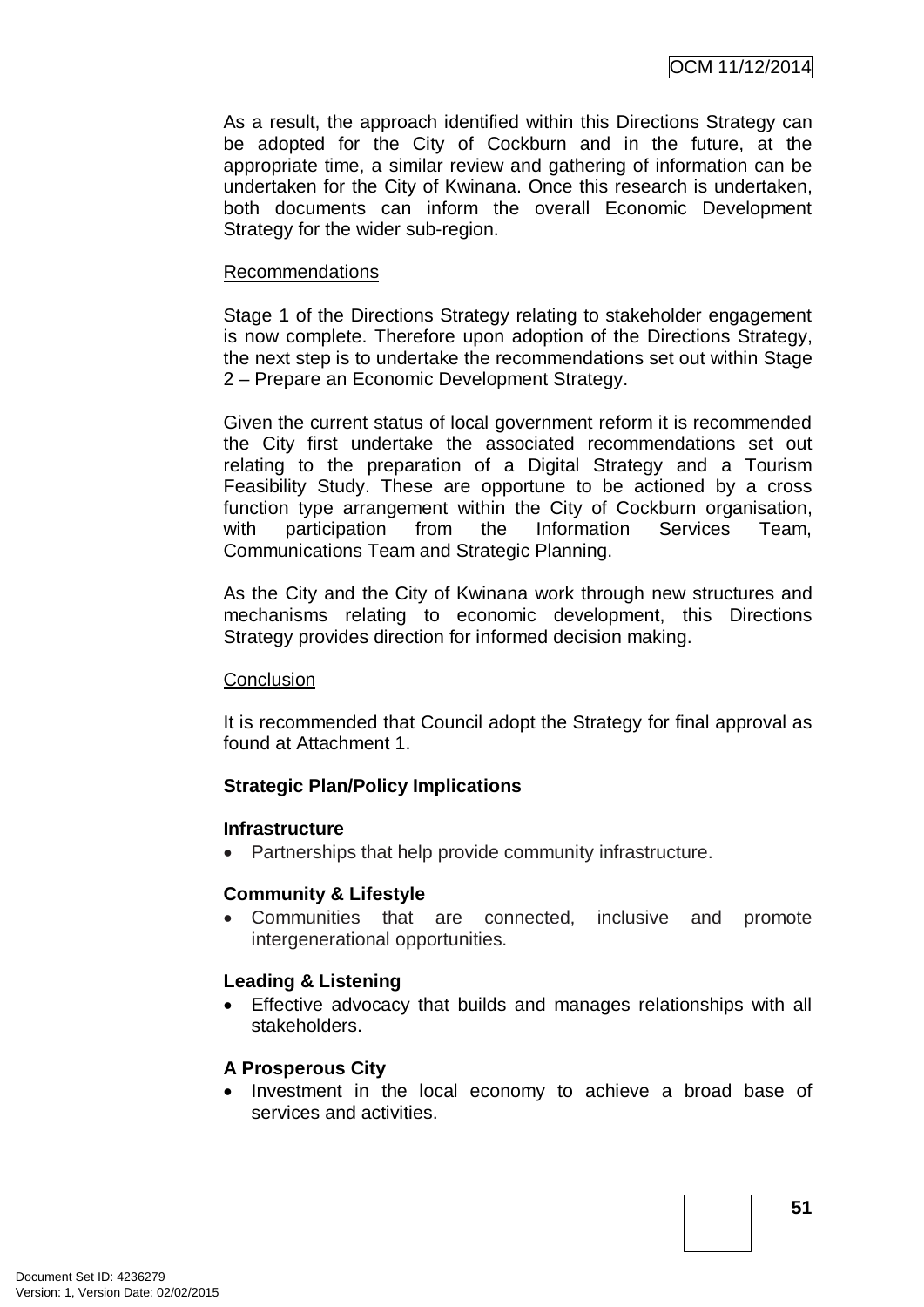As a result, the approach identified within this Directions Strategy can be adopted for the City of Cockburn and in the future, at the appropriate time, a similar review and gathering of information can be undertaken for the City of Kwinana. Once this research is undertaken, both documents can inform the overall Economic Development Strategy for the wider sub-region.

### Recommendations

Stage 1 of the Directions Strategy relating to stakeholder engagement is now complete. Therefore upon adoption of the Directions Strategy, the next step is to undertake the recommendations set out within Stage 2 – Prepare an Economic Development Strategy.

Given the current status of local government reform it is recommended the City first undertake the associated recommendations set out relating to the preparation of a Digital Strategy and a Tourism Feasibility Study. These are opportune to be actioned by a cross function type arrangement within the City of Cockburn organisation, with participation from the Information Services Team, Communications Team and Strategic Planning.

As the City and the City of Kwinana work through new structures and mechanisms relating to economic development, this Directions Strategy provides direction for informed decision making.

#### **Conclusion**

It is recommended that Council adopt the Strategy for final approval as found at Attachment 1.

#### **Strategic Plan/Policy Implications**

#### **Infrastructure**

• Partnerships that help provide community infrastructure.

#### **Community & Lifestyle**

• Communities that are connected, inclusive and promote intergenerational opportunities.

#### **Leading & Listening**

• Effective advocacy that builds and manages relationships with all stakeholders.

#### **A Prosperous City**

• Investment in the local economy to achieve a broad base of services and activities.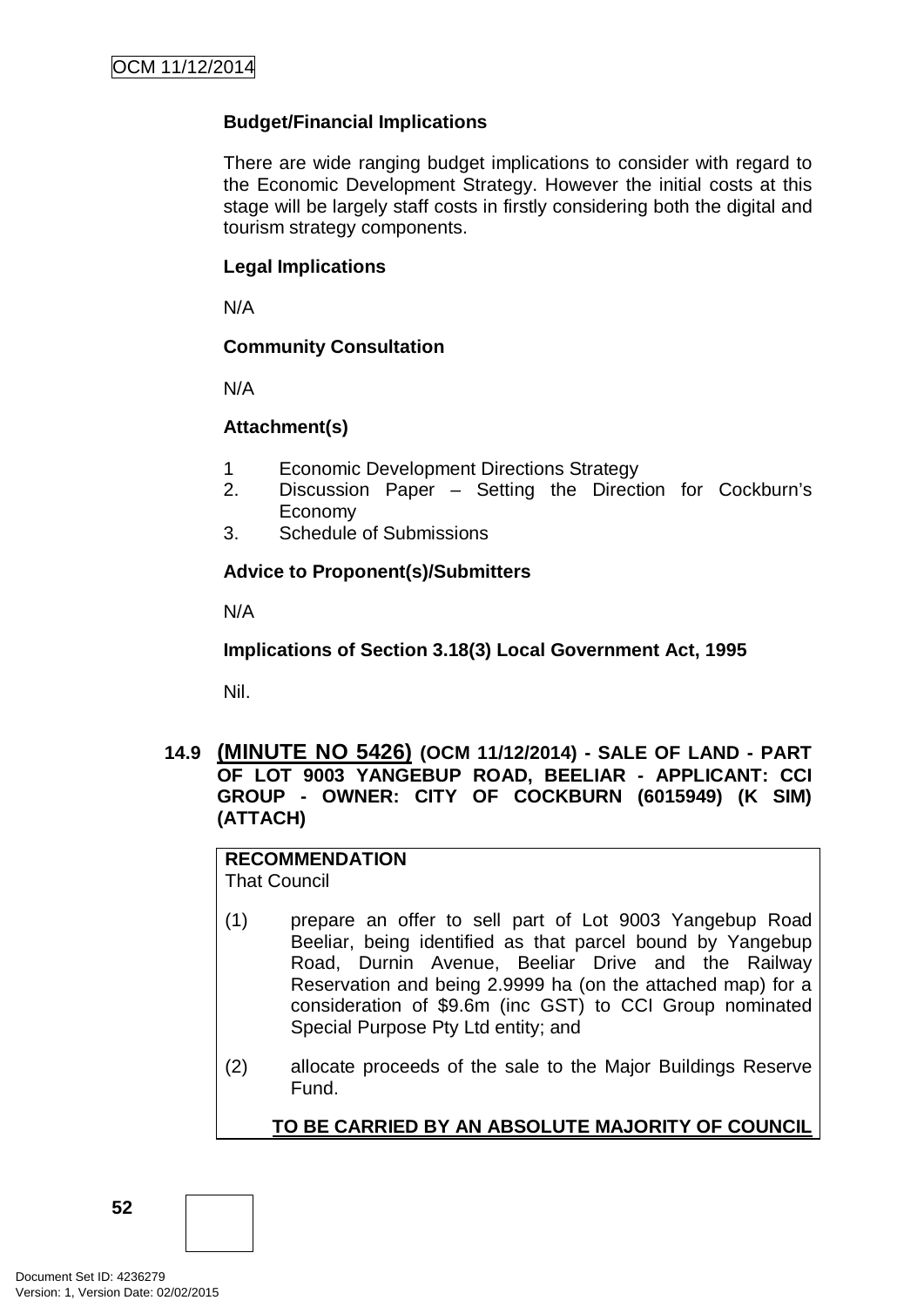# **Budget/Financial Implications**

There are wide ranging budget implications to consider with regard to the Economic Development Strategy. However the initial costs at this stage will be largely staff costs in firstly considering both the digital and tourism strategy components.

## **Legal Implications**

N/A

## **Community Consultation**

N/A

## **Attachment(s)**

- 1 Economic Development Directions Strategy
- 2. Discussion Paper Setting the Direction for Cockburn's Economy
- 3. Schedule of Submissions

## **Advice to Proponent(s)/Submitters**

N/A

**Implications of Section 3.18(3) Local Government Act, 1995**

Nil.

#### **14.9 (MINUTE NO 5426) (OCM 11/12/2014) - SALE OF LAND - PART OF LOT 9003 YANGEBUP ROAD, BEELIAR - APPLICANT: CCI GROUP - OWNER: CITY OF COCKBURN (6015949) (K SIM) (ATTACH)**

# **RECOMMENDATION**

That Council

- (1) prepare an offer to sell part of Lot 9003 Yangebup Road Beeliar, being identified as that parcel bound by Yangebup Road, Durnin Avenue, Beeliar Drive and the Railway Reservation and being 2.9999 ha (on the attached map) for a consideration of \$9.6m (inc GST) to CCI Group nominated Special Purpose Pty Ltd entity; and
- (2) allocate proceeds of the sale to the Major Buildings Reserve Fund.

#### **TO BE CARRIED BY AN ABSOLUTE MAJORITY OF COUNCIL**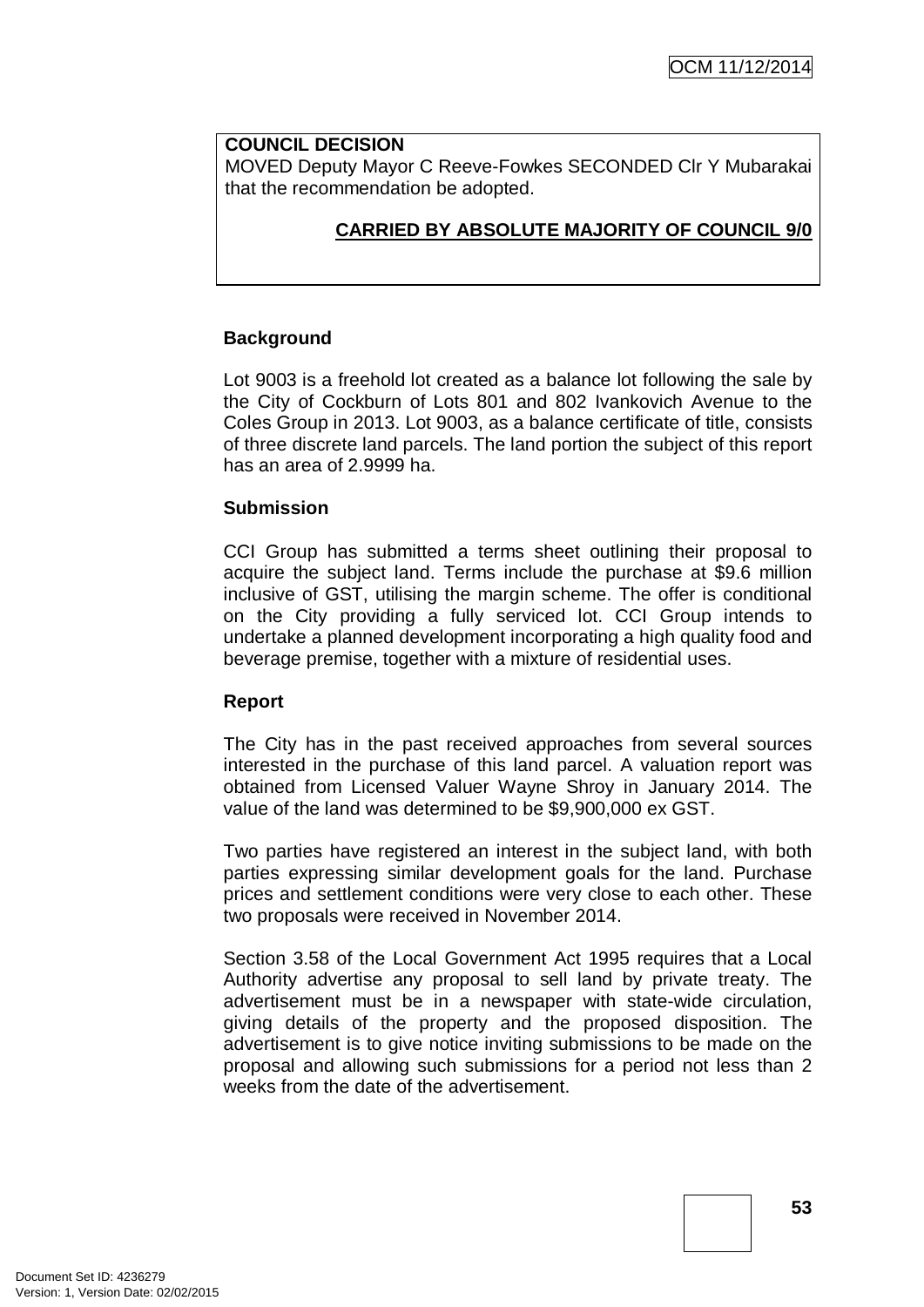#### **COUNCIL DECISION**

MOVED Deputy Mayor C Reeve-Fowkes SECONDED Clr Y Mubarakai that the recommendation be adopted.

### **CARRIED BY ABSOLUTE MAJORITY OF COUNCIL 9/0**

#### **Background**

Lot 9003 is a freehold lot created as a balance lot following the sale by the City of Cockburn of Lots 801 and 802 Ivankovich Avenue to the Coles Group in 2013. Lot 9003, as a balance certificate of title, consists of three discrete land parcels. The land portion the subject of this report has an area of 2.9999 ha.

#### **Submission**

CCI Group has submitted a terms sheet outlining their proposal to acquire the subject land. Terms include the purchase at \$9.6 million inclusive of GST, utilising the margin scheme. The offer is conditional on the City providing a fully serviced lot. CCI Group intends to undertake a planned development incorporating a high quality food and beverage premise, together with a mixture of residential uses.

#### **Report**

The City has in the past received approaches from several sources interested in the purchase of this land parcel. A valuation report was obtained from Licensed Valuer Wayne Shroy in January 2014. The value of the land was determined to be \$9,900,000 ex GST.

Two parties have registered an interest in the subject land, with both parties expressing similar development goals for the land. Purchase prices and settlement conditions were very close to each other. These two proposals were received in November 2014.

Section 3.58 of the Local Government Act 1995 requires that a Local Authority advertise any proposal to sell land by private treaty. The advertisement must be in a newspaper with state-wide circulation, giving details of the property and the proposed disposition. The advertisement is to give notice inviting submissions to be made on the proposal and allowing such submissions for a period not less than 2 weeks from the date of the advertisement.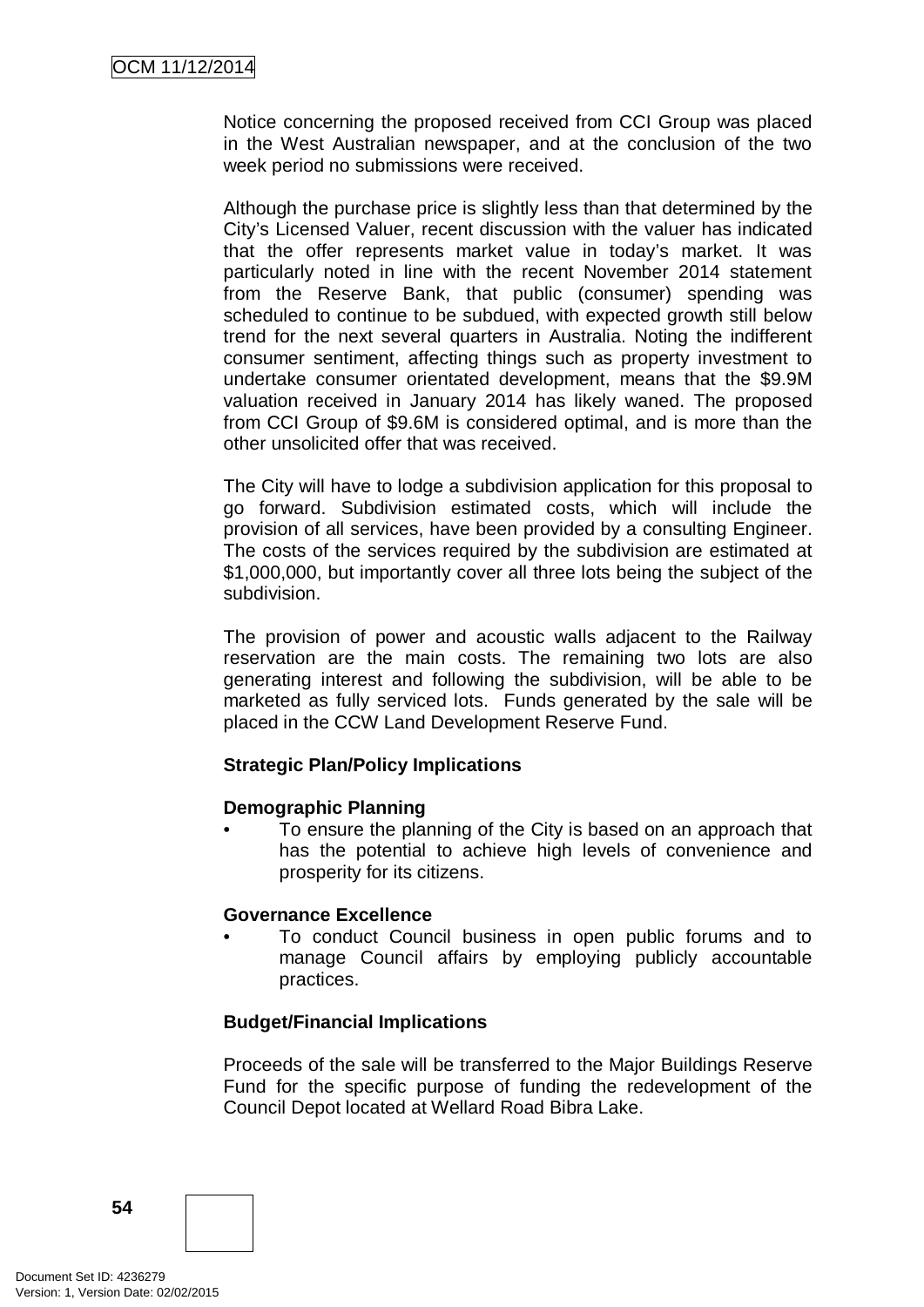Notice concerning the proposed received from CCI Group was placed in the West Australian newspaper, and at the conclusion of the two week period no submissions were received.

Although the purchase price is slightly less than that determined by the City's Licensed Valuer, recent discussion with the valuer has indicated that the offer represents market value in today's market. It was particularly noted in line with the recent November 2014 statement from the Reserve Bank, that public (consumer) spending was scheduled to continue to be subdued, with expected growth still below trend for the next several quarters in Australia. Noting the indifferent consumer sentiment, affecting things such as property investment to undertake consumer orientated development, means that the \$9.9M valuation received in January 2014 has likely waned. The proposed from CCI Group of \$9.6M is considered optimal, and is more than the other unsolicited offer that was received.

The City will have to lodge a subdivision application for this proposal to go forward. Subdivision estimated costs, which will include the provision of all services, have been provided by a consulting Engineer. The costs of the services required by the subdivision are estimated at \$1,000,000, but importantly cover all three lots being the subject of the subdivision.

The provision of power and acoustic walls adjacent to the Railway reservation are the main costs. The remaining two lots are also generating interest and following the subdivision, will be able to be marketed as fully serviced lots. Funds generated by the sale will be placed in the CCW Land Development Reserve Fund.

#### **Strategic Plan/Policy Implications**

#### **Demographic Planning**

• To ensure the planning of the City is based on an approach that has the potential to achieve high levels of convenience and prosperity for its citizens.

#### **Governance Excellence**

• To conduct Council business in open public forums and to manage Council affairs by employing publicly accountable practices.

# **Budget/Financial Implications**

Proceeds of the sale will be transferred to the Major Buildings Reserve Fund for the specific purpose of funding the redevelopment of the Council Depot located at Wellard Road Bibra Lake.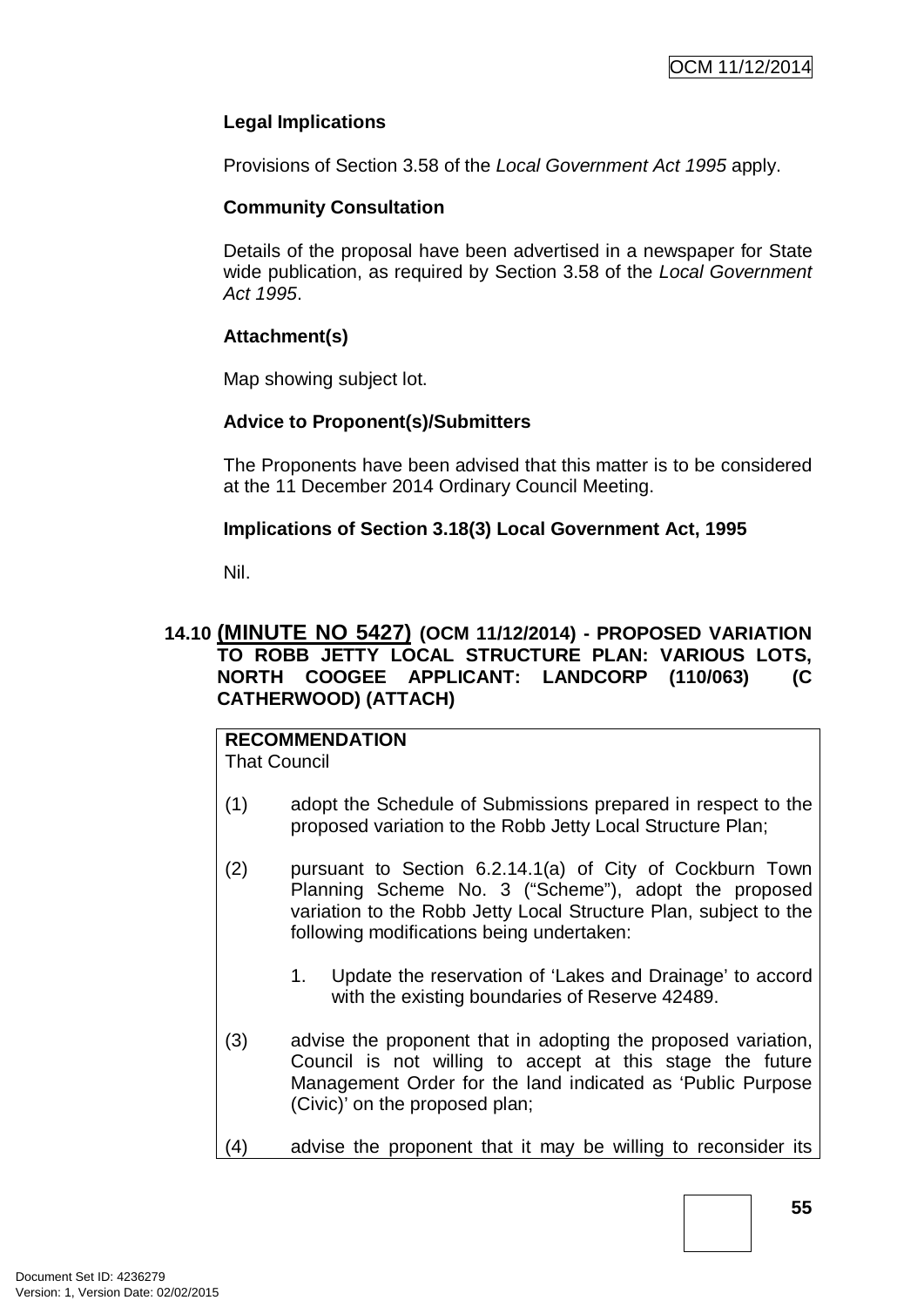# **Legal Implications**

Provisions of Section 3.58 of the *Local Government Act 1995* apply.

#### **Community Consultation**

Details of the proposal have been advertised in a newspaper for State wide publication, as required by Section 3.58 of the *Local Government Act 1995*.

#### **Attachment(s)**

Map showing subject lot.

## **Advice to Proponent(s)/Submitters**

The Proponents have been advised that this matter is to be considered at the 11 December 2014 Ordinary Council Meeting.

#### **Implications of Section 3.18(3) Local Government Act, 1995**

Nil.

### **14.10 (MINUTE NO 5427) (OCM 11/12/2014) - PROPOSED VARIATION TO ROBB JETTY LOCAL STRUCTURE PLAN: VARIOUS LOTS, NORTH COOGEE APPLICANT: LANDCORP (110/063) (C CATHERWOOD) (ATTACH)**

# **RECOMMENDATION**

That Council

- (1) adopt the Schedule of Submissions prepared in respect to the proposed variation to the Robb Jetty Local Structure Plan;
- (2) pursuant to Section 6.2.14.1(a) of City of Cockburn Town Planning Scheme No. 3 ("Scheme"), adopt the proposed variation to the Robb Jetty Local Structure Plan, subject to the following modifications being undertaken:
	- 1. Update the reservation of 'Lakes and Drainage' to accord with the existing boundaries of Reserve 42489.
- (3) advise the proponent that in adopting the proposed variation, Council is not willing to accept at this stage the future Management Order for the land indicated as 'Public Purpose (Civic)' on the proposed plan;
- (4) advise the proponent that it may be willing to reconsider its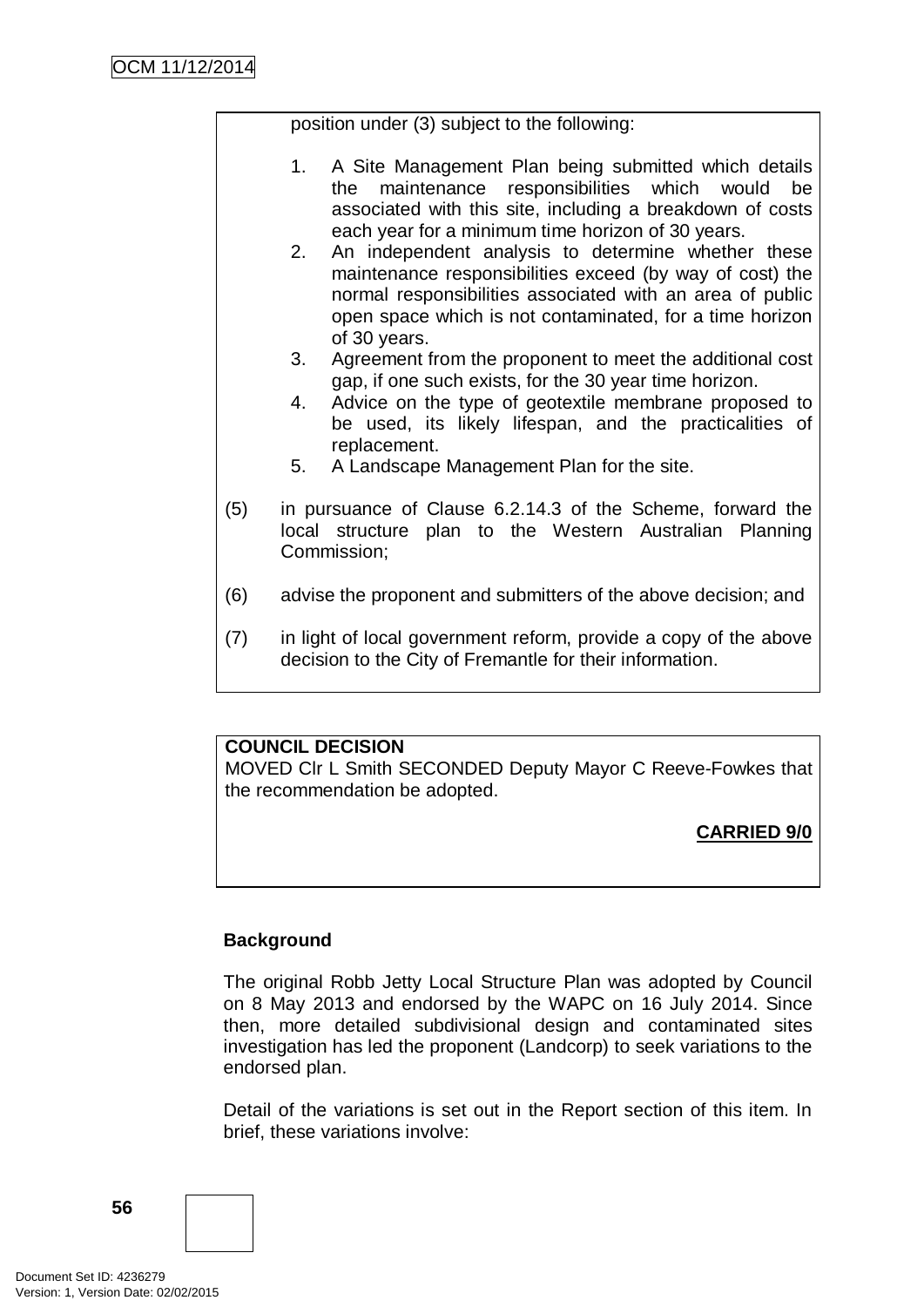position under (3) subject to the following:

- 1. A Site Management Plan being submitted which details the maintenance responsibilities which would be associated with this site, including a breakdown of costs each year for a minimum time horizon of 30 years.
- 2. An independent analysis to determine whether these maintenance responsibilities exceed (by way of cost) the normal responsibilities associated with an area of public open space which is not contaminated, for a time horizon of 30 years.
- 3. Agreement from the proponent to meet the additional cost gap, if one such exists, for the 30 year time horizon.
- 4. Advice on the type of geotextile membrane proposed to be used, its likely lifespan, and the practicalities of replacement.
- 5. A Landscape Management Plan for the site.
- (5) in pursuance of Clause 6.2.14.3 of the Scheme, forward the local structure plan to the Western Australian Planning Commission;
- (6) advise the proponent and submitters of the above decision; and
- (7) in light of local government reform, provide a copy of the above decision to the City of Fremantle for their information.

# **COUNCIL DECISION**

MOVED Clr L Smith SECONDED Deputy Mayor C Reeve-Fowkes that the recommendation be adopted.

# **CARRIED 9/0**

# **Background**

The original Robb Jetty Local Structure Plan was adopted by Council on 8 May 2013 and endorsed by the WAPC on 16 July 2014. Since then, more detailed subdivisional design and contaminated sites investigation has led the proponent (Landcorp) to seek variations to the endorsed plan.

Detail of the variations is set out in the Report section of this item. In brief, these variations involve: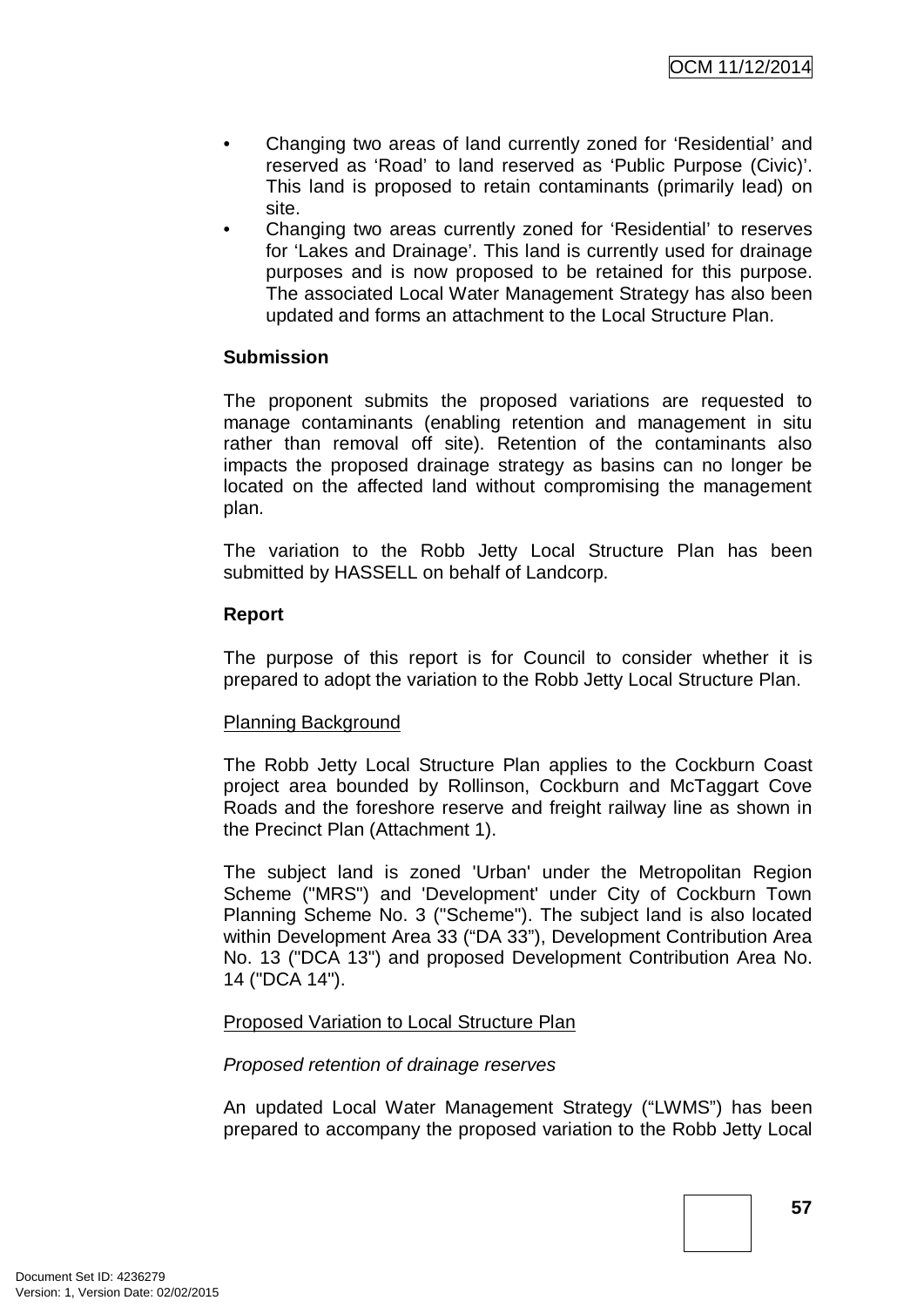- Changing two areas of land currently zoned for 'Residential' and reserved as 'Road' to land reserved as 'Public Purpose (Civic)'. This land is proposed to retain contaminants (primarily lead) on site.
- Changing two areas currently zoned for 'Residential' to reserves for 'Lakes and Drainage'. This land is currently used for drainage purposes and is now proposed to be retained for this purpose. The associated Local Water Management Strategy has also been updated and forms an attachment to the Local Structure Plan.

#### **Submission**

The proponent submits the proposed variations are requested to manage contaminants (enabling retention and management in situ rather than removal off site). Retention of the contaminants also impacts the proposed drainage strategy as basins can no longer be located on the affected land without compromising the management plan.

The variation to the Robb Jetty Local Structure Plan has been submitted by HASSELL on behalf of Landcorp.

#### **Report**

The purpose of this report is for Council to consider whether it is prepared to adopt the variation to the Robb Jetty Local Structure Plan.

#### Planning Background

The Robb Jetty Local Structure Plan applies to the Cockburn Coast project area bounded by Rollinson, Cockburn and McTaggart Cove Roads and the foreshore reserve and freight railway line as shown in the Precinct Plan (Attachment 1).

The subject land is zoned 'Urban' under the Metropolitan Region Scheme ("MRS") and 'Development' under City of Cockburn Town Planning Scheme No. 3 ("Scheme"). The subject land is also located within Development Area 33 ("DA 33"), Development Contribution Area No. 13 ("DCA 13") and proposed Development Contribution Area No. 14 ("DCA 14").

#### Proposed Variation to Local Structure Plan

#### *Proposed retention of drainage reserves*

An updated Local Water Management Strategy ("LWMS") has been prepared to accompany the proposed variation to the Robb Jetty Local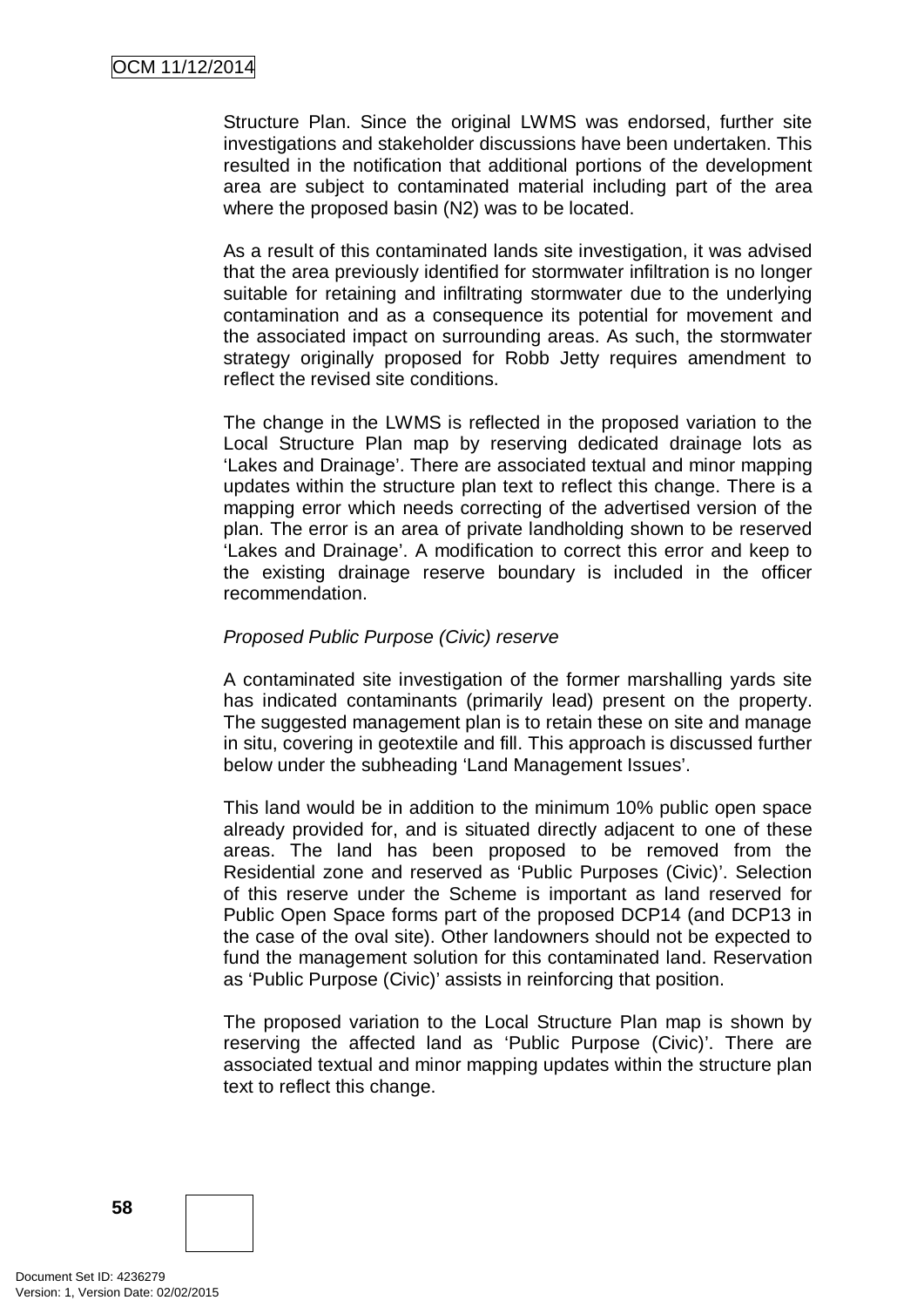Structure Plan. Since the original LWMS was endorsed, further site investigations and stakeholder discussions have been undertaken. This resulted in the notification that additional portions of the development area are subject to contaminated material including part of the area where the proposed basin (N2) was to be located.

As a result of this contaminated lands site investigation, it was advised that the area previously identified for stormwater infiltration is no longer suitable for retaining and infiltrating stormwater due to the underlying contamination and as a consequence its potential for movement and the associated impact on surrounding areas. As such, the stormwater strategy originally proposed for Robb Jetty requires amendment to reflect the revised site conditions.

The change in the LWMS is reflected in the proposed variation to the Local Structure Plan map by reserving dedicated drainage lots as 'Lakes and Drainage'. There are associated textual and minor mapping updates within the structure plan text to reflect this change. There is a mapping error which needs correcting of the advertised version of the plan. The error is an area of private landholding shown to be reserved 'Lakes and Drainage'. A modification to correct this error and keep to the existing drainage reserve boundary is included in the officer recommendation.

#### *Proposed Public Purpose (Civic) reserve*

A contaminated site investigation of the former marshalling yards site has indicated contaminants (primarily lead) present on the property. The suggested management plan is to retain these on site and manage in situ, covering in geotextile and fill. This approach is discussed further below under the subheading 'Land Management Issues'.

This land would be in addition to the minimum 10% public open space already provided for, and is situated directly adjacent to one of these areas. The land has been proposed to be removed from the Residential zone and reserved as 'Public Purposes (Civic)'. Selection of this reserve under the Scheme is important as land reserved for Public Open Space forms part of the proposed DCP14 (and DCP13 in the case of the oval site). Other landowners should not be expected to fund the management solution for this contaminated land. Reservation as 'Public Purpose (Civic)' assists in reinforcing that position.

The proposed variation to the Local Structure Plan map is shown by reserving the affected land as 'Public Purpose (Civic)'. There are associated textual and minor mapping updates within the structure plan text to reflect this change.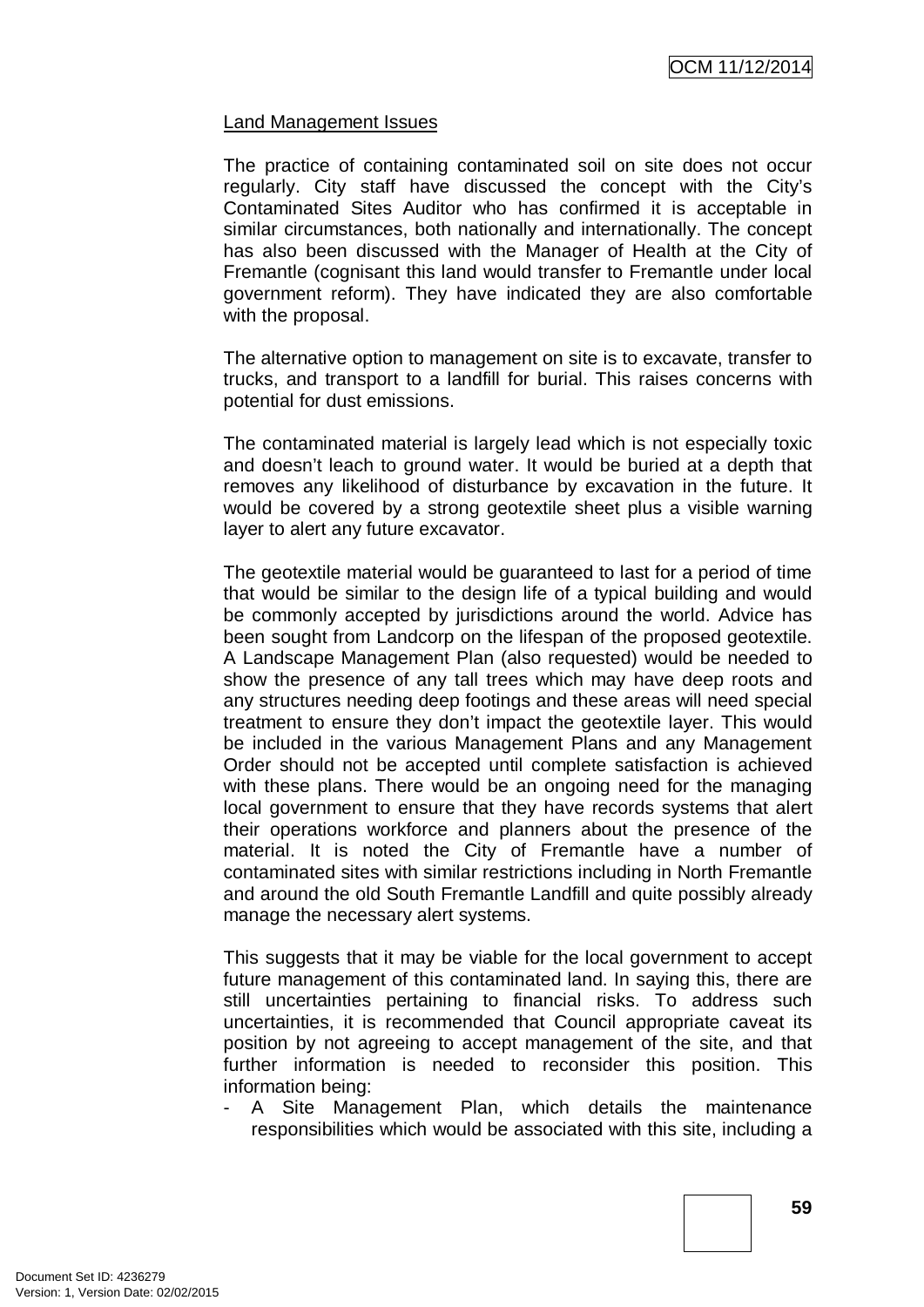#### Land Management Issues

The practice of containing contaminated soil on site does not occur regularly. City staff have discussed the concept with the City's Contaminated Sites Auditor who has confirmed it is acceptable in similar circumstances, both nationally and internationally. The concept has also been discussed with the Manager of Health at the City of Fremantle (cognisant this land would transfer to Fremantle under local government reform). They have indicated they are also comfortable with the proposal.

The alternative option to management on site is to excavate, transfer to trucks, and transport to a landfill for burial. This raises concerns with potential for dust emissions.

The contaminated material is largely lead which is not especially toxic and doesn't leach to ground water. It would be buried at a depth that removes any likelihood of disturbance by excavation in the future. It would be covered by a strong geotextile sheet plus a visible warning layer to alert any future excavator.

The geotextile material would be guaranteed to last for a period of time that would be similar to the design life of a typical building and would be commonly accepted by jurisdictions around the world. Advice has been sought from Landcorp on the lifespan of the proposed geotextile. A Landscape Management Plan (also requested) would be needed to show the presence of any tall trees which may have deep roots and any structures needing deep footings and these areas will need special treatment to ensure they don't impact the geotextile layer. This would be included in the various Management Plans and any Management Order should not be accepted until complete satisfaction is achieved with these plans. There would be an ongoing need for the managing local government to ensure that they have records systems that alert their operations workforce and planners about the presence of the material. It is noted the City of Fremantle have a number of contaminated sites with similar restrictions including in North Fremantle and around the old South Fremantle Landfill and quite possibly already manage the necessary alert systems.

This suggests that it may be viable for the local government to accept future management of this contaminated land. In saying this, there are still uncertainties pertaining to financial risks. To address such uncertainties, it is recommended that Council appropriate caveat its position by not agreeing to accept management of the site, and that further information is needed to reconsider this position. This information being:

A Site Management Plan, which details the maintenance responsibilities which would be associated with this site, including a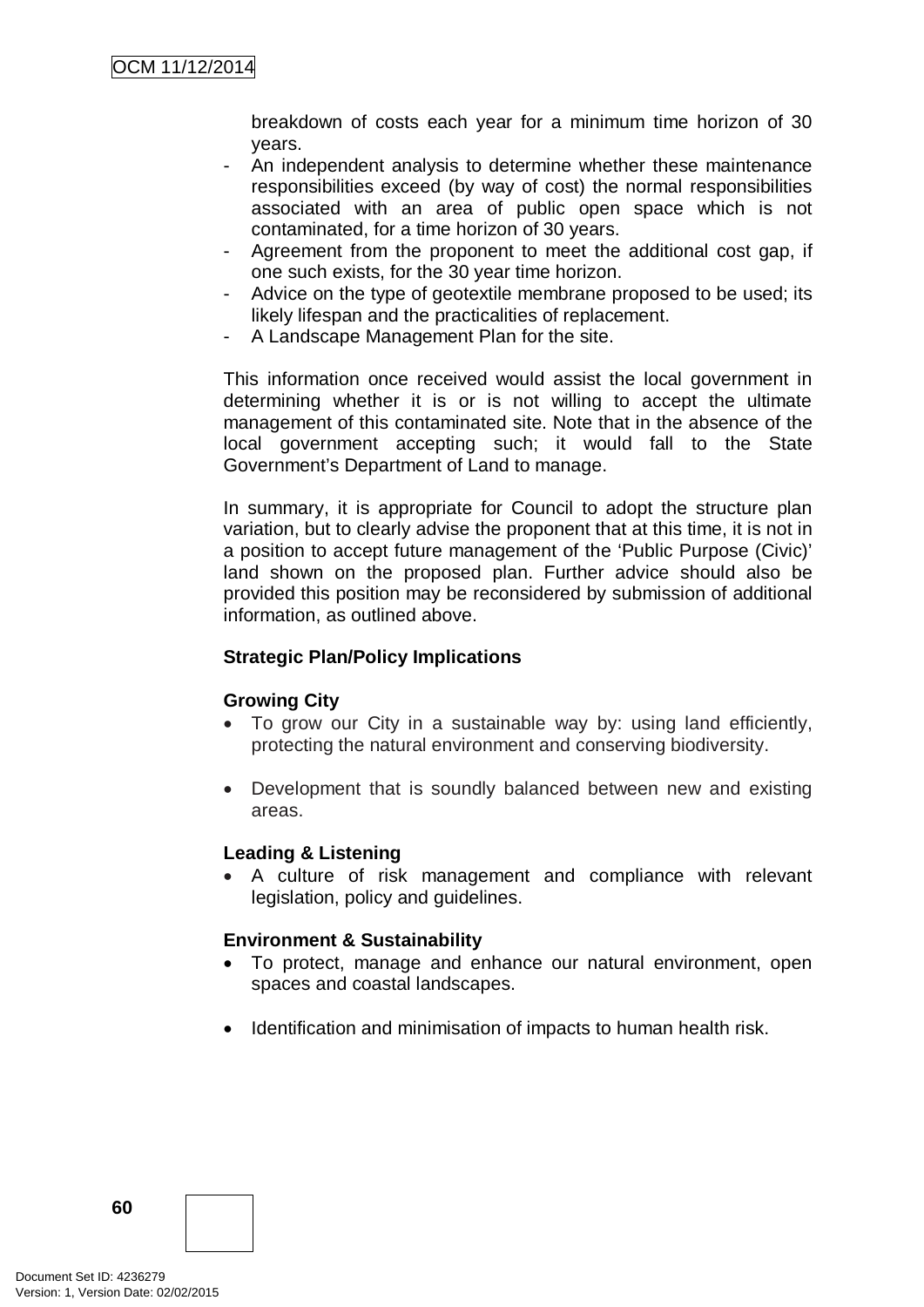breakdown of costs each year for a minimum time horizon of 30 years.

- An independent analysis to determine whether these maintenance responsibilities exceed (by way of cost) the normal responsibilities associated with an area of public open space which is not contaminated, for a time horizon of 30 years.
- Agreement from the proponent to meet the additional cost gap, if one such exists, for the 30 year time horizon.
- Advice on the type of geotextile membrane proposed to be used; its likely lifespan and the practicalities of replacement.
- A Landscape Management Plan for the site.

This information once received would assist the local government in determining whether it is or is not willing to accept the ultimate management of this contaminated site. Note that in the absence of the local government accepting such; it would fall to the State Government's Department of Land to manage.

In summary, it is appropriate for Council to adopt the structure plan variation, but to clearly advise the proponent that at this time, it is not in a position to accept future management of the 'Public Purpose (Civic)' land shown on the proposed plan. Further advice should also be provided this position may be reconsidered by submission of additional information, as outlined above.

#### **Strategic Plan/Policy Implications**

#### **Growing City**

- To grow our City in a sustainable way by: using land efficiently, protecting the natural environment and conserving biodiversity.
- Development that is soundly balanced between new and existing areas.

#### **Leading & Listening**

• A culture of risk management and compliance with relevant legislation, policy and guidelines.

#### **Environment & Sustainability**

- To protect, manage and enhance our natural environment, open spaces and coastal landscapes.
- Identification and minimisation of impacts to human health risk.

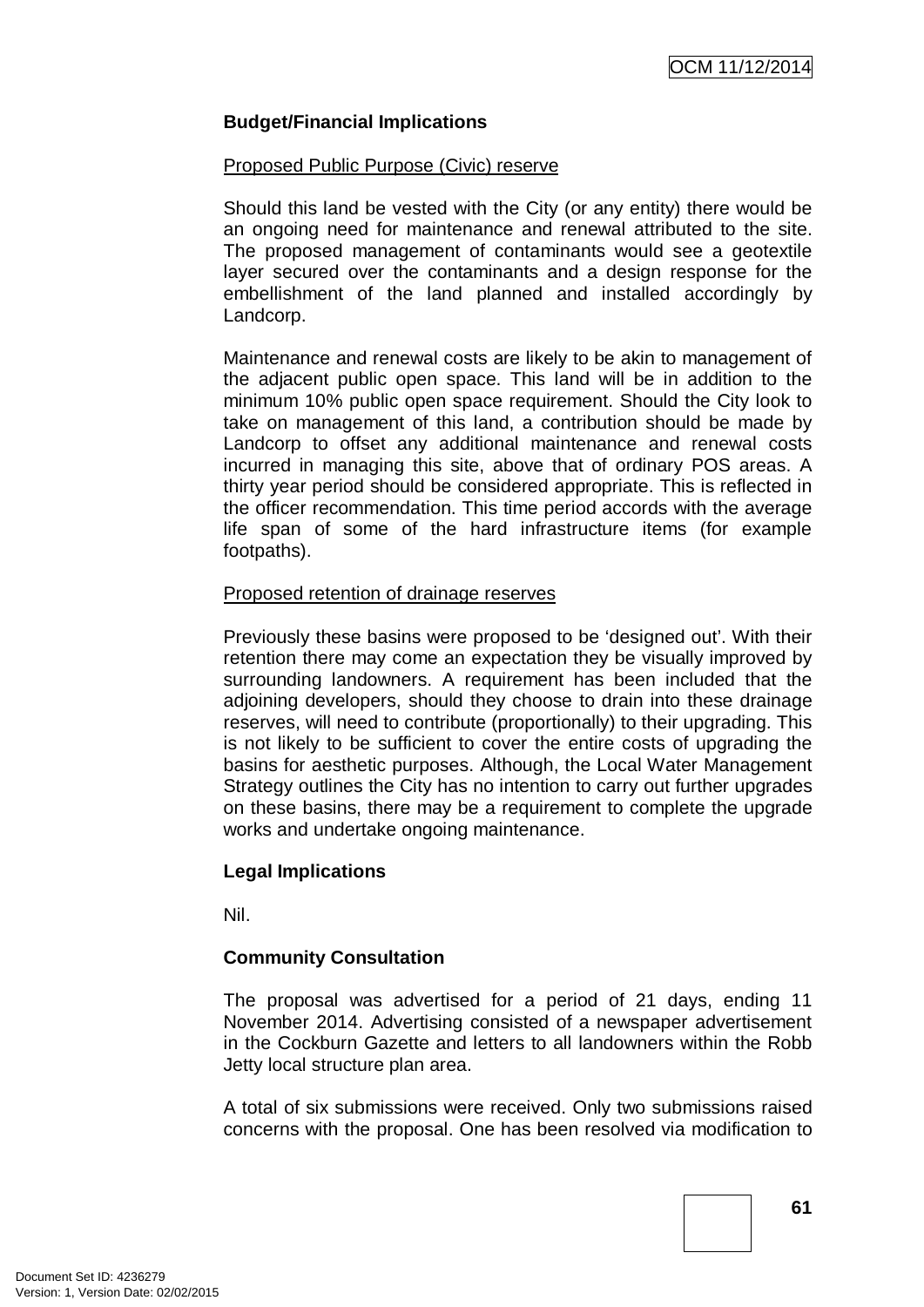#### **Budget/Financial Implications**

#### Proposed Public Purpose (Civic) reserve

Should this land be vested with the City (or any entity) there would be an ongoing need for maintenance and renewal attributed to the site. The proposed management of contaminants would see a geotextile layer secured over the contaminants and a design response for the embellishment of the land planned and installed accordingly by Landcorp.

Maintenance and renewal costs are likely to be akin to management of the adjacent public open space. This land will be in addition to the minimum 10% public open space requirement. Should the City look to take on management of this land, a contribution should be made by Landcorp to offset any additional maintenance and renewal costs incurred in managing this site, above that of ordinary POS areas. A thirty year period should be considered appropriate. This is reflected in the officer recommendation. This time period accords with the average life span of some of the hard infrastructure items (for example footpaths).

#### Proposed retention of drainage reserves

Previously these basins were proposed to be 'designed out'. With their retention there may come an expectation they be visually improved by surrounding landowners. A requirement has been included that the adjoining developers, should they choose to drain into these drainage reserves, will need to contribute (proportionally) to their upgrading. This is not likely to be sufficient to cover the entire costs of upgrading the basins for aesthetic purposes. Although, the Local Water Management Strategy outlines the City has no intention to carry out further upgrades on these basins, there may be a requirement to complete the upgrade works and undertake ongoing maintenance.

#### **Legal Implications**

Nil.

#### **Community Consultation**

The proposal was advertised for a period of 21 days, ending 11 November 2014. Advertising consisted of a newspaper advertisement in the Cockburn Gazette and letters to all landowners within the Robb Jetty local structure plan area.

A total of six submissions were received. Only two submissions raised concerns with the proposal. One has been resolved via modification to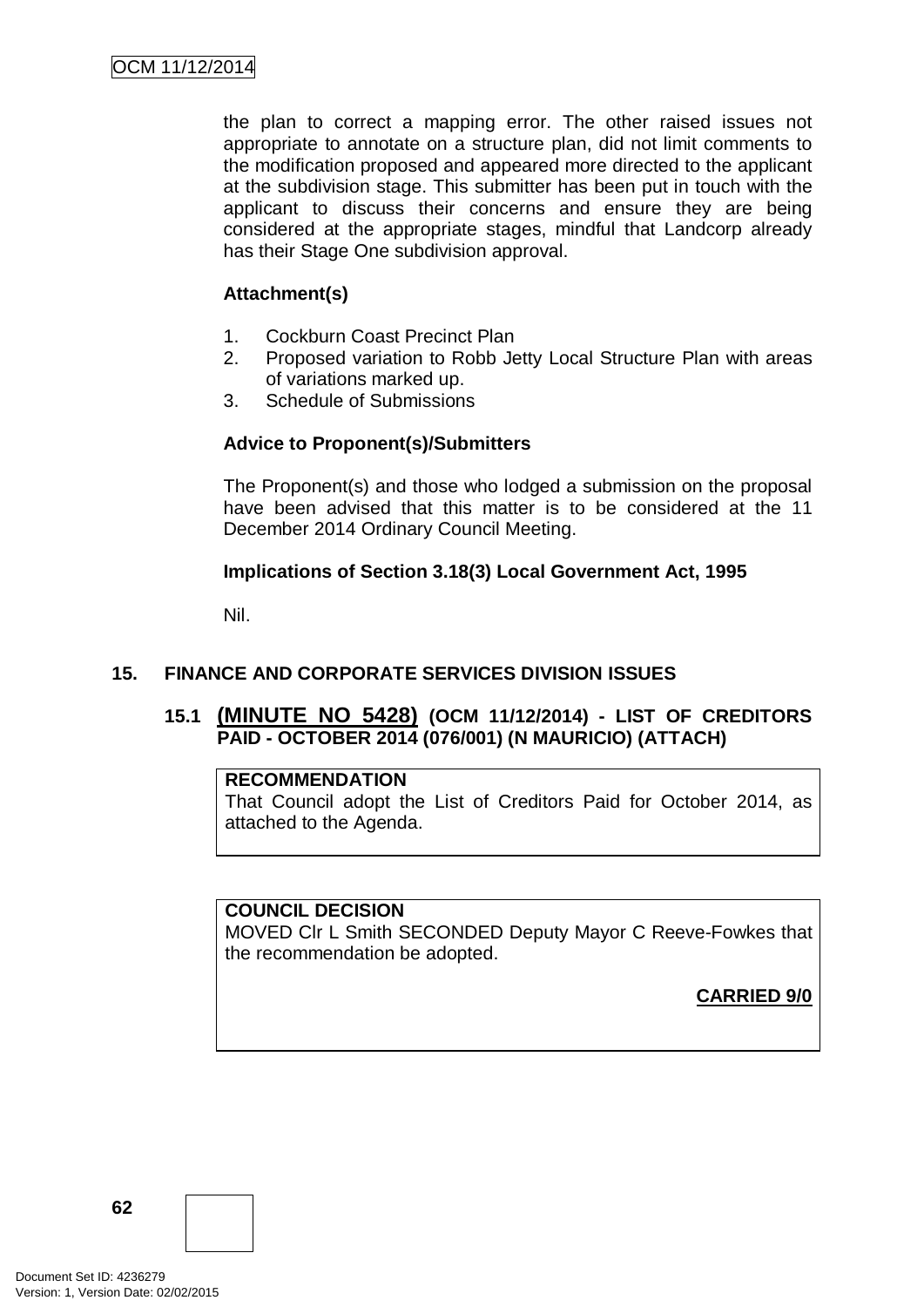the plan to correct a mapping error. The other raised issues not appropriate to annotate on a structure plan, did not limit comments to the modification proposed and appeared more directed to the applicant at the subdivision stage. This submitter has been put in touch with the applicant to discuss their concerns and ensure they are being considered at the appropriate stages, mindful that Landcorp already has their Stage One subdivision approval.

# **Attachment(s)**

- 1. Cockburn Coast Precinct Plan
- 2. Proposed variation to Robb Jetty Local Structure Plan with areas of variations marked up.
- 3. Schedule of Submissions

## **Advice to Proponent(s)/Submitters**

The Proponent(s) and those who lodged a submission on the proposal have been advised that this matter is to be considered at the 11 December 2014 Ordinary Council Meeting.

## **Implications of Section 3.18(3) Local Government Act, 1995**

Nil.

# **15. FINANCE AND CORPORATE SERVICES DIVISION ISSUES**

# **15.1 (MINUTE NO 5428) (OCM 11/12/2014) - LIST OF CREDITORS PAID - OCTOBER 2014 (076/001) (N MAURICIO) (ATTACH)**

#### **RECOMMENDATION**

That Council adopt the List of Creditors Paid for October 2014, as attached to the Agenda.

#### **COUNCIL DECISION**

MOVED Clr L Smith SECONDED Deputy Mayor C Reeve-Fowkes that the recommendation be adopted.

**CARRIED 9/0**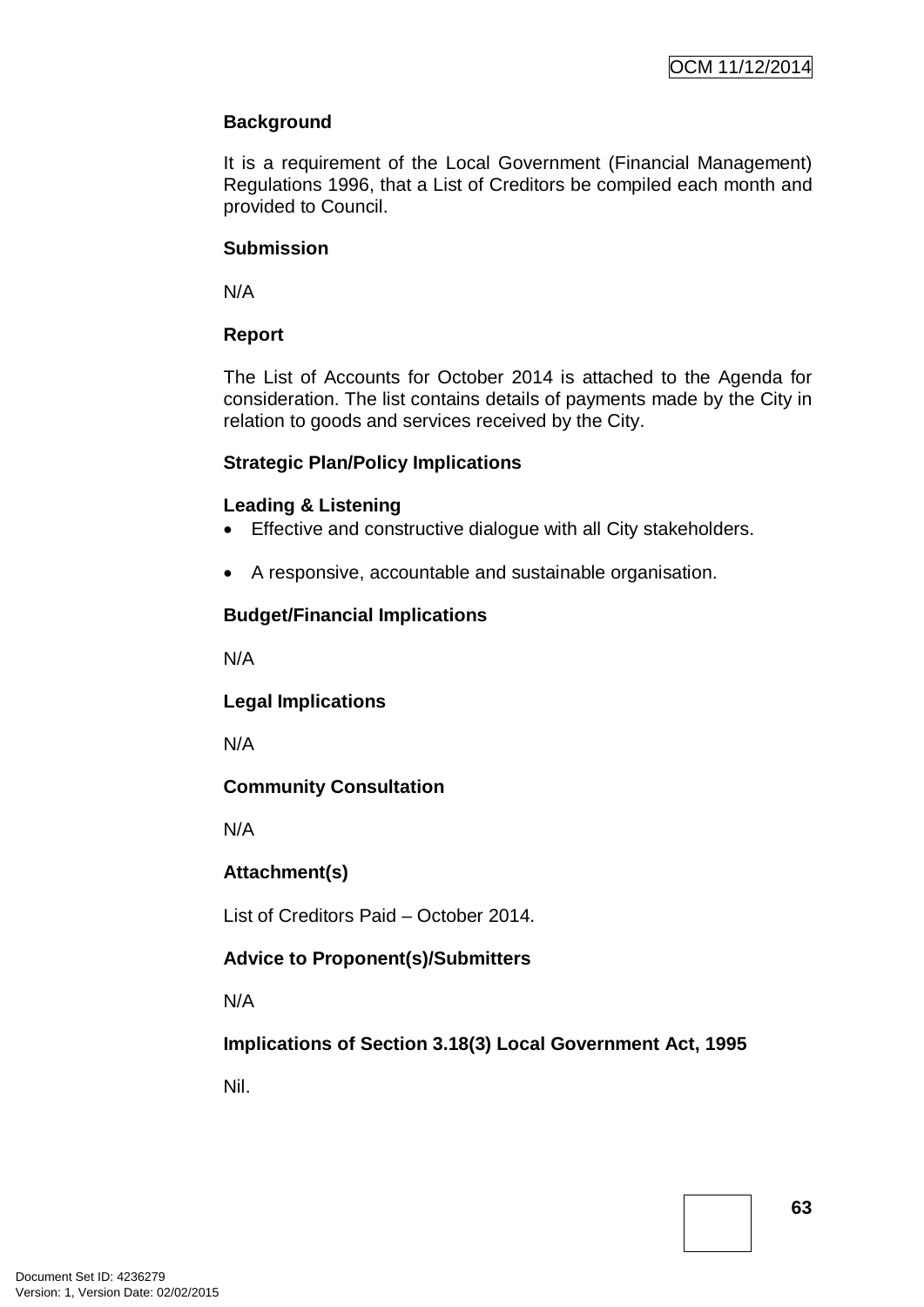# **Background**

It is a requirement of the Local Government (Financial Management) Regulations 1996, that a List of Creditors be compiled each month and provided to Council.

#### **Submission**

N/A

## **Report**

The List of Accounts for October 2014 is attached to the Agenda for consideration. The list contains details of payments made by the City in relation to goods and services received by the City.

## **Strategic Plan/Policy Implications**

#### **Leading & Listening**

- Effective and constructive dialogue with all City stakeholders.
- A responsive, accountable and sustainable organisation.

## **Budget/Financial Implications**

N/A

**Legal Implications**

N/A

# **Community Consultation**

N/A

# **Attachment(s)**

List of Creditors Paid – October 2014.

# **Advice to Proponent(s)/Submitters**

N/A

**Implications of Section 3.18(3) Local Government Act, 1995**

Nil.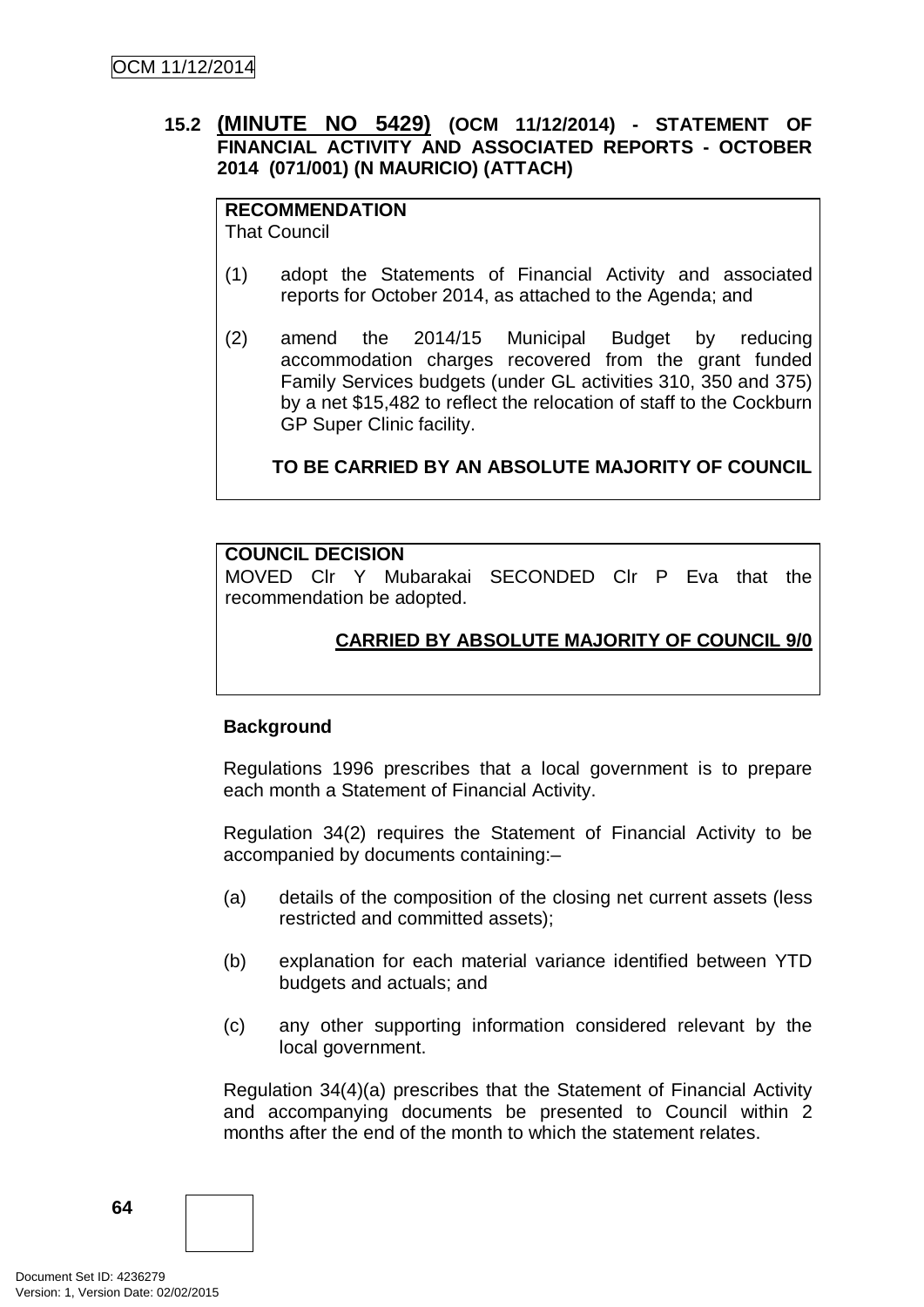## **15.2 (MINUTE NO 5429) (OCM 11/12/2014) - STATEMENT OF FINANCIAL ACTIVITY AND ASSOCIATED REPORTS - OCTOBER 2014 (071/001) (N MAURICIO) (ATTACH)**

# **RECOMMENDATION**

That Council

- (1) adopt the Statements of Financial Activity and associated reports for October 2014, as attached to the Agenda; and
- (2) amend the 2014/15 Municipal Budget by reducing accommodation charges recovered from the grant funded Family Services budgets (under GL activities 310, 350 and 375) by a net \$15,482 to reflect the relocation of staff to the Cockburn GP Super Clinic facility.

**TO BE CARRIED BY AN ABSOLUTE MAJORITY OF COUNCIL**

#### **COUNCIL DECISION**

MOVED Clr Y Mubarakai SECONDED Clr P Eva that the recommendation be adopted.

## **CARRIED BY ABSOLUTE MAJORITY OF COUNCIL 9/0**

#### **Background**

Regulations 1996 prescribes that a local government is to prepare each month a Statement of Financial Activity.

Regulation 34(2) requires the Statement of Financial Activity to be accompanied by documents containing:–

- (a) details of the composition of the closing net current assets (less restricted and committed assets);
- (b) explanation for each material variance identified between YTD budgets and actuals; and
- (c) any other supporting information considered relevant by the local government.

Regulation 34(4)(a) prescribes that the Statement of Financial Activity and accompanying documents be presented to Council within 2 months after the end of the month to which the statement relates.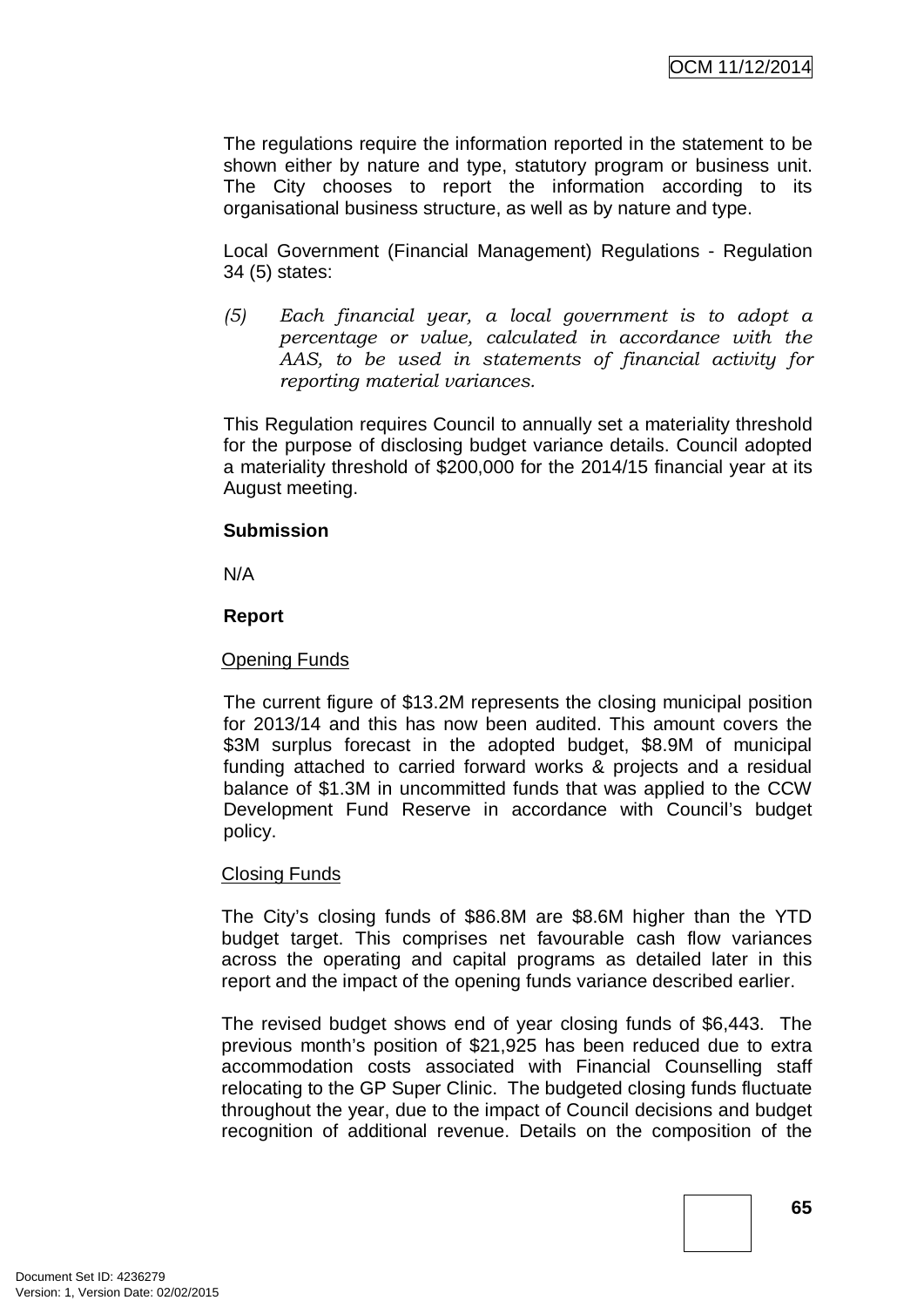The regulations require the information reported in the statement to be shown either by nature and type, statutory program or business unit. The City chooses to report the information according to its organisational business structure, as well as by nature and type.

Local Government (Financial Management) Regulations - Regulation 34 (5) states:

*(5) Each financial year, a local government is to adopt a percentage or value, calculated in accordance with the AAS, to be used in statements of financial activity for reporting material variances.*

This Regulation requires Council to annually set a materiality threshold for the purpose of disclosing budget variance details. Council adopted a materiality threshold of \$200,000 for the 2014/15 financial year at its August meeting.

#### **Submission**

N/A

## **Report**

### Opening Funds

The current figure of \$13.2M represents the closing municipal position for 2013/14 and this has now been audited. This amount covers the \$3M surplus forecast in the adopted budget, \$8.9M of municipal funding attached to carried forward works & projects and a residual balance of \$1.3M in uncommitted funds that was applied to the CCW Development Fund Reserve in accordance with Council's budget policy.

#### Closing Funds

The City's closing funds of \$86.8M are \$8.6M higher than the YTD budget target. This comprises net favourable cash flow variances across the operating and capital programs as detailed later in this report and the impact of the opening funds variance described earlier.

The revised budget shows end of year closing funds of \$6,443. The previous month's position of \$21,925 has been reduced due to extra accommodation costs associated with Financial Counselling staff relocating to the GP Super Clinic. The budgeted closing funds fluctuate throughout the year, due to the impact of Council decisions and budget recognition of additional revenue. Details on the composition of the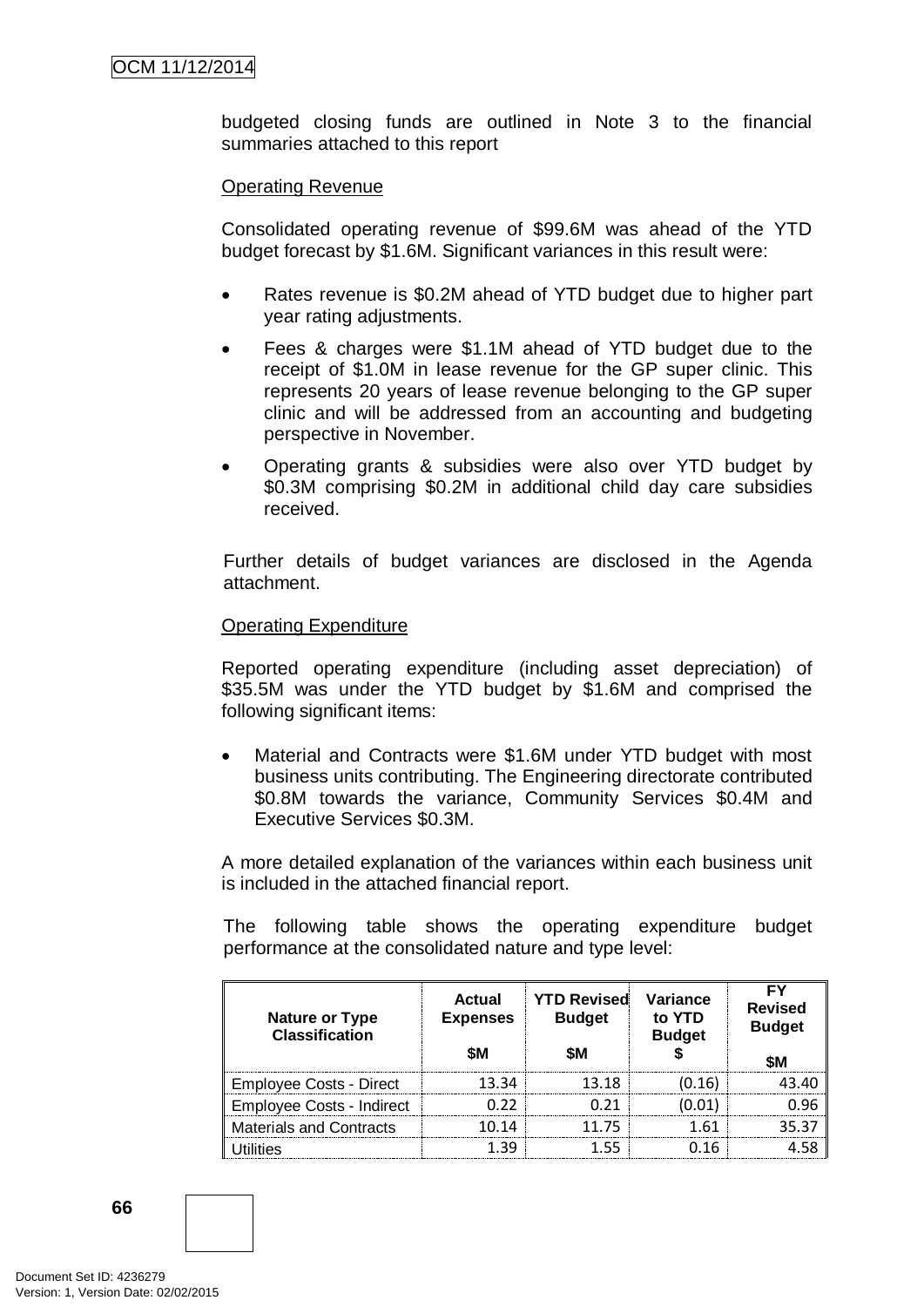budgeted closing funds are outlined in Note 3 to the financial summaries attached to this report

#### Operating Revenue

Consolidated operating revenue of \$99.6M was ahead of the YTD budget forecast by \$1.6M. Significant variances in this result were:

- Rates revenue is \$0.2M ahead of YTD budget due to higher part year rating adjustments.
- Fees & charges were \$1.1M ahead of YTD budget due to the receipt of \$1.0M in lease revenue for the GP super clinic. This represents 20 years of lease revenue belonging to the GP super clinic and will be addressed from an accounting and budgeting perspective in November.
- Operating grants & subsidies were also over YTD budget by \$0.3M comprising \$0.2M in additional child day care subsidies received.

Further details of budget variances are disclosed in the Agenda attachment.

#### Operating Expenditure

Reported operating expenditure (including asset depreciation) of \$35.5M was under the YTD budget by \$1.6M and comprised the following significant items:

Material and Contracts were \$1.6M under YTD budget with most business units contributing. The Engineering directorate contributed \$0.8M towards the variance, Community Services \$0.4M and Executive Services \$0.3M.

A more detailed explanation of the variances within each business unit is included in the attached financial report.

The following table shows the operating expenditure budget performance at the consolidated nature and type level:

| <b>Nature or Type</b><br><b>Classification</b> | <b>Actual</b><br><b>Expenses</b><br>SМ | <b>YTD Revised</b><br><b>Budget</b><br>SM. | Variance<br>to YTD<br><b>Budget</b> | <b>Revised</b><br><b>Budget</b><br>\$M |
|------------------------------------------------|----------------------------------------|--------------------------------------------|-------------------------------------|----------------------------------------|
| <b>Employee Costs - Direct</b>                 | 13.34                                  | 13.18                                      | (0.16)                              |                                        |
| <b>Employee Costs - Indirect</b>               |                                        |                                            |                                     |                                        |
| <b>Materials and Contracts</b>                 | 10.14                                  | 11.75                                      | 1 61                                | 35.37                                  |
| saitile                                        |                                        | 155                                        | ገ 16                                |                                        |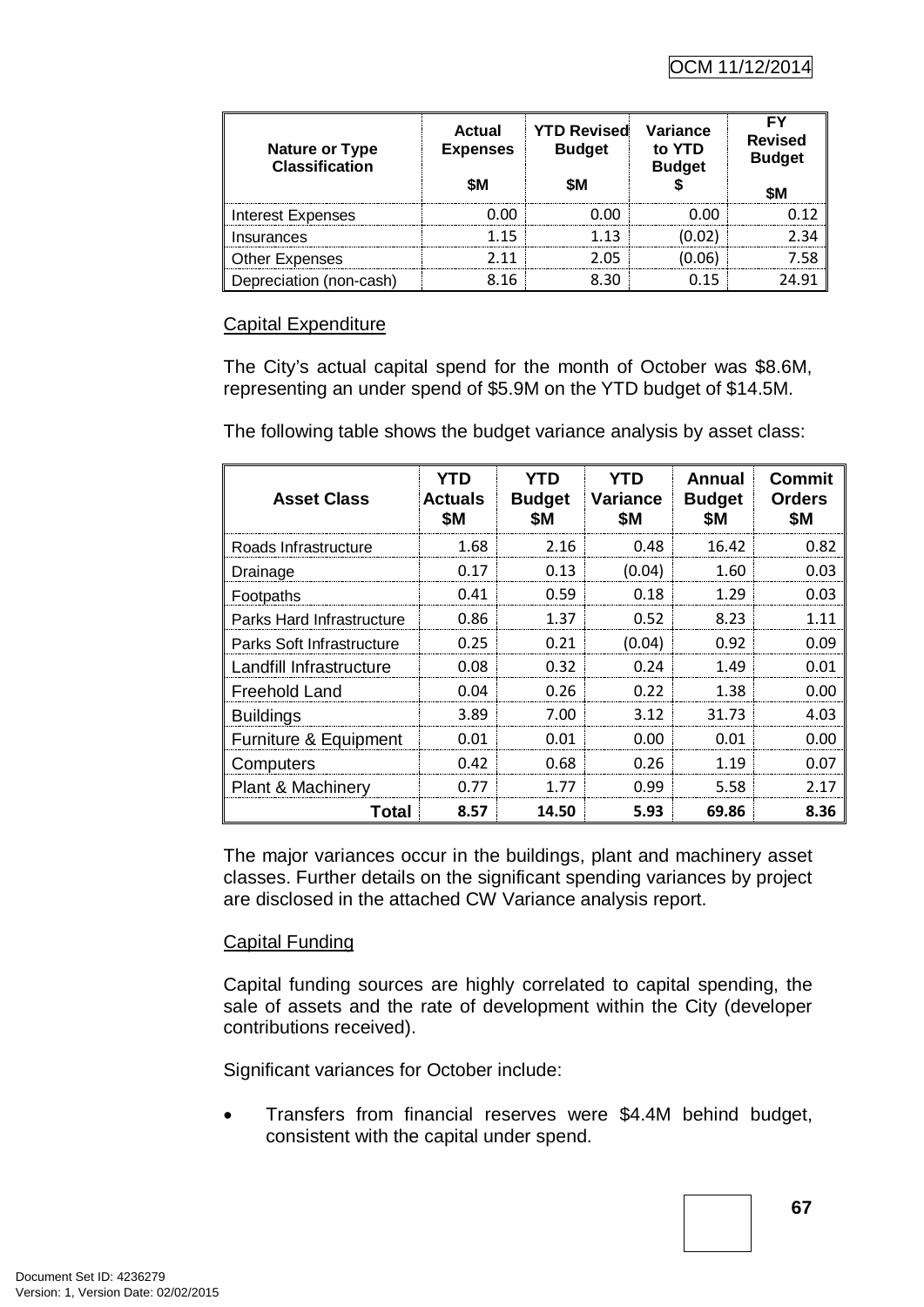| <b>Nature or Type</b><br><b>Classification</b> | <b>Actual</b><br><b>Expenses</b><br>SM. | <b>YTD Revised</b><br><b>Budget</b><br>SΜ. | Variance<br>to YTD<br><b>Budget</b> | <b>Revised</b><br><b>Budget</b><br>SM. |
|------------------------------------------------|-----------------------------------------|--------------------------------------------|-------------------------------------|----------------------------------------|
| Interest Expenses                              |                                         | ገ በበ                                       | n nn                                |                                        |
| nsurances                                      | 1 15                                    | 113                                        |                                     |                                        |
| วther Expenses                                 | 7 11                                    | ን በ5                                       | ).06'                               | 7.58                                   |
| Depreciation (non-cash)                        | 8 16                                    | חצ א                                       | N 15                                | 24.91                                  |

## Capital Expenditure

The City's actual capital spend for the month of October was \$8.6M, representing an under spend of \$5.9M on the YTD budget of \$14.5M.

The following table shows the budget variance analysis by asset class:

| <b>Asset Class</b>           | <b>YTD</b><br><b>Actuals</b><br>\$Μ | YTD<br><b>Budget</b><br>\$Μ | <b>YTD</b><br>Variance<br>\$Μ | Annual<br><b>Budget</b><br>\$M | Commit<br><b>Orders</b><br>\$Μ |
|------------------------------|-------------------------------------|-----------------------------|-------------------------------|--------------------------------|--------------------------------|
| Roads Infrastructure         | 1.68                                | 2.16                        | 0.48                          | 16.42                          | 0.82                           |
| Drainage                     | 0.17                                | 0.13                        | (0.04)                        | 1.60                           | 0.03                           |
| Footpaths                    | 0.41                                | 0.59                        | 0.18                          | 1.29                           | 0.03                           |
| Parks Hard Infrastructure    | 0.86                                | 1.37                        | 0.52                          | 8.23                           | 1.11                           |
| Parks Soft Infrastructure    | 0.25                                | 0.21                        | (0.04)                        | 0.92                           | 0.09                           |
| Landfill Infrastructure      | 0.08                                | 0.32                        | 0.24                          | 1.49                           | 0.01                           |
| <b>Freehold Land</b>         | 0.04                                | 0.26                        | 0.22                          | 1.38                           | 0.00                           |
| <b>Buildings</b>             | 3.89                                | 7.00                        | 3.12                          | 31.73                          | 4.03                           |
| Furniture & Equipment        | 0.01                                | 0.01                        | 0.00                          | 0.01                           | 0.00                           |
| Computers                    | 0.42                                | 0.68                        | 0.26                          | 1.19                           | 0.07                           |
| <b>Plant &amp; Machinery</b> | 0.77                                | 1.77                        | 0.99                          | 5.58                           | 2.17                           |
| Total                        | 8.57                                | 14.50                       | 5.93                          | 69.86                          | 8.36                           |

The major variances occur in the buildings, plant and machinery asset classes. Further details on the significant spending variances by project are disclosed in the attached CW Variance analysis report.

#### Capital Funding

Capital funding sources are highly correlated to capital spending, the sale of assets and the rate of development within the City (developer contributions received).

Significant variances for October include:

• Transfers from financial reserves were \$4.4M behind budget, consistent with the capital under spend.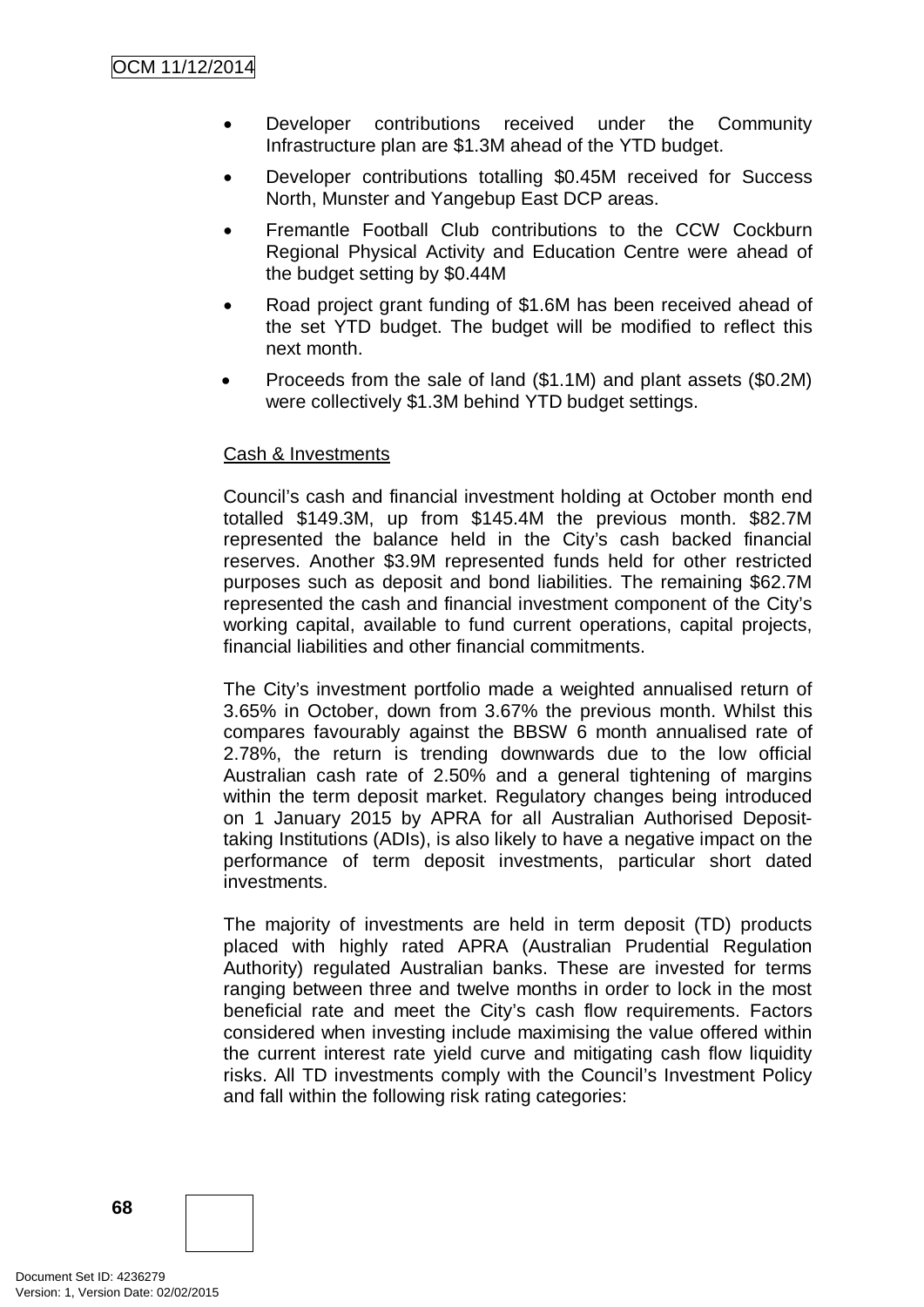- Developer contributions received under the Community Infrastructure plan are \$1.3M ahead of the YTD budget.
- Developer contributions totalling \$0.45M received for Success North, Munster and Yangebup East DCP areas.
- Fremantle Football Club contributions to the CCW Cockburn Regional Physical Activity and Education Centre were ahead of the budget setting by \$0.44M
- Road project grant funding of \$1.6M has been received ahead of the set YTD budget. The budget will be modified to reflect this next month.
- Proceeds from the sale of land (\$1.1M) and plant assets (\$0.2M) were collectively \$1.3M behind YTD budget settings.

#### Cash & Investments

Council's cash and financial investment holding at October month end totalled \$149.3M, up from \$145.4M the previous month. \$82.7M represented the balance held in the City's cash backed financial reserves. Another \$3.9M represented funds held for other restricted purposes such as deposit and bond liabilities. The remaining \$62.7M represented the cash and financial investment component of the City's working capital, available to fund current operations, capital projects, financial liabilities and other financial commitments.

The City's investment portfolio made a weighted annualised return of 3.65% in October, down from 3.67% the previous month. Whilst this compares favourably against the BBSW 6 month annualised rate of 2.78%, the return is trending downwards due to the low official Australian cash rate of 2.50% and a general tightening of margins within the term deposit market. Regulatory changes being introduced on 1 January 2015 by APRA for all Australian Authorised Deposittaking Institutions (ADIs), is also likely to have a negative impact on the performance of term deposit investments, particular short dated investments.

The majority of investments are held in term deposit (TD) products placed with highly rated APRA (Australian Prudential Regulation Authority) regulated Australian banks. These are invested for terms ranging between three and twelve months in order to lock in the most beneficial rate and meet the City's cash flow requirements. Factors considered when investing include maximising the value offered within the current interest rate yield curve and mitigating cash flow liquidity risks. All TD investments comply with the Council's Investment Policy and fall within the following risk rating categories: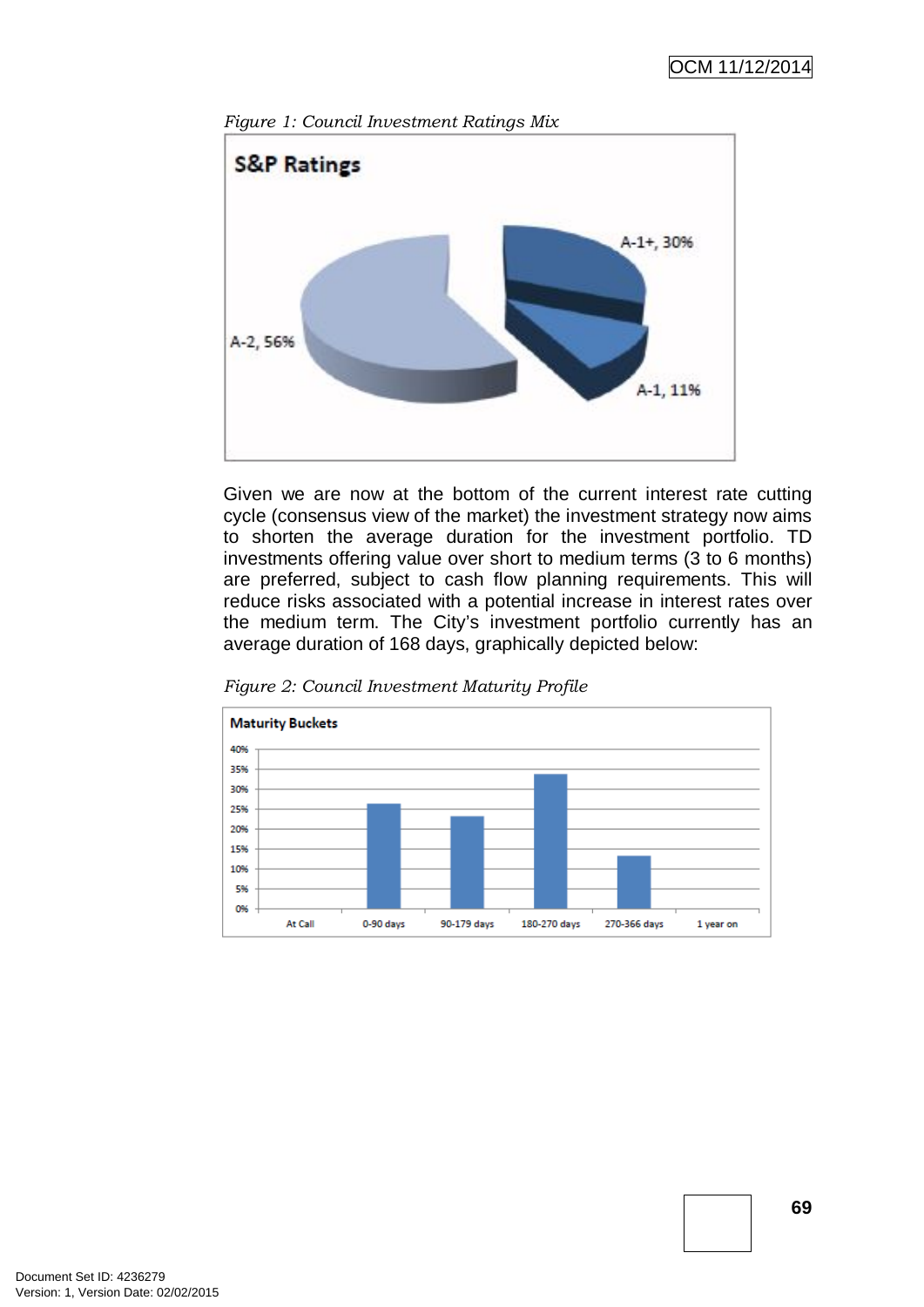*Figure 1: Council Investment Ratings Mix*



Given we are now at the bottom of the current interest rate cutting cycle (consensus view of the market) the investment strategy now aims to shorten the average duration for the investment portfolio. TD investments offering value over short to medium terms (3 to 6 months) are preferred, subject to cash flow planning requirements. This will reduce risks associated with a potential increase in interest rates over the medium term. The City's investment portfolio currently has an average duration of 168 days, graphically depicted below:



*Figure 2: Council Investment Maturity Profile*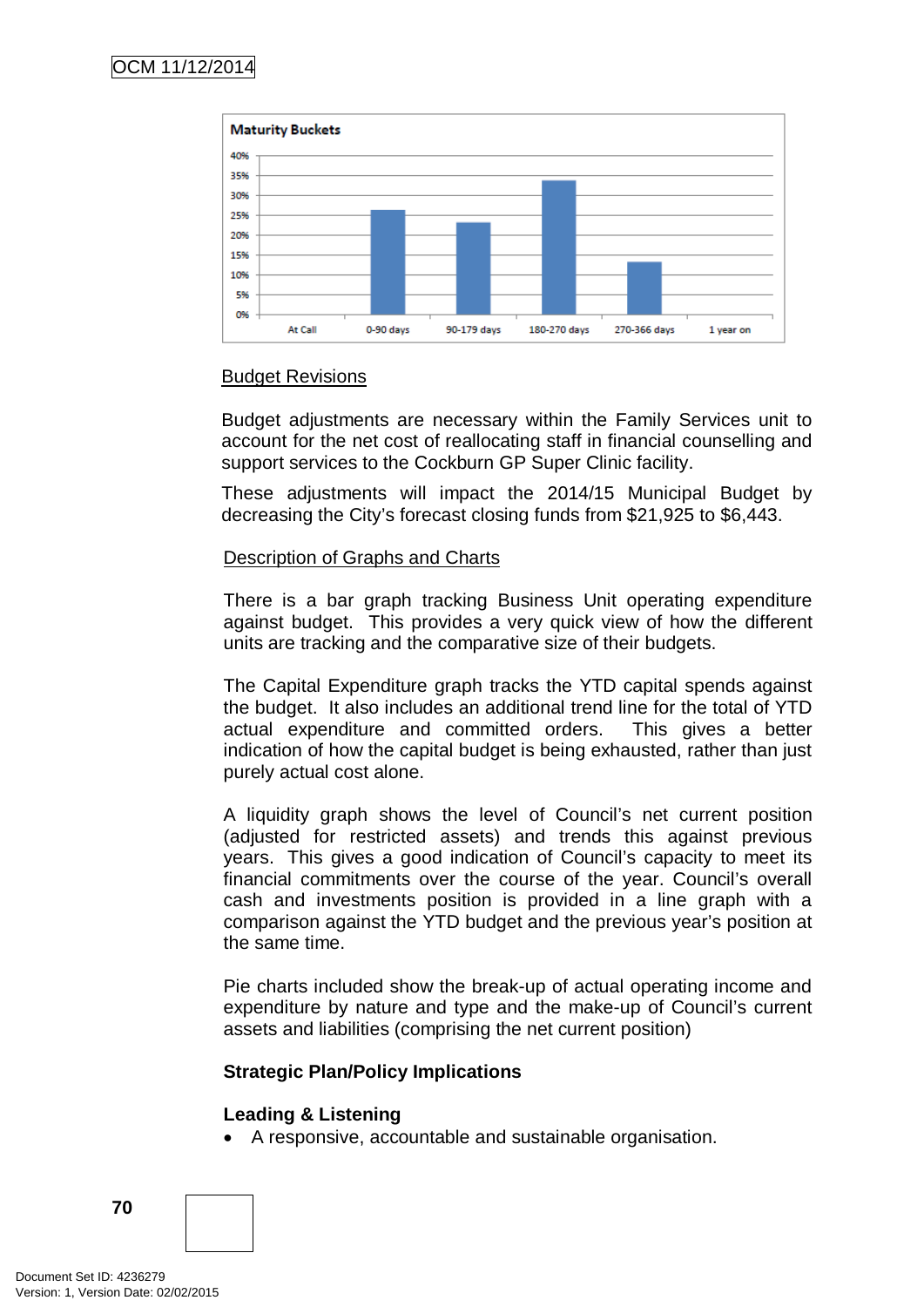

# Budget Revisions

Budget adjustments are necessary within the Family Services unit to account for the net cost of reallocating staff in financial counselling and support services to the Cockburn GP Super Clinic facility.

These adjustments will impact the 2014/15 Municipal Budget by decreasing the City's forecast closing funds from \$21,925 to \$6,443.

# Description of Graphs and Charts

There is a bar graph tracking Business Unit operating expenditure against budget. This provides a very quick view of how the different units are tracking and the comparative size of their budgets.

The Capital Expenditure graph tracks the YTD capital spends against the budget. It also includes an additional trend line for the total of YTD actual expenditure and committed orders. This gives a better indication of how the capital budget is being exhausted, rather than just purely actual cost alone.

A liquidity graph shows the level of Council's net current position (adjusted for restricted assets) and trends this against previous years. This gives a good indication of Council's capacity to meet its financial commitments over the course of the year. Council's overall cash and investments position is provided in a line graph with a comparison against the YTD budget and the previous year's position at the same time.

Pie charts included show the break-up of actual operating income and expenditure by nature and type and the make-up of Council's current assets and liabilities (comprising the net current position)

# **Strategic Plan/Policy Implications**

### **Leading & Listening**

• A responsive, accountable and sustainable organisation.

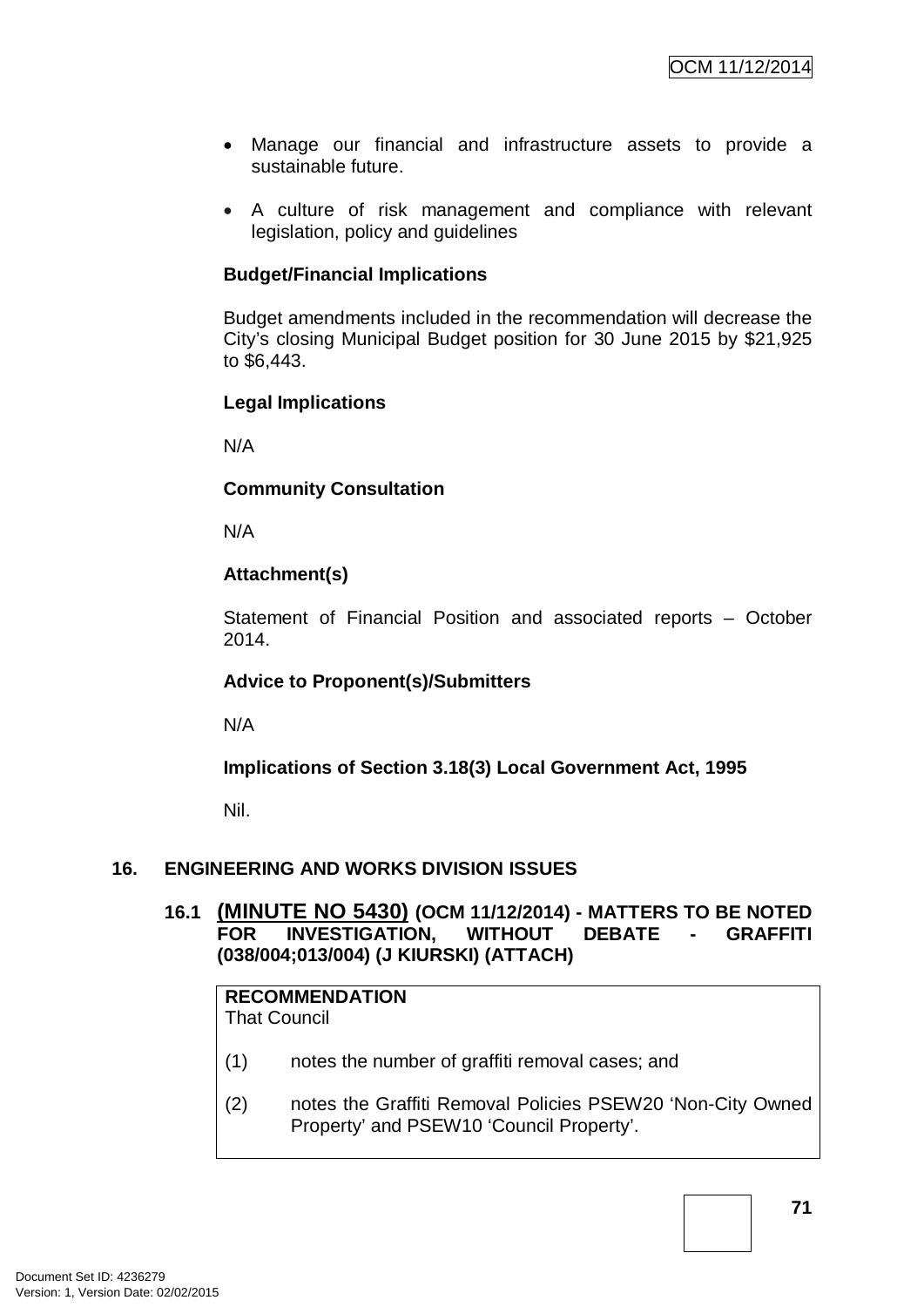- Manage our financial and infrastructure assets to provide a sustainable future.
- A culture of risk management and compliance with relevant legislation, policy and guidelines

# **Budget/Financial Implications**

Budget amendments included in the recommendation will decrease the City's closing Municipal Budget position for 30 June 2015 by \$21,925 to \$6,443.

# **Legal Implications**

N/A

# **Community Consultation**

N/A

# **Attachment(s)**

Statement of Financial Position and associated reports – October 2014.

### **Advice to Proponent(s)/Submitters**

N/A

**Implications of Section 3.18(3) Local Government Act, 1995**

Nil.

# **16. ENGINEERING AND WORKS DIVISION ISSUES**

**16.1 (MINUTE NO 5430) (OCM 11/12/2014) - MATTERS TO BE NOTED FOR INVESTIGATION, WITHOUT DEBATE - GRAFFITI (038/004;013/004) (J KIURSKI) (ATTACH)**

# **RECOMMENDATION**

That Council

- (1) notes the number of graffiti removal cases; and
- (2) notes the Graffiti Removal Policies PSEW20 'Non-City Owned Property' and PSEW10 'Council Property'.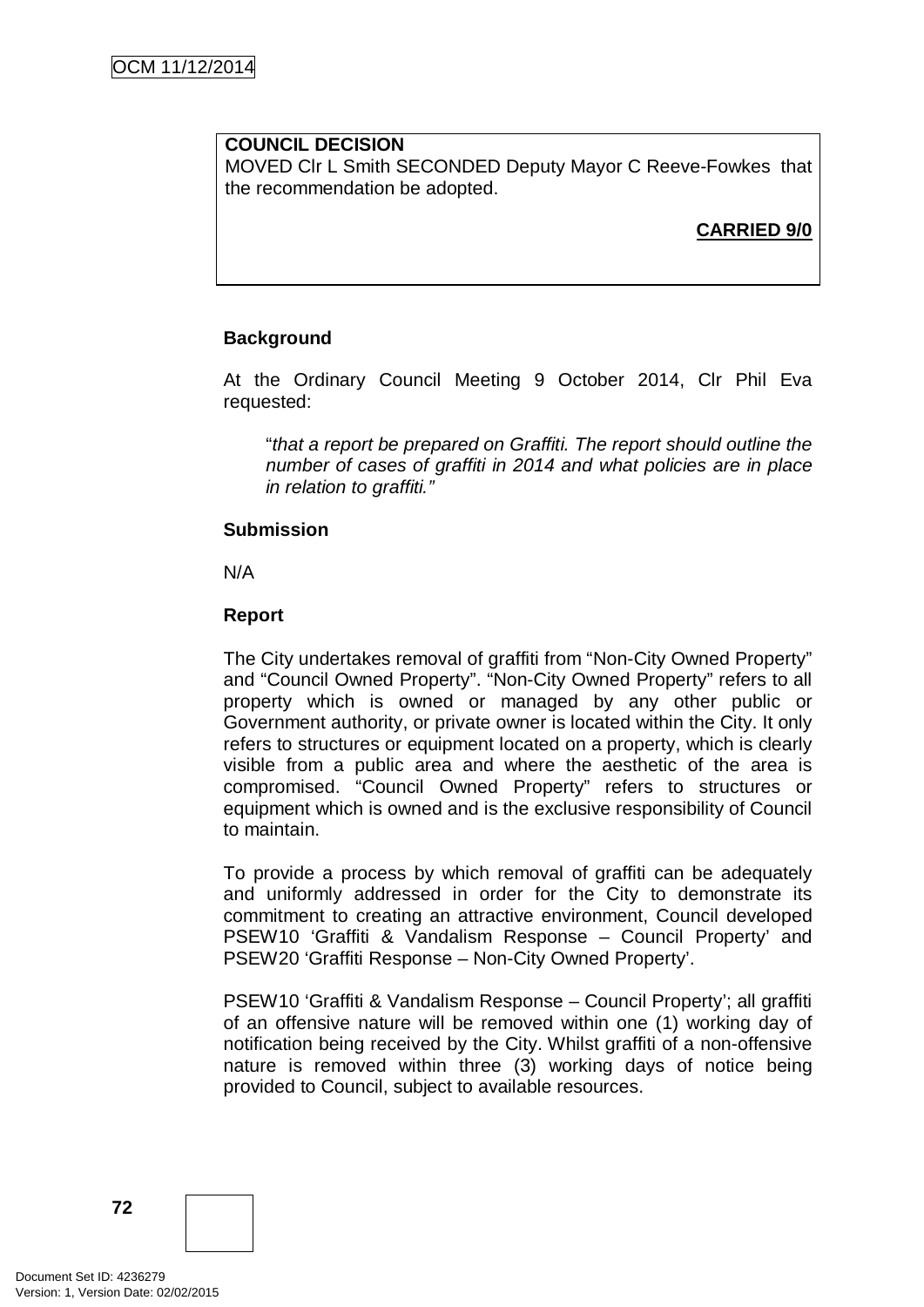### **COUNCIL DECISION**

MOVED Clr L Smith SECONDED Deputy Mayor C Reeve-Fowkes that the recommendation be adopted.

# **CARRIED 9/0**

# **Background**

At the Ordinary Council Meeting 9 October 2014, Clr Phil Eva requested:

"*that a report be prepared on Graffiti. The report should outline the number of cases of graffiti in 2014 and what policies are in place in relation to graffiti."*

### **Submission**

N/A

### **Report**

The City undertakes removal of graffiti from "Non-City Owned Property" and "Council Owned Property". "Non-City Owned Property" refers to all property which is owned or managed by any other public or Government authority, or private owner is located within the City. It only refers to structures or equipment located on a property, which is clearly visible from a public area and where the aesthetic of the area is compromised. "Council Owned Property" refers to structures or equipment which is owned and is the exclusive responsibility of Council to maintain.

To provide a process by which removal of graffiti can be adequately and uniformly addressed in order for the City to demonstrate its commitment to creating an attractive environment, Council developed PSEW10 'Graffiti & Vandalism Response – Council Property' and PSEW20 'Graffiti Response – Non-City Owned Property'.

PSEW10 'Graffiti & Vandalism Response – Council Property'; all graffiti of an offensive nature will be removed within one (1) working day of notification being received by the City. Whilst graffiti of a non-offensive nature is removed within three (3) working days of notice being provided to Council, subject to available resources.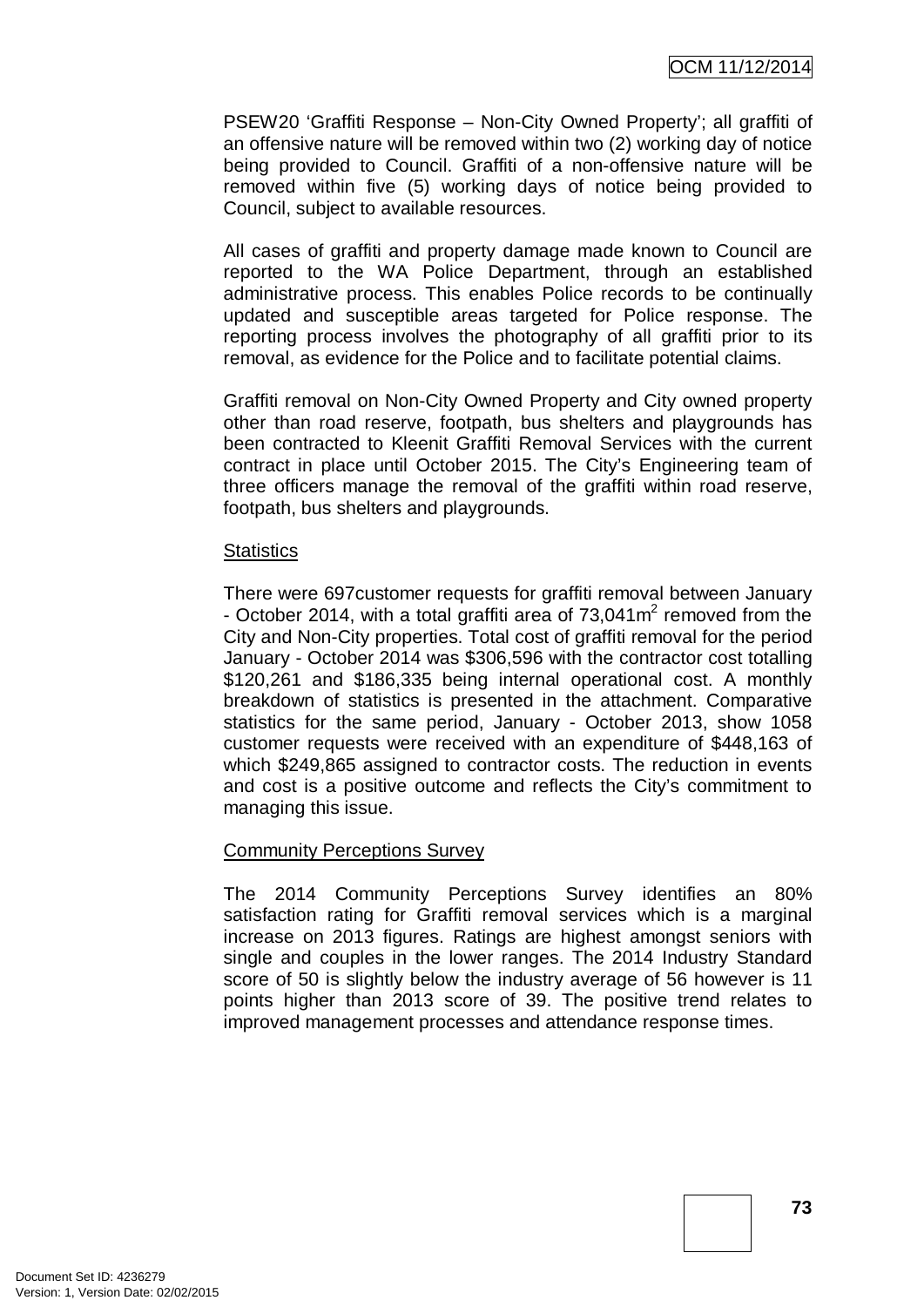PSEW20 'Graffiti Response – Non-City Owned Property'; all graffiti of an offensive nature will be removed within two (2) working day of notice being provided to Council. Graffiti of a non-offensive nature will be removed within five (5) working days of notice being provided to Council, subject to available resources.

All cases of graffiti and property damage made known to Council are reported to the WA Police Department, through an established administrative process. This enables Police records to be continually updated and susceptible areas targeted for Police response. The reporting process involves the photography of all graffiti prior to its removal, as evidence for the Police and to facilitate potential claims.

Graffiti removal on Non-City Owned Property and City owned property other than road reserve, footpath, bus shelters and playgrounds has been contracted to Kleenit Graffiti Removal Services with the current contract in place until October 2015. The City's Engineering team of three officers manage the removal of the graffiti within road reserve, footpath, bus shelters and playgrounds.

### **Statistics**

There were 697customer requests for graffiti removal between January - October 2014, with a total graffiti area of  $73,041\,\mathrm{m}^2$  removed from the City and Non-City properties. Total cost of graffiti removal for the period January - October 2014 was \$306,596 with the contractor cost totalling \$120,261 and \$186,335 being internal operational cost. A monthly breakdown of statistics is presented in the attachment. Comparative statistics for the same period, January - October 2013, show 1058 customer requests were received with an expenditure of \$448,163 of which \$249,865 assigned to contractor costs. The reduction in events and cost is a positive outcome and reflects the City's commitment to managing this issue.

### Community Perceptions Survey

The 2014 Community Perceptions Survey identifies an 80% satisfaction rating for Graffiti removal services which is a marginal increase on 2013 figures. Ratings are highest amongst seniors with single and couples in the lower ranges. The 2014 Industry Standard score of 50 is slightly below the industry average of 56 however is 11 points higher than 2013 score of 39. The positive trend relates to improved management processes and attendance response times.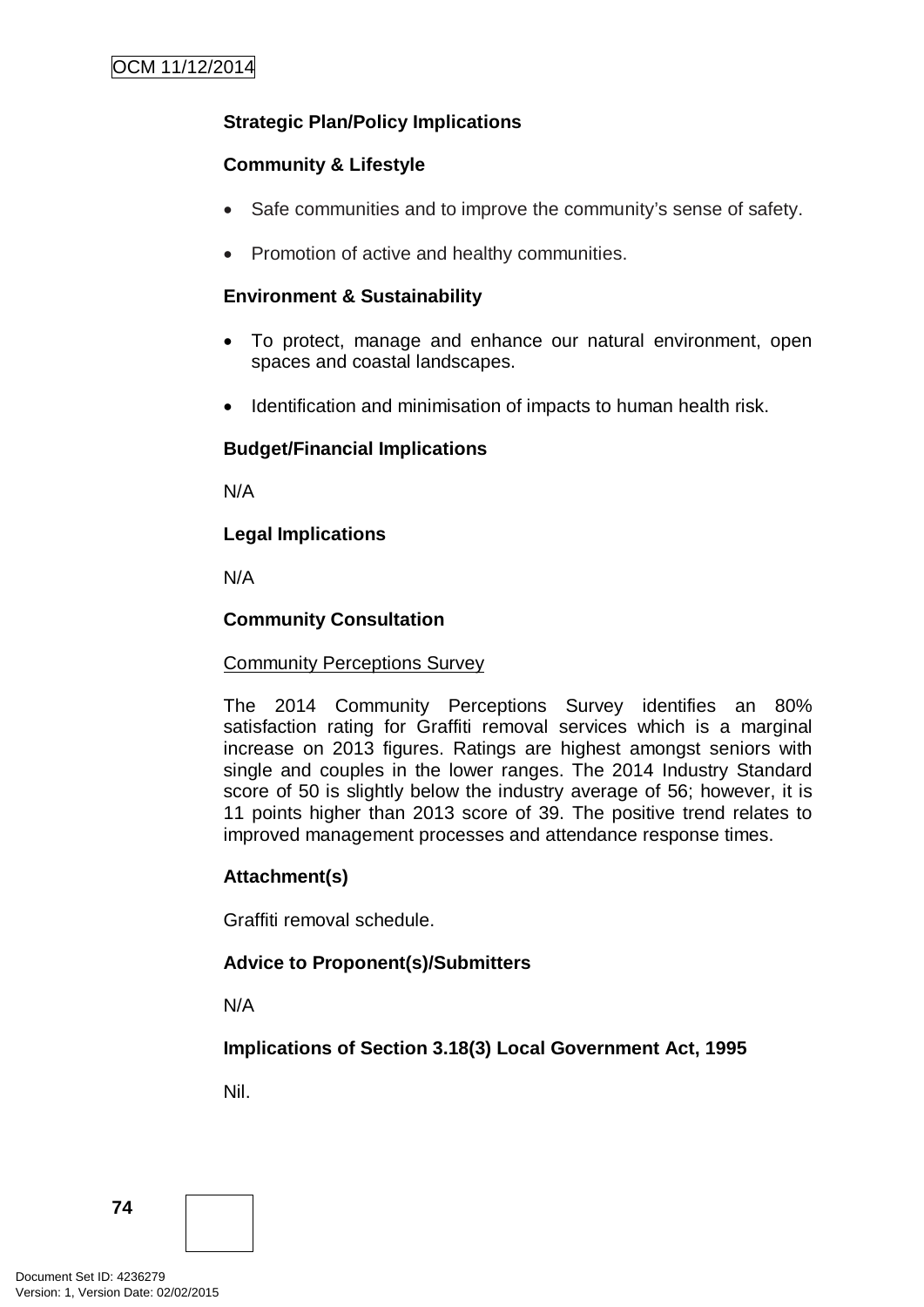# **Strategic Plan/Policy Implications**

# **Community & Lifestyle**

- Safe communities and to improve the community's sense of safety.
- Promotion of active and healthy communities.

# **Environment & Sustainability**

- To protect, manage and enhance our natural environment, open spaces and coastal landscapes.
- Identification and minimisation of impacts to human health risk.

# **Budget/Financial Implications**

N/A

# **Legal Implications**

N/A

# **Community Consultation**

# Community Perceptions Survey

The 2014 Community Perceptions Survey identifies an 80% satisfaction rating for Graffiti removal services which is a marginal increase on 2013 figures. Ratings are highest amongst seniors with single and couples in the lower ranges. The 2014 Industry Standard score of 50 is slightly below the industry average of 56; however, it is 11 points higher than 2013 score of 39. The positive trend relates to improved management processes and attendance response times.

# **Attachment(s)**

Graffiti removal schedule.

# **Advice to Proponent(s)/Submitters**

N/A

**Implications of Section 3.18(3) Local Government Act, 1995**

Nil.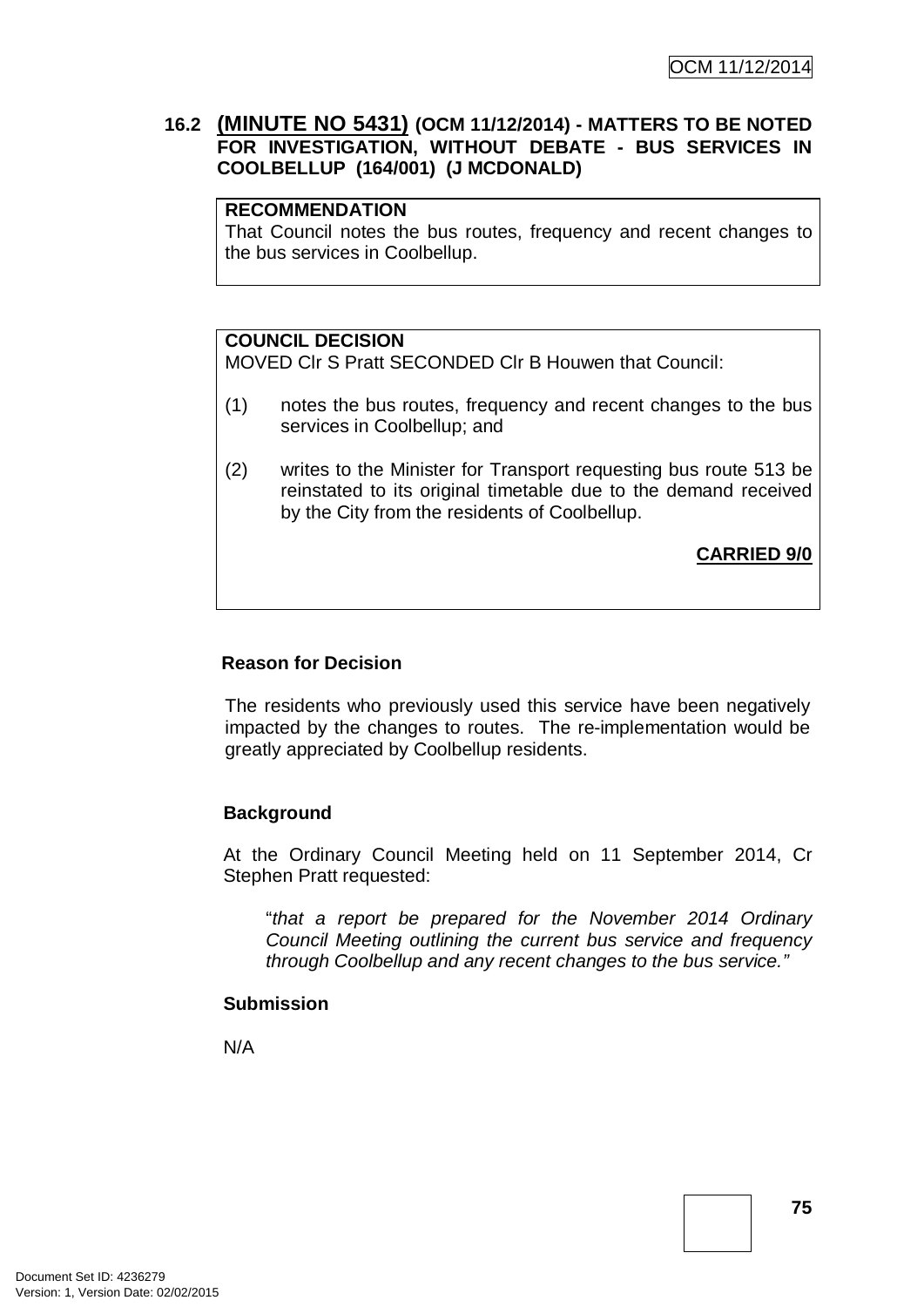## **16.2 (MINUTE NO 5431) (OCM 11/12/2014) - MATTERS TO BE NOTED FOR INVESTIGATION, WITHOUT DEBATE - BUS SERVICES IN COOLBELLUP (164/001) (J MCDONALD)**

### **RECOMMENDATION**

That Council notes the bus routes, frequency and recent changes to the bus services in Coolbellup.

## **COUNCIL DECISION**

MOVED Clr S Pratt SECONDED Clr B Houwen that Council:

- (1) notes the bus routes, frequency and recent changes to the bus services in Coolbellup; and
- (2) writes to the Minister for Transport requesting bus route 513 be reinstated to its original timetable due to the demand received by the City from the residents of Coolbellup.

**CARRIED 9/0**

#### **Reason for Decision**

The residents who previously used this service have been negatively impacted by the changes to routes. The re-implementation would be greatly appreciated by Coolbellup residents.

### **Background**

At the Ordinary Council Meeting held on 11 September 2014, Cr Stephen Pratt requested:

"*that a report be prepared for the November 2014 Ordinary Council Meeting outlining the current bus service and frequency through Coolbellup and any recent changes to the bus service."*

#### **Submission**

N/A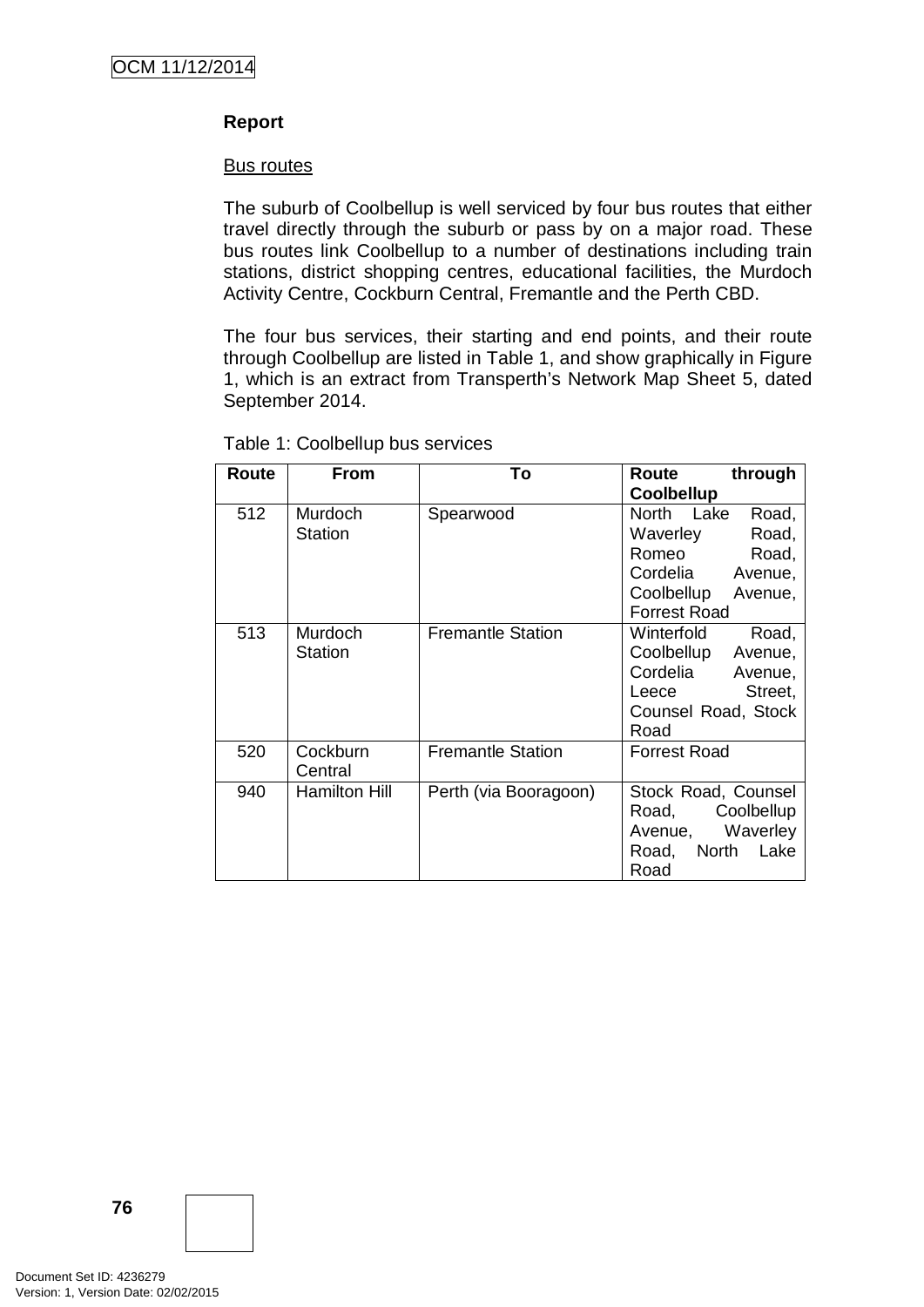# **Report**

### Bus routes

The suburb of Coolbellup is well serviced by four bus routes that either travel directly through the suburb or pass by on a major road. These bus routes link Coolbellup to a number of destinations including train stations, district shopping centres, educational facilities, the Murdoch Activity Centre, Cockburn Central, Fremantle and the Perth CBD.

The four bus services, their starting and end points, and their route through Coolbellup are listed in Table 1, and show graphically in Figure 1, which is an extract from Transperth's Network Map Sheet 5, dated September 2014.

| Route | <b>From</b>               | To                       | Route<br>through<br>Coolbellup                                                                                                    |
|-------|---------------------------|--------------------------|-----------------------------------------------------------------------------------------------------------------------------------|
| 512   | <b>Murdoch</b><br>Station | Spearwood                | North Lake<br>Road,<br>Waverley<br>Road,<br>Romeo<br>Road,<br>Cordelia<br>Avenue,<br>Coolbellup<br>Avenue,<br><b>Forrest Road</b> |
| 513   | Murdoch<br><b>Station</b> | <b>Fremantle Station</b> | Winterfold<br>Road,<br>Coolbellup<br>Avenue,<br>Cordelia<br>Avenue,<br>Street,<br>Leece<br>Counsel Road, Stock<br>Road            |
| 520   | Cockburn<br>Central       | <b>Fremantle Station</b> | <b>Forrest Road</b>                                                                                                               |
| 940   | Hamilton Hill             | Perth (via Booragoon)    | Stock Road, Counsel<br>Coolbellup<br>Road,<br>Avenue, Waverley<br>Road, North<br>Lake<br>Road                                     |

Table 1: Coolbellup bus services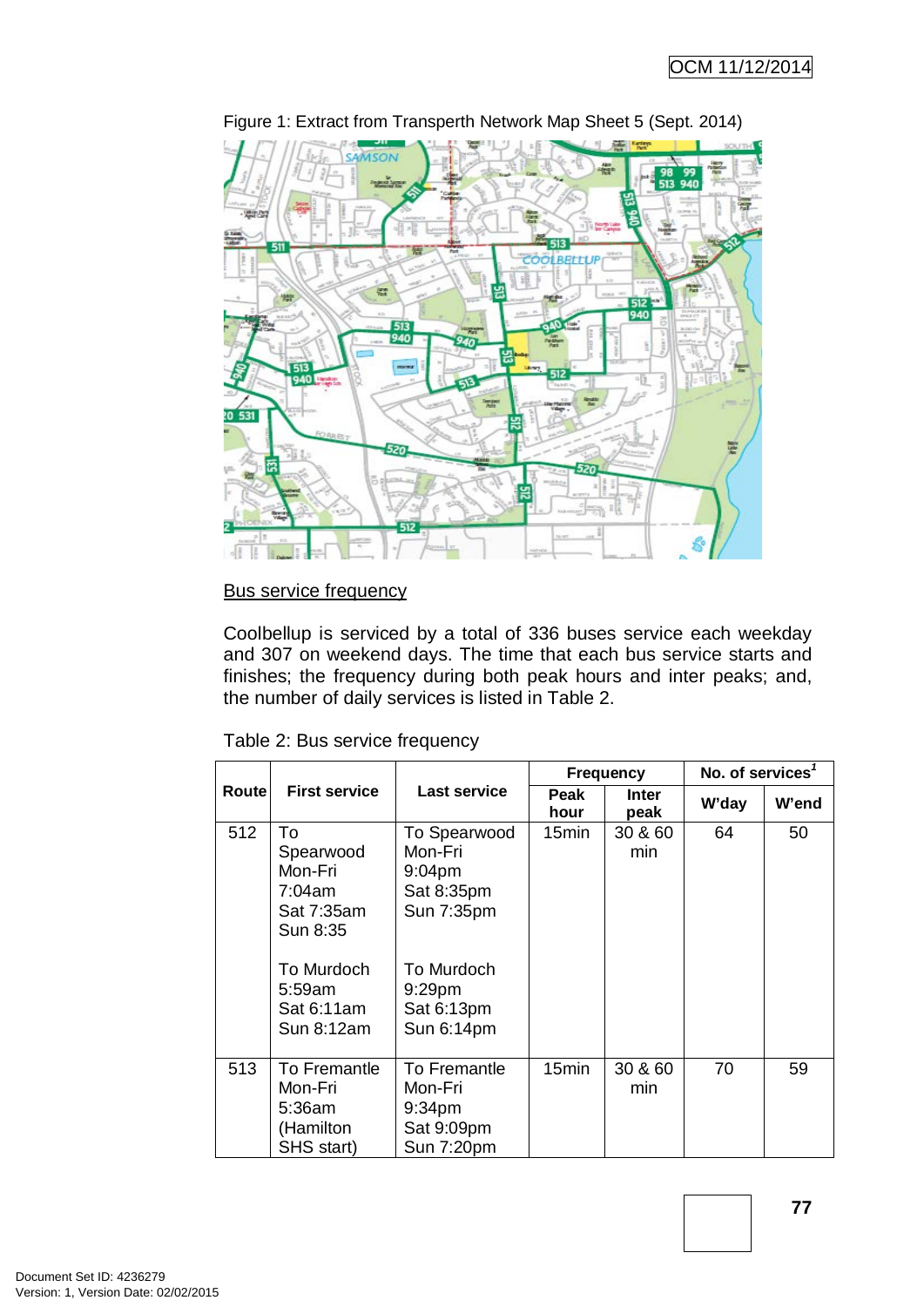

Figure 1: Extract from Transperth Network Map Sheet 5 (Sept. 2014)

# Bus service frequency

Coolbellup is serviced by a total of 336 buses service each weekday and 307 on weekend days. The time that each bus service starts and finishes; the frequency during both peak hours and inter peaks; and, the number of daily services is listed in Table 2.

|  |  |  | Table 2: Bus service frequency |
|--|--|--|--------------------------------|
|--|--|--|--------------------------------|

|       |                                                                |                                                                           |                   | <b>Frequency</b>     | No. of services <sup>1</sup> |       |
|-------|----------------------------------------------------------------|---------------------------------------------------------------------------|-------------------|----------------------|------------------------------|-------|
| Route | <b>First service</b>                                           | Last service                                                              | Peak<br>hour      | <b>Inter</b><br>peak | W'day                        | W'end |
| 512   | Τo<br>Spearwood<br>Mon-Fri<br>7:04am<br>Sat 7:35am<br>Sun 8:35 | To Spearwood<br>Mon-Fri<br>$9:04$ pm<br>Sat 8:35pm<br>Sun 7:35pm          | 15min             | 30 & 60<br>min       | 64                           | 50    |
|       | To Murdoch<br>$5:59$ am<br>Sat 6:11am<br>Sun 8:12am            | To Murdoch<br>$9:29$ pm<br>Sat 6:13pm<br>Sun 6:14pm                       |                   |                      |                              |       |
| 513   | To Fremantle<br>Mon-Fri<br>5:36am<br>(Hamilton<br>SHS start)   | To Fremantle<br>Mon-Fri<br>9:34 <sub>pm</sub><br>Sat 9:09pm<br>Sun 7:20pm | 15 <sub>min</sub> | 30 & 60<br>min       | 70                           | 59    |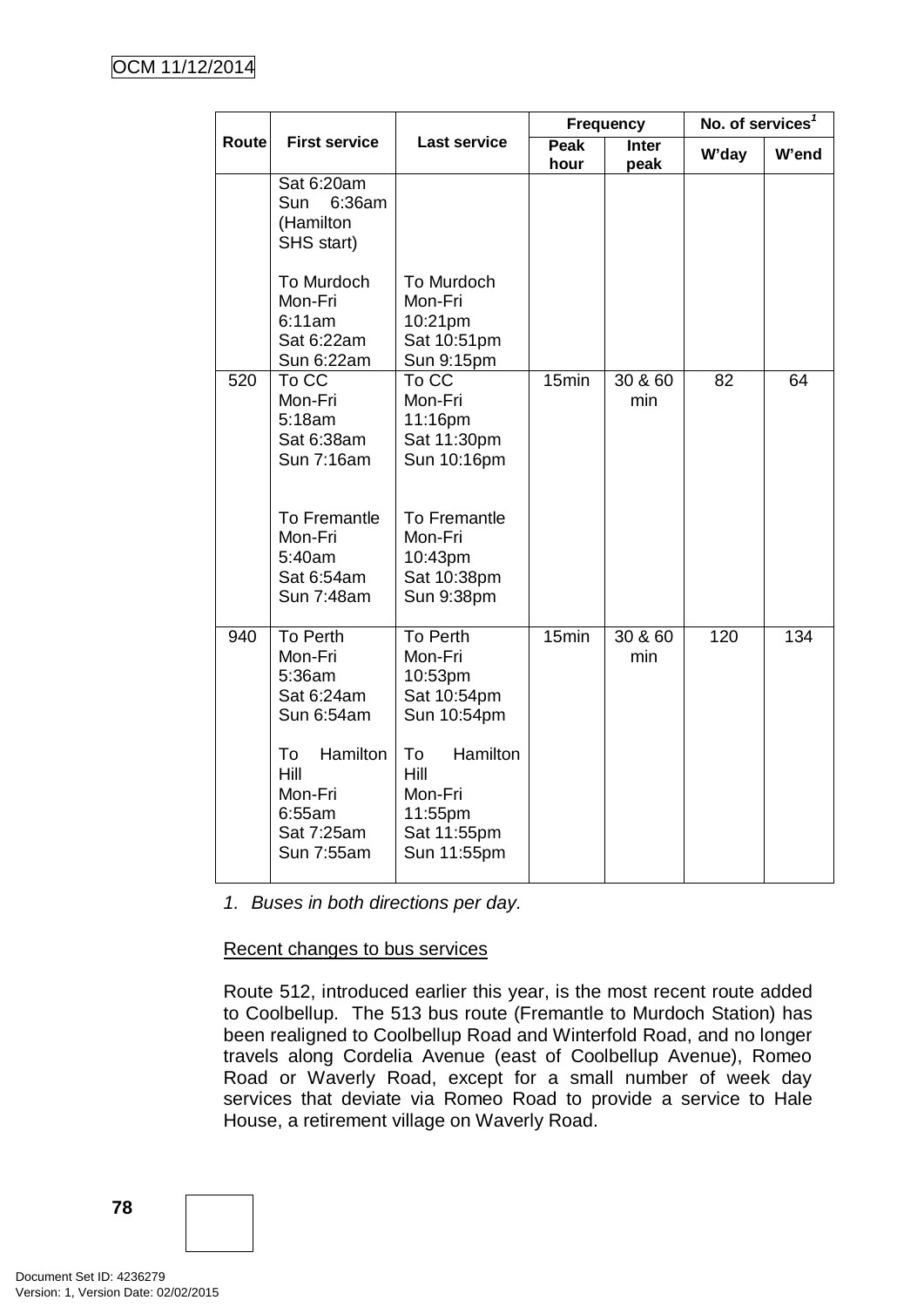|       |                                                                                |                                                                            |              | <b>Frequency</b>     |       | No. of services <sup>1</sup> |
|-------|--------------------------------------------------------------------------------|----------------------------------------------------------------------------|--------------|----------------------|-------|------------------------------|
| Route | <b>First service</b>                                                           | Last service                                                               | Peak<br>hour | <b>Inter</b><br>peak | W'day | W'end                        |
|       | Sat 6:20am<br>6:36am<br>Sun<br>(Hamilton<br>SHS start)                         |                                                                            |              |                      |       |                              |
|       | To Murdoch<br>Mon-Fri<br>6:11am<br>Sat 6:22am<br>Sun 6:22am                    | To Murdoch<br>Mon-Fri<br>10:21pm<br>Sat 10:51pm<br>Sun 9:15pm              |              |                      |       |                              |
| 520   | To CC<br>Mon-Fri<br>5:18am<br>Sat 6:38am<br><b>Sun 7:16am</b>                  | To CC<br>Mon-Fri<br>11:16pm<br>Sat 11:30pm<br>Sun 10:16pm                  | 15min        | 30 & 60<br>min       | 82    | 64                           |
|       | To Fremantle<br>Mon-Fri<br>5:40am<br>Sat 6:54am<br>Sun 7:48am                  | <b>To Fremantle</b><br>Mon-Fri<br>10:43pm<br>Sat 10:38pm<br>Sun 9:38pm     |              |                      |       |                              |
| 940   | To Perth<br>Mon-Fri<br>5:36am<br>Sat 6:24am<br>Sun 6:54am                      | <b>To Perth</b><br>Mon-Fri<br>10:53pm<br>Sat 10:54pm<br>Sun 10:54pm        | 15min        | 30 & 60<br>min       | 120   | 134                          |
|       | Hamilton<br>To<br><b>Hill</b><br>Mon-Fri<br>6:55am<br>Sat 7:25am<br>Sun 7:55am | Hamilton<br>To<br>Hill<br>Mon-Fri<br>11:55pm<br>Sat 11:55pm<br>Sun 11:55pm |              |                      |       |                              |

*1. Buses in both directions per day.*

### Recent changes to bus services

Route 512, introduced earlier this year, is the most recent route added to Coolbellup. The 513 bus route (Fremantle to Murdoch Station) has been realigned to Coolbellup Road and Winterfold Road, and no longer travels along Cordelia Avenue (east of Coolbellup Avenue), Romeo Road or Waverly Road, except for a small number of week day services that deviate via Romeo Road to provide a service to Hale House, a retirement village on Waverly Road.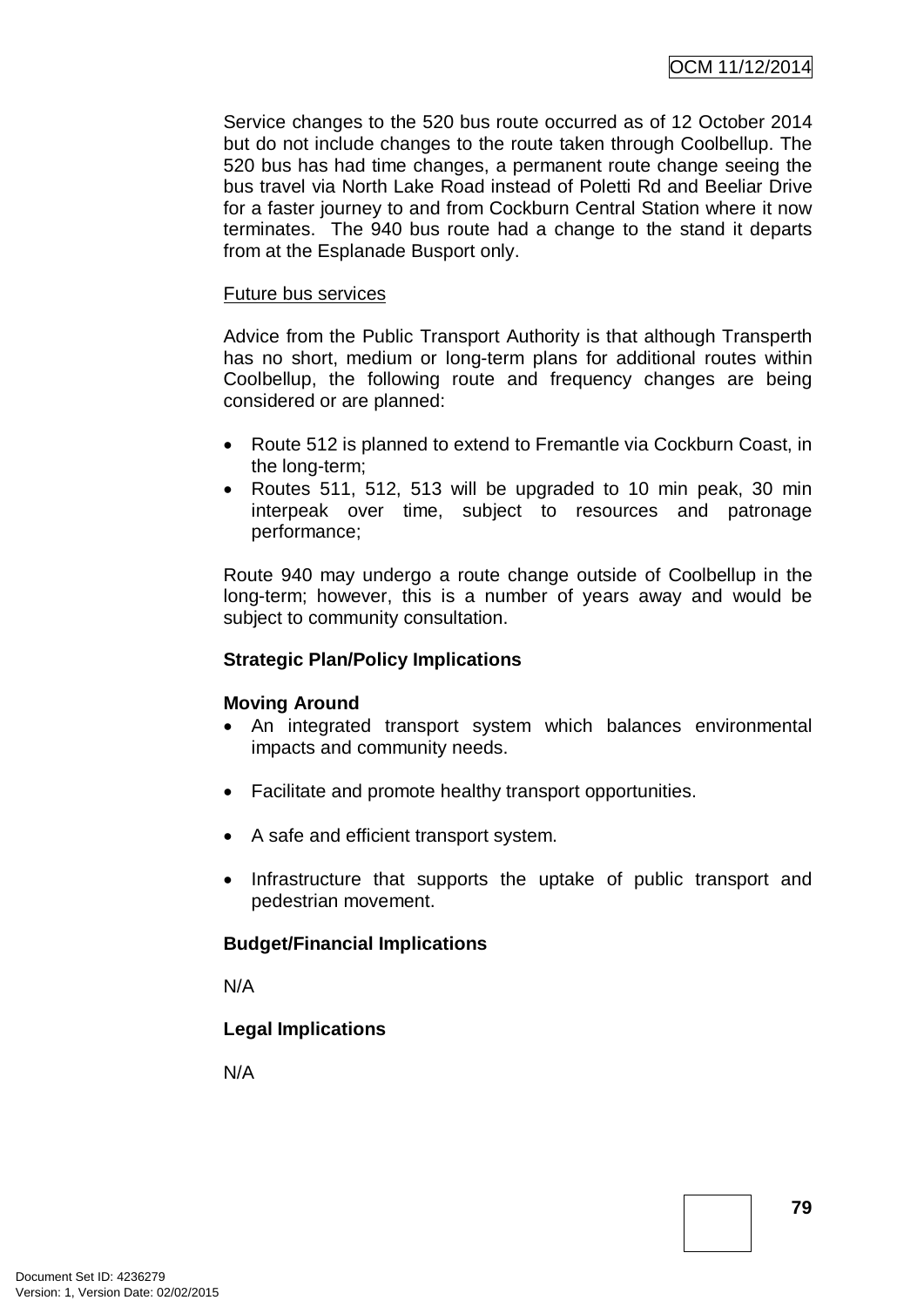Service changes to the 520 bus route occurred as of 12 October 2014 but do not include changes to the route taken through Coolbellup. The 520 bus has had time changes, a permanent route change seeing the bus travel via North Lake Road instead of Poletti Rd and Beeliar Drive for a faster journey to and from Cockburn Central Station where it now terminates. The 940 bus route had a change to the stand it departs from at the Esplanade Busport only.

### Future bus services

Advice from the Public Transport Authority is that although Transperth has no short, medium or long-term plans for additional routes within Coolbellup, the following route and frequency changes are being considered or are planned:

- Route 512 is planned to extend to Fremantle via Cockburn Coast, in the long-term;
- Routes 511, 512, 513 will be upgraded to 10 min peak, 30 min interpeak over time, subject to resources and patronage performance;

Route 940 may undergo a route change outside of Coolbellup in the long-term; however, this is a number of years away and would be subject to community consultation.

### **Strategic Plan/Policy Implications**

### **Moving Around**

- An integrated transport system which balances environmental impacts and community needs.
- Facilitate and promote healthy transport opportunities.
- A safe and efficient transport system.
- Infrastructure that supports the uptake of public transport and pedestrian movement.

### **Budget/Financial Implications**

N/A

## **Legal Implications**

N/A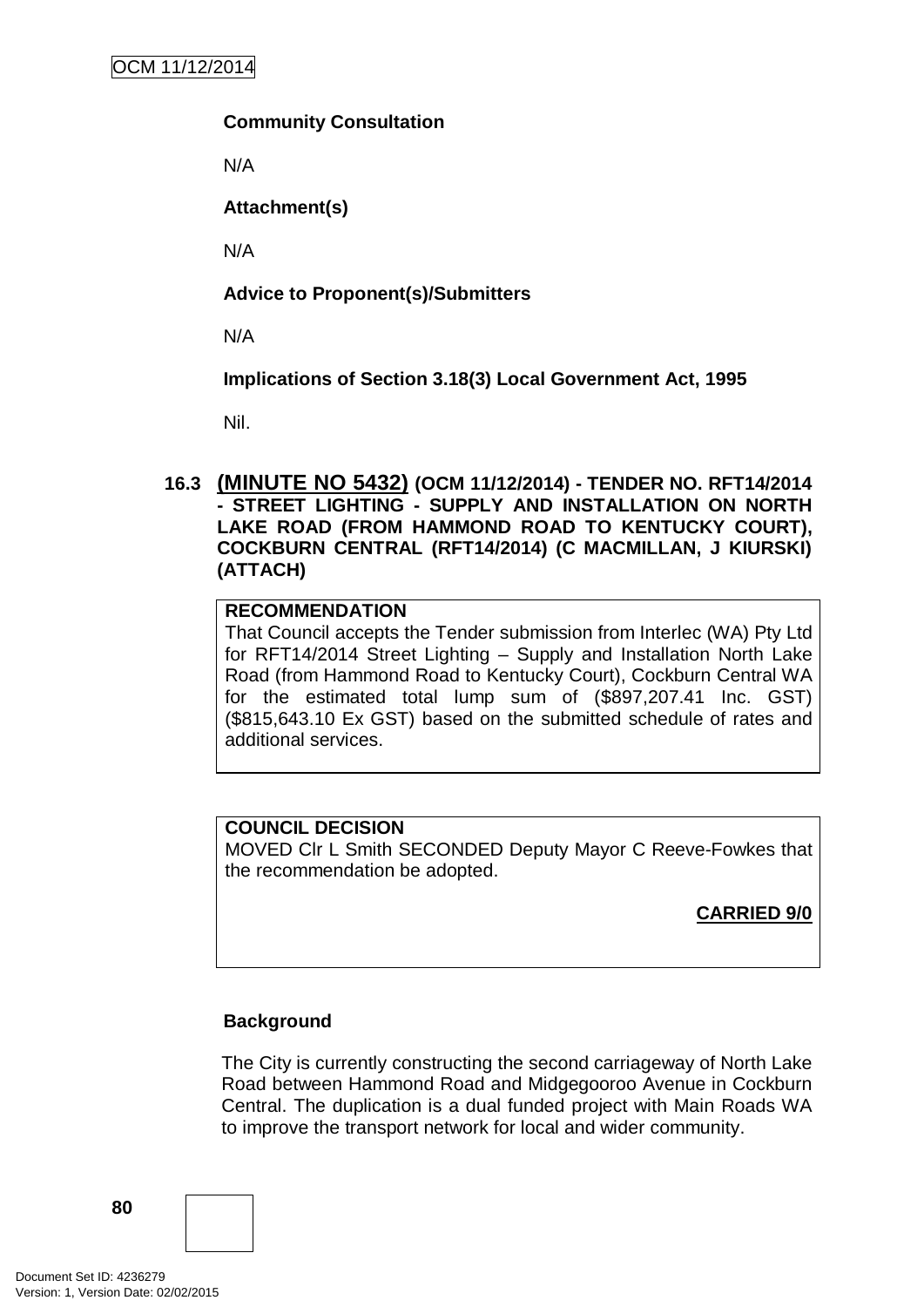### **Community Consultation**

N/A

**Attachment(s)**

N/A

# **Advice to Proponent(s)/Submitters**

N/A

**Implications of Section 3.18(3) Local Government Act, 1995**

Nil.

## **16.3 (MINUTE NO 5432) (OCM 11/12/2014) - TENDER NO. RFT14/2014 - STREET LIGHTING - SUPPLY AND INSTALLATION ON NORTH LAKE ROAD (FROM HAMMOND ROAD TO KENTUCKY COURT), COCKBURN CENTRAL (RFT14/2014) (C MACMILLAN, J KIURSKI) (ATTACH)**

# **RECOMMENDATION**

That Council accepts the Tender submission from Interlec (WA) Pty Ltd for RFT14/2014 Street Lighting – Supply and Installation North Lake Road (from Hammond Road to Kentucky Court), Cockburn Central WA for the estimated total lump sum of (\$897,207.41 Inc. GST) (\$815,643.10 Ex GST) based on the submitted schedule of rates and additional services.

### **COUNCIL DECISION**

MOVED Clr L Smith SECONDED Deputy Mayor C Reeve-Fowkes that the recommendation be adopted.

**CARRIED 9/0**

# **Background**

The City is currently constructing the second carriageway of North Lake Road between Hammond Road and Midgegooroo Avenue in Cockburn Central. The duplication is a dual funded project with Main Roads WA to improve the transport network for local and wider community.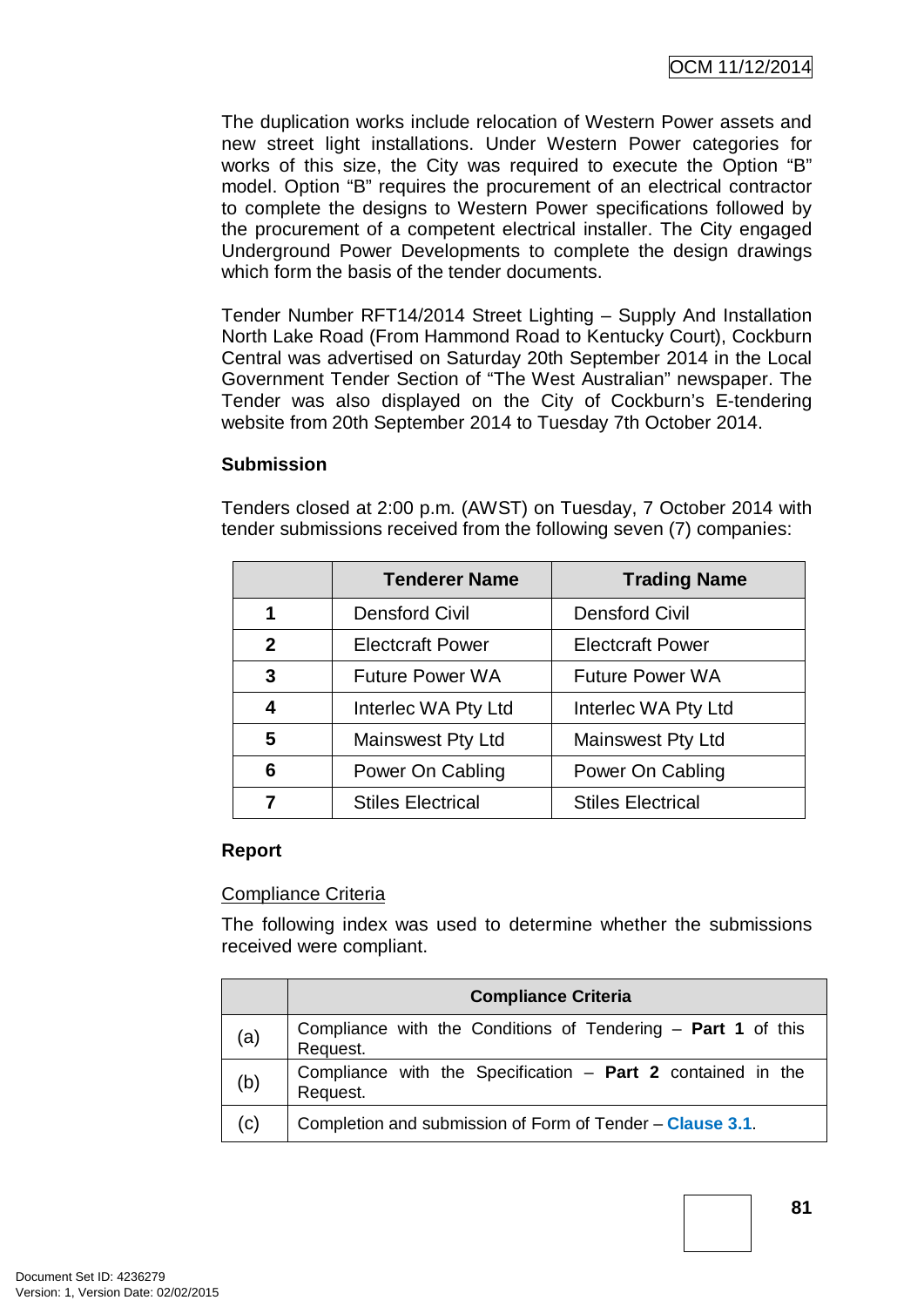The duplication works include relocation of Western Power assets and new street light installations. Under Western Power categories for works of this size, the City was required to execute the Option "B" model. Option "B" requires the procurement of an electrical contractor to complete the designs to Western Power specifications followed by the procurement of a competent electrical installer. The City engaged Underground Power Developments to complete the design drawings which form the basis of the tender documents.

Tender Number RFT14/2014 Street Lighting – Supply And Installation North Lake Road (From Hammond Road to Kentucky Court), Cockburn Central was advertised on Saturday 20th September 2014 in the Local Government Tender Section of "The West Australian" newspaper. The Tender was also displayed on the City of Cockburn's E-tendering website from 20th September 2014 to Tuesday 7th October 2014.

### **Submission**

Tenders closed at 2:00 p.m. (AWST) on Tuesday, 7 October 2014 with tender submissions received from the following seven (7) companies:

|                            | <b>Tenderer Name</b>     | <b>Trading Name</b>      |
|----------------------------|--------------------------|--------------------------|
| 1                          | <b>Densford Civil</b>    | <b>Densford Civil</b>    |
| $\boldsymbol{\mathcal{P}}$ | <b>Electcraft Power</b>  | <b>Electcraft Power</b>  |
| $\mathbf{3}$               | <b>Future Power WA</b>   | <b>Future Power WA</b>   |
| 4                          | Interlec WA Pty Ltd      | Interlec WA Pty Ltd      |
| 5                          | <b>Mainswest Pty Ltd</b> | <b>Mainswest Pty Ltd</b> |
| 6                          | Power On Cabling         | Power On Cabling         |
| 7                          | <b>Stiles Electrical</b> | <b>Stiles Electrical</b> |

### **Report**

### Compliance Criteria

The following index was used to determine whether the submissions received were compliant.

|     | <b>Compliance Criteria</b>                                                 |
|-----|----------------------------------------------------------------------------|
| (a) | Compliance with the Conditions of Tendering $-$ Part 1 of this<br>Request. |
| (b) | Compliance with the Specification $-$ Part 2 contained in the<br>Request.  |
| (c) | Completion and submission of Form of Tender – Clause 3.1.                  |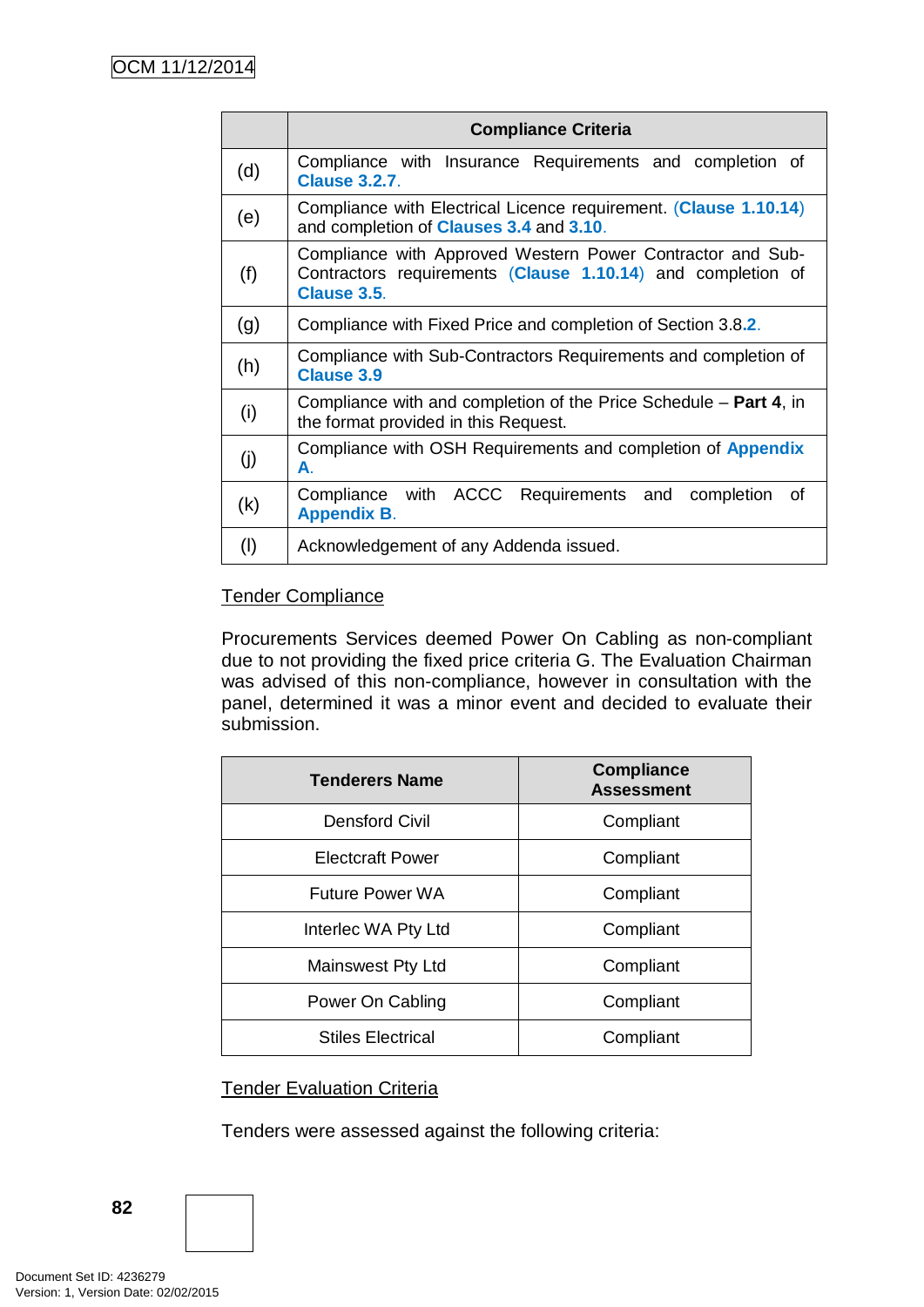|           | <b>Compliance Criteria</b>                                                                                                               |
|-----------|------------------------------------------------------------------------------------------------------------------------------------------|
| (d)       | Compliance with Insurance Requirements and completion of<br><b>Clause 3.2.7.</b>                                                         |
| (e)       | Compliance with Electrical Licence requirement. (Clause 1.10.14)<br>and completion of Clauses 3.4 and 3.10.                              |
| (f)       | Compliance with Approved Western Power Contractor and Sub-<br>Contractors requirements (Clause 1.10.14) and completion of<br>Clause 3.5. |
| (g)       | Compliance with Fixed Price and completion of Section 3.8.2.                                                                             |
| (h)       | Compliance with Sub-Contractors Requirements and completion of<br><b>Clause 3.9</b>                                                      |
| (i)       | Compliance with and completion of the Price Schedule - Part 4, in<br>the format provided in this Request.                                |
| (j)       | Compliance with OSH Requirements and completion of <b>Appendix</b><br>А.                                                                 |
| (k)       | Compliance with ACCC Requirements and<br>completion<br>οf<br><b>Appendix B.</b>                                                          |
| $($ l $)$ | Acknowledgement of any Addenda issued.                                                                                                   |

# Tender Compliance

Procurements Services deemed Power On Cabling as non-compliant due to not providing the fixed price criteria G. The Evaluation Chairman was advised of this non-compliance, however in consultation with the panel, determined it was a minor event and decided to evaluate their submission.

| <b>Tenderers Name</b>    | <b>Compliance</b><br><b>Assessment</b> |
|--------------------------|----------------------------------------|
| Densford Civil           | Compliant                              |
| Electcraft Power         | Compliant                              |
| <b>Future Power WA</b>   | Compliant                              |
| Interlec WA Pty Ltd      | Compliant                              |
| Mainswest Pty Ltd        | Compliant                              |
| Power On Cabling         | Compliant                              |
| <b>Stiles Electrical</b> | Compliant                              |

### **Tender Evaluation Criteria**

Tenders were assessed against the following criteria: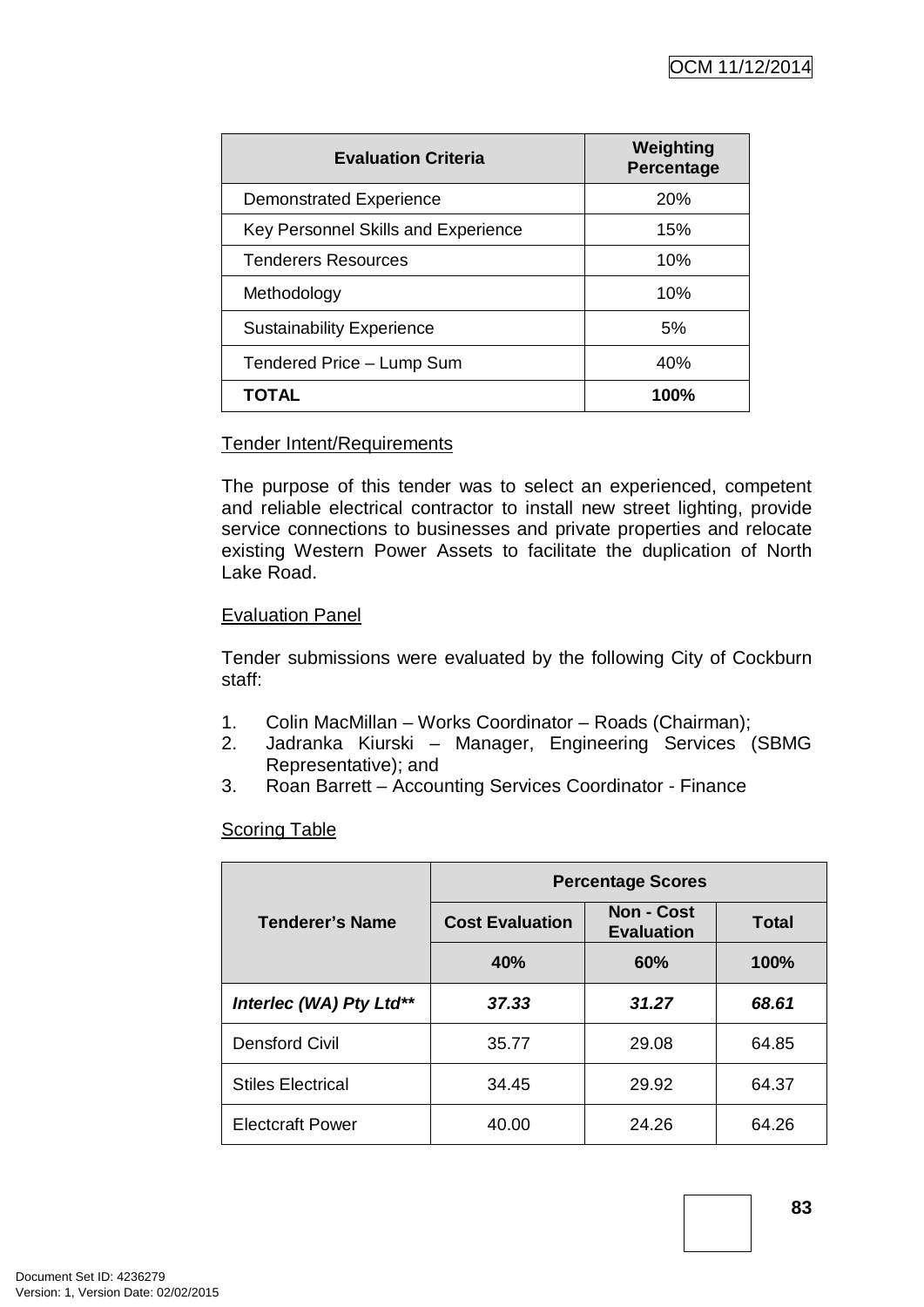| <b>Evaluation Criteria</b>          | Weighting<br><b>Percentage</b> |
|-------------------------------------|--------------------------------|
| <b>Demonstrated Experience</b>      | 20%                            |
| Key Personnel Skills and Experience | 15%                            |
| <b>Tenderers Resources</b>          | 10%                            |
| Methodology                         | 10%                            |
| <b>Sustainability Experience</b>    | 5%                             |
| Tendered Price - Lump Sum           | 40%                            |
| ΤΩΤΑΙ                               | <b>100%</b>                    |

### Tender Intent/Requirements

The purpose of this tender was to select an experienced, competent and reliable electrical contractor to install new street lighting, provide service connections to businesses and private properties and relocate existing Western Power Assets to facilitate the duplication of North Lake Road.

### Evaluation Panel

Tender submissions were evaluated by the following City of Cockburn staff:

- 1. Colin MacMillan Works Coordinator Roads (Chairman);<br>2. Jadranka Kiurski Manager, Engineering Services (
- 2. Jadranka Kiurski Manager, Engineering Services (SBMG Representative); and
- 3. Roan Barrett Accounting Services Coordinator Finance

#### Scoring Table

|                          | <b>Percentage Scores</b> |                                        |       |  |
|--------------------------|--------------------------|----------------------------------------|-------|--|
| Tenderer's Name          | <b>Cost Evaluation</b>   | <b>Non - Cost</b><br><b>Evaluation</b> | Total |  |
|                          | 40%                      | 60%                                    | 100%  |  |
| Interlec (WA) Pty Ltd**  | 37.33                    | 31.27                                  | 68.61 |  |
| Densford Civil           | 35.77                    | 29.08                                  | 64.85 |  |
| <b>Stiles Electrical</b> | 34.45                    | 29.92                                  | 64.37 |  |
| Electcraft Power         | 40.00                    | 24.26                                  | 64.26 |  |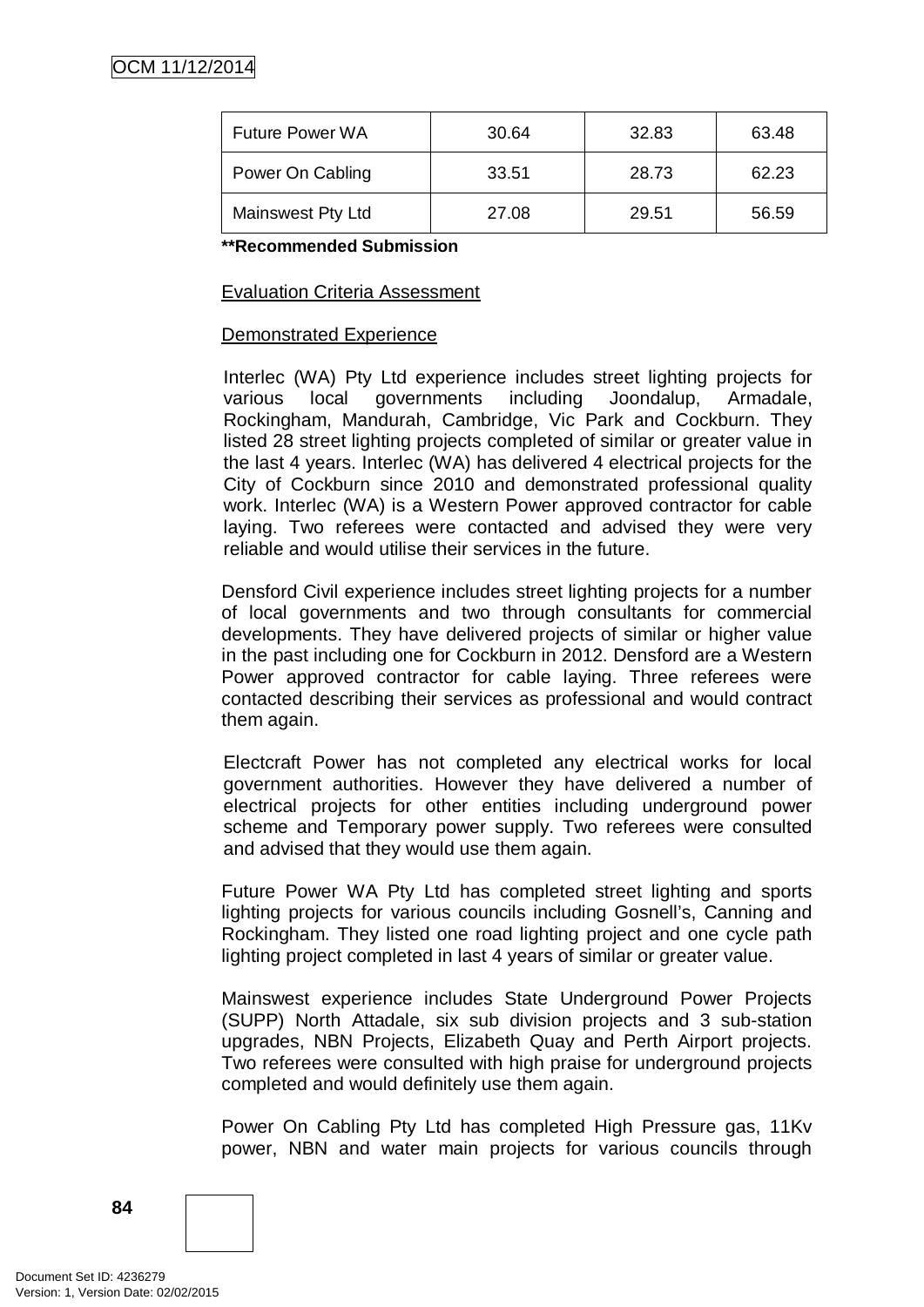| <b>Future Power WA</b> | 30.64 | 32.83 | 63.48 |
|------------------------|-------|-------|-------|
| Power On Cabling       | 33.51 | 28.73 | 62.23 |
| Mainswest Pty Ltd      | 27.08 | 29.51 | 56.59 |

**\*\*Recommended Submission**

### Evaluation Criteria Assessment

### Demonstrated Experience

Interlec (WA) Pty Ltd experience includes street lighting projects for various local governments including Joondalup, Armadale, Rockingham, Mandurah, Cambridge, Vic Park and Cockburn. They listed 28 street lighting projects completed of similar or greater value in the last 4 years. Interlec (WA) has delivered 4 electrical projects for the City of Cockburn since 2010 and demonstrated professional quality work. Interlec (WA) is a Western Power approved contractor for cable laying. Two referees were contacted and advised they were very reliable and would utilise their services in the future.

Densford Civil experience includes street lighting projects for a number of local governments and two through consultants for commercial developments. They have delivered projects of similar or higher value in the past including one for Cockburn in 2012. Densford are a Western Power approved contractor for cable laying. Three referees were contacted describing their services as professional and would contract them again.

Electcraft Power has not completed any electrical works for local government authorities. However they have delivered a number of electrical projects for other entities including underground power scheme and Temporary power supply. Two referees were consulted and advised that they would use them again.

Future Power WA Pty Ltd has completed street lighting and sports lighting projects for various councils including Gosnell's, Canning and Rockingham. They listed one road lighting project and one cycle path lighting project completed in last 4 years of similar or greater value.

Mainswest experience includes State Underground Power Projects (SUPP) North Attadale, six sub division projects and 3 sub-station upgrades, NBN Projects, Elizabeth Quay and Perth Airport projects. Two referees were consulted with high praise for underground projects completed and would definitely use them again.

Power On Cabling Pty Ltd has completed High Pressure gas, 11Kv power, NBN and water main projects for various councils through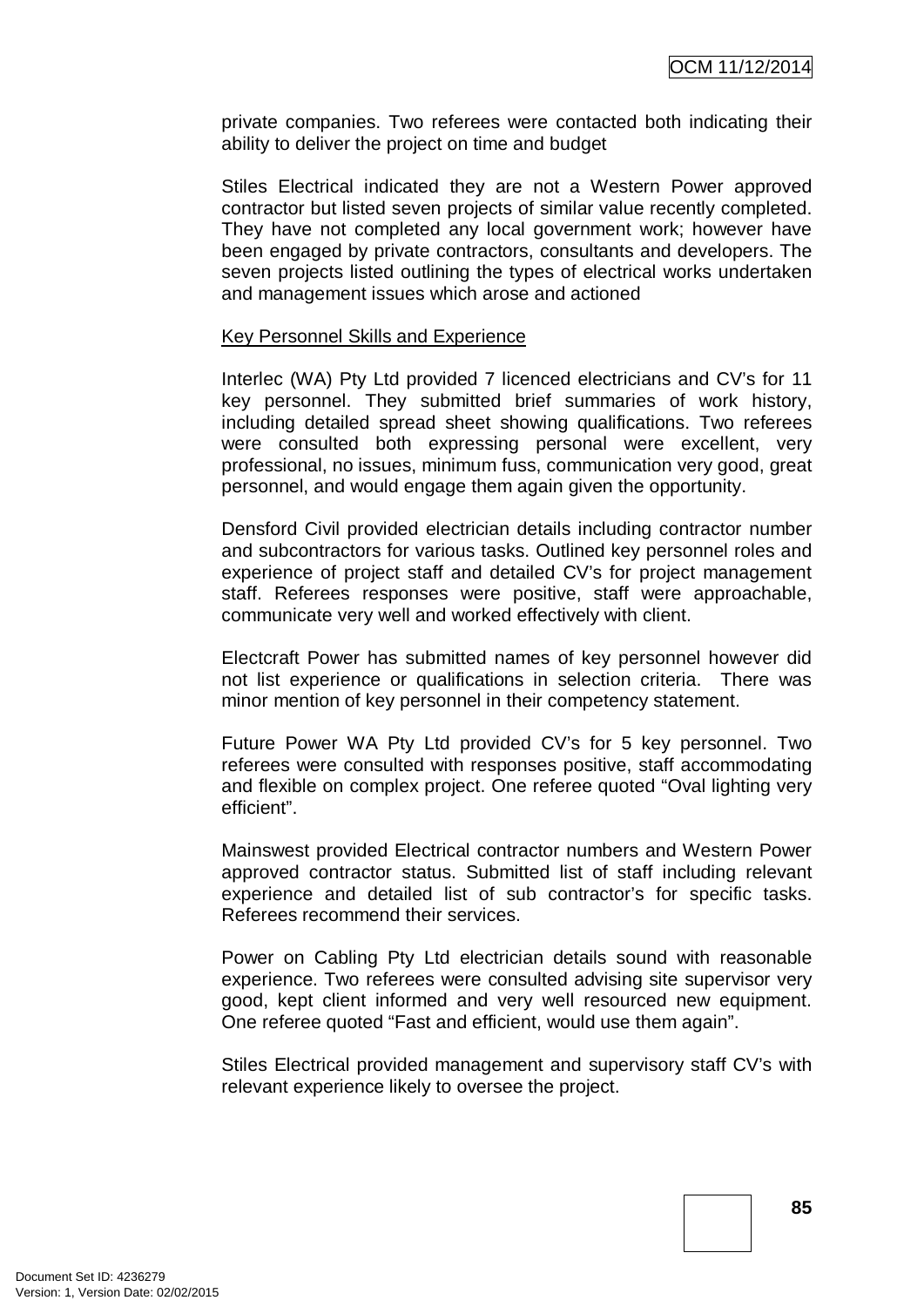private companies. Two referees were contacted both indicating their ability to deliver the project on time and budget

Stiles Electrical indicated they are not a Western Power approved contractor but listed seven projects of similar value recently completed. They have not completed any local government work; however have been engaged by private contractors, consultants and developers. The seven projects listed outlining the types of electrical works undertaken and management issues which arose and actioned

#### Key Personnel Skills and Experience

Interlec (WA) Pty Ltd provided 7 licenced electricians and CV's for 11 key personnel. They submitted brief summaries of work history, including detailed spread sheet showing qualifications. Two referees were consulted both expressing personal were excellent, very professional, no issues, minimum fuss, communication very good, great personnel, and would engage them again given the opportunity.

Densford Civil provided electrician details including contractor number and subcontractors for various tasks. Outlined key personnel roles and experience of project staff and detailed CV's for project management staff. Referees responses were positive, staff were approachable, communicate very well and worked effectively with client.

Electcraft Power has submitted names of key personnel however did not list experience or qualifications in selection criteria. There was minor mention of key personnel in their competency statement.

Future Power WA Pty Ltd provided CV's for 5 key personnel. Two referees were consulted with responses positive, staff accommodating and flexible on complex project. One referee quoted "Oval lighting very efficient".

Mainswest provided Electrical contractor numbers and Western Power approved contractor status. Submitted list of staff including relevant experience and detailed list of sub contractor's for specific tasks. Referees recommend their services.

Power on Cabling Pty Ltd electrician details sound with reasonable experience. Two referees were consulted advising site supervisor very good, kept client informed and very well resourced new equipment. One referee quoted "Fast and efficient, would use them again".

Stiles Electrical provided management and supervisory staff CV's with relevant experience likely to oversee the project.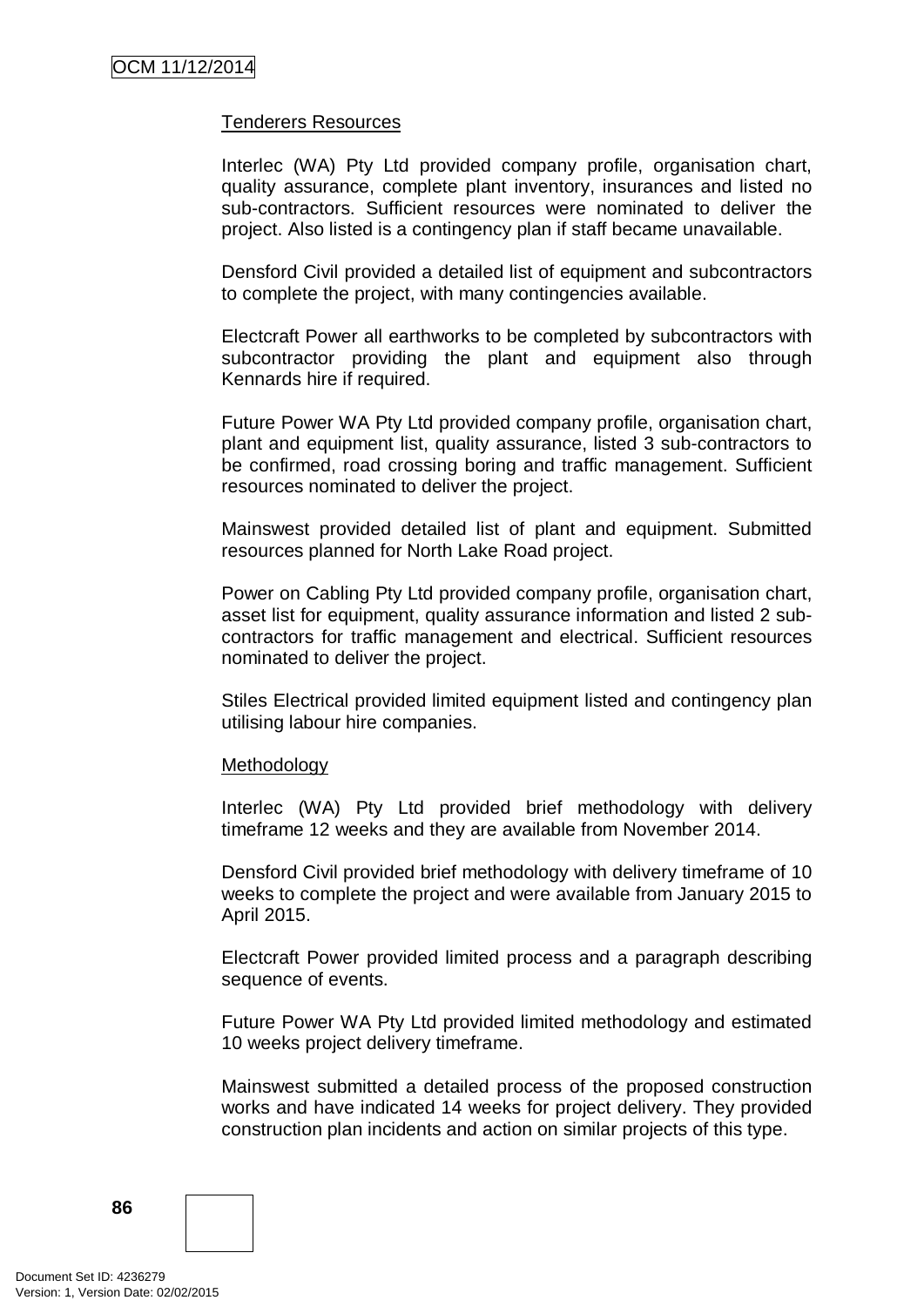#### Tenderers Resources

Interlec (WA) Pty Ltd provided company profile, organisation chart, quality assurance, complete plant inventory, insurances and listed no sub-contractors. Sufficient resources were nominated to deliver the project. Also listed is a contingency plan if staff became unavailable.

Densford Civil provided a detailed list of equipment and subcontractors to complete the project, with many contingencies available.

Electcraft Power all earthworks to be completed by subcontractors with subcontractor providing the plant and equipment also through Kennards hire if required.

Future Power WA Pty Ltd provided company profile, organisation chart, plant and equipment list, quality assurance, listed 3 sub-contractors to be confirmed, road crossing boring and traffic management. Sufficient resources nominated to deliver the project.

Mainswest provided detailed list of plant and equipment. Submitted resources planned for North Lake Road project.

Power on Cabling Pty Ltd provided company profile, organisation chart, asset list for equipment, quality assurance information and listed 2 subcontractors for traffic management and electrical. Sufficient resources nominated to deliver the project.

Stiles Electrical provided limited equipment listed and contingency plan utilising labour hire companies.

#### **Methodology**

Interlec (WA) Pty Ltd provided brief methodology with delivery timeframe 12 weeks and they are available from November 2014.

Densford Civil provided brief methodology with delivery timeframe of 10 weeks to complete the project and were available from January 2015 to April 2015.

Electcraft Power provided limited process and a paragraph describing sequence of events.

Future Power WA Pty Ltd provided limited methodology and estimated 10 weeks project delivery timeframe.

Mainswest submitted a detailed process of the proposed construction works and have indicated 14 weeks for project delivery. They provided construction plan incidents and action on similar projects of this type.

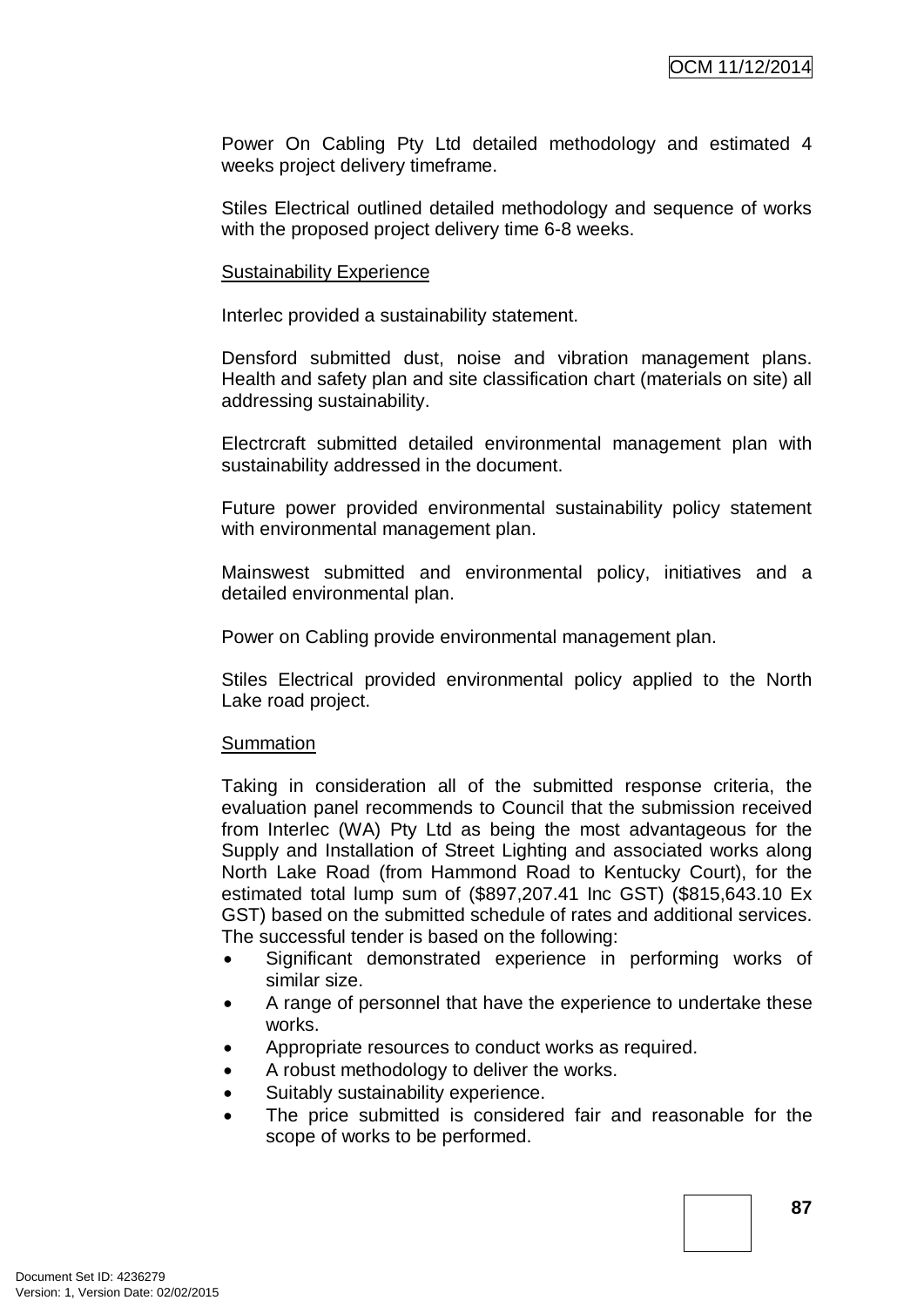Power On Cabling Pty Ltd detailed methodology and estimated 4 weeks project delivery timeframe.

Stiles Electrical outlined detailed methodology and sequence of works with the proposed project delivery time 6-8 weeks.

#### Sustainability Experience

Interlec provided a sustainability statement.

Densford submitted dust, noise and vibration management plans. Health and safety plan and site classification chart (materials on site) all addressing sustainability.

Electrcraft submitted detailed environmental management plan with sustainability addressed in the document.

Future power provided environmental sustainability policy statement with environmental management plan.

Mainswest submitted and environmental policy, initiatives and a detailed environmental plan.

Power on Cabling provide environmental management plan.

Stiles Electrical provided environmental policy applied to the North Lake road project.

#### **Summation**

Taking in consideration all of the submitted response criteria, the evaluation panel recommends to Council that the submission received from Interlec (WA) Pty Ltd as being the most advantageous for the Supply and Installation of Street Lighting and associated works along North Lake Road (from Hammond Road to Kentucky Court), for the estimated total lump sum of (\$897,207.41 Inc GST) (\$815,643.10 Ex GST) based on the submitted schedule of rates and additional services. The successful tender is based on the following:

- Significant demonstrated experience in performing works of similar size.
- A range of personnel that have the experience to undertake these works.
- Appropriate resources to conduct works as required.
- A robust methodology to deliver the works.
- Suitably sustainability experience.
- The price submitted is considered fair and reasonable for the scope of works to be performed.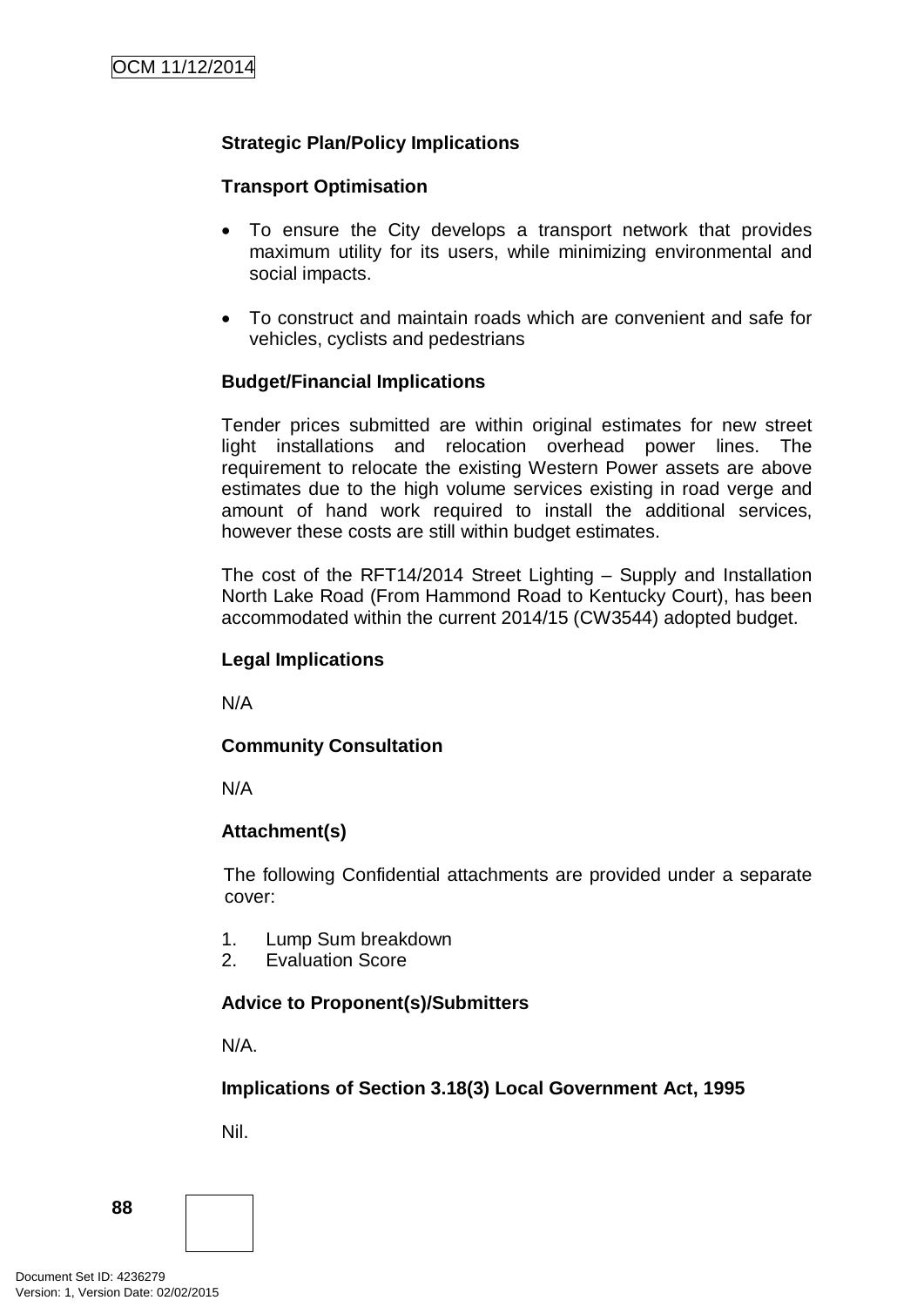# **Strategic Plan/Policy Implications**

### **Transport Optimisation**

- To ensure the City develops a transport network that provides maximum utility for its users, while minimizing environmental and social impacts.
- To construct and maintain roads which are convenient and safe for vehicles, cyclists and pedestrians

### **Budget/Financial Implications**

Tender prices submitted are within original estimates for new street light installations and relocation overhead power lines. The requirement to relocate the existing Western Power assets are above estimates due to the high volume services existing in road verge and amount of hand work required to install the additional services, however these costs are still within budget estimates.

The cost of the RFT14/2014 Street Lighting – Supply and Installation North Lake Road (From Hammond Road to Kentucky Court), has been accommodated within the current 2014/15 (CW3544) adopted budget.

#### **Legal Implications**

N/A

### **Community Consultation**

N/A

### **Attachment(s)**

The following Confidential attachments are provided under a separate cover:

- 1. Lump Sum breakdown
- 2. Evaluation Score

#### **Advice to Proponent(s)/Submitters**

N/A.

#### **Implications of Section 3.18(3) Local Government Act, 1995**

Nil.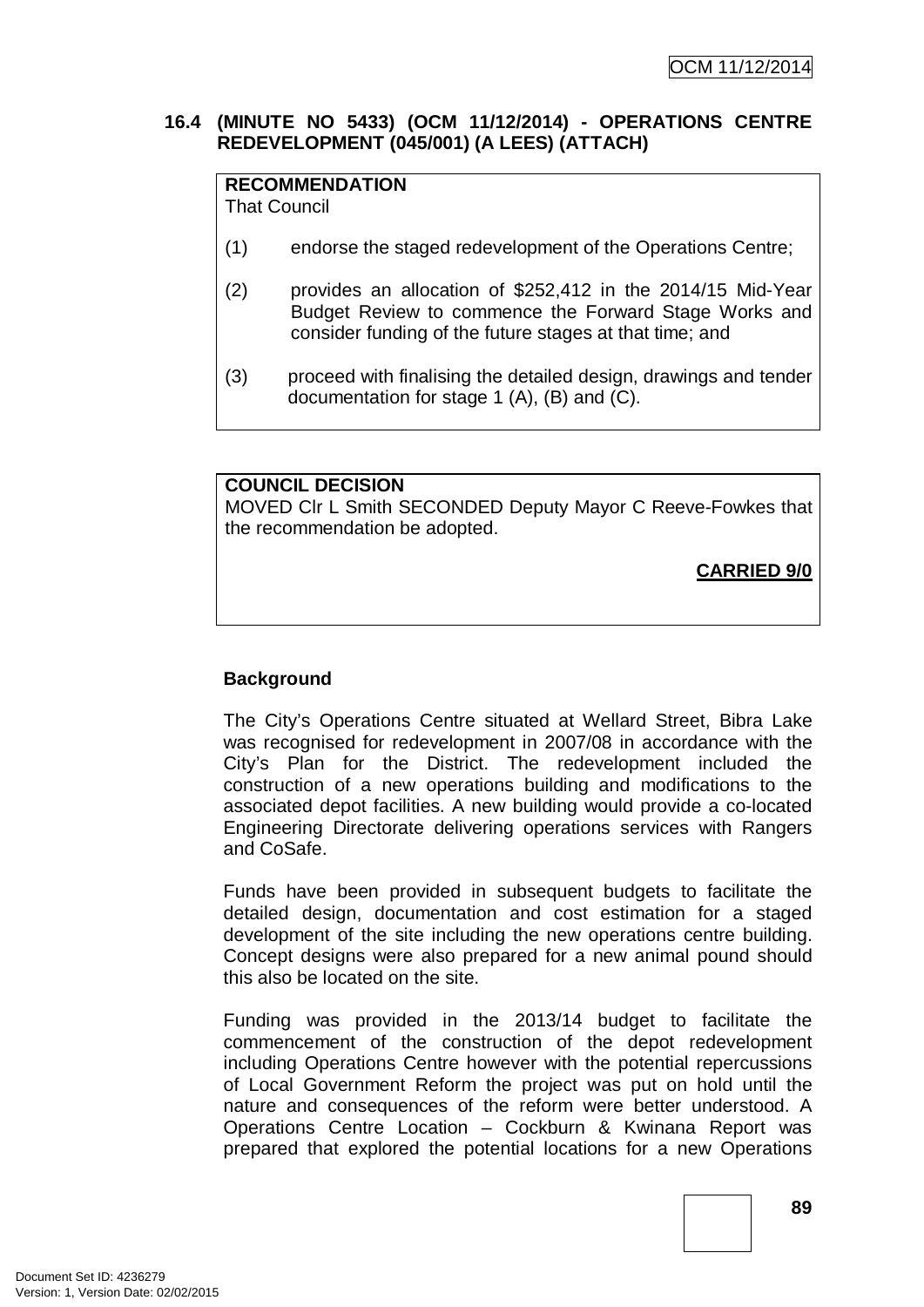# **16.4 (MINUTE NO 5433) (OCM 11/12/2014) - OPERATIONS CENTRE REDEVELOPMENT (045/001) (A LEES) (ATTACH)**

# **RECOMMENDATION**

That Council

- (1) endorse the staged redevelopment of the Operations Centre;
- (2) provides an allocation of \$252,412 in the 2014/15 Mid-Year Budget Review to commence the Forward Stage Works and consider funding of the future stages at that time; and
- (3) proceed with finalising the detailed design, drawings and tender documentation for stage 1 (A), (B) and (C).

# **COUNCIL DECISION**

MOVED Clr L Smith SECONDED Deputy Mayor C Reeve-Fowkes that the recommendation be adopted.

**CARRIED 9/0**

# **Background**

The City's Operations Centre situated at Wellard Street, Bibra Lake was recognised for redevelopment in 2007/08 in accordance with the City's Plan for the District. The redevelopment included the construction of a new operations building and modifications to the associated depot facilities. A new building would provide a co-located Engineering Directorate delivering operations services with Rangers and CoSafe.

Funds have been provided in subsequent budgets to facilitate the detailed design, documentation and cost estimation for a staged development of the site including the new operations centre building. Concept designs were also prepared for a new animal pound should this also be located on the site.

Funding was provided in the 2013/14 budget to facilitate the commencement of the construction of the depot redevelopment including Operations Centre however with the potential repercussions of Local Government Reform the project was put on hold until the nature and consequences of the reform were better understood. A Operations Centre Location – Cockburn & Kwinana Report was prepared that explored the potential locations for a new Operations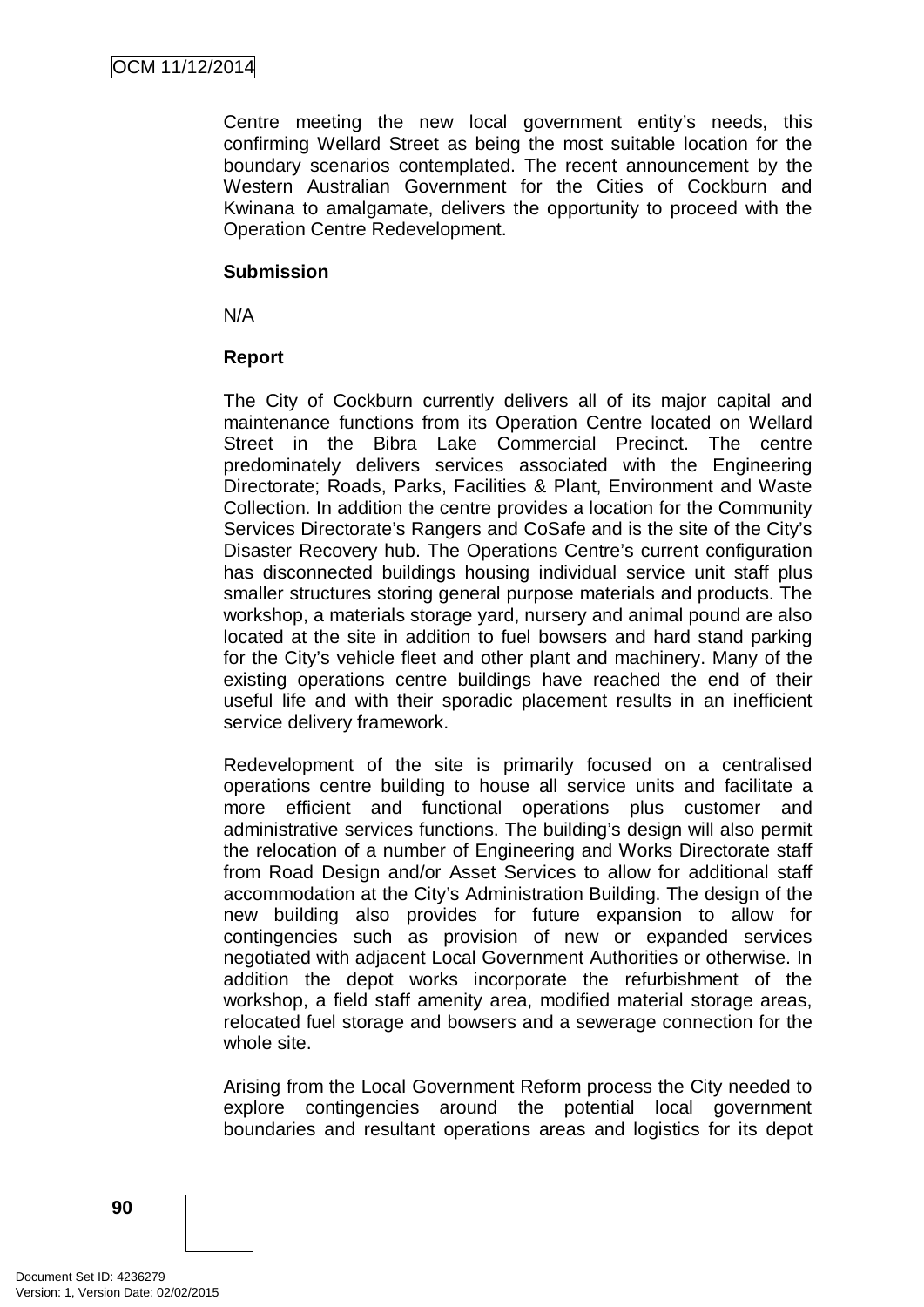Centre meeting the new local government entity's needs, this confirming Wellard Street as being the most suitable location for the boundary scenarios contemplated. The recent announcement by the Western Australian Government for the Cities of Cockburn and Kwinana to amalgamate, delivers the opportunity to proceed with the Operation Centre Redevelopment.

### **Submission**

N/A

### **Report**

The City of Cockburn currently delivers all of its major capital and maintenance functions from its Operation Centre located on Wellard Street in the Bibra Lake Commercial Precinct. The centre predominately delivers services associated with the Engineering Directorate; Roads, Parks, Facilities & Plant, Environment and Waste Collection. In addition the centre provides a location for the Community Services Directorate's Rangers and CoSafe and is the site of the City's Disaster Recovery hub. The Operations Centre's current configuration has disconnected buildings housing individual service unit staff plus smaller structures storing general purpose materials and products. The workshop, a materials storage yard, nursery and animal pound are also located at the site in addition to fuel bowsers and hard stand parking for the City's vehicle fleet and other plant and machinery. Many of the existing operations centre buildings have reached the end of their useful life and with their sporadic placement results in an inefficient service delivery framework.

Redevelopment of the site is primarily focused on a centralised operations centre building to house all service units and facilitate a more efficient and functional operations plus customer and administrative services functions. The building's design will also permit the relocation of a number of Engineering and Works Directorate staff from Road Design and/or Asset Services to allow for additional staff accommodation at the City's Administration Building. The design of the new building also provides for future expansion to allow for contingencies such as provision of new or expanded services negotiated with adjacent Local Government Authorities or otherwise. In addition the depot works incorporate the refurbishment of the workshop, a field staff amenity area, modified material storage areas, relocated fuel storage and bowsers and a sewerage connection for the whole site.

Arising from the Local Government Reform process the City needed to explore contingencies around the potential local government boundaries and resultant operations areas and logistics for its depot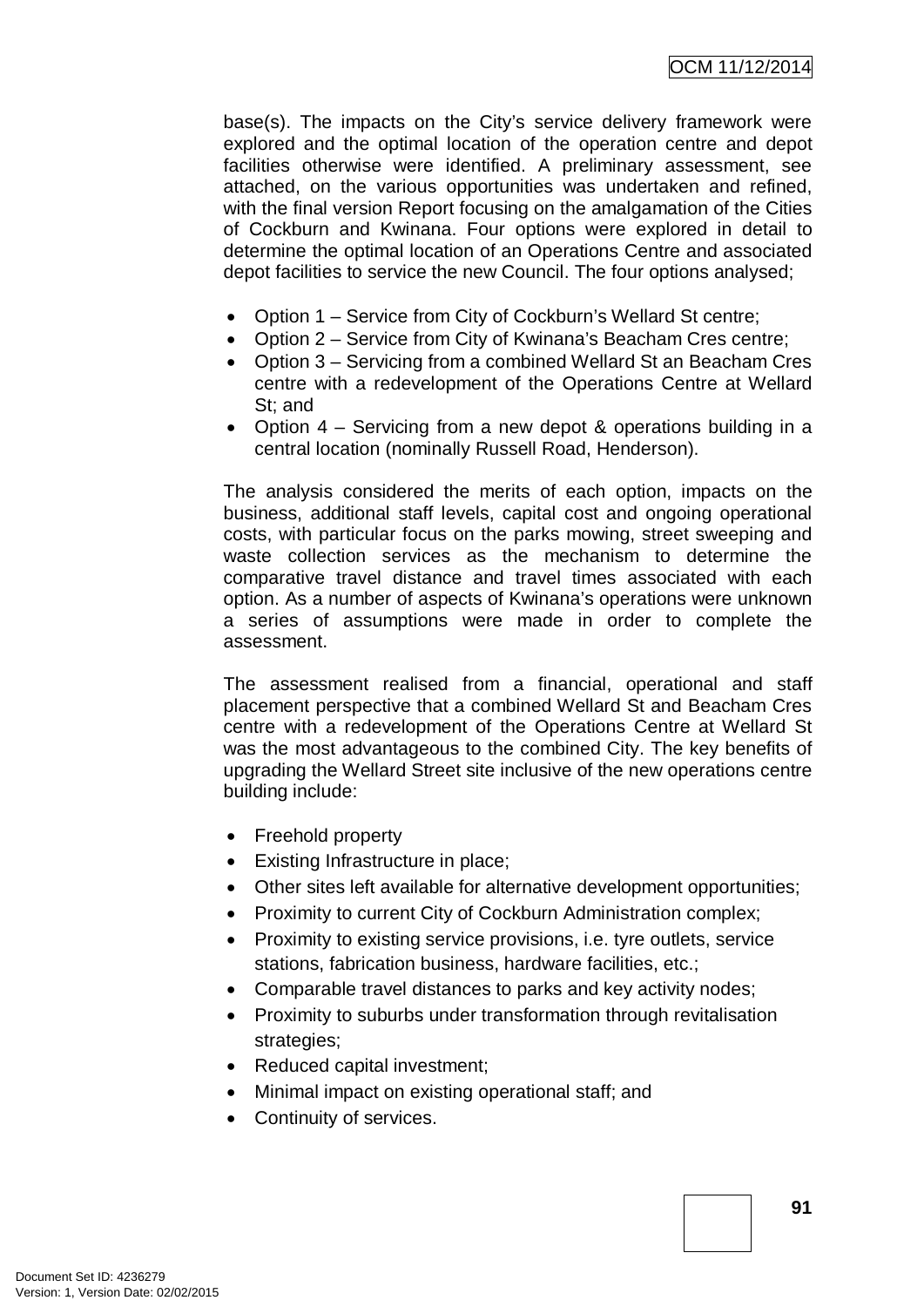base(s). The impacts on the City's service delivery framework were explored and the optimal location of the operation centre and depot facilities otherwise were identified. A preliminary assessment, see attached, on the various opportunities was undertaken and refined, with the final version Report focusing on the amalgamation of the Cities of Cockburn and Kwinana. Four options were explored in detail to determine the optimal location of an Operations Centre and associated depot facilities to service the new Council. The four options analysed;

- Option 1 Service from City of Cockburn's Wellard St centre;
- Option 2 Service from City of Kwinana's Beacham Cres centre;
- Option 3 Servicing from a combined Wellard St an Beacham Cres centre with a redevelopment of the Operations Centre at Wellard St; and
- Option 4 Servicing from a new depot & operations building in a central location (nominally Russell Road, Henderson).

The analysis considered the merits of each option, impacts on the business, additional staff levels, capital cost and ongoing operational costs, with particular focus on the parks mowing, street sweeping and waste collection services as the mechanism to determine the comparative travel distance and travel times associated with each option. As a number of aspects of Kwinana's operations were unknown a series of assumptions were made in order to complete the assessment.

The assessment realised from a financial, operational and staff placement perspective that a combined Wellard St and Beacham Cres centre with a redevelopment of the Operations Centre at Wellard St was the most advantageous to the combined City. The key benefits of upgrading the Wellard Street site inclusive of the new operations centre building include:

- Freehold property
- Existing Infrastructure in place;
- Other sites left available for alternative development opportunities;
- Proximity to current City of Cockburn Administration complex;
- Proximity to existing service provisions, i.e. tyre outlets, service stations, fabrication business, hardware facilities, etc.;
- Comparable travel distances to parks and key activity nodes;
- Proximity to suburbs under transformation through revitalisation strategies;
- Reduced capital investment;
- Minimal impact on existing operational staff; and
- Continuity of services.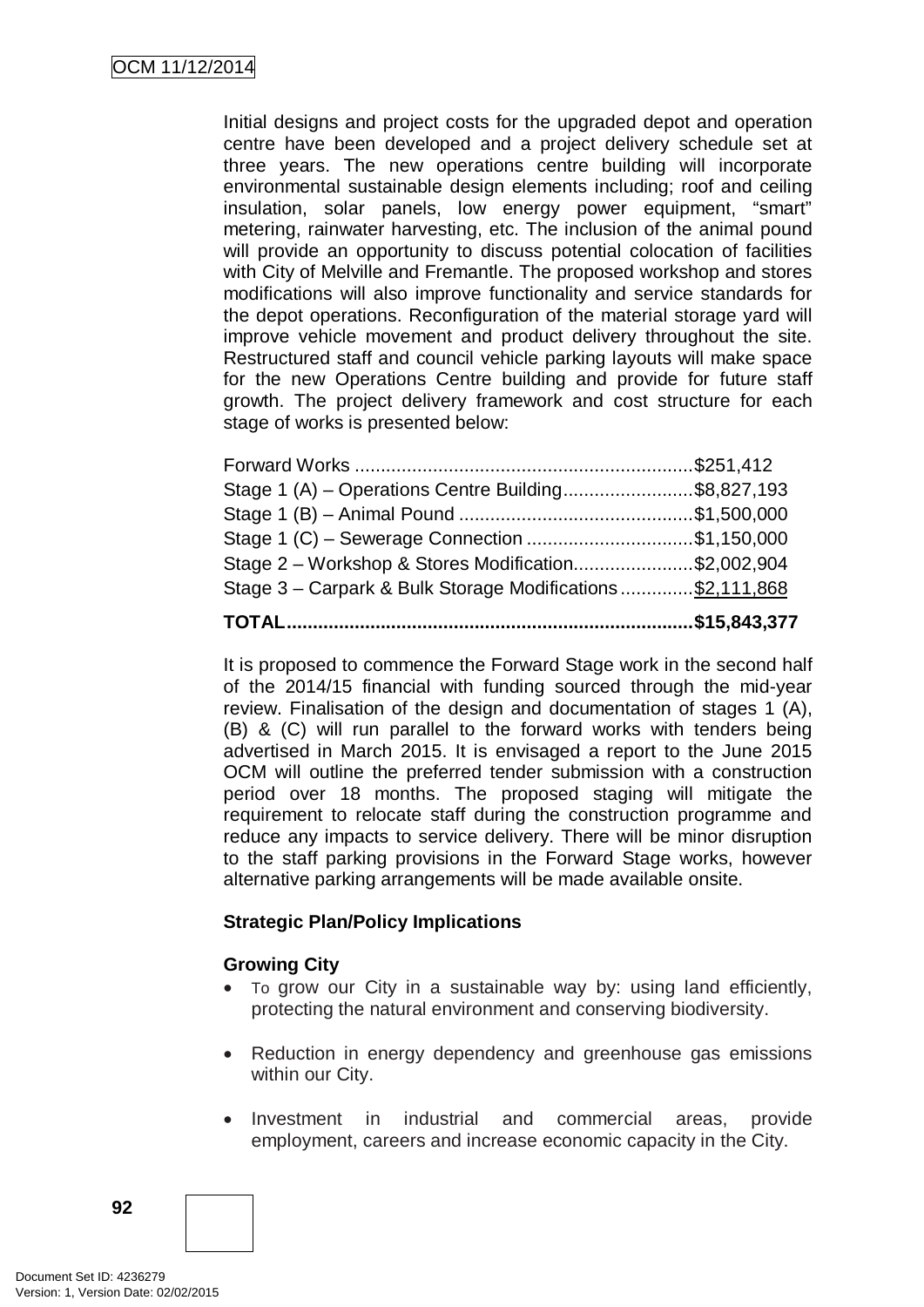Initial designs and project costs for the upgraded depot and operation centre have been developed and a project delivery schedule set at three years. The new operations centre building will incorporate environmental sustainable design elements including; roof and ceiling insulation, solar panels, low energy power equipment, "smart" metering, rainwater harvesting, etc. The inclusion of the animal pound will provide an opportunity to discuss potential colocation of facilities with City of Melville and Fremantle. The proposed workshop and stores modifications will also improve functionality and service standards for the depot operations. Reconfiguration of the material storage yard will improve vehicle movement and product delivery throughout the site. Restructured staff and council vehicle parking layouts will make space for the new Operations Centre building and provide for future staff growth. The project delivery framework and cost structure for each stage of works is presented below:

| Stage 3 - Carpark & Bulk Storage Modifications \$2,111,868 |  |
|------------------------------------------------------------|--|
| Stage 2 – Workshop & Stores Modification\$2,002,904        |  |
| Stage 1 (C) – Sewerage Connection \$1,150,000              |  |
|                                                            |  |
| Stage 1 (A) – Operations Centre Building\$8,827,193        |  |
|                                                            |  |

It is proposed to commence the Forward Stage work in the second half of the 2014/15 financial with funding sourced through the mid-year review. Finalisation of the design and documentation of stages 1 (A), (B) & (C) will run parallel to the forward works with tenders being advertised in March 2015. It is envisaged a report to the June 2015 OCM will outline the preferred tender submission with a construction period over 18 months. The proposed staging will mitigate the requirement to relocate staff during the construction programme and reduce any impacts to service delivery. There will be minor disruption to the staff parking provisions in the Forward Stage works, however alternative parking arrangements will be made available onsite.

# **Strategic Plan/Policy Implications**

### **Growing City**

- To grow our City in a sustainable way by: using land efficiently, protecting the natural environment and conserving biodiversity.
- Reduction in energy dependency and greenhouse gas emissions within our City.
- Investment in industrial and commercial areas, provide employment, careers and increase economic capacity in the City.

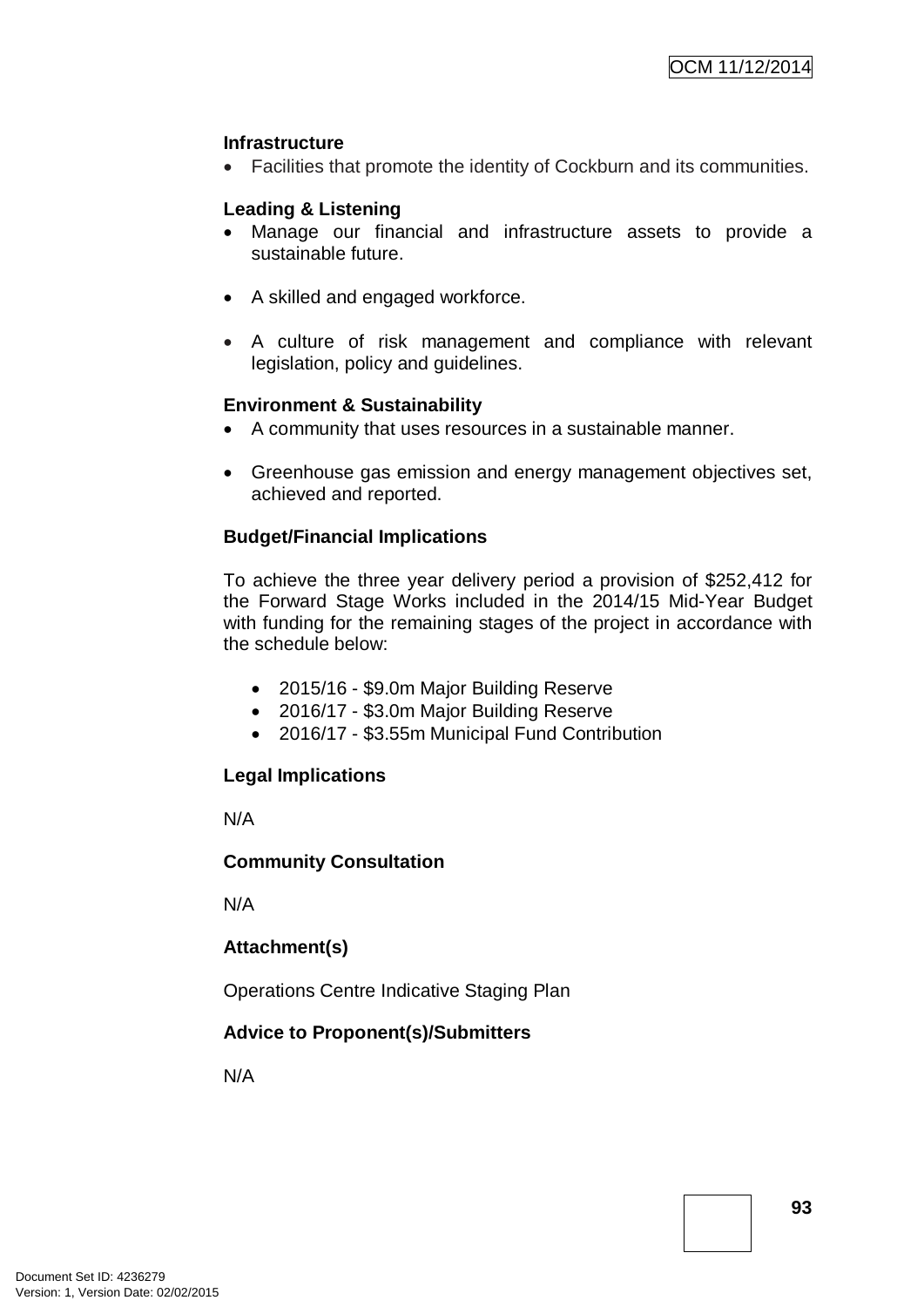### **Infrastructure**

• Facilities that promote the identity of Cockburn and its communities.

### **Leading & Listening**

- Manage our financial and infrastructure assets to provide a sustainable future.
- A skilled and engaged workforce.
- A culture of risk management and compliance with relevant legislation, policy and guidelines.

### **Environment & Sustainability**

- A community that uses resources in a sustainable manner.
- Greenhouse gas emission and energy management objectives set, achieved and reported.

### **Budget/Financial Implications**

To achieve the three year delivery period a provision of \$252,412 for the Forward Stage Works included in the 2014/15 Mid-Year Budget with funding for the remaining stages of the project in accordance with the schedule below:

- 2015/16 \$9.0m Major Building Reserve
- 2016/17 \$3.0m Major Building Reserve
- 2016/17 \$3.55m Municipal Fund Contribution

#### **Legal Implications**

N/A

**Community Consultation**

N/A

### **Attachment(s)**

Operations Centre Indicative Staging Plan

### **Advice to Proponent(s)/Submitters**

N/A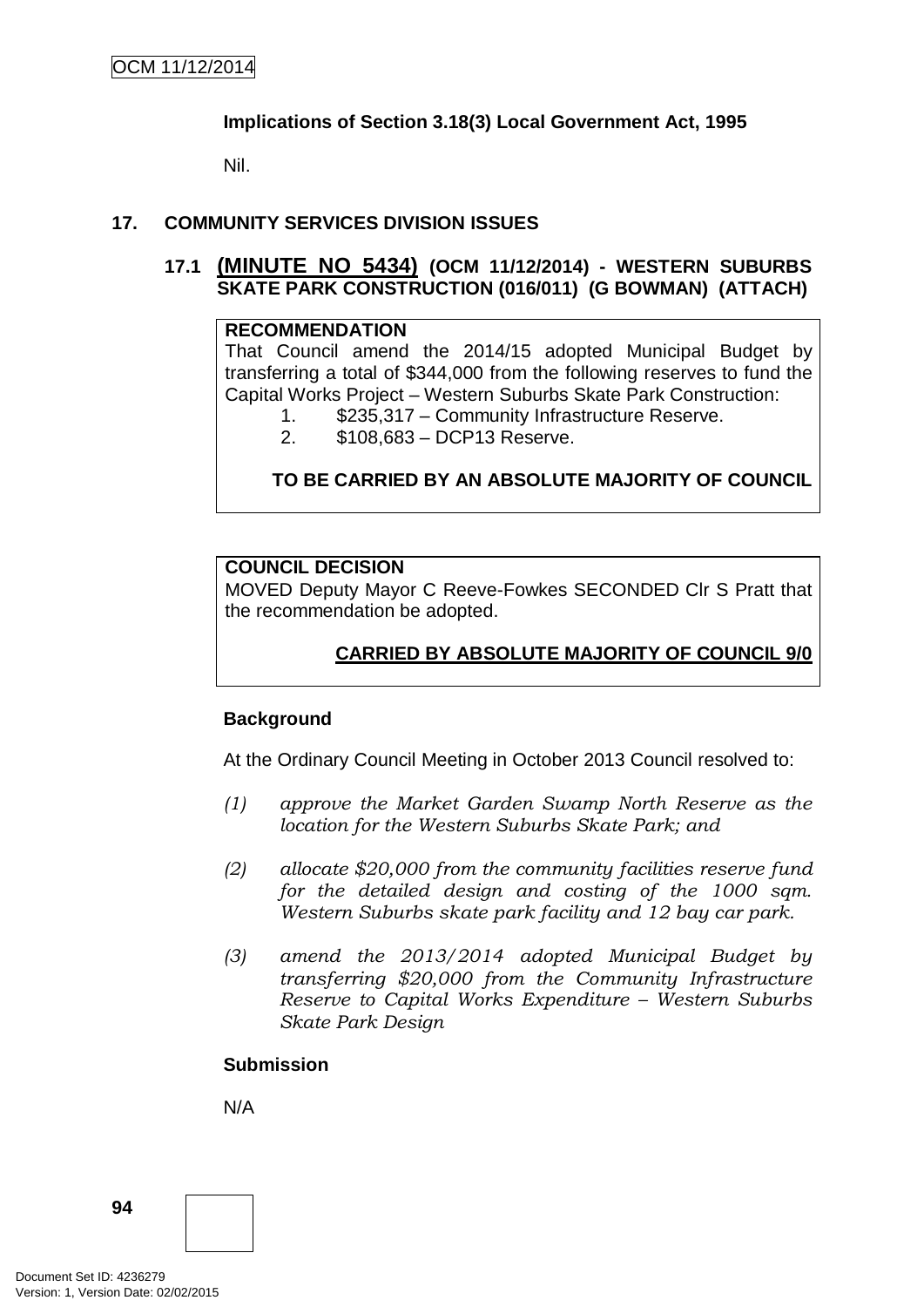### **Implications of Section 3.18(3) Local Government Act, 1995**

Nil.

# **17. COMMUNITY SERVICES DIVISION ISSUES**

# **17.1 (MINUTE NO 5434) (OCM 11/12/2014) - WESTERN SUBURBS SKATE PARK CONSTRUCTION (016/011) (G BOWMAN) (ATTACH)**

### **RECOMMENDATION**

That Council amend the 2014/15 adopted Municipal Budget by transferring a total of \$344,000 from the following reserves to fund the Capital Works Project – Western Suburbs Skate Park Construction:

- 1. \$235,317 Community Infrastructure Reserve.<br>2. \$108.683 DCP13 Reserve.
- 2. \$108,683 DCP13 Reserve.

# **TO BE CARRIED BY AN ABSOLUTE MAJORITY OF COUNCIL**

### **COUNCIL DECISION**

MOVED Deputy Mayor C Reeve-Fowkes SECONDED Clr S Pratt that the recommendation be adopted.

# **CARRIED BY ABSOLUTE MAJORITY OF COUNCIL 9/0**

#### **Background**

At the Ordinary Council Meeting in October 2013 Council resolved to:

- *(1) approve the Market Garden Swamp North Reserve as the location for the Western Suburbs Skate Park; and*
- *(2) allocate \$20,000 from the community facilities reserve fund for the detailed design and costing of the 1000 sqm. Western Suburbs skate park facility and 12 bay car park.*
- *(3) amend the 2013/2014 adopted Municipal Budget by transferring \$20,000 from the Community Infrastructure Reserve to Capital Works Expenditure – Western Suburbs Skate Park Design*

#### **Submission**

N/A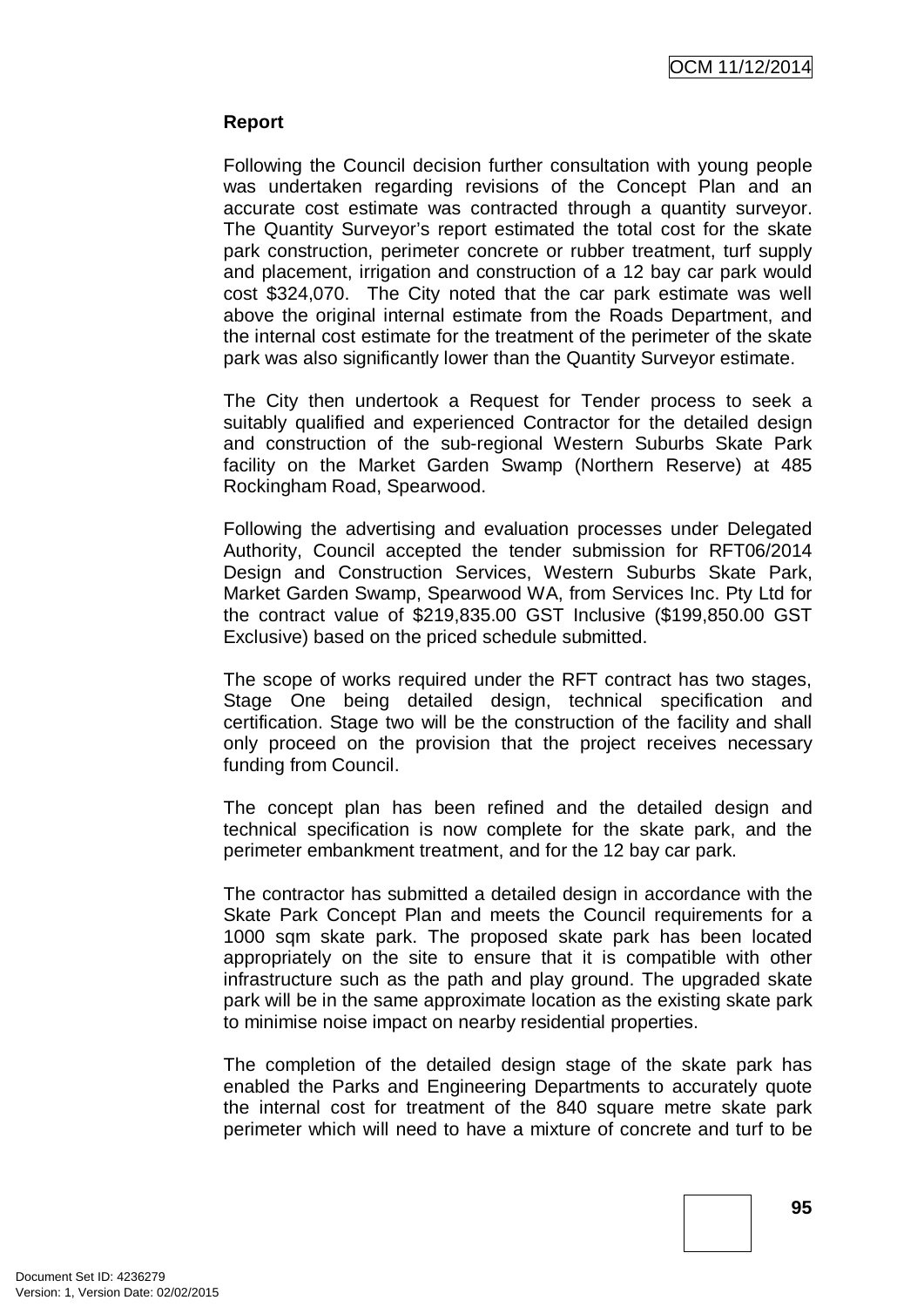# **Report**

Following the Council decision further consultation with young people was undertaken regarding revisions of the Concept Plan and an accurate cost estimate was contracted through a quantity surveyor. The Quantity Surveyor's report estimated the total cost for the skate park construction, perimeter concrete or rubber treatment, turf supply and placement, irrigation and construction of a 12 bay car park would cost \$324,070. The City noted that the car park estimate was well above the original internal estimate from the Roads Department, and the internal cost estimate for the treatment of the perimeter of the skate park was also significantly lower than the Quantity Surveyor estimate.

The City then undertook a Request for Tender process to seek a suitably qualified and experienced Contractor for the detailed design and construction of the sub-regional Western Suburbs Skate Park facility on the Market Garden Swamp (Northern Reserve) at 485 Rockingham Road, Spearwood.

Following the advertising and evaluation processes under Delegated Authority, Council accepted the tender submission for RFT06/2014 Design and Construction Services, Western Suburbs Skate Park, Market Garden Swamp, Spearwood WA, from Services Inc. Pty Ltd for the contract value of \$219,835.00 GST Inclusive (\$199,850.00 GST Exclusive) based on the priced schedule submitted.

The scope of works required under the RFT contract has two stages, Stage One being detailed design, technical specification and certification. Stage two will be the construction of the facility and shall only proceed on the provision that the project receives necessary funding from Council.

The concept plan has been refined and the detailed design and technical specification is now complete for the skate park, and the perimeter embankment treatment, and for the 12 bay car park.

The contractor has submitted a detailed design in accordance with the Skate Park Concept Plan and meets the Council requirements for a 1000 sqm skate park. The proposed skate park has been located appropriately on the site to ensure that it is compatible with other infrastructure such as the path and play ground. The upgraded skate park will be in the same approximate location as the existing skate park to minimise noise impact on nearby residential properties.

The completion of the detailed design stage of the skate park has enabled the Parks and Engineering Departments to accurately quote the internal cost for treatment of the 840 square metre skate park perimeter which will need to have a mixture of concrete and turf to be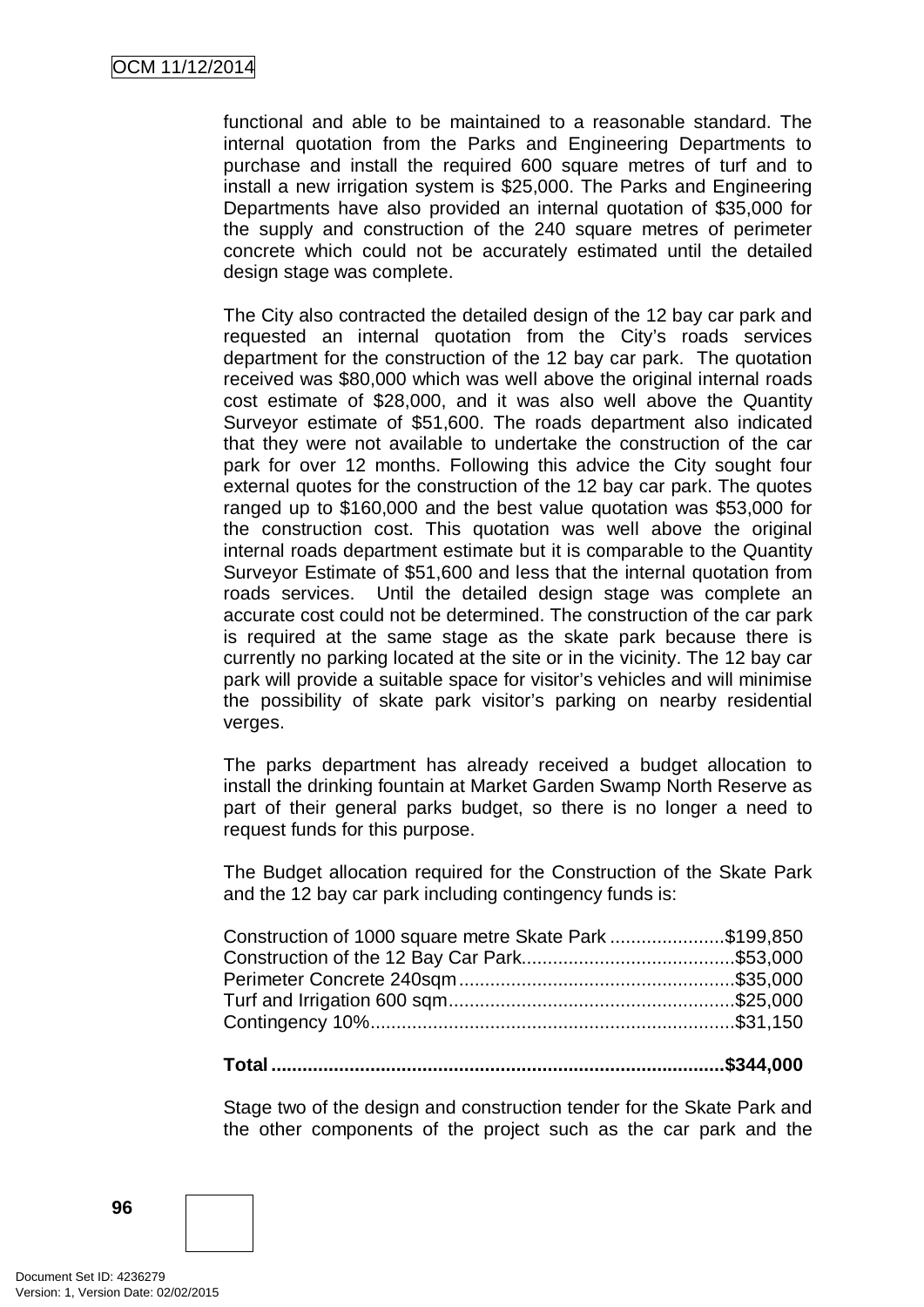functional and able to be maintained to a reasonable standard. The internal quotation from the Parks and Engineering Departments to purchase and install the required 600 square metres of turf and to install a new irrigation system is \$25,000. The Parks and Engineering Departments have also provided an internal quotation of \$35,000 for the supply and construction of the 240 square metres of perimeter concrete which could not be accurately estimated until the detailed design stage was complete.

The City also contracted the detailed design of the 12 bay car park and requested an internal quotation from the City's roads services department for the construction of the 12 bay car park. The quotation received was \$80,000 which was well above the original internal roads cost estimate of \$28,000, and it was also well above the Quantity Surveyor estimate of \$51,600. The roads department also indicated that they were not available to undertake the construction of the car park for over 12 months. Following this advice the City sought four external quotes for the construction of the 12 bay car park. The quotes ranged up to \$160,000 and the best value quotation was \$53,000 for the construction cost. This quotation was well above the original internal roads department estimate but it is comparable to the Quantity Surveyor Estimate of \$51,600 and less that the internal quotation from roads services. Until the detailed design stage was complete an accurate cost could not be determined. The construction of the car park is required at the same stage as the skate park because there is currently no parking located at the site or in the vicinity. The 12 bay car park will provide a suitable space for visitor's vehicles and will minimise the possibility of skate park visitor's parking on nearby residential verges.

The parks department has already received a budget allocation to install the drinking fountain at Market Garden Swamp North Reserve as part of their general parks budget, so there is no longer a need to request funds for this purpose.

The Budget allocation required for the Construction of the Skate Park and the 12 bay car park including contingency funds is:

| Construction of 1000 square metre Skate Park \$199,850 |  |
|--------------------------------------------------------|--|
|                                                        |  |
|                                                        |  |
|                                                        |  |
|                                                        |  |
|                                                        |  |
|                                                        |  |

**Total .......................................................................................\$344,000**

Stage two of the design and construction tender for the Skate Park and the other components of the project such as the car park and the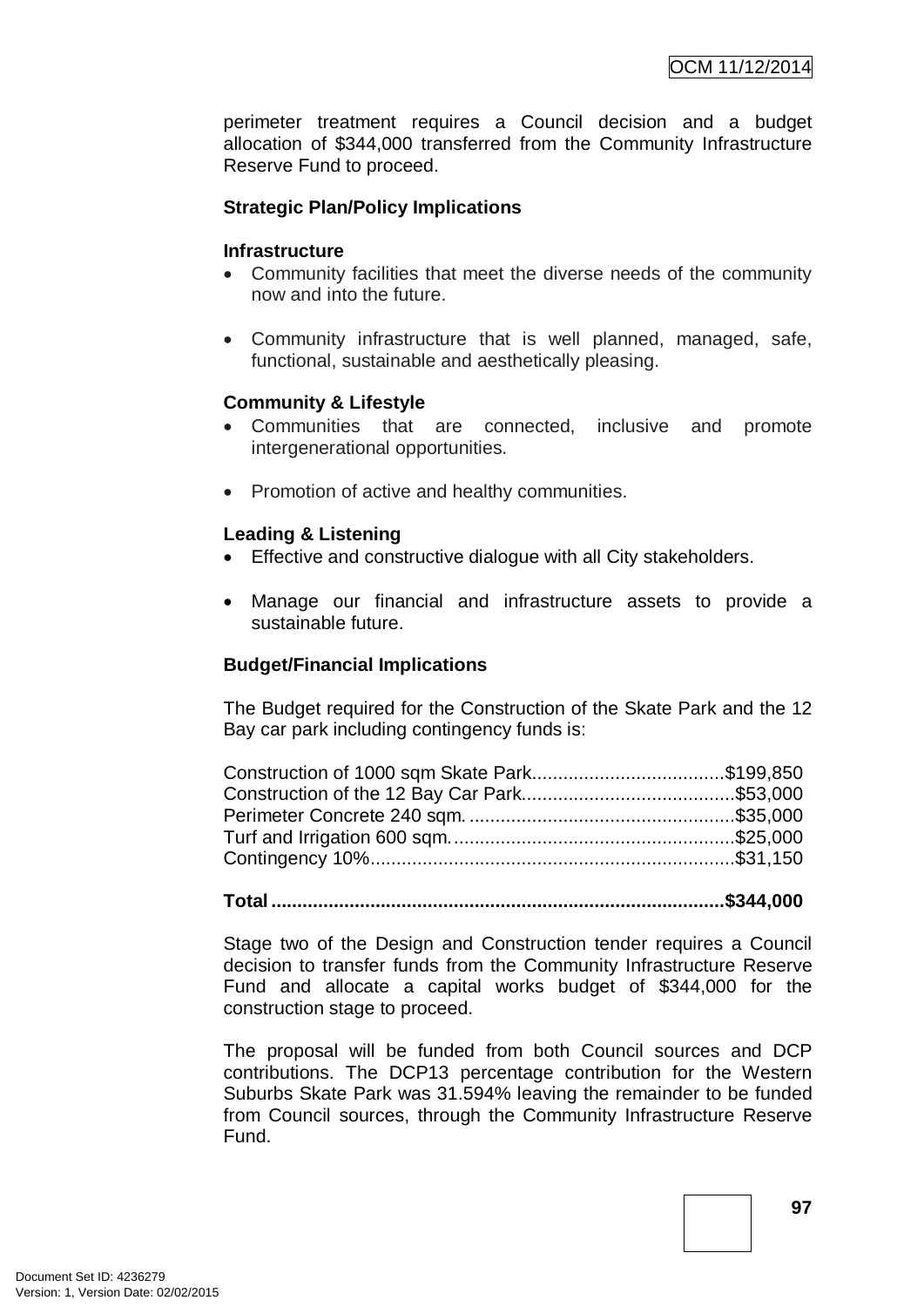perimeter treatment requires a Council decision and a budget allocation of \$344,000 transferred from the Community Infrastructure Reserve Fund to proceed.

## **Strategic Plan/Policy Implications**

#### **Infrastructure**

- Community facilities that meet the diverse needs of the community now and into the future.
- Community infrastructure that is well planned, managed, safe, functional, sustainable and aesthetically pleasing.

### **Community & Lifestyle**

- Communities that are connected, inclusive and promote intergenerational opportunities.
- Promotion of active and healthy communities.

#### **Leading & Listening**

- Effective and constructive dialogue with all City stakeholders.
- Manage our financial and infrastructure assets to provide a sustainable future.

### **Budget/Financial Implications**

The Budget required for the Construction of the Skate Park and the 12 Bay car park including contingency funds is:

**Total .......................................................................................\$344,000**

Stage two of the Design and Construction tender requires a Council decision to transfer funds from the Community Infrastructure Reserve Fund and allocate a capital works budget of \$344,000 for the construction stage to proceed.

The proposal will be funded from both Council sources and DCP contributions. The DCP13 percentage contribution for the Western Suburbs Skate Park was 31.594% leaving the remainder to be funded from Council sources, through the Community Infrastructure Reserve Fund.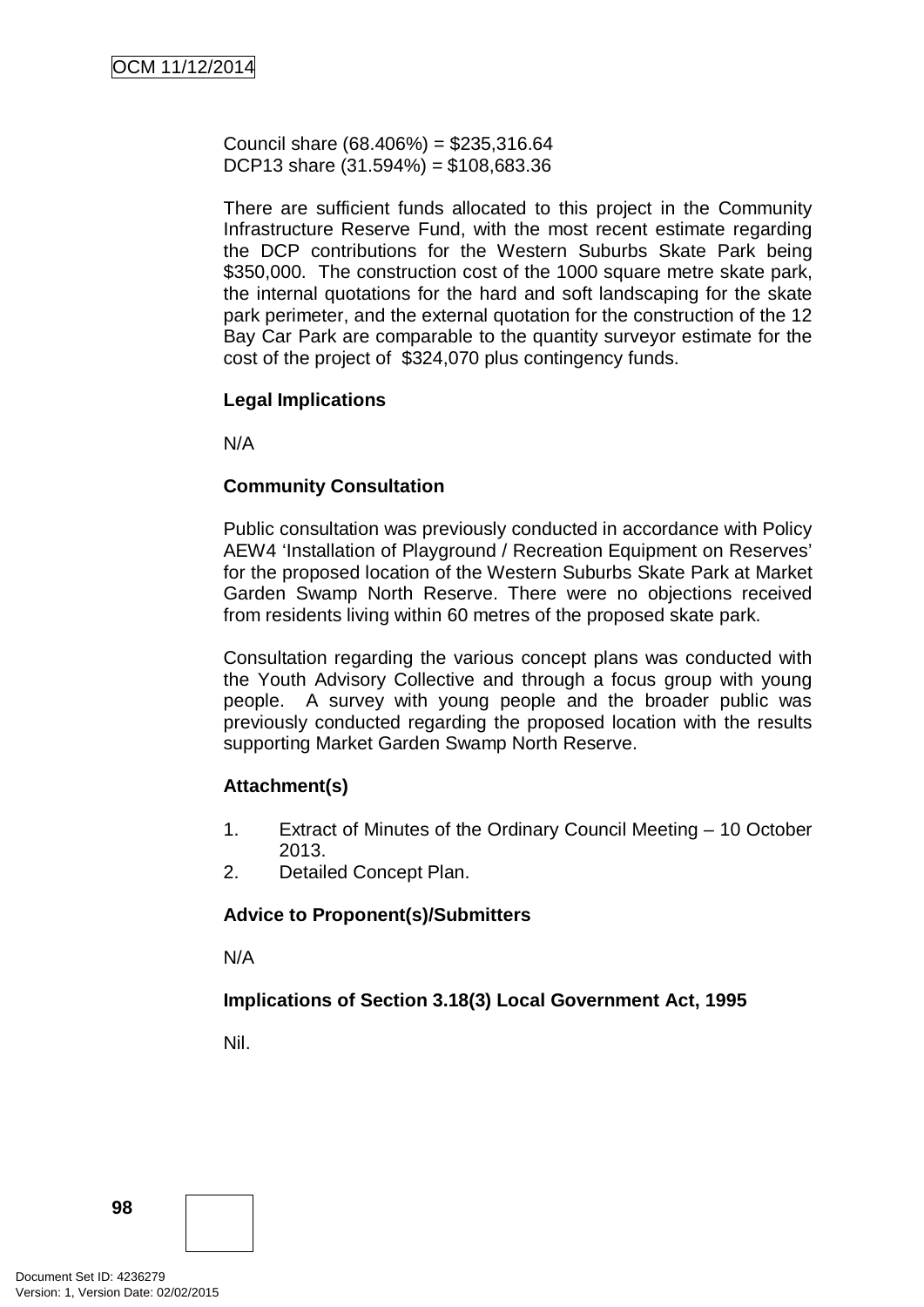Council share (68.406%) = \$235,316.64 DCP13 share (31.594%) = \$108,683.36

There are sufficient funds allocated to this project in the Community Infrastructure Reserve Fund, with the most recent estimate regarding the DCP contributions for the Western Suburbs Skate Park being \$350,000. The construction cost of the 1000 square metre skate park, the internal quotations for the hard and soft landscaping for the skate park perimeter, and the external quotation for the construction of the 12 Bay Car Park are comparable to the quantity surveyor estimate for the cost of the project of \$324,070 plus contingency funds.

### **Legal Implications**

N/A

### **Community Consultation**

Public consultation was previously conducted in accordance with Policy AEW4 'Installation of Playground / Recreation Equipment on Reserves' for the proposed location of the Western Suburbs Skate Park at Market Garden Swamp North Reserve. There were no objections received from residents living within 60 metres of the proposed skate park.

Consultation regarding the various concept plans was conducted with the Youth Advisory Collective and through a focus group with young people. A survey with young people and the broader public was previously conducted regarding the proposed location with the results supporting Market Garden Swamp North Reserve.

### **Attachment(s)**

- 1. Extract of Minutes of the Ordinary Council Meeting 10 October 2013.
- 2. Detailed Concept Plan.

### **Advice to Proponent(s)/Submitters**

N/A

### **Implications of Section 3.18(3) Local Government Act, 1995**

Nil.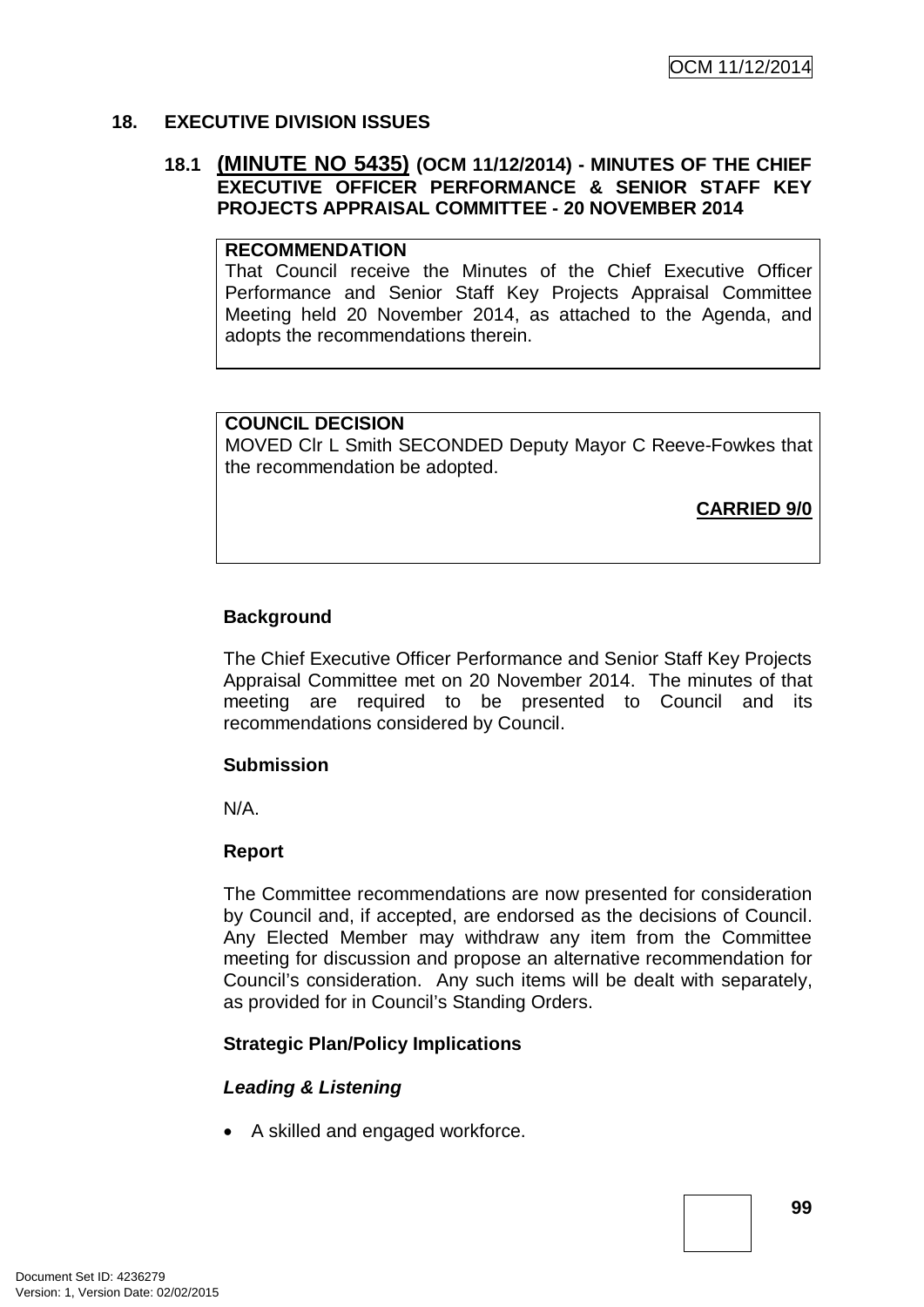### **18. EXECUTIVE DIVISION ISSUES**

## **18.1 (MINUTE NO 5435) (OCM 11/12/2014) - MINUTES OF THE CHIEF EXECUTIVE OFFICER PERFORMANCE & SENIOR STAFF KEY PROJECTS APPRAISAL COMMITTEE - 20 NOVEMBER 2014**

## **RECOMMENDATION**

That Council receive the Minutes of the Chief Executive Officer Performance and Senior Staff Key Projects Appraisal Committee Meeting held 20 November 2014, as attached to the Agenda, and adopts the recommendations therein.

### **COUNCIL DECISION**

MOVED Clr L Smith SECONDED Deputy Mayor C Reeve-Fowkes that the recommendation be adopted.

**CARRIED 9/0**

# **Background**

The Chief Executive Officer Performance and Senior Staff Key Projects Appraisal Committee met on 20 November 2014. The minutes of that meeting are required to be presented to Council and its recommendations considered by Council.

#### **Submission**

N/A.

### **Report**

The Committee recommendations are now presented for consideration by Council and, if accepted, are endorsed as the decisions of Council. Any Elected Member may withdraw any item from the Committee meeting for discussion and propose an alternative recommendation for Council's consideration. Any such items will be dealt with separately, as provided for in Council's Standing Orders.

### **Strategic Plan/Policy Implications**

### *Leading & Listening*

• A skilled and engaged workforce.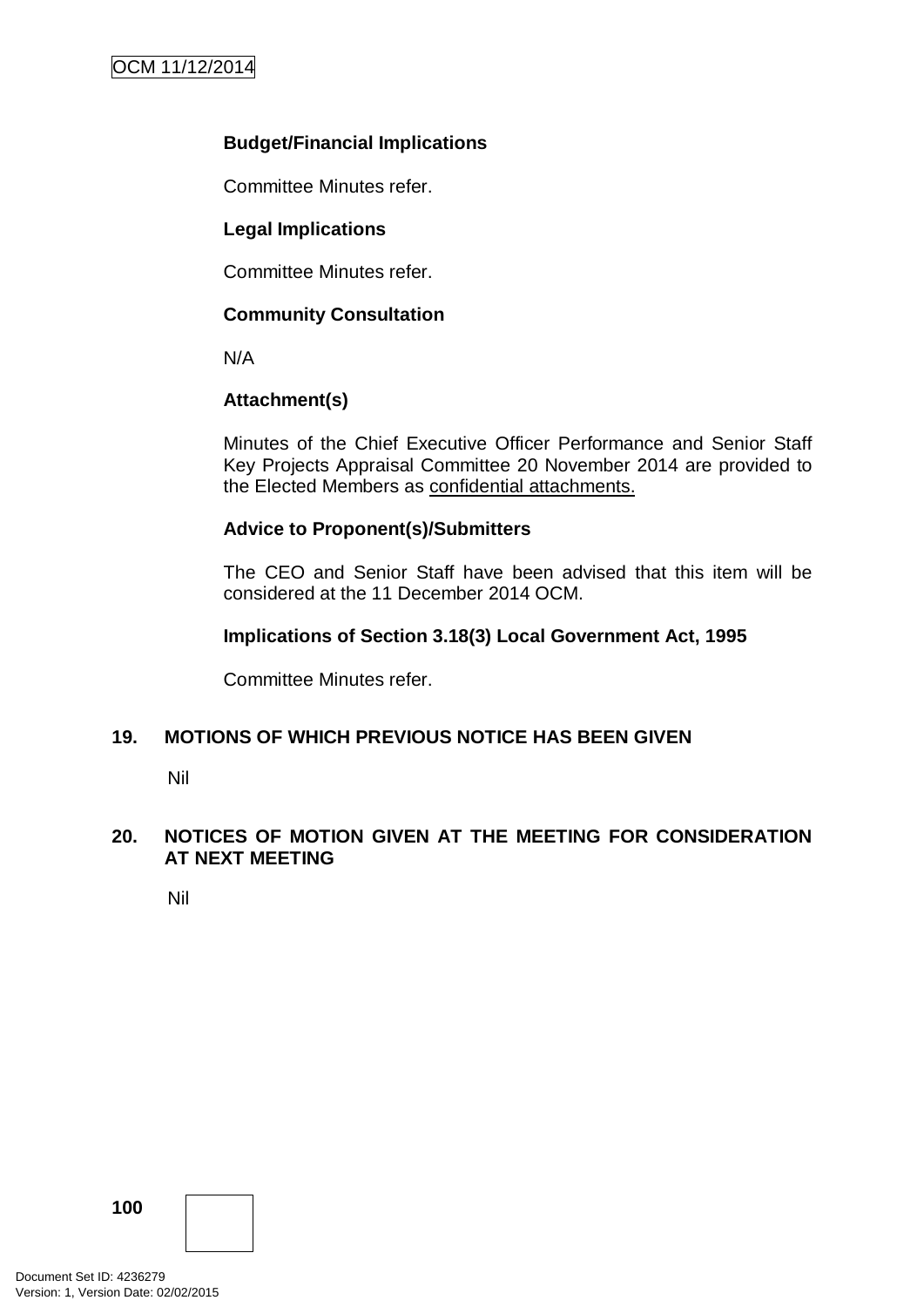# **Budget/Financial Implications**

Committee Minutes refer.

# **Legal Implications**

Committee Minutes refer.

## **Community Consultation**

N/A

# **Attachment(s)**

Minutes of the Chief Executive Officer Performance and Senior Staff Key Projects Appraisal Committee 20 November 2014 are provided to the Elected Members as confidential attachments.

### **Advice to Proponent(s)/Submitters**

The CEO and Senior Staff have been advised that this item will be considered at the 11 December 2014 OCM.

### **Implications of Section 3.18(3) Local Government Act, 1995**

Committee Minutes refer.

### **19. MOTIONS OF WHICH PREVIOUS NOTICE HAS BEEN GIVEN**

Nil

# **20. NOTICES OF MOTION GIVEN AT THE MEETING FOR CONSIDERATION AT NEXT MEETING**

Nil

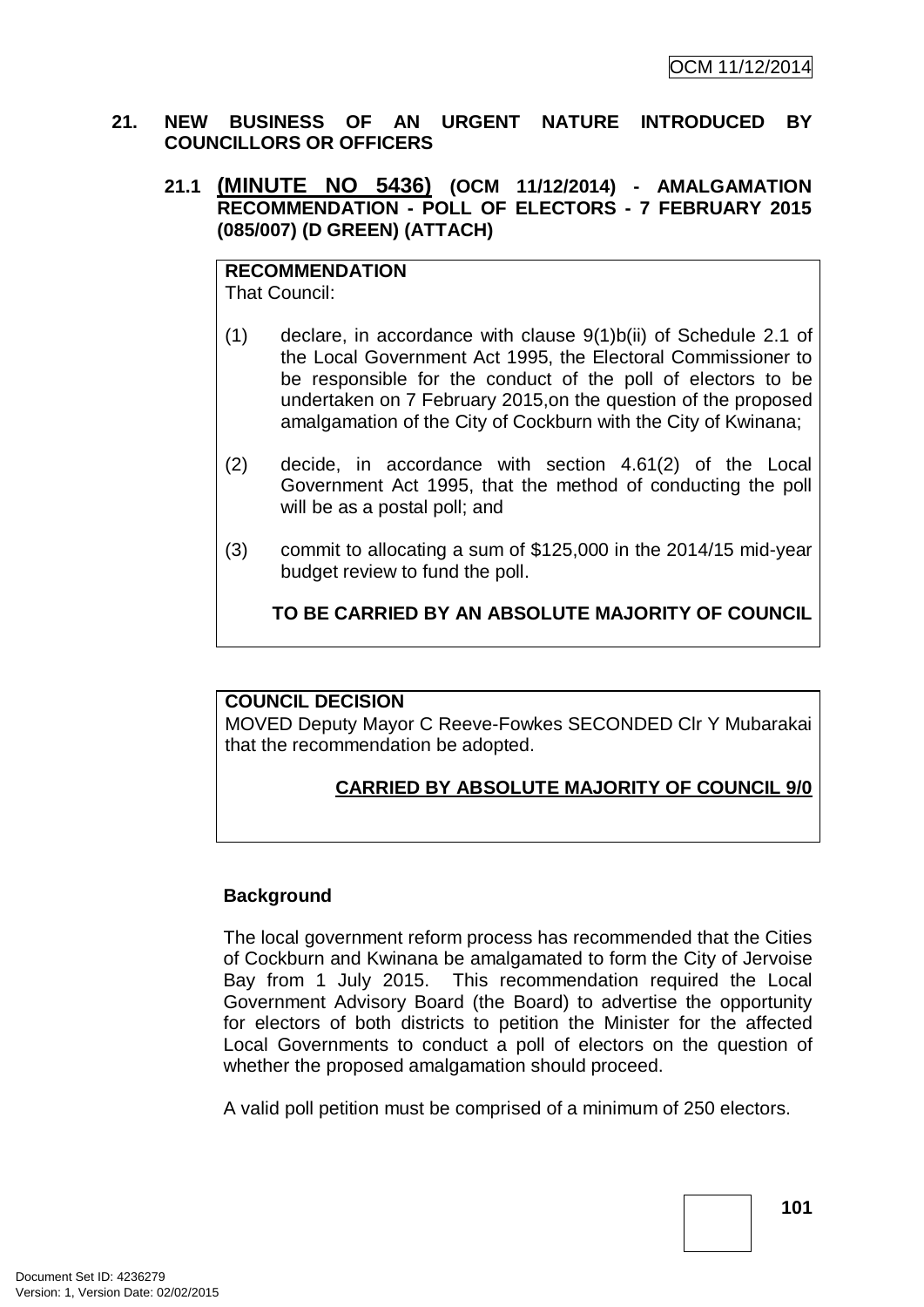### **21. NEW BUSINESS OF AN URGENT NATURE INTRODUCED BY COUNCILLORS OR OFFICERS**

# **21.1 (MINUTE NO 5436) (OCM 11/12/2014) - AMALGAMATION RECOMMENDATION - POLL OF ELECTORS - 7 FEBRUARY 2015 (085/007) (D GREEN) (ATTACH)**

**RECOMMENDATION** That Council:

- (1) declare, in accordance with clause 9(1)b(ii) of Schedule 2.1 of the Local Government Act 1995, the Electoral Commissioner to be responsible for the conduct of the poll of electors to be undertaken on 7 February 2015,on the question of the proposed amalgamation of the City of Cockburn with the City of Kwinana;
- (2) decide, in accordance with section 4.61(2) of the Local Government Act 1995, that the method of conducting the poll will be as a postal poll; and
- (3) commit to allocating a sum of \$125,000 in the 2014/15 mid-year budget review to fund the poll.

**TO BE CARRIED BY AN ABSOLUTE MAJORITY OF COUNCIL**

# **COUNCIL DECISION**

MOVED Deputy Mayor C Reeve-Fowkes SECONDED Clr Y Mubarakai that the recommendation be adopted.

# **CARRIED BY ABSOLUTE MAJORITY OF COUNCIL 9/0**

### **Background**

The local government reform process has recommended that the Cities of Cockburn and Kwinana be amalgamated to form the City of Jervoise Bay from 1 July 2015. This recommendation required the Local Government Advisory Board (the Board) to advertise the opportunity for electors of both districts to petition the Minister for the affected Local Governments to conduct a poll of electors on the question of whether the proposed amalgamation should proceed.

A valid poll petition must be comprised of a minimum of 250 electors.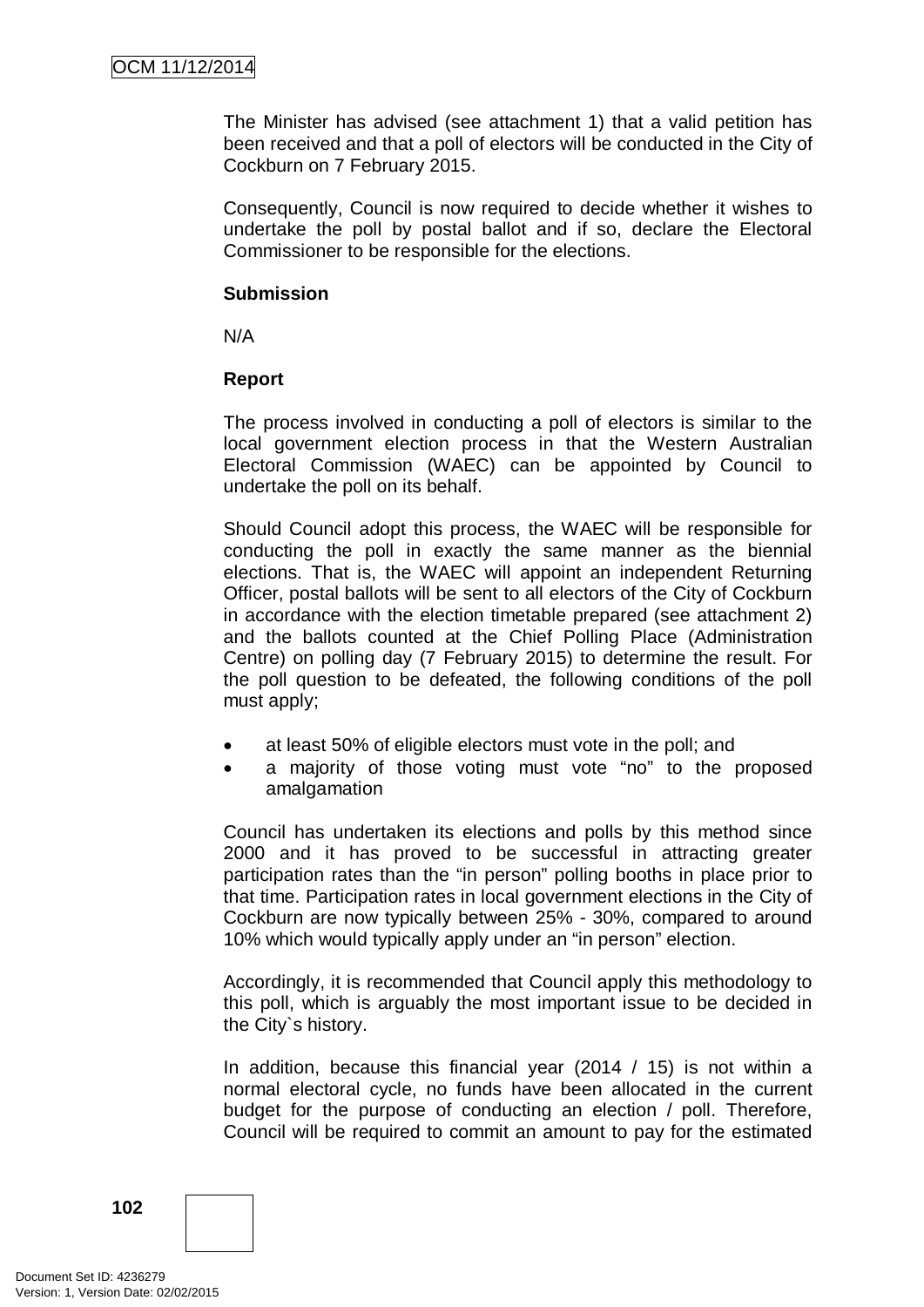The Minister has advised (see attachment 1) that a valid petition has been received and that a poll of electors will be conducted in the City of Cockburn on 7 February 2015.

Consequently, Council is now required to decide whether it wishes to undertake the poll by postal ballot and if so, declare the Electoral Commissioner to be responsible for the elections.

### **Submission**

N/A

# **Report**

The process involved in conducting a poll of electors is similar to the local government election process in that the Western Australian Electoral Commission (WAEC) can be appointed by Council to undertake the poll on its behalf.

Should Council adopt this process, the WAEC will be responsible for conducting the poll in exactly the same manner as the biennial elections. That is, the WAEC will appoint an independent Returning Officer, postal ballots will be sent to all electors of the City of Cockburn in accordance with the election timetable prepared (see attachment 2) and the ballots counted at the Chief Polling Place (Administration Centre) on polling day (7 February 2015) to determine the result. For the poll question to be defeated, the following conditions of the poll must apply;

- at least 50% of eligible electors must vote in the poll; and
- a majority of those voting must vote "no" to the proposed amalgamation

Council has undertaken its elections and polls by this method since 2000 and it has proved to be successful in attracting greater participation rates than the "in person" polling booths in place prior to that time. Participation rates in local government elections in the City of Cockburn are now typically between 25% - 30%, compared to around 10% which would typically apply under an "in person" election.

Accordingly, it is recommended that Council apply this methodology to this poll, which is arguably the most important issue to be decided in the City`s history.

In addition, because this financial year (2014 / 15) is not within a normal electoral cycle, no funds have been allocated in the current budget for the purpose of conducting an election / poll. Therefore, Council will be required to commit an amount to pay for the estimated

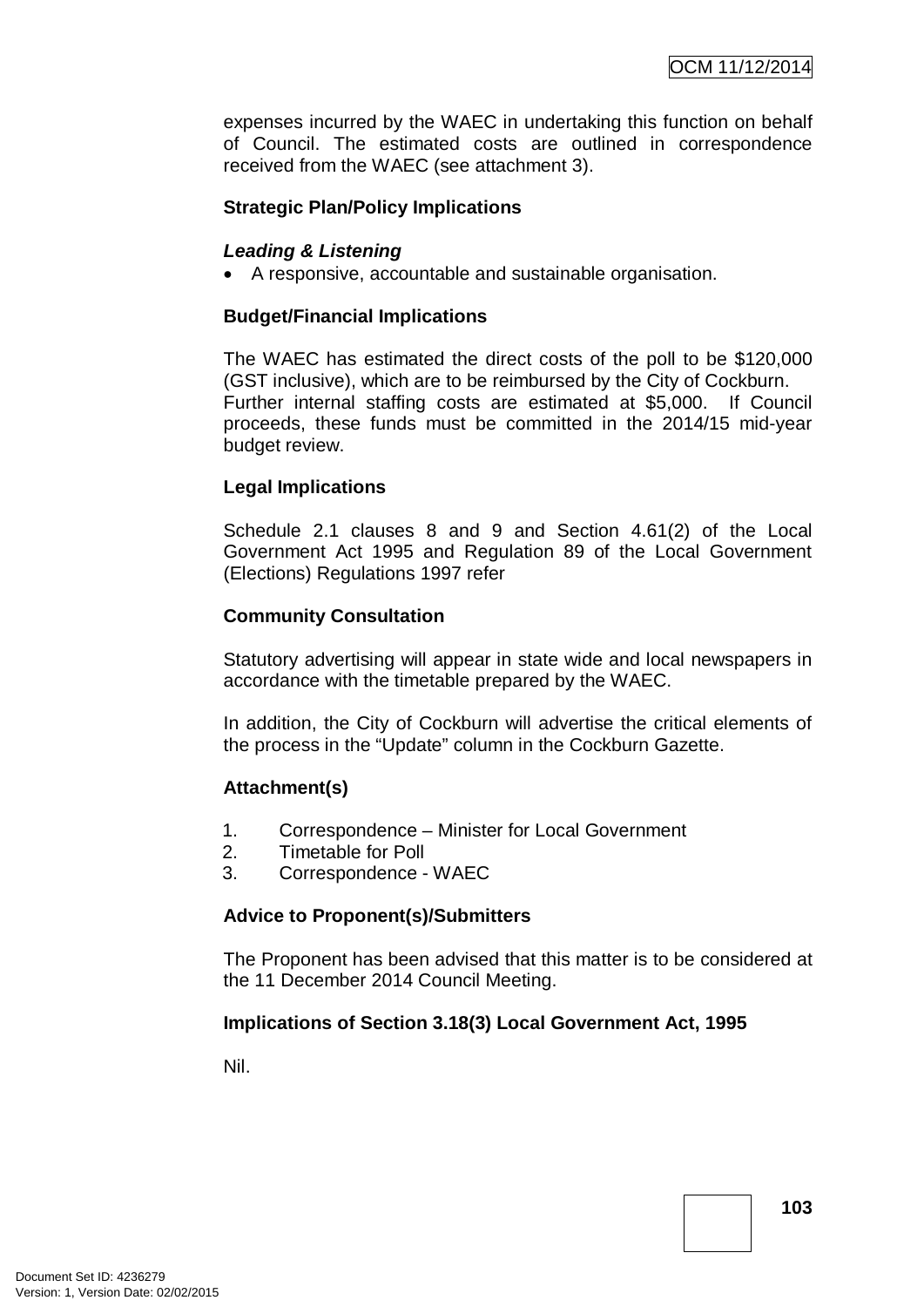expenses incurred by the WAEC in undertaking this function on behalf of Council. The estimated costs are outlined in correspondence received from the WAEC (see attachment 3).

## **Strategic Plan/Policy Implications**

### *Leading & Listening*

• A responsive, accountable and sustainable organisation.

### **Budget/Financial Implications**

The WAEC has estimated the direct costs of the poll to be \$120,000 (GST inclusive), which are to be reimbursed by the City of Cockburn. Further internal staffing costs are estimated at \$5,000. If Council proceeds, these funds must be committed in the 2014/15 mid-year budget review.

### **Legal Implications**

Schedule 2.1 clauses 8 and 9 and Section 4.61(2) of the Local Government Act 1995 and Regulation 89 of the Local Government (Elections) Regulations 1997 refer

### **Community Consultation**

Statutory advertising will appear in state wide and local newspapers in accordance with the timetable prepared by the WAEC.

In addition, the City of Cockburn will advertise the critical elements of the process in the "Update" column in the Cockburn Gazette.

### **Attachment(s)**

- 1. Correspondence Minister for Local Government
- 2. Timetable for Poll
- 3. Correspondence WAEC

#### **Advice to Proponent(s)/Submitters**

The Proponent has been advised that this matter is to be considered at the 11 December 2014 Council Meeting.

### **Implications of Section 3.18(3) Local Government Act, 1995**

Nil.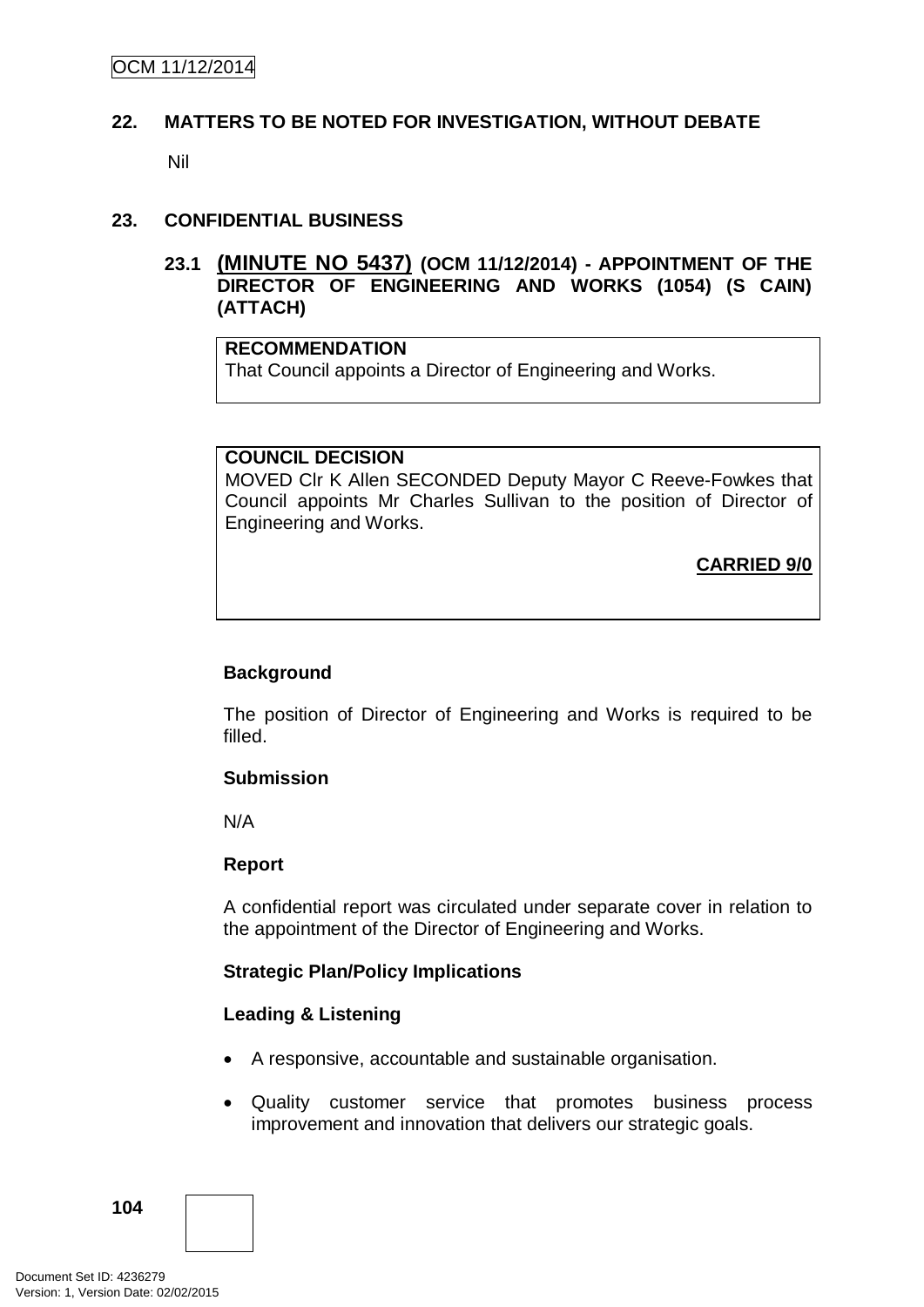### **22. MATTERS TO BE NOTED FOR INVESTIGATION, WITHOUT DEBATE**

Nil

### **23. CONFIDENTIAL BUSINESS**

# **23.1 (MINUTE NO 5437) (OCM 11/12/2014) - APPOINTMENT OF THE DIRECTOR OF ENGINEERING AND WORKS (1054) (S CAIN) (ATTACH)**

# **RECOMMENDATION**

That Council appoints a Director of Engineering and Works.

### **COUNCIL DECISION**

MOVED Clr K Allen SECONDED Deputy Mayor C Reeve-Fowkes that Council appoints Mr Charles Sullivan to the position of Director of Engineering and Works.

**CARRIED 9/0**

### **Background**

The position of Director of Engineering and Works is required to be filled.

## **Submission**

N/A

### **Report**

A confidential report was circulated under separate cover in relation to the appointment of the Director of Engineering and Works.

### **Strategic Plan/Policy Implications**

### **Leading & Listening**

- A responsive, accountable and sustainable organisation.
- Quality customer service that promotes business process improvement and innovation that delivers our strategic goals.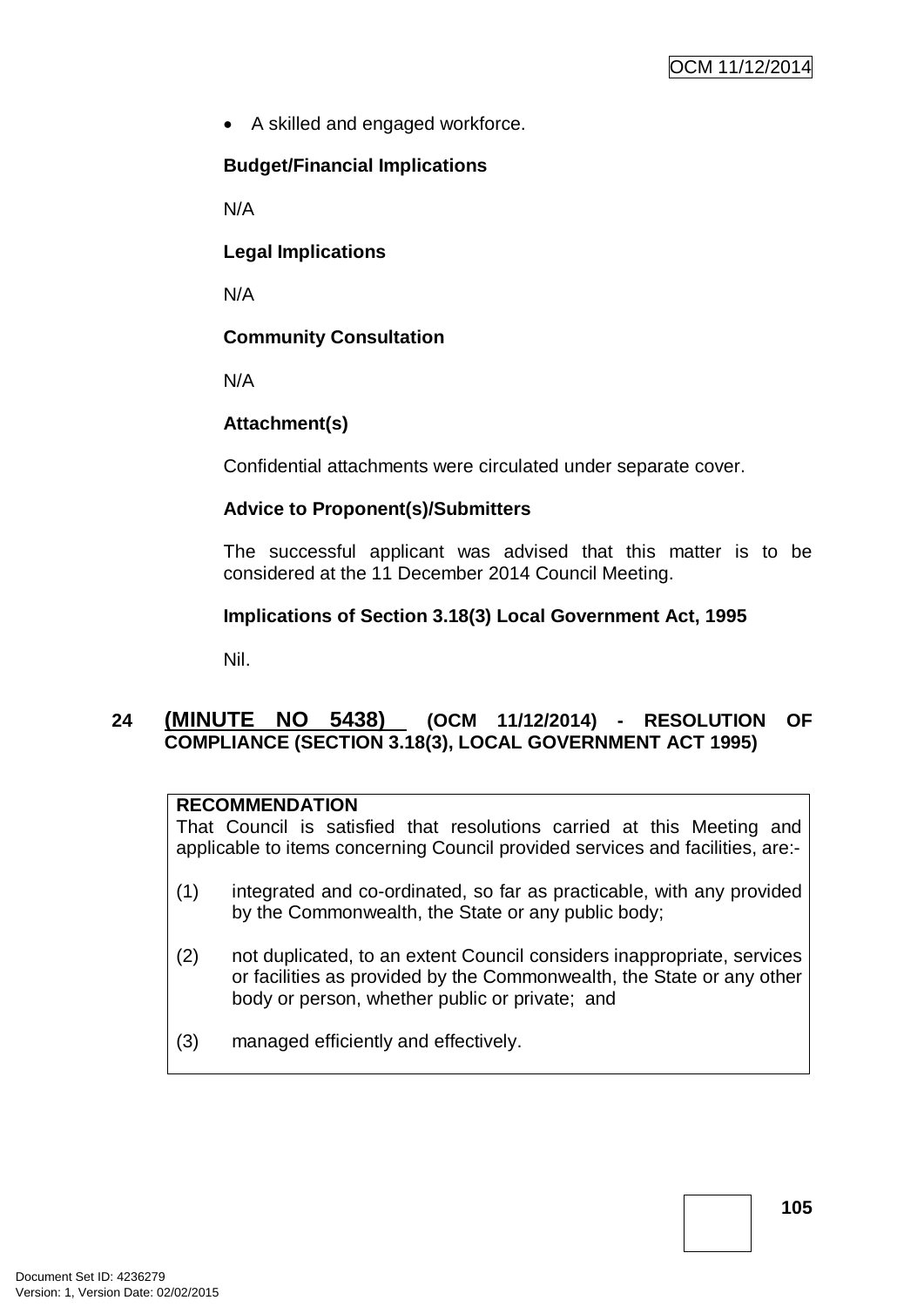• A skilled and engaged workforce.

#### **Budget/Financial Implications**

N/A

**Legal Implications**

N/A

## **Community Consultation**

N/A

## **Attachment(s)**

Confidential attachments were circulated under separate cover.

## **Advice to Proponent(s)/Submitters**

The successful applicant was advised that this matter is to be considered at the 11 December 2014 Council Meeting.

#### **Implications of Section 3.18(3) Local Government Act, 1995**

Nil.

## **24 (MINUTE NO 5438) (OCM 11/12/2014) - RESOLUTION OF COMPLIANCE (SECTION 3.18(3), LOCAL GOVERNMENT ACT 1995)**

#### **RECOMMENDATION**

That Council is satisfied that resolutions carried at this Meeting and applicable to items concerning Council provided services and facilities, are:-

- (1) integrated and co-ordinated, so far as practicable, with any provided by the Commonwealth, the State or any public body;
- (2) not duplicated, to an extent Council considers inappropriate, services or facilities as provided by the Commonwealth, the State or any other body or person, whether public or private; and
- (3) managed efficiently and effectively.